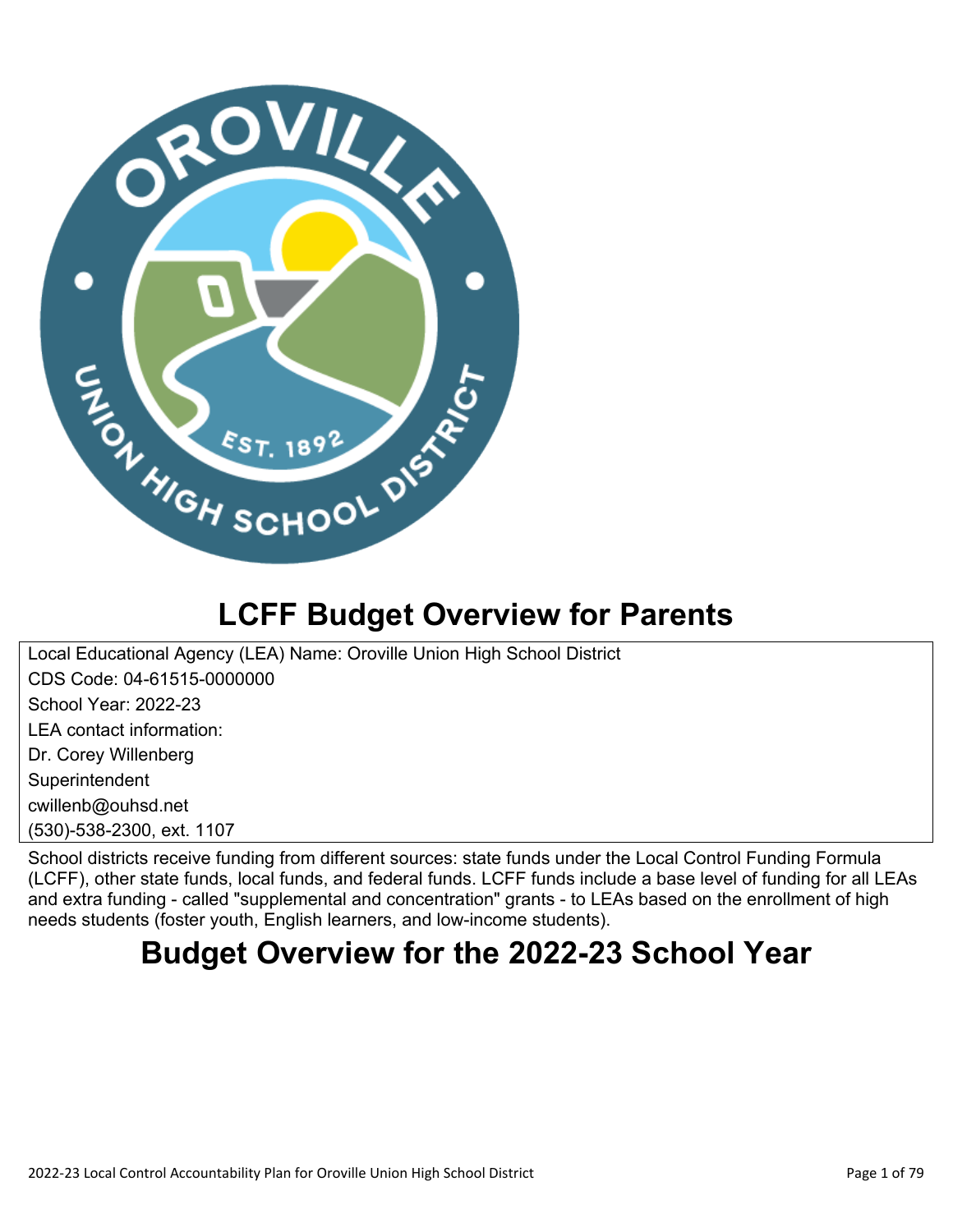

## **LCFF Budget Overview for Parents**

Local Educational Agency (LEA) Name: Oroville Union High School District CDS Code: 04-61515-0000000 School Year: 2022-23 LEA contact information: Dr. Corey Willenberg **Superintendent** cwillenb@ouhsd.net (530)-538-2300, ext. 1107

School districts receive funding from different sources: state funds under the Local Control Funding Formula (LCFF), other state funds, local funds, and federal funds. LCFF funds include a base level of funding for all LEAs and extra funding - called "supplemental and concentration" grants - to LEAs based on the enrollment of high needs students (foster youth, English learners, and low-income students).

## **Budget Overview for the 2022-23 School Year**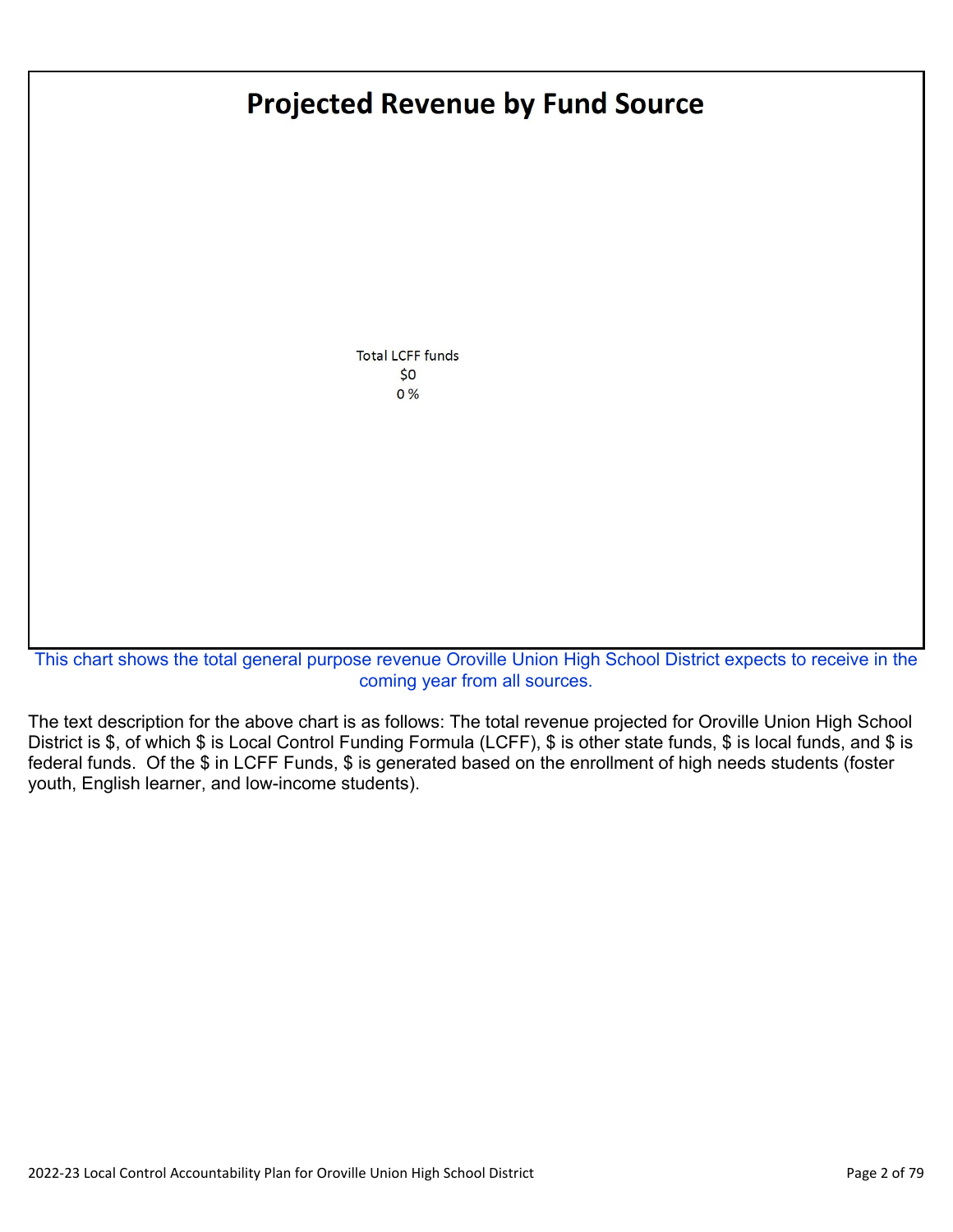## **Projected Revenue by Fund Source**

**Total LCFF funds**  $50$  $0\%$ 

This chart shows the total general purpose revenue Oroville Union High School District expects to receive in the coming year from all sources.

The text description for the above chart is as follows: The total revenue projected for Oroville Union High School District is \$, of which \$ is Local Control Funding Formula (LCFF), \$ is other state funds, \$ is local funds, and \$ is federal funds. Of the \$ in LCFF Funds, \$ is generated based on the enrollment of high needs students (foster youth, English learner, and low-income students).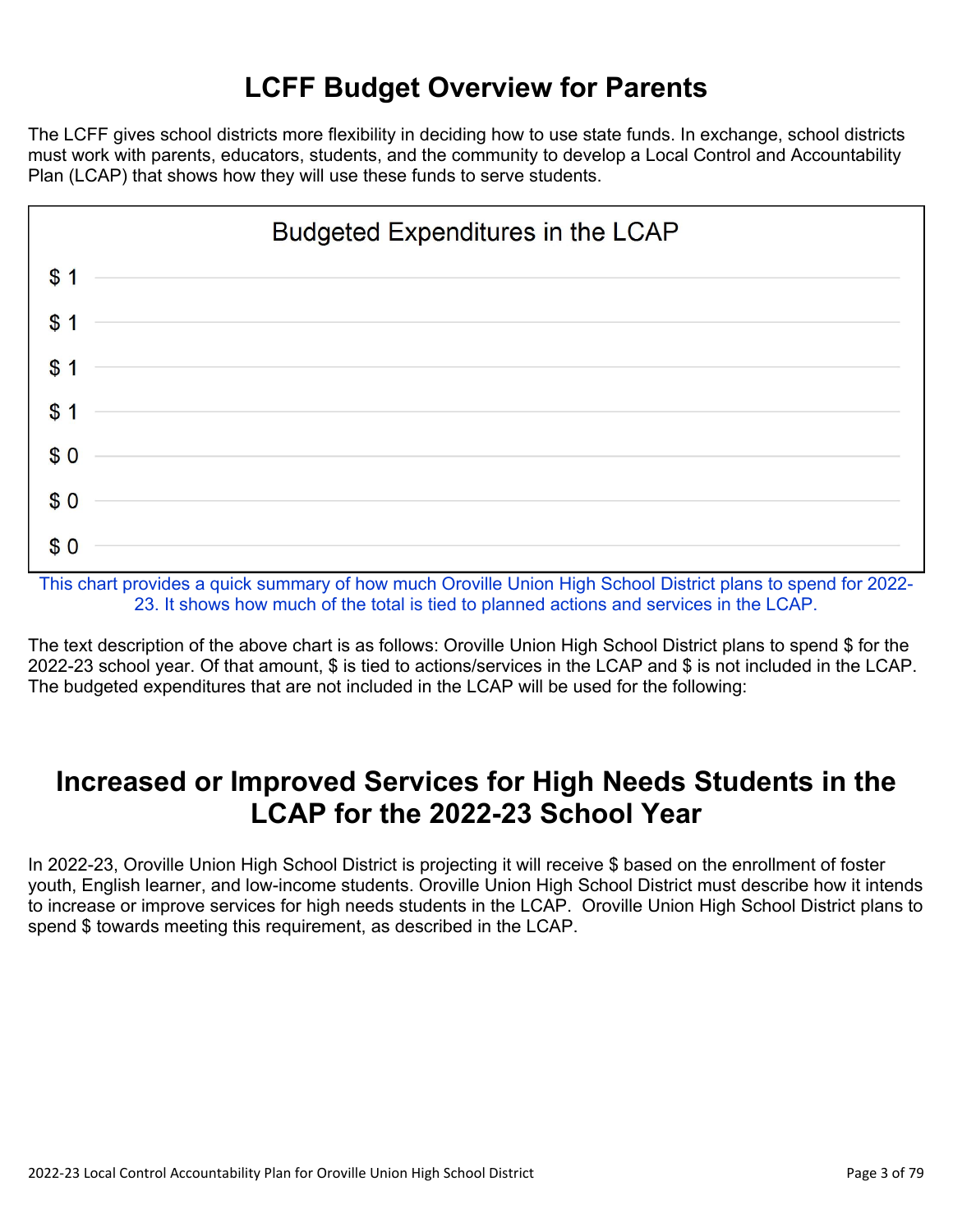## **LCFF Budget Overview for Parents**

The LCFF gives school districts more flexibility in deciding how to use state funds. In exchange, school districts must work with parents, educators, students, and the community to develop a Local Control and Accountability Plan (LCAP) that shows how they will use these funds to serve students.



This chart provides a quick summary of how much Oroville Union High School District plans to spend for 2022- 23. It shows how much of the total is tied to planned actions and services in the LCAP.

The text description of the above chart is as follows: Oroville Union High School District plans to spend \$ for the 2022-23 school year. Of that amount, \$ is tied to actions/services in the LCAP and \$ is not included in the LCAP. The budgeted expenditures that are not included in the LCAP will be used for the following:

### **Increased or Improved Services for High Needs Students in the LCAP for the 2022-23 School Year**

In 2022-23, Oroville Union High School District is projecting it will receive \$ based on the enrollment of foster youth, English learner, and low-income students. Oroville Union High School District must describe how it intends to increase or improve services for high needs students in the LCAP. Oroville Union High School District plans to spend \$ towards meeting this requirement, as described in the LCAP.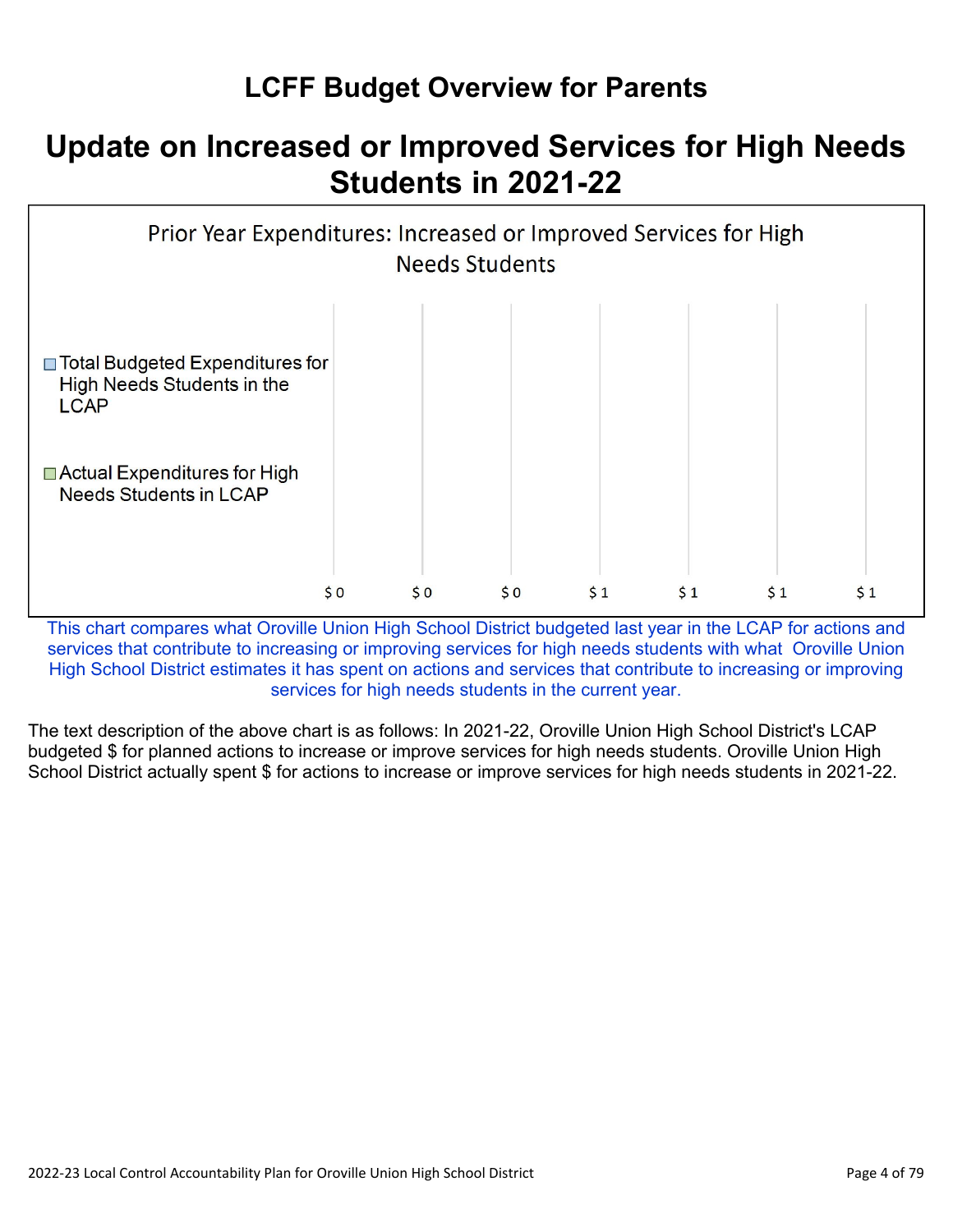## **LCFF Budget Overview for Parents**

## **Update on Increased or Improved Services for High Needs Students in 2021-22**



This chart compares what Oroville Union High School District budgeted last year in the LCAP for actions and services that contribute to increasing or improving services for high needs students with what Oroville Union High School District estimates it has spent on actions and services that contribute to increasing or improving services for high needs students in the current year.

The text description of the above chart is as follows: In 2021-22, Oroville Union High School District's LCAP budgeted \$ for planned actions to increase or improve services for high needs students. Oroville Union High School District actually spent \$ for actions to increase or improve services for high needs students in 2021-22.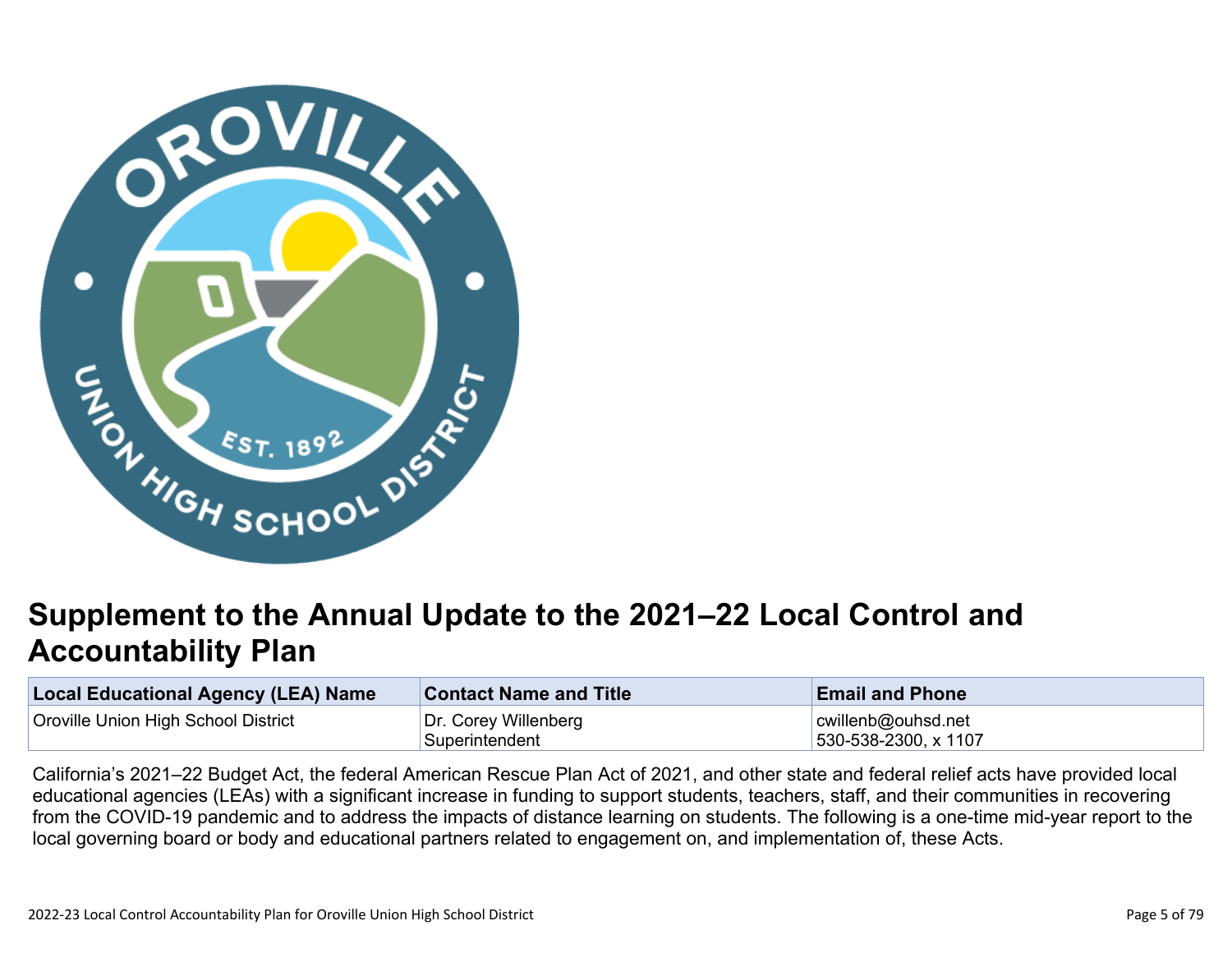

## **Supplement to the Annual Update to the 2021–22 Local Control and Accountability Plan**

| <b>Local Educational Agency (LEA) Name</b> | <b>Contact Name and Title</b> | <b>Email and Phone</b> |  |
|--------------------------------------------|-------------------------------|------------------------|--|
| Oroville Union High School District        | Dr. Corey Willenberg          | cwillenb@ouhsd.net     |  |
|                                            | Superintendent                | 530-538-2300, x 1107   |  |

California's 2021–22 Budget Act, the federal American Rescue Plan Act of 2021, and other state and federal relief acts have provided local educational agencies (LEAs) with a significant increase in funding to support students, teachers, staff, and their communities in recovering from the COVID-19 pandemic and to address the impacts of distance learning on students. The following is a one-time mid-year report to the local governing board or body and educational partners related to engagement on, and implementation of, these Acts.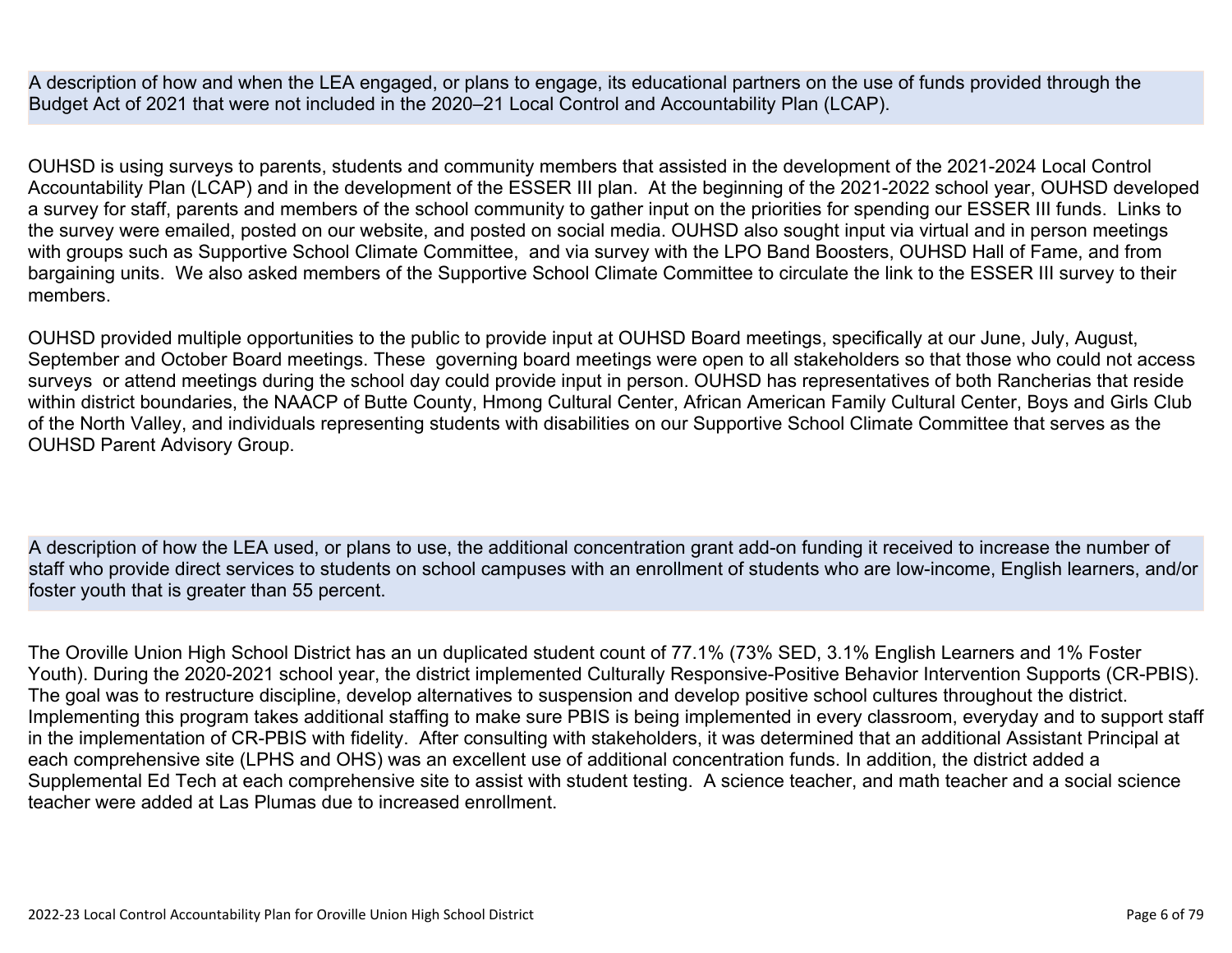A description of how and when the LEA engaged, or plans to engage, its educational partners on the use of funds provided through the Budget Act of 2021 that were not included in the 2020–21 Local Control and Accountability Plan (LCAP).

OUHSD is using surveys to parents, students and community members that assisted in the development of the 2021-2024 Local Control Accountability Plan (LCAP) and in the development of the ESSER III plan. At the beginning of the 2021-2022 school year, OUHSD developed a survey for staff, parents and members of the school community to gather input on the priorities for spending our ESSER III funds. Links to the survey were emailed, posted on our website, and posted on social media. OUHSD also sought input via virtual and in person meetings with groups such as Supportive School Climate Committee, and via survey with the LPO Band Boosters, OUHSD Hall of Fame, and from bargaining units. We also asked members of the Supportive School Climate Committee to circulate the link to the ESSER III survey to their members.

OUHSD provided multiple opportunities to the public to provide input at OUHSD Board meetings, specifically at our June, July, August, September and October Board meetings. These governing board meetings were open to all stakeholders so that those who could not access surveys or attend meetings during the school day could provide input in person. OUHSD has representatives of both Rancherias that reside within district boundaries, the NAACP of Butte County, Hmong Cultural Center, African American Family Cultural Center, Boys and Girls Club of the North Valley, and individuals representing students with disabilities on our Supportive School Climate Committee that serves as the OUHSD Parent Advisory Group.

A description of how the LEA used, or plans to use, the additional concentration grant add-on funding it received to increase the number of staff who provide direct services to students on school campuses with an enrollment of students who are low-income, English learners, and/or foster youth that is greater than 55 percent.

The Oroville Union High School District has an un duplicated student count of 77.1% (73% SED, 3.1% English Learners and 1% Foster Youth). During the 2020-2021 school year, the district implemented Culturally Responsive-Positive Behavior Intervention Supports (CR-PBIS). The goal was to restructure discipline, develop alternatives to suspension and develop positive school cultures throughout the district. Implementing this program takes additional staffing to make sure PBIS is being implemented in every classroom, everyday and to support staff in the implementation of CR-PBIS with fidelity. After consulting with stakeholders, it was determined that an additional Assistant Principal at each comprehensive site (LPHS and OHS) was an excellent use of additional concentration funds. In addition, the district added a Supplemental Ed Tech at each comprehensive site to assist with student testing. A science teacher, and math teacher and a social science teacher were added at Las Plumas due to increased enrollment.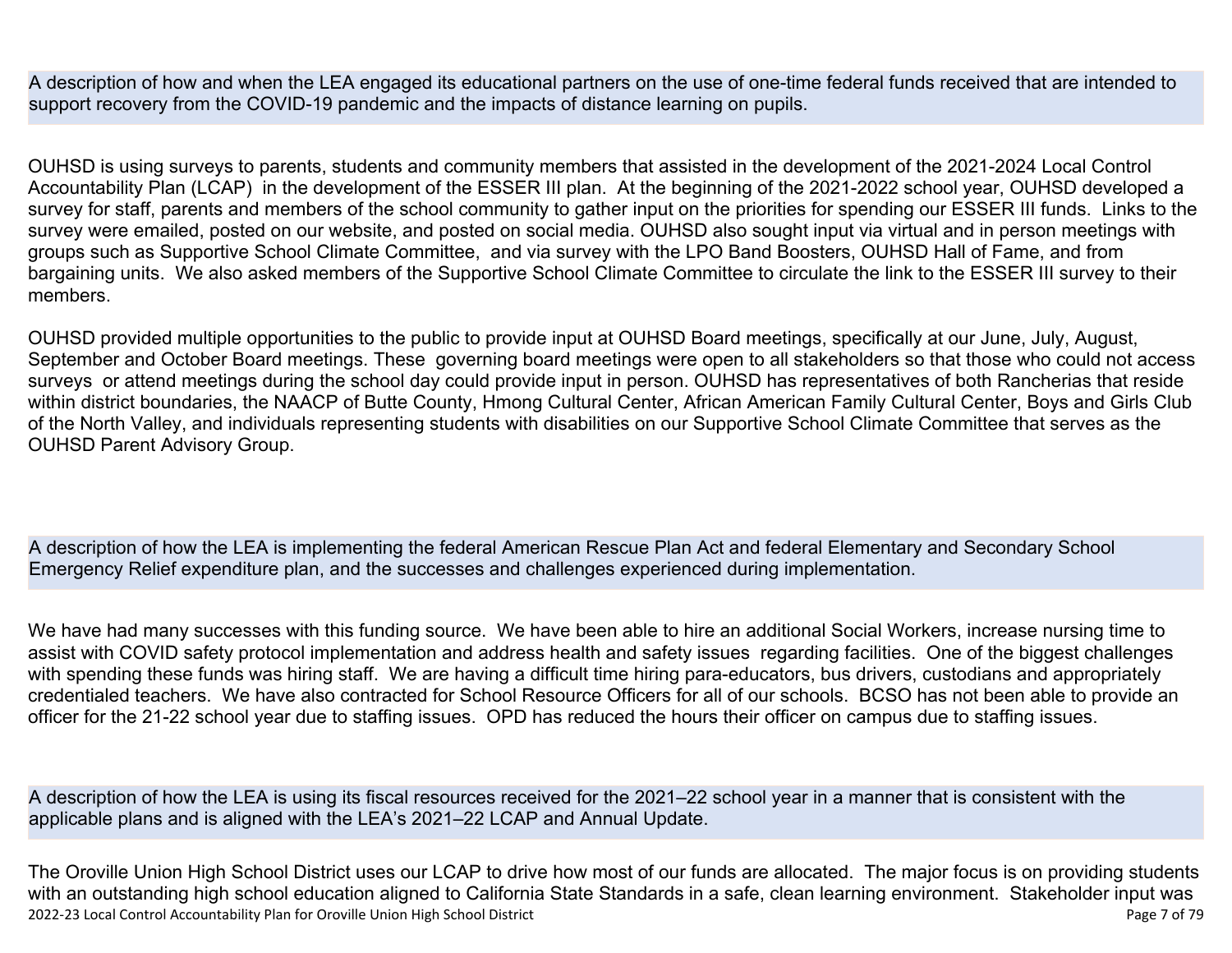A description of how and when the LEA engaged its educational partners on the use of one-time federal funds received that are intended to support recovery from the COVID-19 pandemic and the impacts of distance learning on pupils.

OUHSD is using surveys to parents, students and community members that assisted in the development of the 2021-2024 Local Control Accountability Plan (LCAP) in the development of the ESSER III plan. At the beginning of the 2021-2022 school year, OUHSD developed a survey for staff, parents and members of the school community to gather input on the priorities for spending our ESSER III funds. Links to the survey were emailed, posted on our website, and posted on social media. OUHSD also sought input via virtual and in person meetings with groups such as Supportive School Climate Committee, and via survey with the LPO Band Boosters, OUHSD Hall of Fame, and from bargaining units. We also asked members of the Supportive School Climate Committee to circulate the link to the ESSER III survey to their members.

OUHSD provided multiple opportunities to the public to provide input at OUHSD Board meetings, specifically at our June, July, August, September and October Board meetings. These governing board meetings were open to all stakeholders so that those who could not access surveys or attend meetings during the school day could provide input in person. OUHSD has representatives of both Rancherias that reside within district boundaries, the NAACP of Butte County, Hmong Cultural Center, African American Family Cultural Center, Boys and Girls Club of the North Valley, and individuals representing students with disabilities on our Supportive School Climate Committee that serves as the OUHSD Parent Advisory Group.

A description of how the LEA is implementing the federal American Rescue Plan Act and federal Elementary and Secondary School Emergency Relief expenditure plan, and the successes and challenges experienced during implementation.

We have had many successes with this funding source. We have been able to hire an additional Social Workers, increase nursing time to assist with COVID safety protocol implementation and address health and safety issues regarding facilities. One of the biggest challenges with spending these funds was hiring staff. We are having a difficult time hiring para-educators, bus drivers, custodians and appropriately credentialed teachers. We have also contracted for School Resource Officers for all of our schools. BCSO has not been able to provide an officer for the 21-22 school year due to staffing issues. OPD has reduced the hours their officer on campus due to staffing issues.

A description of how the LEA is using its fiscal resources received for the 2021–22 school year in a manner that is consistent with the applicable plans and is aligned with the LEA's 2021–22 LCAP and Annual Update.

2022-23 Local Control Accountability Plan for Oroville Union High School District Page 7 of 79 The Oroville Union High School District uses our LCAP to drive how most of our funds are allocated. The major focus is on providing students with an outstanding high school education aligned to California State Standards in a safe, clean learning environment. Stakeholder input was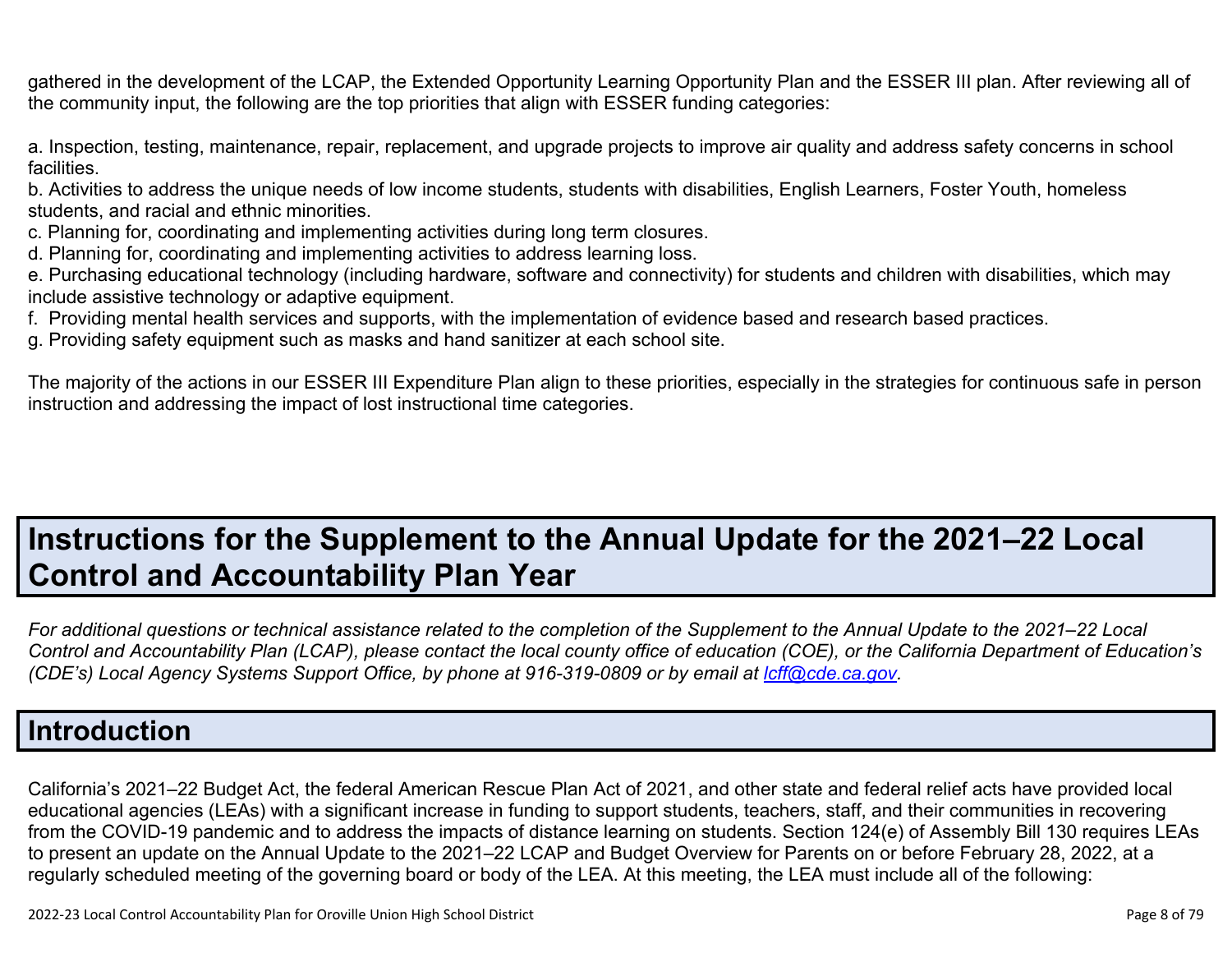gathered in the development of the LCAP, the Extended Opportunity Learning Opportunity Plan and the ESSER III plan. After reviewing all of the community input, the following are the top priorities that align with ESSER funding categories:

a. Inspection, testing, maintenance, repair, replacement, and upgrade projects to improve air quality and address safety concerns in school facilities.

b. Activities to address the unique needs of low income students, students with disabilities, English Learners, Foster Youth, homeless students, and racial and ethnic minorities.

- c. Planning for, coordinating and implementing activities during long term closures.
- d. Planning for, coordinating and implementing activities to address learning loss.

e. Purchasing educational technology (including hardware, software and connectivity) for students and children with disabilities, which may include assistive technology or adaptive equipment.

- f. Providing mental health services and supports, with the implementation of evidence based and research based practices.
- g. Providing safety equipment such as masks and hand sanitizer at each school site.

The majority of the actions in our ESSER III Expenditure Plan align to these priorities, especially in the strategies for continuous safe in person instruction and addressing the impact of lost instructional time categories.

# **Instructions for the Supplement to the Annual Update for the 2021–22 Local Control and Accountability Plan Year**

*For additional questions or technical assistance related to the completion of the Supplement to the Annual Update to the 2021–22 Local Control and Accountability Plan (LCAP), please contact the local county office of education (COE), or the California Department of Education's (CDE's)* Local Agency Systems Support Office, by phone at 916-319-0809 or by email at *[lcff@cde.ca.gov](mailto:lcff@cde.ca.gov)*.

### **Introduction**

California's 2021–22 Budget Act, the federal American Rescue Plan Act of 2021, and other state and federal relief acts have provided local educational agencies (LEAs) with a significant increase in funding to support students, teachers, staff, and their communities in recovering from the COVID-19 pandemic and to address the impacts of distance learning on students. Section 124(e) of Assembly Bill 130 requires LEAs to present an update on the Annual Update to the 2021–22 LCAP and Budget Overview for Parents on or before February 28, 2022, at a regularly scheduled meeting of the governing board or body of the LEA. At this meeting, the LEA must include all of the following: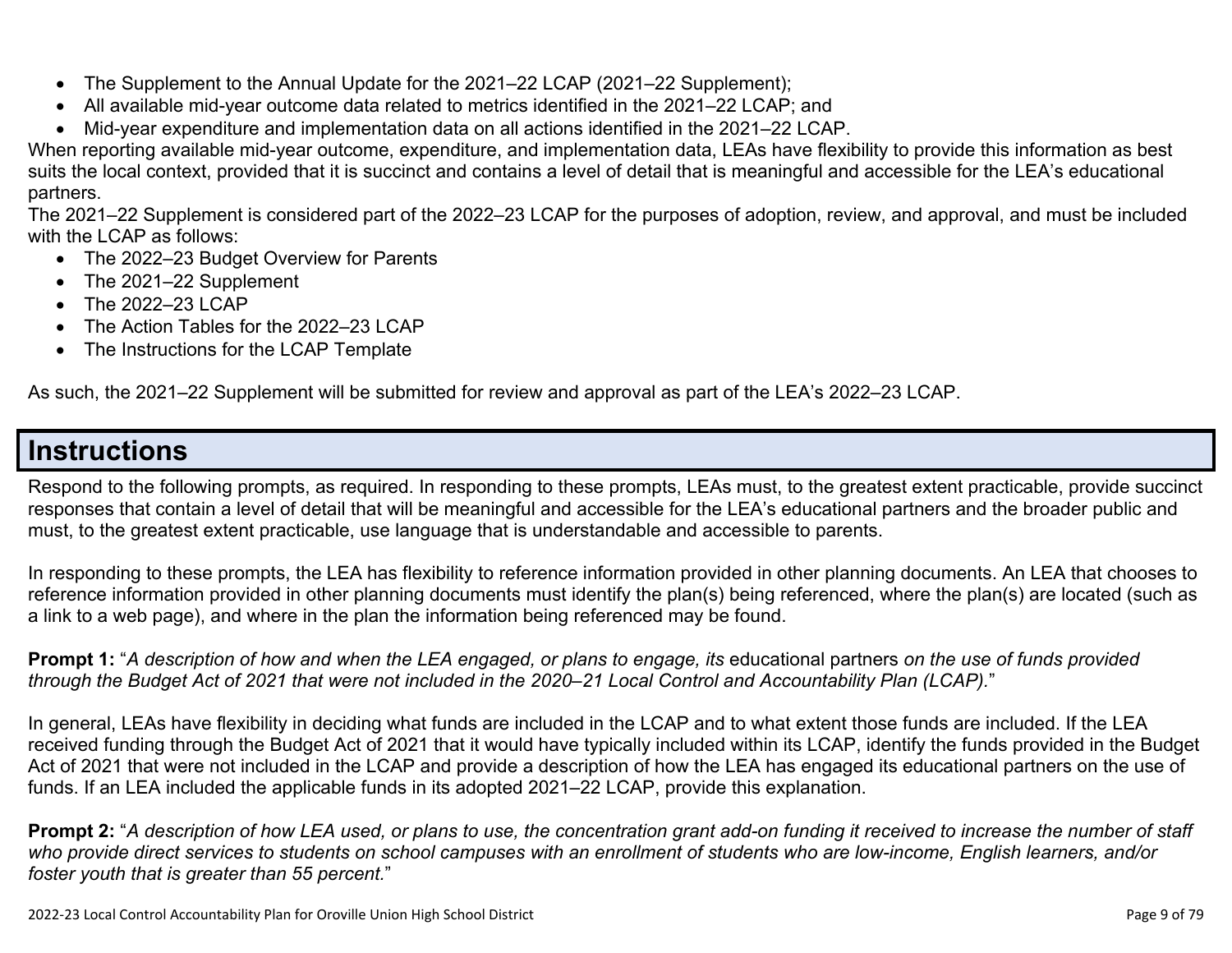- The Supplement to the Annual Update for the 2021–22 LCAP (2021–22 Supplement);
- All available mid-year outcome data related to metrics identified in the 2021–22 LCAP; and
- Mid-year expenditure and implementation data on all actions identified in the 2021–22 LCAP.

When reporting available mid-year outcome, expenditure, and implementation data, LEAs have flexibility to provide this information as best suits the local context, provided that it is succinct and contains a level of detail that is meaningful and accessible for the LEA's educational partners.

The 2021–22 Supplement is considered part of the 2022–23 LCAP for the purposes of adoption, review, and approval, and must be included with the LCAP as follows:

- The 2022–23 Budget Overview for Parents
- The 2021–22 Supplement
- The 2022-23 LCAP
- The Action Tables for the 2022–23 LCAP
- The Instructions for the LCAP Template

As such, the 2021–22 Supplement will be submitted for review and approval as part of the LEA's 2022–23 LCAP.

### **Instructions**

Respond to the following prompts, as required. In responding to these prompts, LEAs must, to the greatest extent practicable, provide succinct responses that contain a level of detail that will be meaningful and accessible for the LEA's educational partners and the broader public and must, to the greatest extent practicable, use language that is understandable and accessible to parents.

In responding to these prompts, the LEA has flexibility to reference information provided in other planning documents. An LEA that chooses to reference information provided in other planning documents must identify the plan(s) being referenced, where the plan(s) are located (such as a link to a web page), and where in the plan the information being referenced may be found.

**Prompt 1:** "*A description of how and when the LEA engaged, or plans to engage, its* educational partners *on the use of funds provided through the Budget Act of 2021 that were not included in the 2020–21 Local Control and Accountability Plan (LCAP).*"

In general, LEAs have flexibility in deciding what funds are included in the LCAP and to what extent those funds are included. If the LEA received funding through the Budget Act of 2021 that it would have typically included within its LCAP, identify the funds provided in the Budget Act of 2021 that were not included in the LCAP and provide a description of how the LEA has engaged its educational partners on the use of funds. If an LEA included the applicable funds in its adopted 2021–22 LCAP, provide this explanation.

**Prompt 2:** "*A description of how LEA used, or plans to use, the concentration grant add-on funding it received to increase the number of staff who provide direct services to students on school campuses with an enrollment of students who are low-income, English learners, and/or foster youth that is greater than 55 percent.*"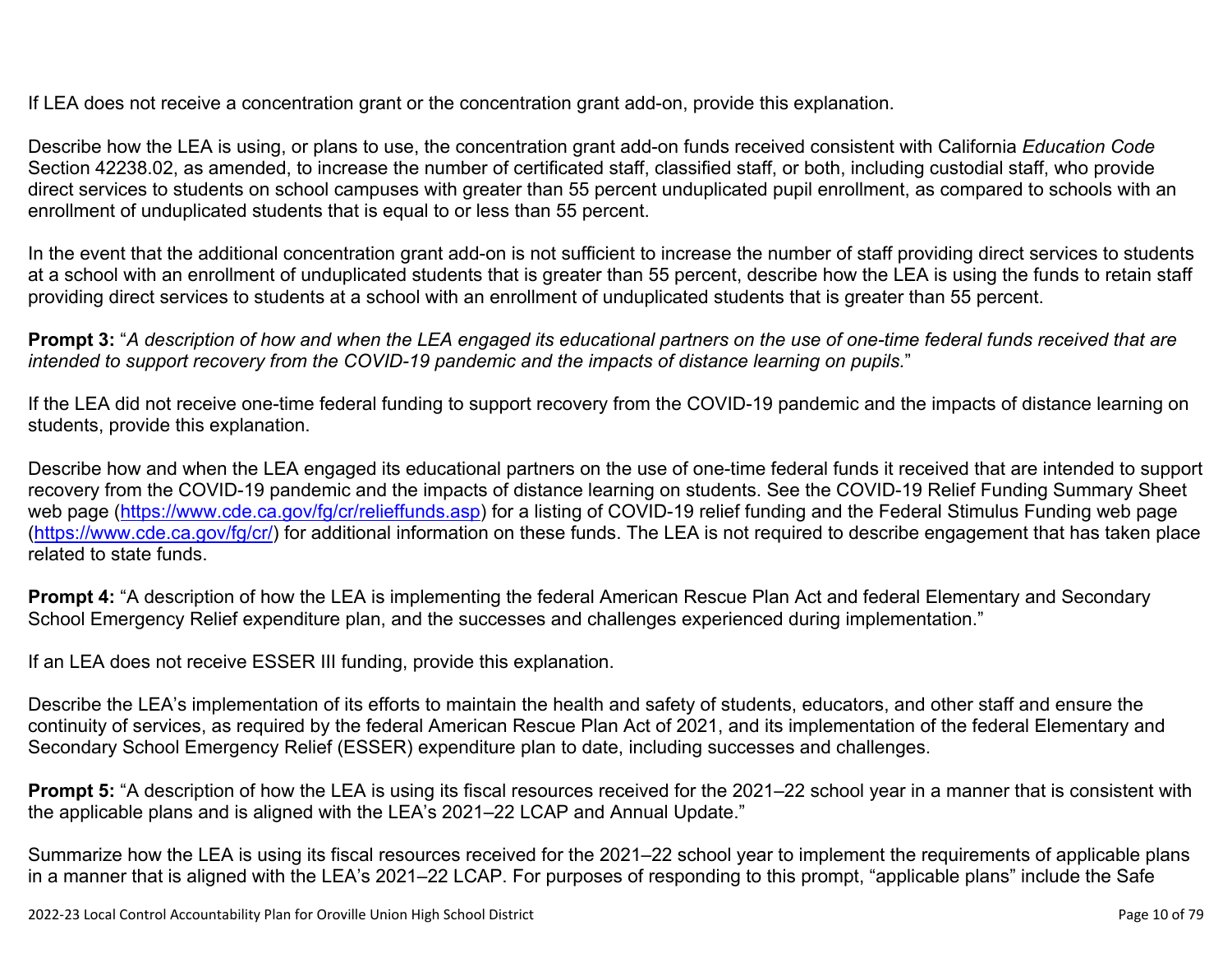If LEA does not receive a concentration grant or the concentration grant add-on, provide this explanation.

Describe how the LEA is using, or plans to use, the concentration grant add-on funds received consistent with California *Education Code* Section 42238.02, as amended, to increase the number of certificated staff, classified staff, or both, including custodial staff, who provide direct services to students on school campuses with greater than 55 percent unduplicated pupil enrollment, as compared to schools with an enrollment of unduplicated students that is equal to or less than 55 percent.

In the event that the additional concentration grant add-on is not sufficient to increase the number of staff providing direct services to students at a school with an enrollment of unduplicated students that is greater than 55 percent, describe how the LEA is using the funds to retain staff providing direct services to students at a school with an enrollment of unduplicated students that is greater than 55 percent.

**Prompt 3:** "*A description of how and when the LEA engaged its educational partners on the use of one-time federal funds received that are intended to support recovery from the COVID-19 pandemic and the impacts of distance learning on pupils.*"

If the LEA did not receive one-time federal funding to support recovery from the COVID-19 pandemic and the impacts of distance learning on students, provide this explanation.

Describe how and when the LEA engaged its educational partners on the use of one-time federal funds it received that are intended to support recovery from the COVID-19 pandemic and the impacts of distance learning on students. See the COVID-19 Relief Funding Summary Sheet web page [\(https://www.cde.ca.gov/fg/cr/relieffunds.asp\)](https://www.cde.ca.gov/fg/cr/relieffunds.asp) for a listing of COVID-19 relief funding and the Federal Stimulus Funding web page (<https://www.cde.ca.gov/fg/cr/>) for additional information on these funds. The LEA is not required to describe engagement that has taken place related to state funds.

**Prompt 4:** "A description of how the LEA is implementing the federal American Rescue Plan Act and federal Elementary and Secondary School Emergency Relief expenditure plan, and the successes and challenges experienced during implementation."

If an LEA does not receive ESSER III funding, provide this explanation.

Describe the LEA's implementation of its efforts to maintain the health and safety of students, educators, and other staff and ensure the continuity of services, as required by the federal American Rescue Plan Act of 2021, and its implementation of the federal Elementary and Secondary School Emergency Relief (ESSER) expenditure plan to date, including successes and challenges.

**Prompt 5:** "A description of how the LEA is using its fiscal resources received for the 2021–22 school year in a manner that is consistent with the applicable plans and is aligned with the LEA's 2021–22 LCAP and Annual Update."

Summarize how the LEA is using its fiscal resources received for the 2021–22 school year to implement the requirements of applicable plans in a manner that is aligned with the LEA's 2021–22 LCAP. For purposes of responding to this prompt, "applicable plans" include the Safe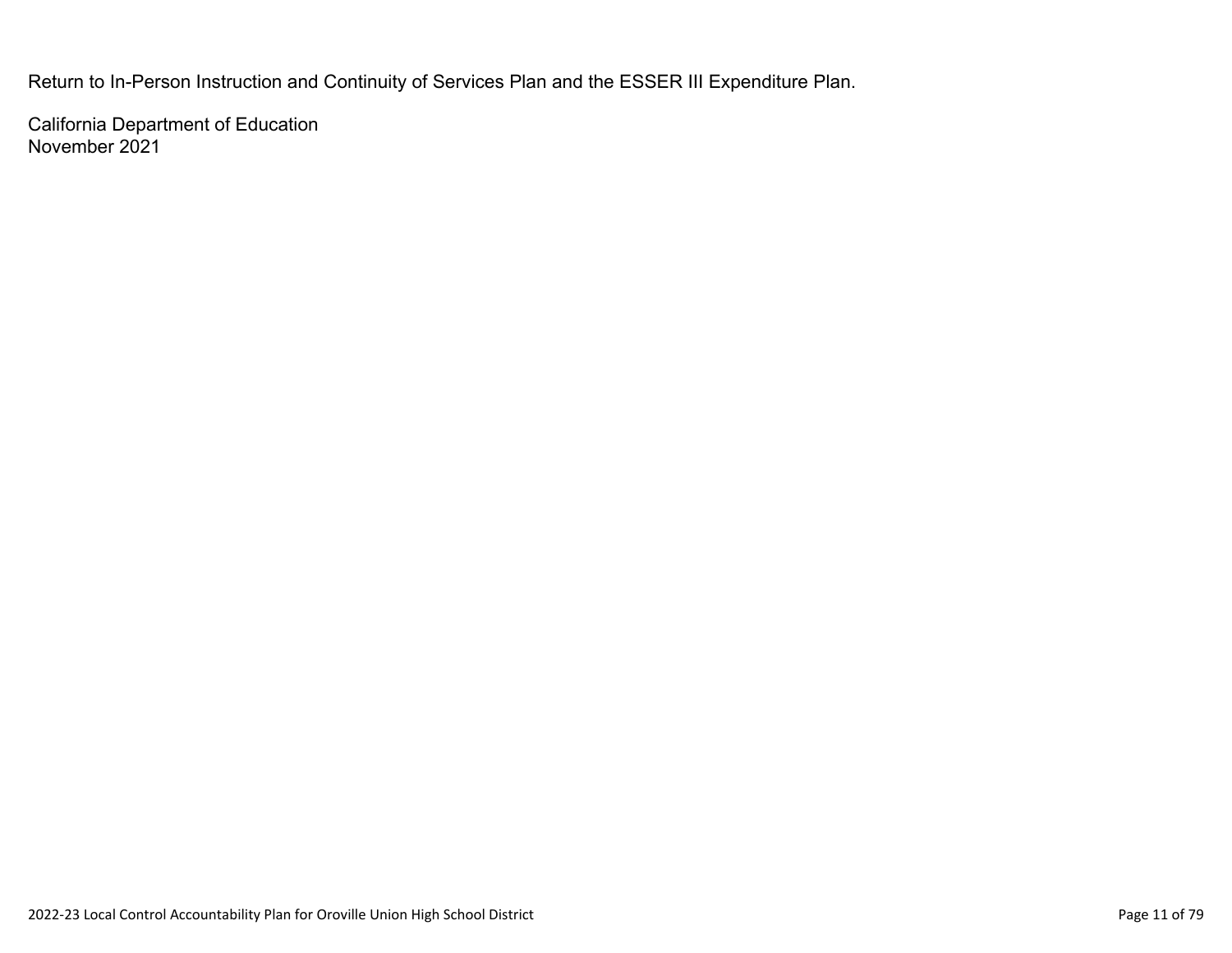Return to In-Person Instruction and Continuity of Services Plan and the ESSER III Expenditure Plan.

California Department of Education November 2021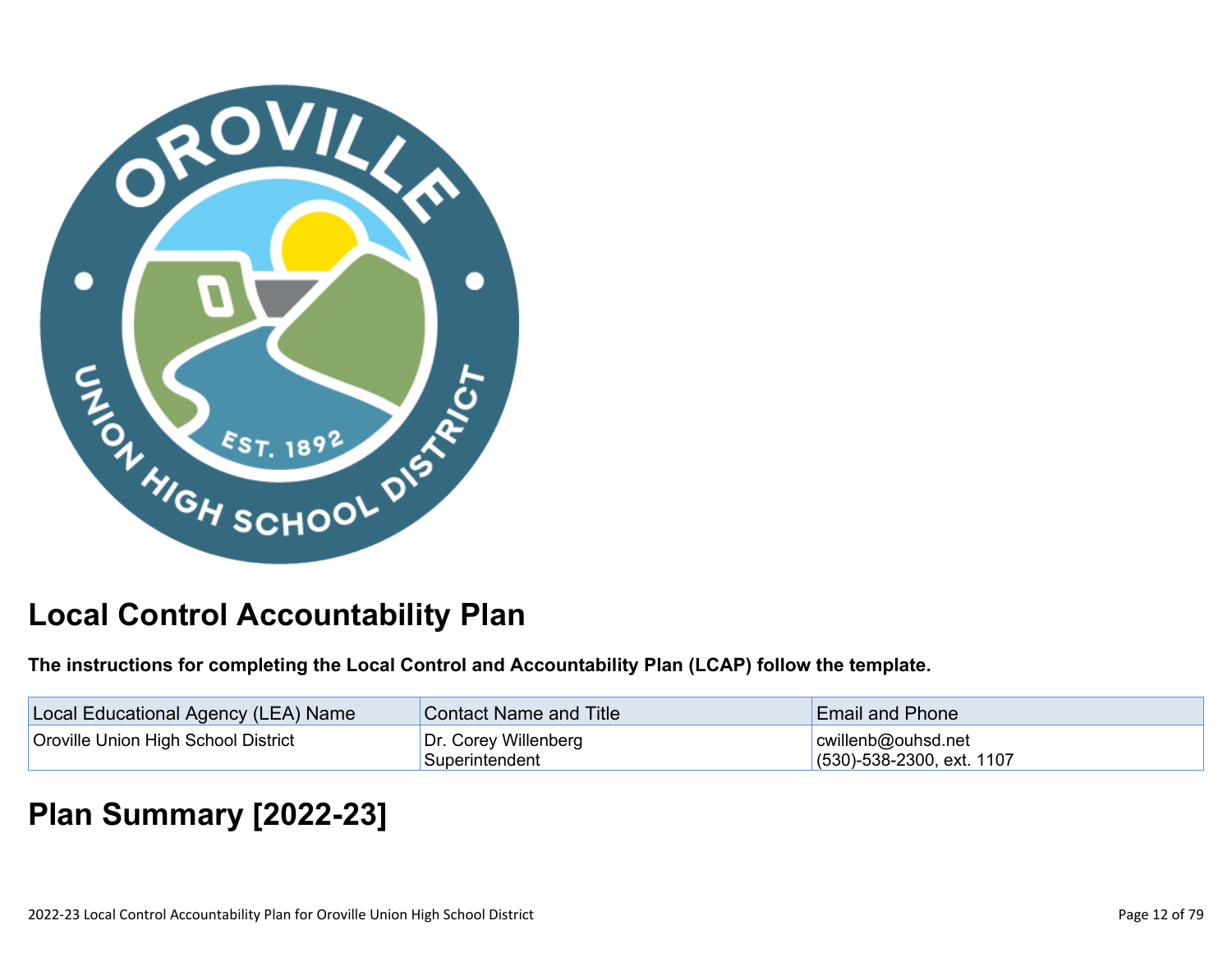

# **Local Control Accountability Plan**

**The instructions for completing the Local Control and Accountability Plan (LCAP) follow the template.**

| Local Educational Agency (LEA) Name        | <b>Contact Name and Title</b> | <b>Email and Phone</b>       |
|--------------------------------------------|-------------------------------|------------------------------|
| <b>Oroville Union High School District</b> | Dr. Corey Willenberg          | cwillenb@ouhsd.net           |
|                                            | Superintendent                | $(530)$ -538-2300, ext. 1107 |

# **[Plan Summary \[2022-23\]](http://www.doc-tracking.com/screenshots/22LCAP/Instructions/22LCAPInstructions.htm#PlanSummary)**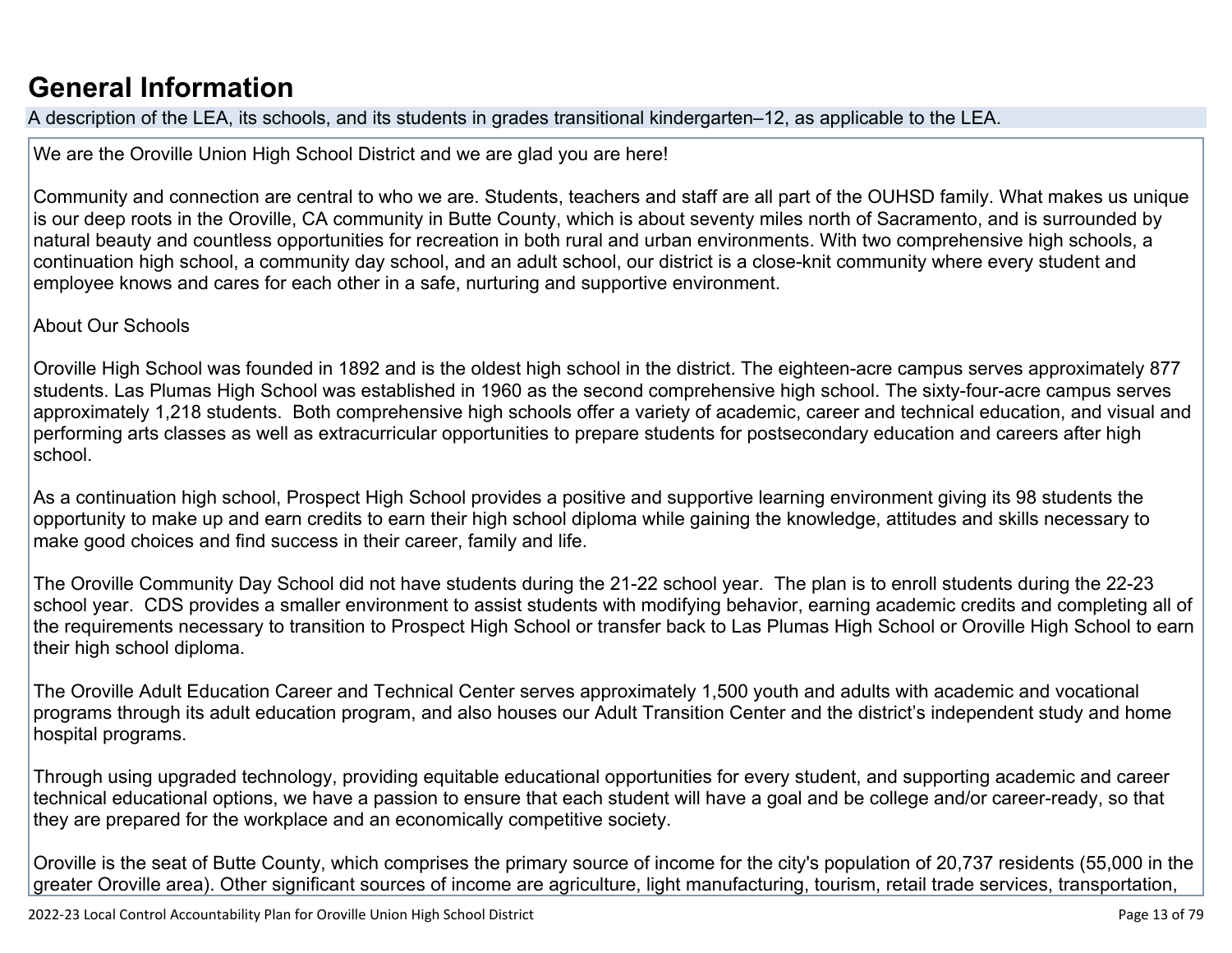### **[General Information](http://www.doc-tracking.com/screenshots/22LCAP/Instructions/22LCAPInstructions.htm#generalinformation)**

A description of the LEA, its schools, and its students in grades transitional kindergarten–12, as applicable to the LEA.

We are the Oroville Union High School District and we are glad you are here!

Community and connection are central to who we are. Students, teachers and staff are all part of the OUHSD family. What makes us unique is our deep roots in the Oroville, CA community in Butte County, which is about seventy miles north of Sacramento, and is surrounded by natural beauty and countless opportunities for recreation in both rural and urban environments. With two comprehensive high schools, a continuation high school, a community day school, and an adult school, our district is a close-knit community where every student and employee knows and cares for each other in a safe, nurturing and supportive environment.

#### About Our Schools

Oroville High School was founded in 1892 and is the oldest high school in the district. The eighteen-acre campus serves approximately 877 students. Las Plumas High School was established in 1960 as the second comprehensive high school. The sixty-four-acre campus serves approximately 1,218 students. Both comprehensive high schools offer a variety of academic, career and technical education, and visual and performing arts classes as well as extracurricular opportunities to prepare students for postsecondary education and careers after high school.

As a continuation high school, Prospect High School provides a positive and supportive learning environment giving its 98 students the opportunity to make up and earn credits to earn their high school diploma while gaining the knowledge, attitudes and skills necessary to make good choices and find success in their career, family and life.

The Oroville Community Day School did not have students during the 21-22 school year. The plan is to enroll students during the 22-23 school year. CDS provides a smaller environment to assist students with modifying behavior, earning academic credits and completing all of the requirements necessary to transition to Prospect High School or transfer back to Las Plumas High School or Oroville High School to earn their high school diploma.

The Oroville Adult Education Career and Technical Center serves approximately 1,500 youth and adults with academic and vocational programs through its adult education program, and also houses our Adult Transition Center and the district's independent study and home hospital programs.

Through using upgraded technology, providing equitable educational opportunities for every student, and supporting academic and career technical educational options, we have a passion to ensure that each student will have a goal and be college and/or career-ready, so that they are prepared for the workplace and an economically competitive society.

Oroville is the seat of Butte County, which comprises the primary source of income for the city's population of 20,737 residents (55,000 in the greater Oroville area). Other significant sources of income are agriculture, light manufacturing, tourism, retail trade services, transportation,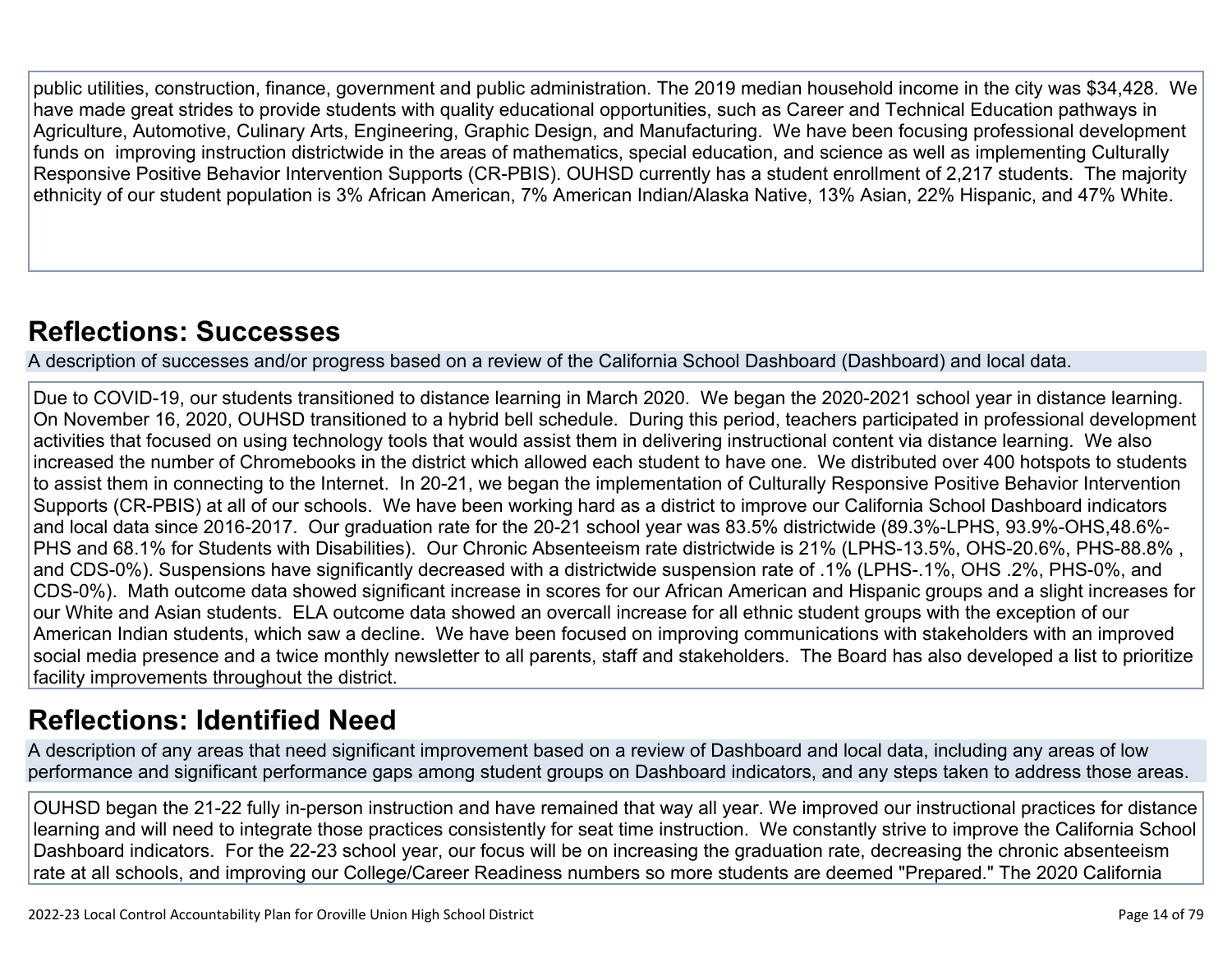public utilities, construction, finance, government and public administration. The 2019 median household income in the city was \$34,428. We have made great strides to provide students with quality educational opportunities, such as Career and Technical Education pathways in Agriculture, Automotive, Culinary Arts, Engineering, Graphic Design, and Manufacturing. We have been focusing professional development funds on improving instruction districtwide in the areas of mathematics, special education, and science as well as implementing Culturally Responsive Positive Behavior Intervention Supports (CR-PBIS). OUHSD currently has a student enrollment of 2,217 students. The majority ethnicity of our student population is 3% African American, 7% American Indian/Alaska Native, 13% Asian, 22% Hispanic, and 47% White.

## **[Reflections: Successes](http://www.doc-tracking.com/screenshots/22LCAP/Instructions/22LCAPInstructions.htm#ReflectionsSuccesses)**

A description of successes and/or progress based on a review of the California School Dashboard (Dashboard) and local data.

Due to COVID-19, our students transitioned to distance learning in March 2020. We began the 2020-2021 school year in distance learning. On November 16, 2020, OUHSD transitioned to a hybrid bell schedule. During this period, teachers participated in professional development activities that focused on using technology tools that would assist them in delivering instructional content via distance learning. We also increased the number of Chromebooks in the district which allowed each student to have one. We distributed over 400 hotspots to students to assist them in connecting to the Internet. In 20-21, we began the implementation of Culturally Responsive Positive Behavior Intervention Supports (CR-PBIS) at all of our schools. We have been working hard as a district to improve our California School Dashboard indicators and local data since 2016-2017. Our graduation rate for the 20-21 school year was 83.5% districtwide (89.3%-LPHS, 93.9%-OHS,48.6%- PHS and 68.1% for Students with Disabilities). Our Chronic Absenteeism rate districtwide is 21% (LPHS-13.5%, OHS-20.6%, PHS-88.8% , and CDS-0%). Suspensions have significantly decreased with a districtwide suspension rate of .1% (LPHS-.1%, OHS .2%, PHS-0%, and CDS-0%). Math outcome data showed significant increase in scores for our African American and Hispanic groups and a slight increases for our White and Asian students. ELA outcome data showed an overcall increase for all ethnic student groups with the exception of our American Indian students, which saw a decline. We have been focused on improving communications with stakeholders with an improved social media presence and a twice monthly newsletter to all parents, staff and stakeholders. The Board has also developed a list to prioritize facility improvements throughout the district.

## **[Reflections: Identified Need](http://www.doc-tracking.com/screenshots/22LCAP/Instructions/22LCAPInstructions.htm#ReflectionsIdentifiedNeed)**

A description of any areas that need significant improvement based on a review of Dashboard and local data, including any areas of low performance and significant performance gaps among student groups on Dashboard indicators, and any steps taken to address those areas.

OUHSD began the 21-22 fully in-person instruction and have remained that way all year. We improved our instructional practices for distance learning and will need to integrate those practices consistently for seat time instruction. We constantly strive to improve the California School Dashboard indicators. For the 22-23 school year, our focus will be on increasing the graduation rate, decreasing the chronic absenteeism rate at all schools, and improving our College/Career Readiness numbers so more students are deemed "Prepared." The 2020 California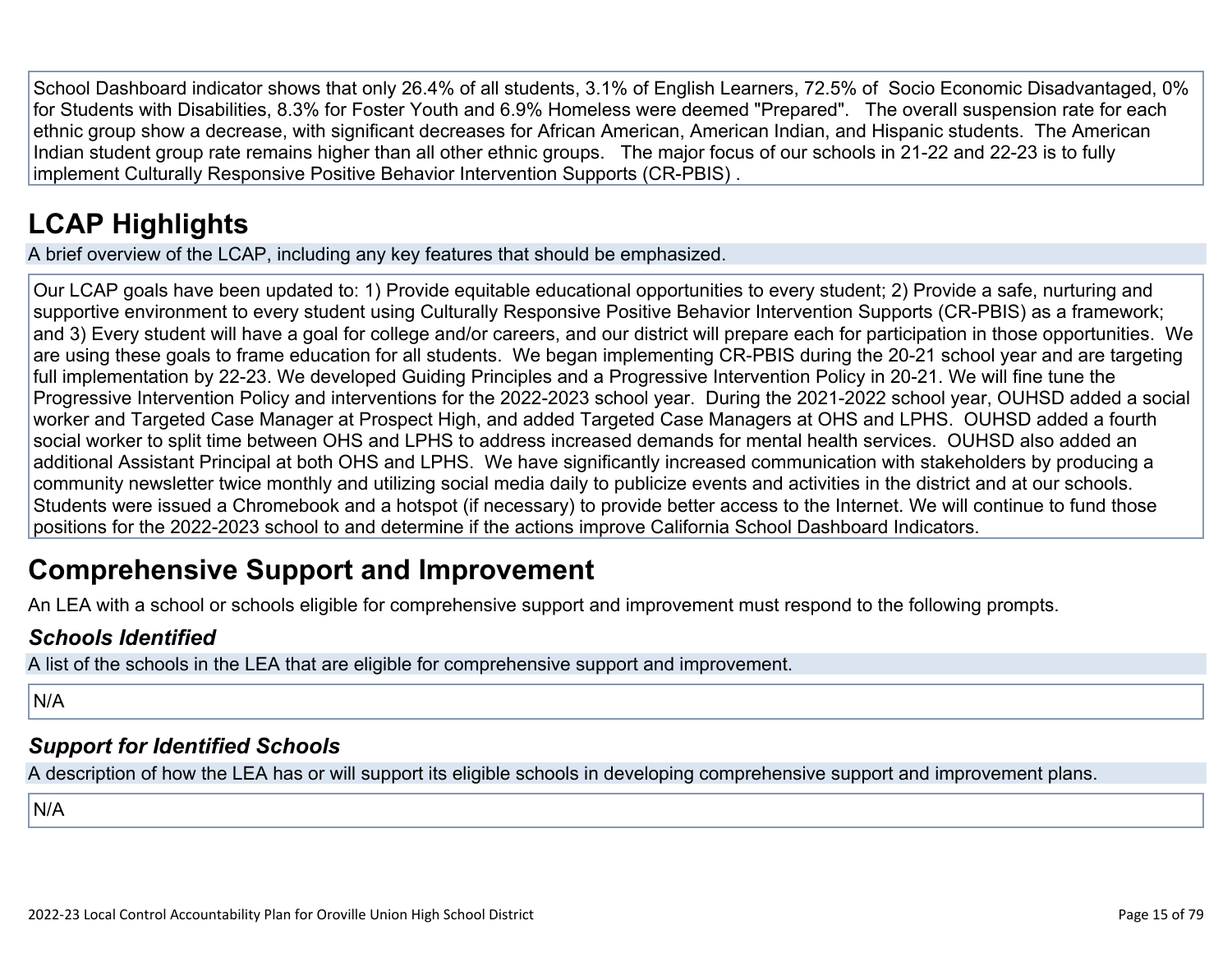School Dashboard indicator shows that only 26.4% of all students, 3.1% of English Learners, 72.5% of Socio Economic Disadvantaged, 0% for Students with Disabilities, 8.3% for Foster Youth and 6.9% Homeless were deemed "Prepared". The overall suspension rate for each ethnic group show a decrease, with significant decreases for African American, American Indian, and Hispanic students. The American Indian student group rate remains higher than all other ethnic groups. The major focus of our schools in 21-22 and 22-23 is to fully implement Culturally Responsive Positive Behavior Intervention Supports (CR-PBIS) .

## **[LCAP Highlights](http://www.doc-tracking.com/screenshots/22LCAP/Instructions/22LCAPInstructions.htm#LCAPHighlights)**

A brief overview of the LCAP, including any key features that should be emphasized.

Our LCAP goals have been updated to: 1) Provide equitable educational opportunities to every student; 2) Provide a safe, nurturing and supportive environment to every student using Culturally Responsive Positive Behavior Intervention Supports (CR-PBIS) as a framework; and 3) Every student will have a goal for college and/or careers, and our district will prepare each for participation in those opportunities. We are using these goals to frame education for all students. We began implementing CR-PBIS during the 20-21 school year and are targeting full implementation by 22-23. We developed Guiding Principles and a Progressive Intervention Policy in 20-21. We will fine tune the Progressive Intervention Policy and interventions for the 2022-2023 school year. During the 2021-2022 school year, OUHSD added a social worker and Targeted Case Manager at Prospect High, and added Targeted Case Managers at OHS and LPHS. OUHSD added a fourth social worker to split time between OHS and LPHS to address increased demands for mental health services. OUHSD also added an additional Assistant Principal at both OHS and LPHS. We have significantly increased communication with stakeholders by producing a community newsletter twice monthly and utilizing social media daily to publicize events and activities in the district and at our schools. Students were issued a Chromebook and a hotspot (if necessary) to provide better access to the Internet. We will continue to fund those positions for the 2022-2023 school to and determine if the actions improve California School Dashboard Indicators.

## **Comprehensive Support and Improvement**

An LEA with a school or schools eligible for comprehensive support and improvement must respond to the following prompts.

### *[Schools Identified](http://www.doc-tracking.com/screenshots/22LCAP/Instructions/22LCAPInstructions.htm#SchoolsIdentified)*

A list of the schools in the LEA that are eligible for comprehensive support and improvement.

N/A

### *[Support for Identified Schools](http://www.doc-tracking.com/screenshots/22LCAP/Instructions/22LCAPInstructions.htm#SupportforIdentifiedSchools)*

A description of how the LEA has or will support its eligible schools in developing comprehensive support and improvement plans.

N/A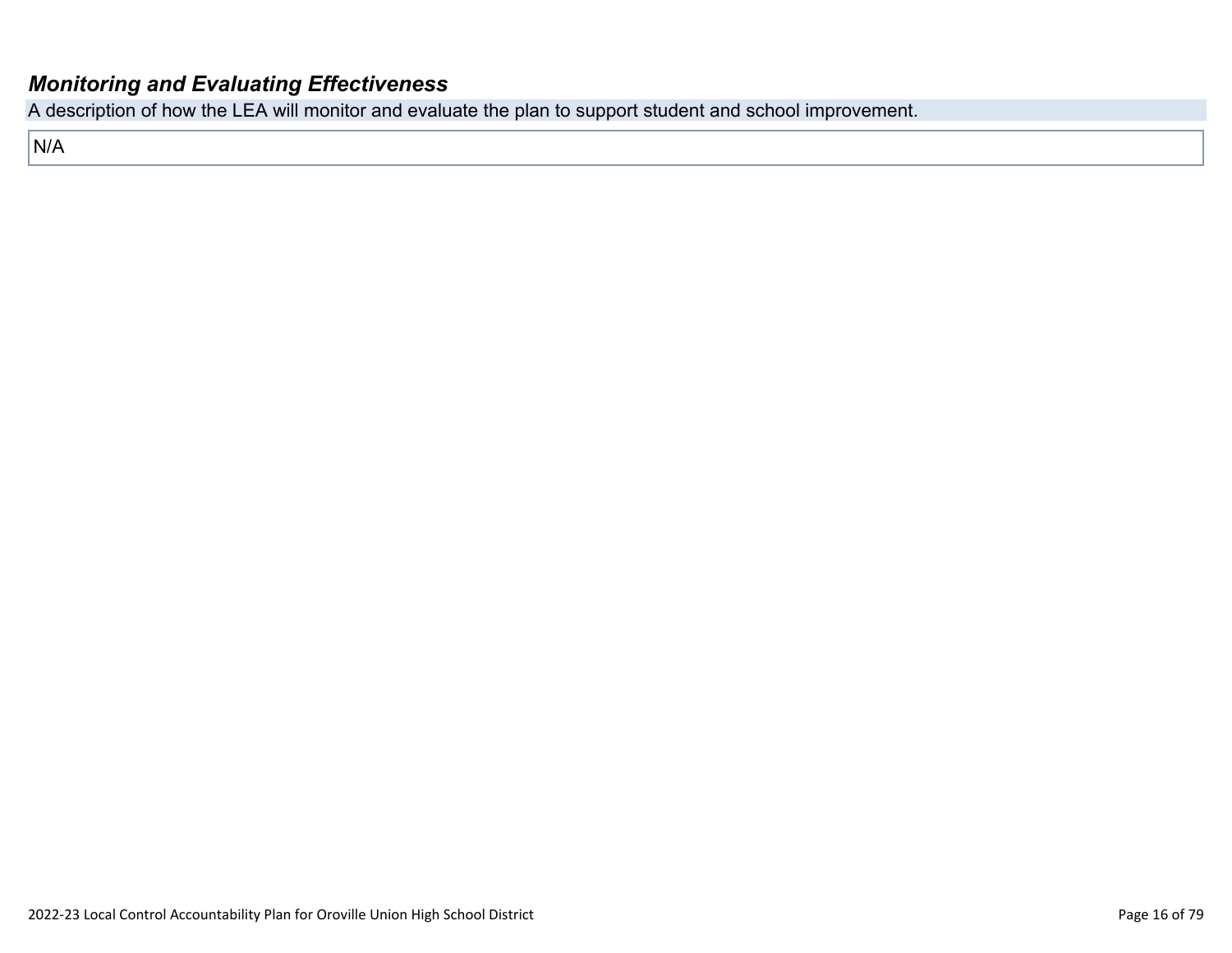### *[Monitoring and Evaluating Effectiveness](http://www.doc-tracking.com/screenshots/22LCAP/Instructions/22LCAPInstructions.htm#MonitoringandEvaluatingEffectiveness)*

A description of how the LEA will monitor and evaluate the plan to support student and school improvement.

N/A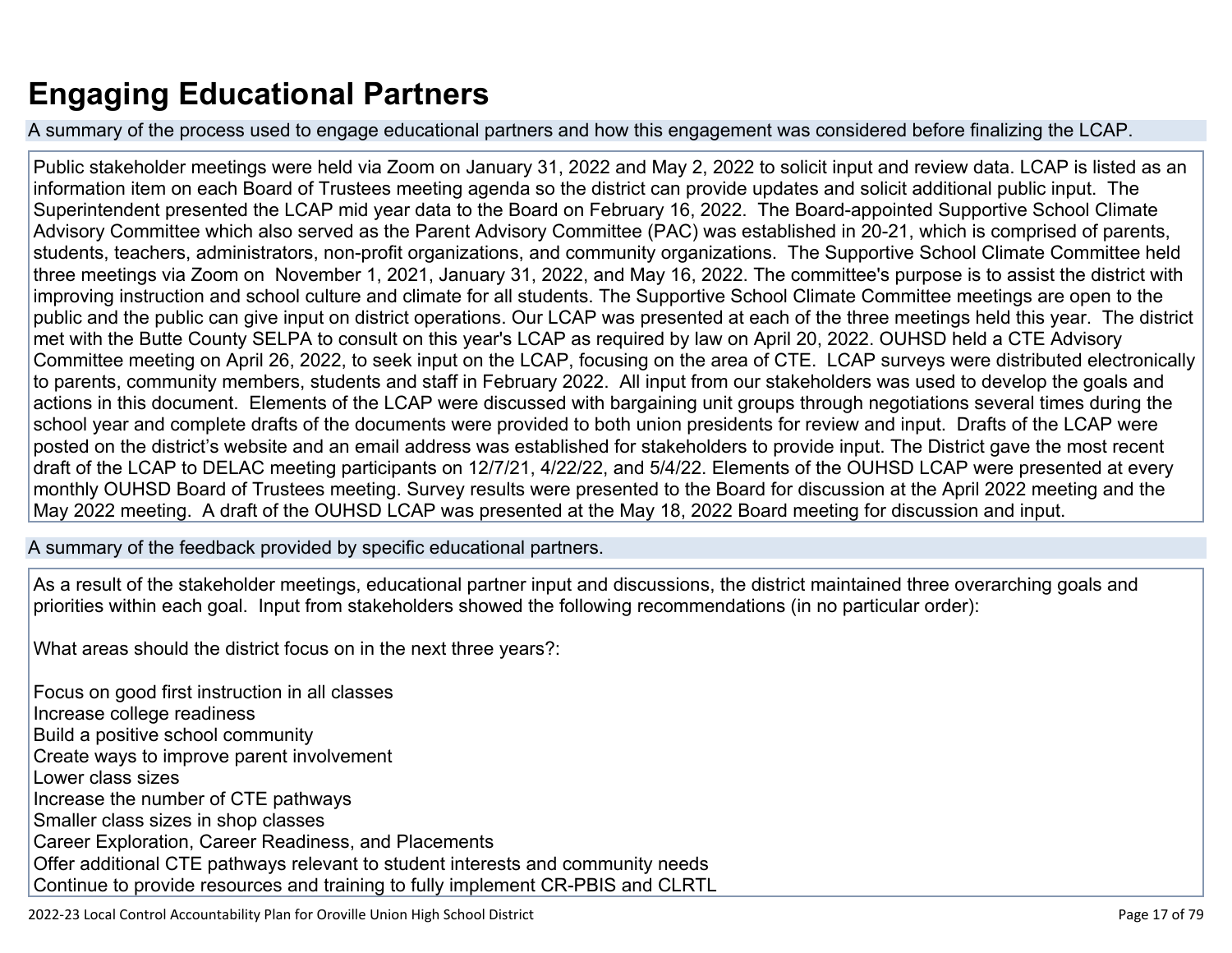## **Engaging Educational Partners**

A summary of the process used to engage educational partners and how this engagement was considered before finalizing the LCAP.

Public stakeholder meetings were held via Zoom on January 31, 2022 and May 2, 2022 to solicit input and review data. LCAP is listed as an information item on each Board of Trustees meeting agenda so the district can provide updates and solicit additional public input. The Superintendent presented the LCAP mid year data to the Board on February 16, 2022. The Board-appointed Supportive School Climate Advisory Committee which also served as the Parent Advisory Committee (PAC) was established in 20-21, which is comprised of parents, students, teachers, administrators, non-profit organizations, and community organizations. The Supportive School Climate Committee held three meetings via Zoom on November 1, 2021, January 31, 2022, and May 16, 2022. The committee's purpose is to assist the district with improving instruction and school culture and climate for all students. The Supportive School Climate Committee meetings are open to the public and the public can give input on district operations. Our LCAP was presented at each of the three meetings held this year. The district met with the Butte County SELPA to consult on this year's LCAP as required by law on April 20, 2022. OUHSD held a CTE Advisory Committee meeting on April 26, 2022, to seek input on the LCAP, focusing on the area of CTE. LCAP surveys were distributed electronically to parents, community members, students and staff in February 2022. All input from our stakeholders was used to develop the goals and actions in this document. Elements of the LCAP were discussed with bargaining unit groups through negotiations several times during the school year and complete drafts of the documents were provided to both union presidents for review and input. Drafts of the LCAP were posted on the district's website and an email address was established for stakeholders to provide input. The District gave the most recent draft of the LCAP to DELAC meeting participants on 12/7/21, 4/22/22, and 5/4/22. Elements of the OUHSD LCAP were presented at every monthly OUHSD Board of Trustees meeting. Survey results were presented to the Board for discussion at the April 2022 meeting and the May 2022 meeting. A draft of the OUHSD LCAP was presented at the May 18, 2022 Board meeting for discussion and input.

A summary of the feedback provided by specific educational partners.

As a result of the stakeholder meetings, educational partner input and discussions, the district maintained three overarching goals and priorities within each goal. Input from stakeholders showed the following recommendations (in no particular order):

What areas should the district focus on in the next three years?:

Focus on good first instruction in all classes Increase college readiness Build a positive school community Create ways to improve parent involvement Lower class sizes Increase the number of CTE pathways Smaller class sizes in shop classes Career Exploration, Career Readiness, and Placements Offer additional CTE pathways relevant to student interests and community needs Continue to provide resources and training to fully implement CR-PBIS and CLRTL

2022-23 Local Control Accountability Plan for Oroville Union High School District Page 17 of 79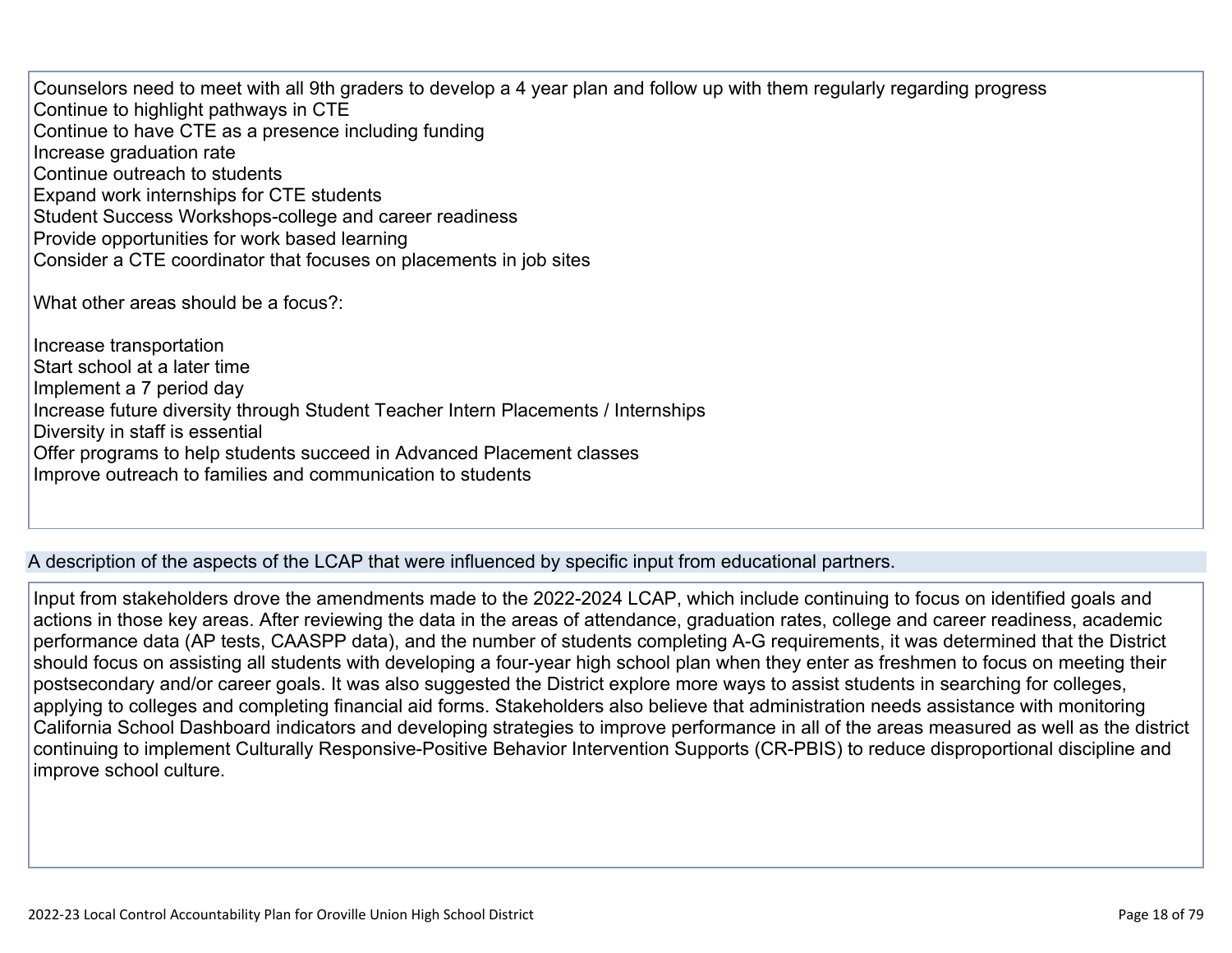Counselors need to meet with all 9th graders to develop a 4 year plan and follow up with them regularly regarding progress Continue to highlight pathways in CTE Continue to have CTE as a presence including funding Increase graduation rate Continue outreach to students Expand work internships for CTE students Student Success Workshops-college and career readiness Provide opportunities for work based learning Consider a CTE coordinator that focuses on placements in job sites

What other areas should be a focus?:

Increase transportation Start school at a later time Implement a 7 period day Increase future diversity through Student Teacher Intern Placements / Internships Diversity in staff is essential Offer programs to help students succeed in Advanced Placement classes Improve outreach to families and communication to students

#### A description of the aspects of the LCAP that were influenced by specific input from educational partners.

Input from stakeholders drove the amendments made to the 2022-2024 LCAP, which include continuing to focus on identified goals and actions in those key areas. After reviewing the data in the areas of attendance, graduation rates, college and career readiness, academic performance data (AP tests, CAASPP data), and the number of students completing A-G requirements, it was determined that the District should focus on assisting all students with developing a four-year high school plan when they enter as freshmen to focus on meeting their postsecondary and/or career goals. It was also suggested the District explore more ways to assist students in searching for colleges, applying to colleges and completing financial aid forms. Stakeholders also believe that administration needs assistance with monitoring California School Dashboard indicators and developing strategies to improve performance in all of the areas measured as well as the district continuing to implement Culturally Responsive-Positive Behavior Intervention Supports (CR-PBIS) to reduce disproportional discipline and improve school culture.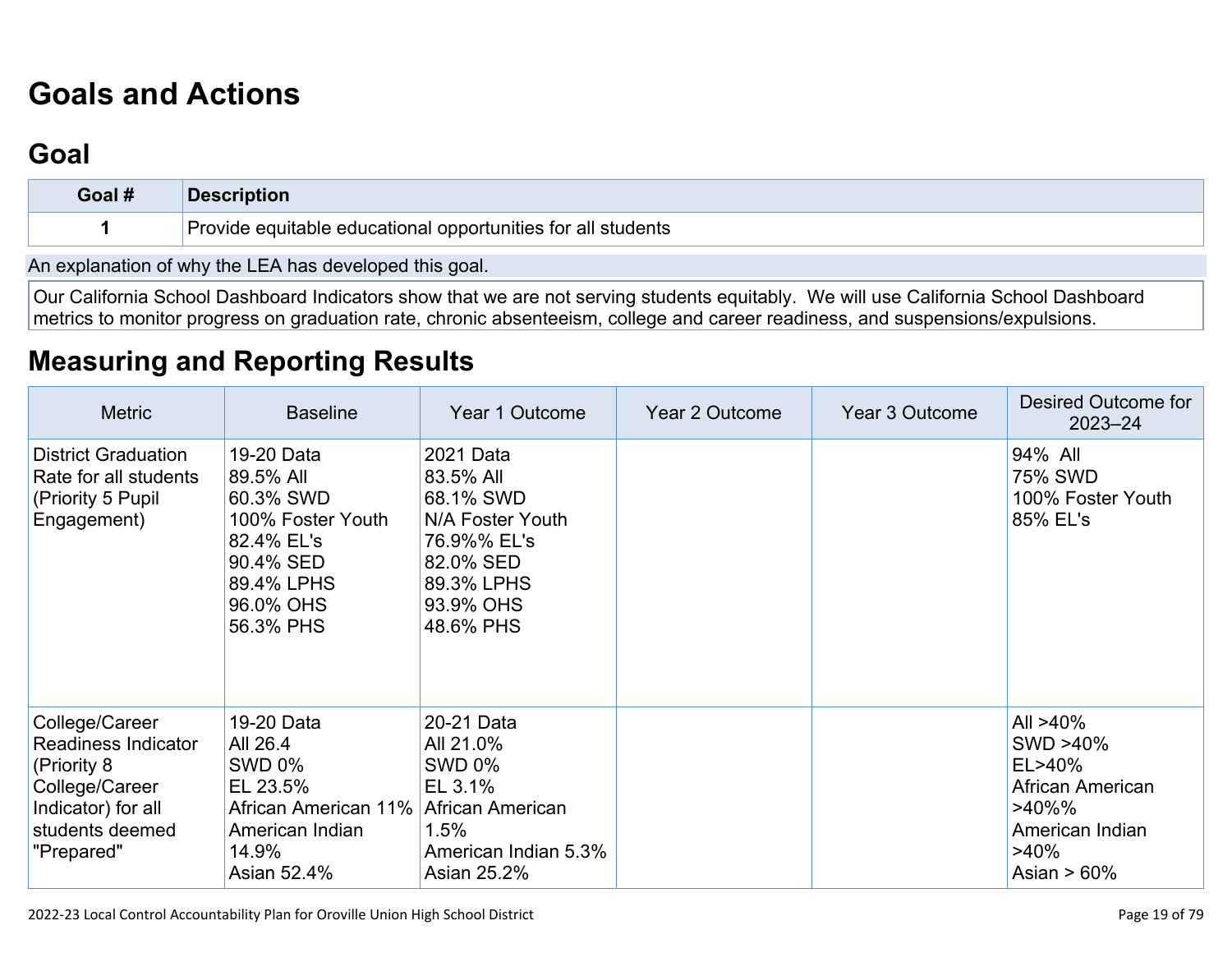# **[Goals and Actions](http://www.doc-tracking.com/screenshots/22LCAP/Instructions/22LCAPInstructions.htm#GoalsandActions)**

## **[Goal](http://www.doc-tracking.com/screenshots/22LCAP/Instructions/22LCAPInstructions.htm#goalDescription)**

| Goal # | <b>Description</b>                                           |
|--------|--------------------------------------------------------------|
|        | Provide equitable educational opportunities for all students |

An explanation of why the LEA has developed this goal.

Our California School Dashboard Indicators show that we are not serving students equitably. We will use California School Dashboard metrics to monitor progress on graduation rate, chronic absenteeism, college and career readiness, and suspensions/expulsions.

### **[Measuring and Reporting Results](http://www.doc-tracking.com/screenshots/22LCAP/Instructions/22LCAPInstructions.htm#MeasuringandReportingResults)**

| <b>Metric</b>                                                                                                                 | <b>Baseline</b>                                                                                                              | Year 1 Outcome                                                                                                              | Year 2 Outcome | Year 3 Outcome | Desired Outcome for<br>$2023 - 24$                                                                          |
|-------------------------------------------------------------------------------------------------------------------------------|------------------------------------------------------------------------------------------------------------------------------|-----------------------------------------------------------------------------------------------------------------------------|----------------|----------------|-------------------------------------------------------------------------------------------------------------|
| <b>District Graduation</b><br>Rate for all students<br>(Priority 5 Pupil)<br>Engagement)                                      | 19-20 Data<br>89.5% All<br>60.3% SWD<br>100% Foster Youth<br>82.4% EL's<br>90.4% SED<br>89.4% LPHS<br>96.0% OHS<br>56.3% PHS | 2021 Data<br>83.5% All<br>68.1% SWD<br>N/A Foster Youth<br>76.9%% EL's<br>82.0% SED<br>89.3% LPHS<br>93.9% OHS<br>48.6% PHS |                |                | 94% All<br>75% SWD<br>100% Foster Youth<br>85% EL's                                                         |
| College/Career<br>Readiness Indicator<br>(Priority 8<br>College/Career<br>Indicator) for all<br>students deemed<br>"Prepared" | 19-20 Data<br>All 26.4<br><b>SWD 0%</b><br>EL 23.5%<br>African American 11%<br>American Indian<br>14.9%<br>Asian 52.4%       | 20-21 Data<br>All 21.0%<br><b>SWD 0%</b><br>EL 3.1%<br>African American<br>1.5%<br>American Indian 5.3%<br>Asian 25.2%      |                |                | All >40%<br>SWD >40%<br>EL>40%<br>African American<br>>40%%<br>American Indian<br>$>40\%$<br>Asian $> 60\%$ |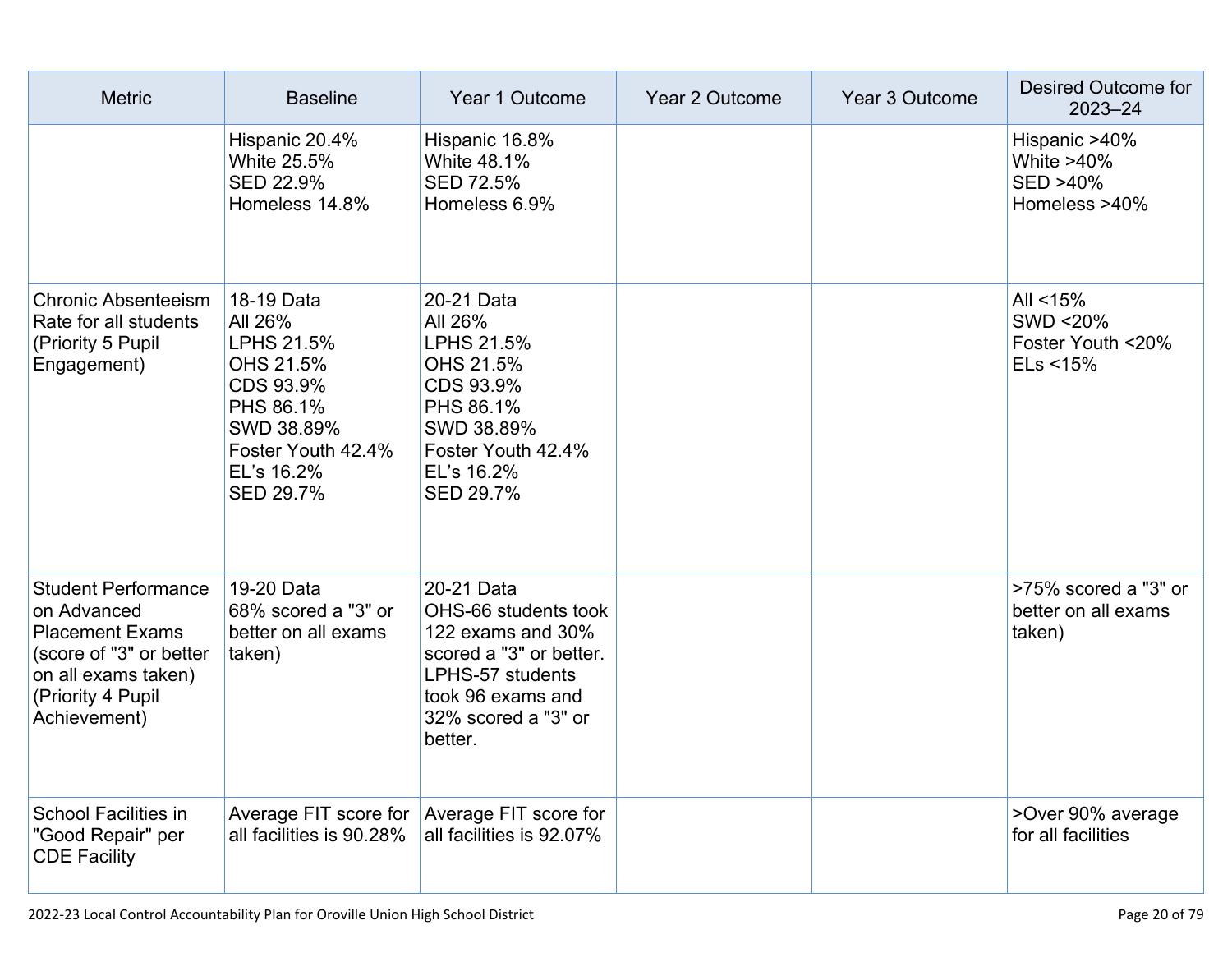| <b>Metric</b>                                                                                                                                              | <b>Baseline</b>                                                                                                                           | Year 1 Outcome                                                                                                                                                | Year 2 Outcome | Year 3 Outcome | Desired Outcome for<br>$2023 - 24$                                    |
|------------------------------------------------------------------------------------------------------------------------------------------------------------|-------------------------------------------------------------------------------------------------------------------------------------------|---------------------------------------------------------------------------------------------------------------------------------------------------------------|----------------|----------------|-----------------------------------------------------------------------|
|                                                                                                                                                            | Hispanic 20.4%<br>White 25.5%<br>SED 22.9%<br>Homeless 14.8%                                                                              | Hispanic 16.8%<br>White 48.1%<br>SED 72.5%<br>Homeless 6.9%                                                                                                   |                |                | Hispanic >40%<br>White $>40\%$<br><b>SED &gt;40%</b><br>Homeless >40% |
| <b>Chronic Absenteeism</b><br>Rate for all students<br>(Priority 5 Pupil<br>Engagement)                                                                    | 18-19 Data<br>All 26%<br>LPHS 21.5%<br>OHS 21.5%<br>CDS 93.9%<br>PHS 86.1%<br>SWD 38.89%<br>Foster Youth 42.4%<br>EL's 16.2%<br>SED 29.7% | 20-21 Data<br>All 26%<br>LPHS 21.5%<br>OHS 21.5%<br>CDS 93.9%<br>PHS 86.1%<br>SWD 38.89%<br>Foster Youth 42.4%<br>EL's 16.2%<br>SED 29.7%                     |                |                | All <15%<br>SWD <20%<br>Foster Youth <20%<br>$E$ Ls <15%              |
| <b>Student Performance</b><br>on Advanced<br><b>Placement Exams</b><br>(score of "3" or better<br>on all exams taken)<br>(Priority 4 Pupil<br>Achievement) | 19-20 Data<br>68% scored a "3" or<br>better on all exams<br>taken)                                                                        | 20-21 Data<br>OHS-66 students took<br>122 exams and 30%<br>scored a "3" or better.<br>LPHS-57 students<br>took 96 exams and<br>32% scored a "3" or<br>better. |                |                | >75% scored a "3" or<br>better on all exams<br>taken)                 |
| <b>School Facilities in</b><br>"Good Repair" per<br><b>CDE Facility</b>                                                                                    | all facilities is 90.28%                                                                                                                  | Average FIT score for Average FIT score for<br>all facilities is 92.07%                                                                                       |                |                | >Over 90% average<br>for all facilities                               |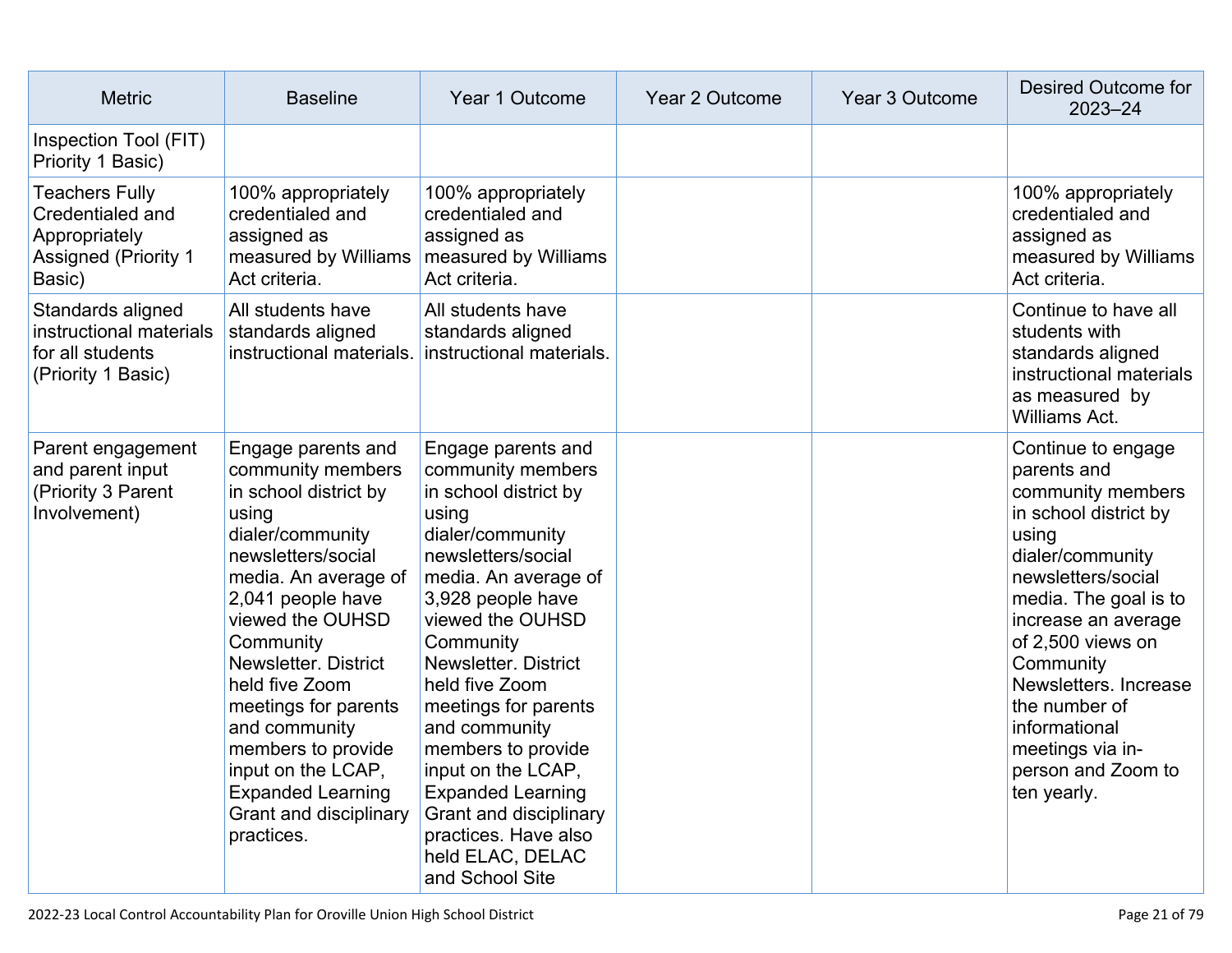| <b>Metric</b>                                                                                       | <b>Baseline</b>                                                                                                                                                                                                                                                                                                                                                                                             | Year 1 Outcome                                                                                                                                                                                                                                                                                                                                                                                                                                               | <b>Year 2 Outcome</b> | Year 3 Outcome | Desired Outcome for<br>$2023 - 24$                                                                                                                                                                                                                                                                                                       |
|-----------------------------------------------------------------------------------------------------|-------------------------------------------------------------------------------------------------------------------------------------------------------------------------------------------------------------------------------------------------------------------------------------------------------------------------------------------------------------------------------------------------------------|--------------------------------------------------------------------------------------------------------------------------------------------------------------------------------------------------------------------------------------------------------------------------------------------------------------------------------------------------------------------------------------------------------------------------------------------------------------|-----------------------|----------------|------------------------------------------------------------------------------------------------------------------------------------------------------------------------------------------------------------------------------------------------------------------------------------------------------------------------------------------|
| Inspection Tool (FIT)<br>Priority 1 Basic)                                                          |                                                                                                                                                                                                                                                                                                                                                                                                             |                                                                                                                                                                                                                                                                                                                                                                                                                                                              |                       |                |                                                                                                                                                                                                                                                                                                                                          |
| <b>Teachers Fully</b><br>Credentialed and<br>Appropriately<br><b>Assigned (Priority 1</b><br>Basic) | 100% appropriately<br>credentialed and<br>assigned as<br>measured by Williams<br>Act criteria.                                                                                                                                                                                                                                                                                                              | 100% appropriately<br>credentialed and<br>assigned as<br>measured by Williams<br>Act criteria.                                                                                                                                                                                                                                                                                                                                                               |                       |                | 100% appropriately<br>credentialed and<br>assigned as<br>measured by Williams<br>Act criteria.                                                                                                                                                                                                                                           |
| Standards aligned<br>instructional materials<br>for all students<br>(Priority 1 Basic)              | All students have<br>standards aligned<br>instructional materials.                                                                                                                                                                                                                                                                                                                                          | All students have<br>standards aligned<br>instructional materials.                                                                                                                                                                                                                                                                                                                                                                                           |                       |                | Continue to have all<br>students with<br>standards aligned<br>instructional materials<br>as measured by<br>Williams Act.                                                                                                                                                                                                                 |
| Parent engagement<br>and parent input<br>(Priority 3 Parent<br>Involvement)                         | Engage parents and<br>community members<br>in school district by<br>using<br>dialer/community<br>newsletters/social<br>media. An average of<br>2,041 people have<br>viewed the OUHSD<br>Community<br><b>Newsletter. District</b><br>held five Zoom<br>meetings for parents<br>and community<br>members to provide<br>input on the LCAP,<br><b>Expanded Learning</b><br>Grant and disciplinary<br>practices. | Engage parents and<br>community members<br>in school district by<br>using<br>dialer/community<br>newsletters/social<br>media. An average of<br>3,928 people have<br>viewed the OUHSD<br>Community<br><b>Newsletter. District</b><br>held five Zoom<br>meetings for parents<br>and community<br>members to provide<br>input on the LCAP,<br><b>Expanded Learning</b><br>Grant and disciplinary<br>practices. Have also<br>held ELAC, DELAC<br>and School Site |                       |                | Continue to engage<br>parents and<br>community members<br>in school district by<br>using<br>dialer/community<br>newsletters/social<br>media. The goal is to<br>increase an average<br>of 2,500 views on<br>Community<br>Newsletters. Increase<br>the number of<br>informational<br>meetings via in-<br>person and Zoom to<br>ten yearly. |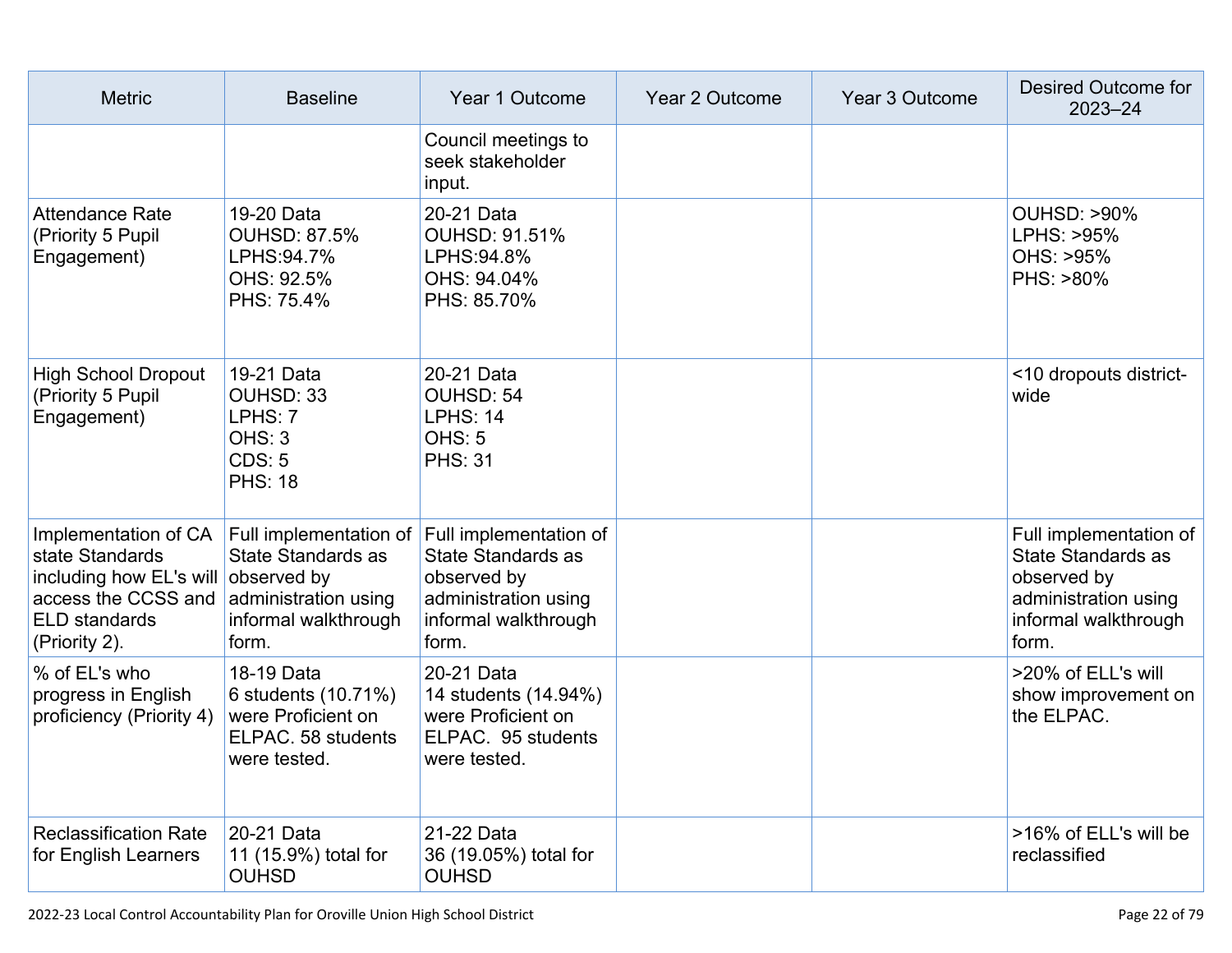| <b>Metric</b>                                                                                                                      | <b>Baseline</b>                                                                               | Year 1 Outcome                                                                                                                              | Year 2 Outcome | <b>Year 3 Outcome</b> | Desired Outcome for<br>$2023 - 24$                                                                                   |
|------------------------------------------------------------------------------------------------------------------------------------|-----------------------------------------------------------------------------------------------|---------------------------------------------------------------------------------------------------------------------------------------------|----------------|-----------------------|----------------------------------------------------------------------------------------------------------------------|
|                                                                                                                                    |                                                                                               | Council meetings to<br>seek stakeholder<br>input.                                                                                           |                |                       |                                                                                                                      |
| <b>Attendance Rate</b><br>(Priority 5 Pupil<br>Engagement)                                                                         | 19-20 Data<br><b>OUHSD: 87.5%</b><br>LPHS:94.7%<br>OHS: 92.5%<br>PHS: 75.4%                   | 20-21 Data<br><b>OUHSD: 91.51%</b><br>LPHS:94.8%<br>OHS: 94.04%<br>PHS: 85.70%                                                              |                |                       | <b>OUHSD: &gt;90%</b><br>LPHS: >95%<br>OHS: >95%<br>PHS: >80%                                                        |
| <b>High School Dropout</b><br>(Priority 5 Pupil<br>Engagement)                                                                     | 19-21 Data<br>OUHSD: 33<br>LPHS: 7<br>OHS: 3<br><b>CDS: 5</b><br><b>PHS: 18</b>               | 20-21 Data<br><b>OUHSD: 54</b><br><b>LPHS: 14</b><br><b>OHS: 5</b><br><b>PHS: 31</b>                                                        |                |                       | <10 dropouts district-<br>wide                                                                                       |
| Implementation of CA<br>state Standards<br>including how EL's will<br>access the CCSS and<br><b>ELD</b> standards<br>(Priority 2). | State Standards as<br>observed by<br>administration using<br>informal walkthrough<br>form.    | Full implementation of Full implementation of<br>State Standards as<br>observed by<br>administration using<br>informal walkthrough<br>form. |                |                       | Full implementation of<br>State Standards as<br>observed by<br>administration using<br>informal walkthrough<br>form. |
| % of EL's who<br>progress in English<br>proficiency (Priority 4)                                                                   | 18-19 Data<br>6 students (10.71%)<br>were Proficient on<br>ELPAC. 58 students<br>were tested. | 20-21 Data<br>14 students (14.94%)<br>were Proficient on<br>ELPAC. 95 students<br>were tested.                                              |                |                       | >20% of ELL's will<br>show improvement on<br>the ELPAC.                                                              |
| <b>Reclassification Rate</b><br>for English Learners                                                                               | 20-21 Data<br>11 (15.9%) total for<br><b>OUHSD</b>                                            | 21-22 Data<br>36 (19.05%) total for<br><b>OUHSD</b>                                                                                         |                |                       | >16% of ELL's will be<br>reclassified                                                                                |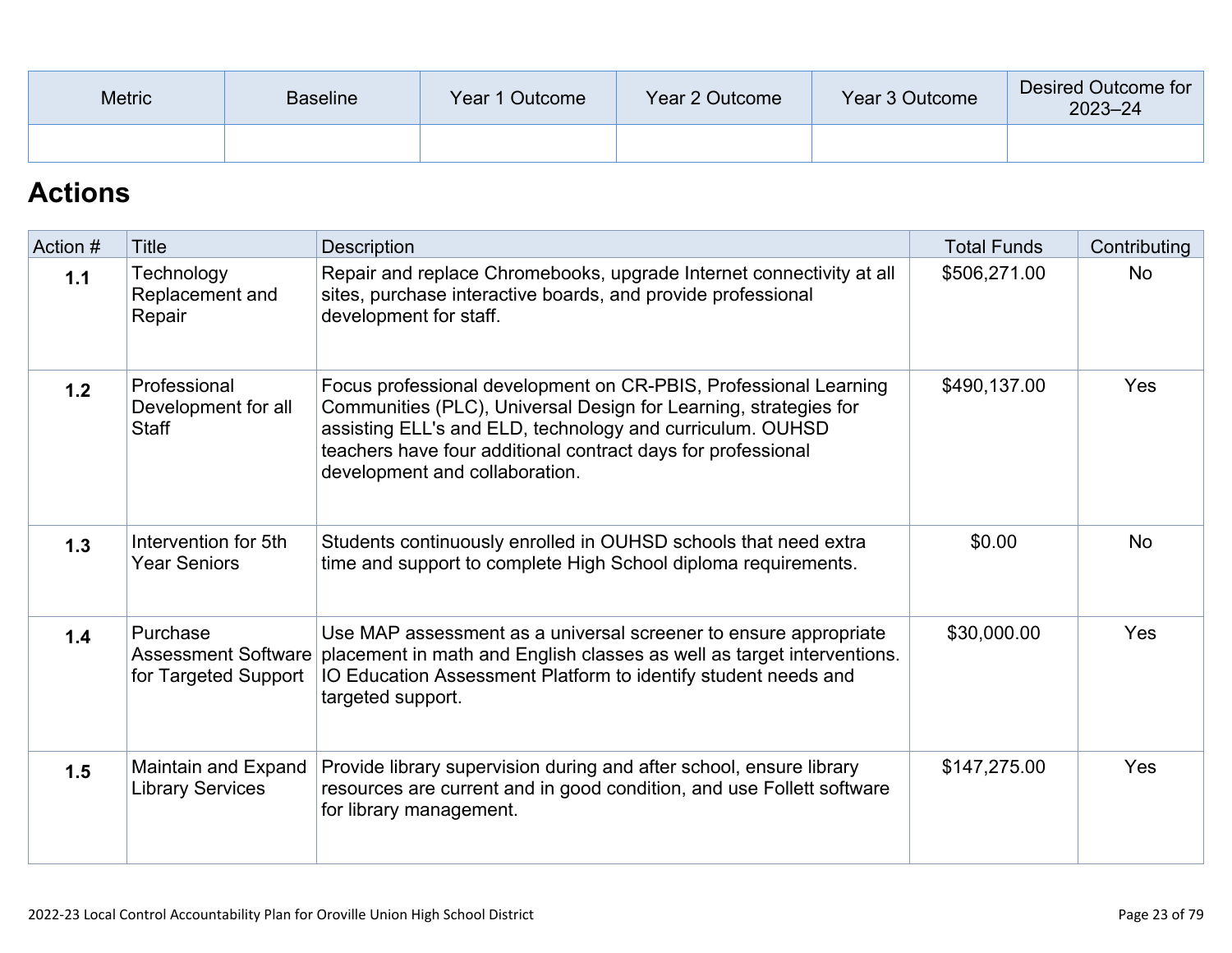| <b>Metric</b> | <b>Baseline</b> | Year 1 Outcome | Year 2 Outcome | Year 3 Outcome | Desired Outcome for<br>$2023 - 24$ |
|---------------|-----------------|----------------|----------------|----------------|------------------------------------|
|               |                 |                |                |                |                                    |

## **[Actions](http://www.doc-tracking.com/screenshots/22LCAP/Instructions/22LCAPInstructions.htm#actions)**

| Action # | <b>Title</b>                                                   | <b>Description</b>                                                                                                                                                                                                                                                                                  | <b>Total Funds</b> | Contributing |
|----------|----------------------------------------------------------------|-----------------------------------------------------------------------------------------------------------------------------------------------------------------------------------------------------------------------------------------------------------------------------------------------------|--------------------|--------------|
| 1.1      | Technology<br>Replacement and<br>Repair                        | Repair and replace Chromebooks, upgrade Internet connectivity at all<br>sites, purchase interactive boards, and provide professional<br>development for staff.                                                                                                                                      | \$506,271.00       | <b>No</b>    |
| 1.2      | Professional<br>Development for all<br><b>Staff</b>            | Focus professional development on CR-PBIS, Professional Learning<br>Communities (PLC), Universal Design for Learning, strategies for<br>assisting ELL's and ELD, technology and curriculum. OUHSD<br>teachers have four additional contract days for professional<br>development and collaboration. | \$490,137.00       | Yes          |
| $1.3$    | Intervention for 5th<br><b>Year Seniors</b>                    | Students continuously enrolled in OUHSD schools that need extra<br>time and support to complete High School diploma requirements.                                                                                                                                                                   | \$0.00             | <b>No</b>    |
| 1.4      | Purchase<br><b>Assessment Software</b><br>for Targeted Support | Use MAP assessment as a universal screener to ensure appropriate<br>placement in math and English classes as well as target interventions.<br>IO Education Assessment Platform to identify student needs and<br>targeted support.                                                                   | \$30,000.00        | Yes          |
| 1.5      | Maintain and Expand<br><b>Library Services</b>                 | Provide library supervision during and after school, ensure library<br>resources are current and in good condition, and use Follett software<br>for library management.                                                                                                                             | \$147,275.00       | Yes          |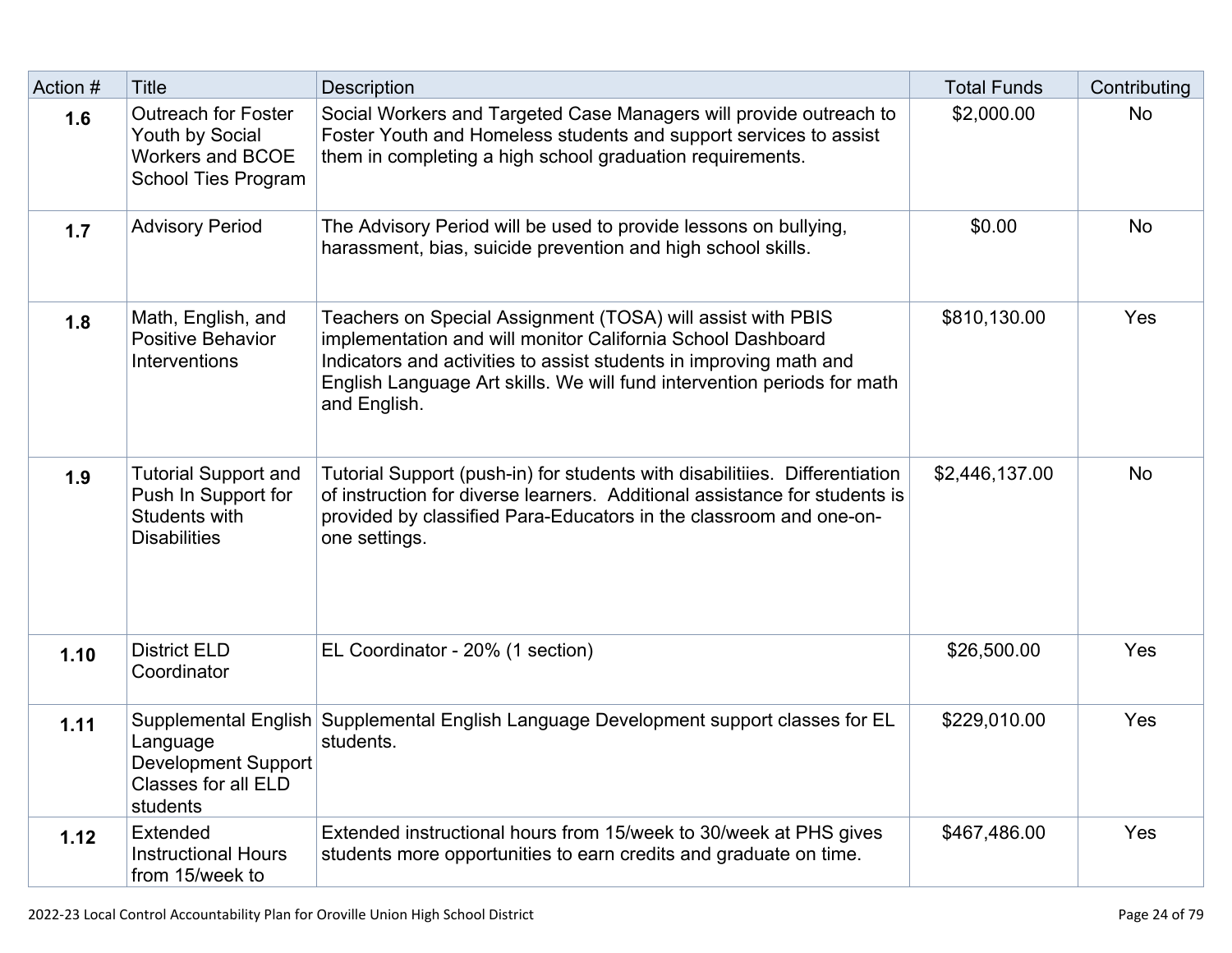| Action # | <b>Title</b>                                                                                           | <b>Description</b>                                                                                                                                                                                                                                                                          | <b>Total Funds</b> | Contributing |
|----------|--------------------------------------------------------------------------------------------------------|---------------------------------------------------------------------------------------------------------------------------------------------------------------------------------------------------------------------------------------------------------------------------------------------|--------------------|--------------|
| 1.6      | <b>Outreach for Foster</b><br>Youth by Social<br><b>Workers and BCOE</b><br><b>School Ties Program</b> | Social Workers and Targeted Case Managers will provide outreach to<br>Foster Youth and Homeless students and support services to assist<br>them in completing a high school graduation requirements.                                                                                        | \$2,000.00         | <b>No</b>    |
| 1.7      | <b>Advisory Period</b>                                                                                 | The Advisory Period will be used to provide lessons on bullying,<br>harassment, bias, suicide prevention and high school skills.                                                                                                                                                            | \$0.00             | <b>No</b>    |
| 1.8      | Math, English, and<br><b>Positive Behavior</b><br>Interventions                                        | Teachers on Special Assignment (TOSA) will assist with PBIS<br>implementation and will monitor California School Dashboard<br>Indicators and activities to assist students in improving math and<br>English Language Art skills. We will fund intervention periods for math<br>and English. | \$810,130.00       | Yes          |
| 1.9      | <b>Tutorial Support and</b><br>Push In Support for<br>Students with<br><b>Disabilities</b>             | Tutorial Support (push-in) for students with disabilitiies. Differentiation<br>of instruction for diverse learners. Additional assistance for students is<br>provided by classified Para-Educators in the classroom and one-on-<br>one settings.                                            | \$2,446,137.00     | <b>No</b>    |
| 1.10     | <b>District ELD</b><br>Coordinator                                                                     | EL Coordinator - 20% (1 section)                                                                                                                                                                                                                                                            | \$26,500.00        | Yes          |
| 1.11     | Language<br><b>Development Support</b><br><b>Classes for all ELD</b><br>students                       | Supplemental English Supplemental English Language Development support classes for EL<br>students.                                                                                                                                                                                          | \$229,010.00       | Yes          |
| 1.12     | Extended<br><b>Instructional Hours</b><br>from 15/week to                                              | Extended instructional hours from 15/week to 30/week at PHS gives<br>students more opportunities to earn credits and graduate on time.                                                                                                                                                      | \$467,486.00       | Yes          |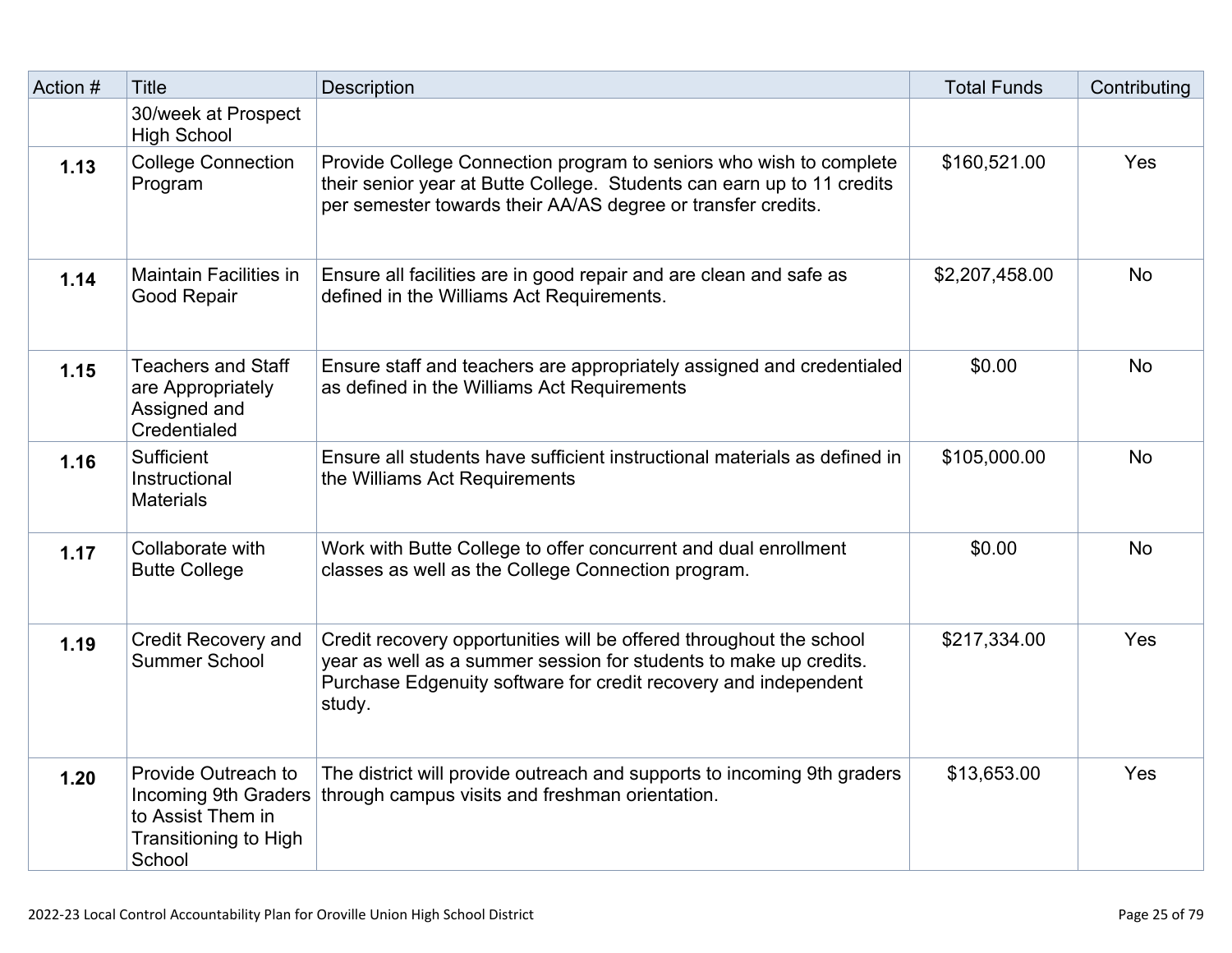| Action # | <b>Title</b>                                                                                        | <b>Description</b>                                                                                                                                                                                                    | <b>Total Funds</b> | Contributing |
|----------|-----------------------------------------------------------------------------------------------------|-----------------------------------------------------------------------------------------------------------------------------------------------------------------------------------------------------------------------|--------------------|--------------|
|          | 30/week at Prospect<br><b>High School</b>                                                           |                                                                                                                                                                                                                       |                    |              |
| 1.13     | <b>College Connection</b><br>Program                                                                | Provide College Connection program to seniors who wish to complete<br>their senior year at Butte College. Students can earn up to 11 credits<br>per semester towards their AA/AS degree or transfer credits.          | \$160,521.00       | Yes          |
| 1.14     | <b>Maintain Facilities in</b><br>Good Repair                                                        | Ensure all facilities are in good repair and are clean and safe as<br>defined in the Williams Act Requirements.                                                                                                       | \$2,207,458.00     | <b>No</b>    |
| 1.15     | <b>Teachers and Staff</b><br>are Appropriately<br>Assigned and<br>Credentialed                      | Ensure staff and teachers are appropriately assigned and credentialed<br>as defined in the Williams Act Requirements                                                                                                  | \$0.00             | <b>No</b>    |
| 1.16     | Sufficient<br>Instructional<br><b>Materials</b>                                                     | Ensure all students have sufficient instructional materials as defined in<br>the Williams Act Requirements                                                                                                            | \$105,000.00       | <b>No</b>    |
| 1.17     | Collaborate with<br><b>Butte College</b>                                                            | Work with Butte College to offer concurrent and dual enrollment<br>classes as well as the College Connection program.                                                                                                 | \$0.00             | <b>No</b>    |
| 1.19     | Credit Recovery and<br><b>Summer School</b>                                                         | Credit recovery opportunities will be offered throughout the school<br>year as well as a summer session for students to make up credits.<br>Purchase Edgenuity software for credit recovery and independent<br>study. | \$217,334.00       | Yes          |
| 1.20     | Provide Outreach to<br>Incoming 9th Graders<br>to Assist Them in<br>Transitioning to High<br>School | The district will provide outreach and supports to incoming 9th graders<br>through campus visits and freshman orientation.                                                                                            | \$13,653.00        | Yes          |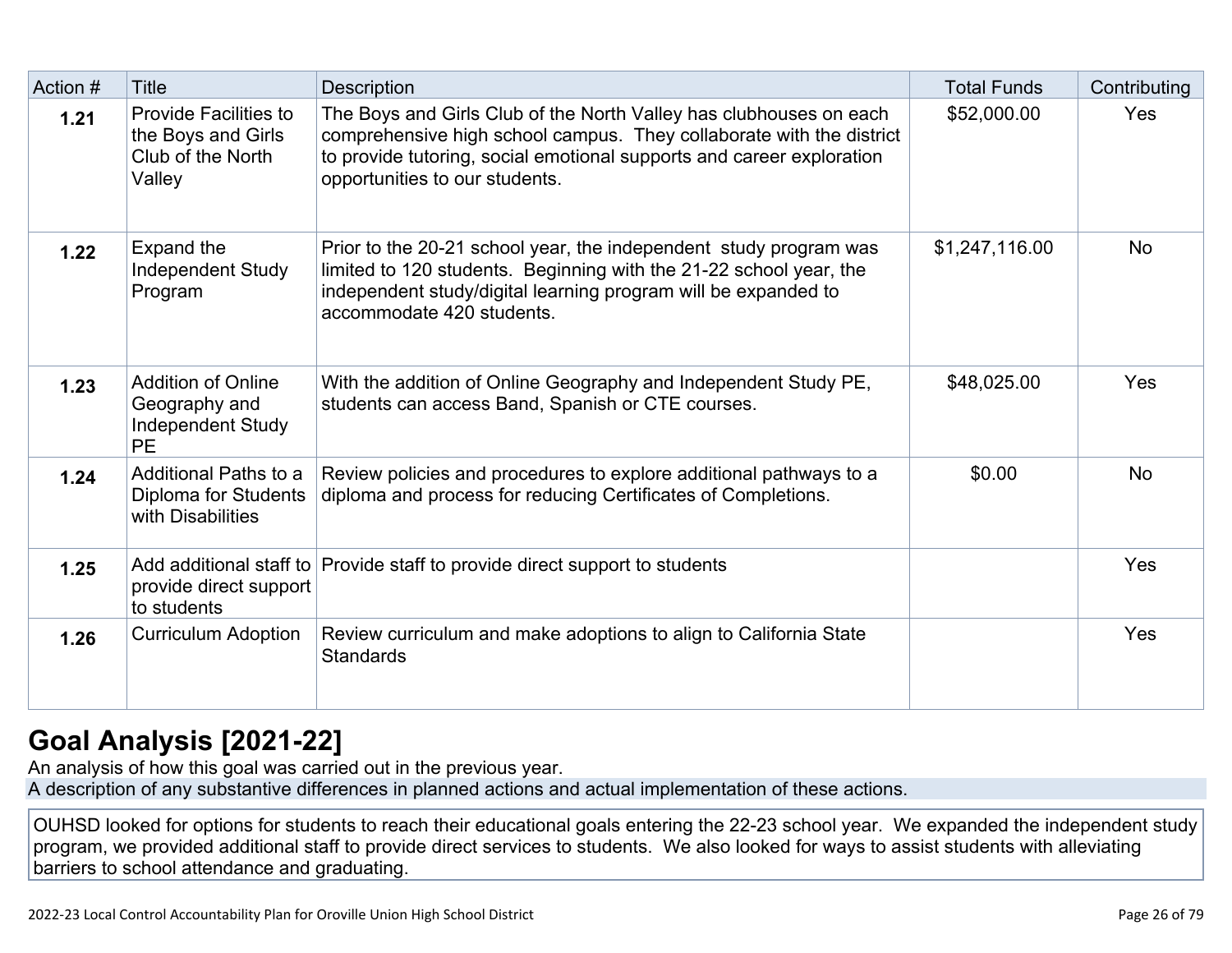| Action # | Title                                                                             | Description                                                                                                                                                                                                                                           | <b>Total Funds</b> | Contributing |
|----------|-----------------------------------------------------------------------------------|-------------------------------------------------------------------------------------------------------------------------------------------------------------------------------------------------------------------------------------------------------|--------------------|--------------|
| $1.21$   | <b>Provide Facilities to</b><br>the Boys and Girls<br>Club of the North<br>Valley | The Boys and Girls Club of the North Valley has clubhouses on each<br>comprehensive high school campus. They collaborate with the district<br>to provide tutoring, social emotional supports and career exploration<br>opportunities to our students. | \$52,000.00        | Yes          |
| 1.22     | Expand the<br><b>Independent Study</b><br>Program                                 | Prior to the 20-21 school year, the independent study program was<br>limited to 120 students. Beginning with the 21-22 school year, the<br>independent study/digital learning program will be expanded to<br>accommodate 420 students.                | \$1,247,116.00     | <b>No</b>    |
| 1.23     | <b>Addition of Online</b><br>Geography and<br>Independent Study<br><b>PE</b>      | With the addition of Online Geography and Independent Study PE,<br>students can access Band, Spanish or CTE courses.                                                                                                                                  | \$48,025.00        | Yes          |
| 1.24     | Additional Paths to a<br>Diploma for Students<br>with Disabilities                | Review policies and procedures to explore additional pathways to a<br>diploma and process for reducing Certificates of Completions.                                                                                                                   | \$0.00             | <b>No</b>    |
| 1.25     | provide direct support<br>to students                                             | Add additional staff to Provide staff to provide direct support to students                                                                                                                                                                           |                    | Yes          |
| 1.26     | <b>Curriculum Adoption</b>                                                        | Review curriculum and make adoptions to align to California State<br><b>Standards</b>                                                                                                                                                                 |                    | Yes          |

## **[Goal Analysis \[2021-22\]](http://www.doc-tracking.com/screenshots/22LCAP/Instructions/22LCAPInstructions.htm#GoalAnalysis)**

An analysis of how this goal was carried out in the previous year.

A description of any substantive differences in planned actions and actual implementation of these actions.

OUHSD looked for options for students to reach their educational goals entering the 22-23 school year. We expanded the independent study program, we provided additional staff to provide direct services to students. We also looked for ways to assist students with alleviating barriers to school attendance and graduating.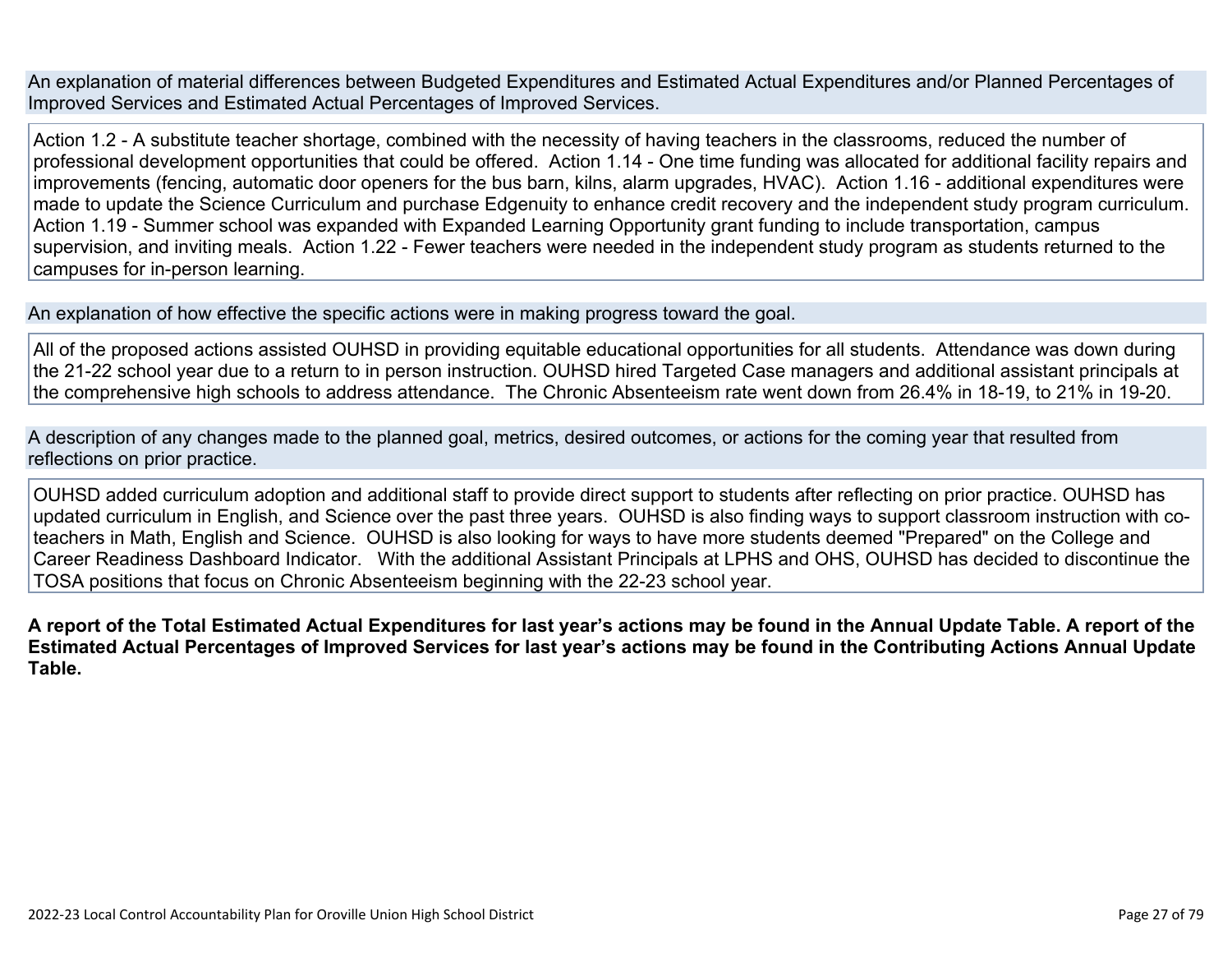An explanation of material differences between Budgeted Expenditures and Estimated Actual Expenditures and/or Planned Percentages of Improved Services and Estimated Actual Percentages of Improved Services.

Action 1.2 - A substitute teacher shortage, combined with the necessity of having teachers in the classrooms, reduced the number of professional development opportunities that could be offered. Action 1.14 - One time funding was allocated for additional facility repairs and improvements (fencing, automatic door openers for the bus barn, kilns, alarm upgrades, HVAC). Action 1.16 - additional expenditures were made to update the Science Curriculum and purchase Edgenuity to enhance credit recovery and the independent study program curriculum. Action 1.19 - Summer school was expanded with Expanded Learning Opportunity grant funding to include transportation, campus supervision, and inviting meals. Action 1.22 - Fewer teachers were needed in the independent study program as students returned to the campuses for in-person learning.

An explanation of how effective the specific actions were in making progress toward the goal.

All of the proposed actions assisted OUHSD in providing equitable educational opportunities for all students. Attendance was down during the 21-22 school year due to a return to in person instruction. OUHSD hired Targeted Case managers and additional assistant principals at the comprehensive high schools to address attendance. The Chronic Absenteeism rate went down from 26.4% in 18-19, to 21% in 19-20.

A description of any changes made to the planned goal, metrics, desired outcomes, or actions for the coming year that resulted from reflections on prior practice.

OUHSD added curriculum adoption and additional staff to provide direct support to students after reflecting on prior practice. OUHSD has updated curriculum in English, and Science over the past three years. OUHSD is also finding ways to support classroom instruction with coteachers in Math, English and Science. OUHSD is also looking for ways to have more students deemed "Prepared" on the College and Career Readiness Dashboard Indicator. With the additional Assistant Principals at LPHS and OHS, OUHSD has decided to discontinue the TOSA positions that focus on Chronic Absenteeism beginning with the 22-23 school year.

**A report of the Total Estimated Actual Expenditures for last year's actions may be found in the Annual Update Table. A report of the Estimated Actual Percentages of Improved Services for last year's actions may be found in the Contributing Actions Annual Update Table.**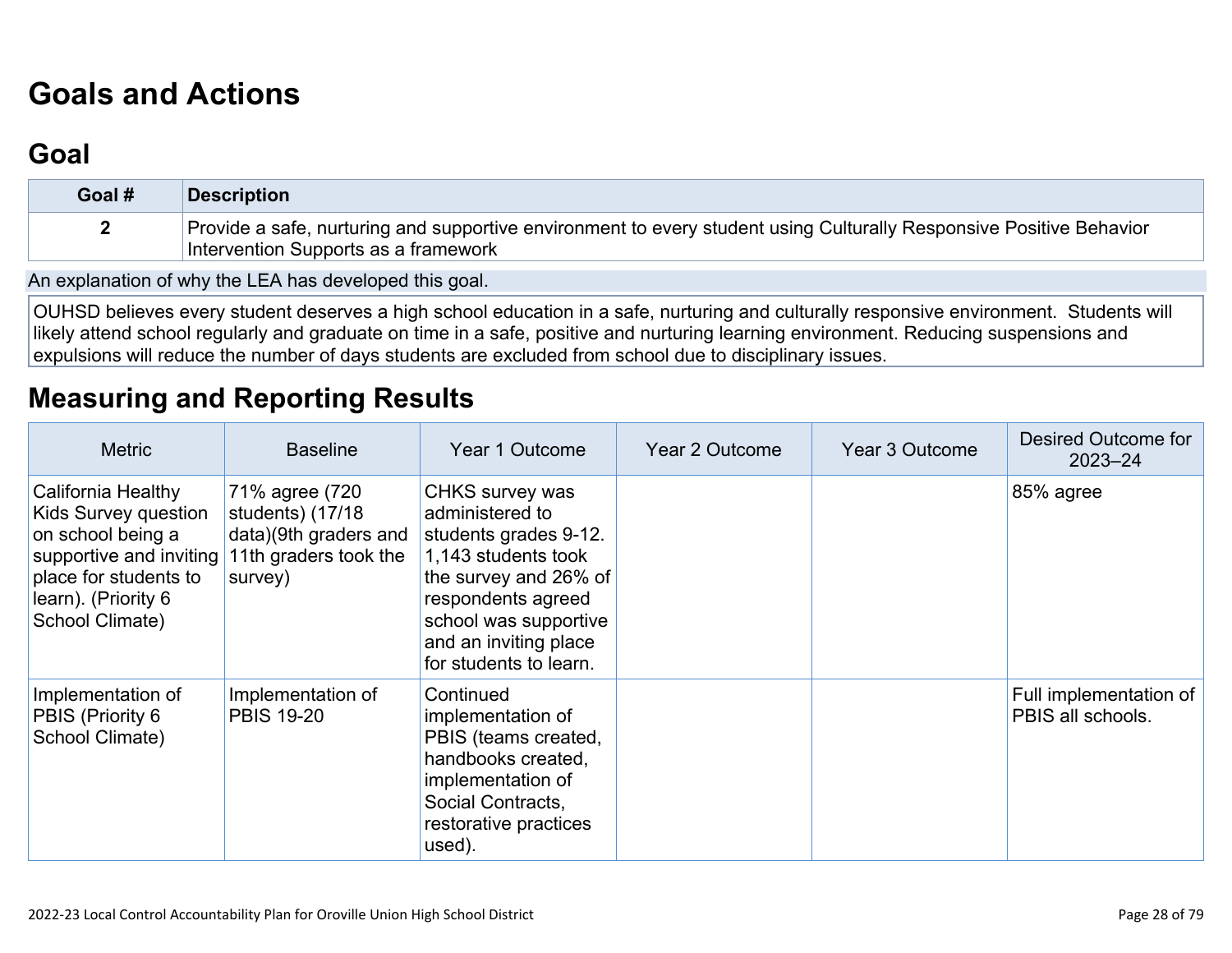## **[Goals and Actions](http://www.doc-tracking.com/screenshots/22LCAP/Instructions/22LCAPInstructions.htm#GoalsandActions)**

## **[Goal](http://www.doc-tracking.com/screenshots/22LCAP/Instructions/22LCAPInstructions.htm#goalDescription)**

| Goal # | Description                                                                                                                                                 |
|--------|-------------------------------------------------------------------------------------------------------------------------------------------------------------|
|        | Provide a safe, nurturing and supportive environment to every student using Culturally Responsive Positive Behavior<br>Intervention Supports as a framework |

An explanation of why the LEA has developed this goal.

OUHSD believes every student deserves a high school education in a safe, nurturing and culturally responsive environment. Students will likely attend school regularly and graduate on time in a safe, positive and nurturing learning environment. Reducing suspensions and expulsions will reduce the number of days students are excluded from school due to disciplinary issues.

### **[Measuring and Reporting Results](http://www.doc-tracking.com/screenshots/22LCAP/Instructions/22LCAPInstructions.htm#MeasuringandReportingResults)**

| <b>Metric</b>                                                                                                                                                 | <b>Baseline</b>                                                                                 | Year 1 Outcome                                                                                                                                                                                                | Year 2 Outcome | Year 3 Outcome | Desired Outcome for<br>$2023 - 24$          |
|---------------------------------------------------------------------------------------------------------------------------------------------------------------|-------------------------------------------------------------------------------------------------|---------------------------------------------------------------------------------------------------------------------------------------------------------------------------------------------------------------|----------------|----------------|---------------------------------------------|
| California Healthy<br>Kids Survey question<br>on school being a<br>supportive and inviting<br>place for students to<br>learn). (Priority 6<br>School Climate) | 71% agree (720<br>students) (17/18<br>data)(9th graders and<br>11th graders took the<br>survey) | CHKS survey was<br>administered to<br>students grades 9-12.<br>1,143 students took<br>the survey and 26% of<br>respondents agreed<br>school was supportive<br>and an inviting place<br>for students to learn. |                |                | 85% agree                                   |
| Implementation of<br>PBIS (Priority 6<br>School Climate)                                                                                                      | Implementation of<br><b>PBIS 19-20</b>                                                          | Continued<br>implementation of<br>PBIS (teams created,<br>handbooks created,<br>implementation of<br>Social Contracts,<br>restorative practices<br>used).                                                     |                |                | Full implementation of<br>PBIS all schools. |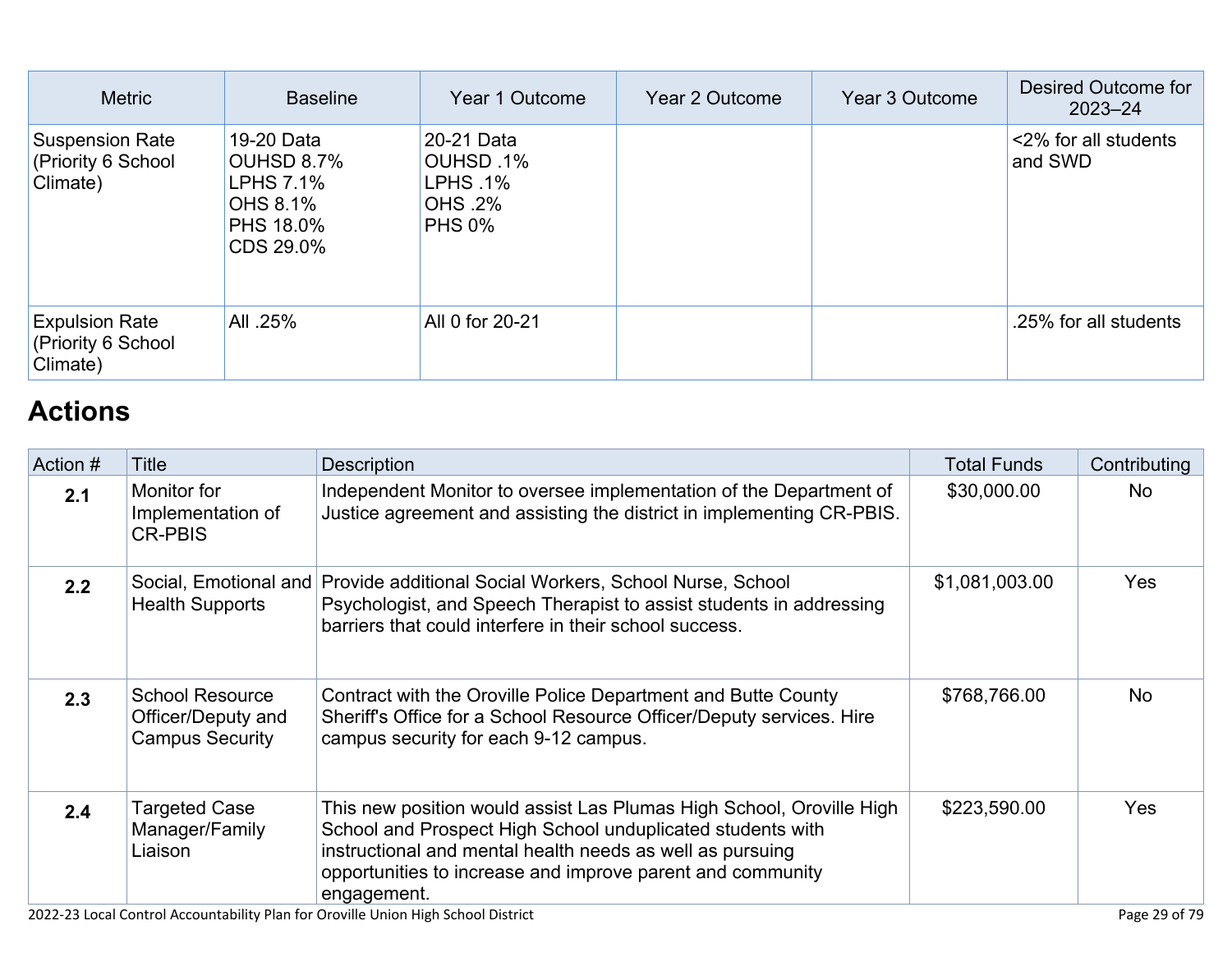| <b>Metric</b>                                            | <b>Baseline</b>                                                                           | Year 1 Outcome                                                         | Year 2 Outcome | Year 3 Outcome | Desired Outcome for<br>$2023 - 24$ |
|----------------------------------------------------------|-------------------------------------------------------------------------------------------|------------------------------------------------------------------------|----------------|----------------|------------------------------------|
| <b>Suspension Rate</b><br>(Priority 6 School<br>Climate) | 19-20 Data<br><b>OUHSD 8.7%</b><br><b>LPHS 7.1%</b><br>OHS 8.1%<br>PHS 18.0%<br>CDS 29.0% | 20-21 Data<br>OUHSD .1%<br>LPHS .1%<br><b>OHS .2%</b><br><b>PHS 0%</b> |                |                | <2% for all students<br>and SWD    |
| <b>Expulsion Rate</b><br>(Priority 6 School<br>Climate)  | All .25%                                                                                  | All 0 for 20-21                                                        |                |                | .25% for all students              |

## **[Actions](http://www.doc-tracking.com/screenshots/22LCAP/Instructions/22LCAPInstructions.htm#actions)**

| Action # | Title                                                                  | <b>Description</b>                                                                                                                                                                                                                                                           | <b>Total Funds</b> | Contributing |
|----------|------------------------------------------------------------------------|------------------------------------------------------------------------------------------------------------------------------------------------------------------------------------------------------------------------------------------------------------------------------|--------------------|--------------|
| 2.1      | Monitor for<br>Implementation of<br><b>CR-PBIS</b>                     | Independent Monitor to oversee implementation of the Department of<br>Justice agreement and assisting the district in implementing CR-PBIS.                                                                                                                                  | \$30,000.00        | <b>No</b>    |
| 2.2      | <b>Health Supports</b>                                                 | Social, Emotional and Provide additional Social Workers, School Nurse, School<br>Psychologist, and Speech Therapist to assist students in addressing<br>barriers that could interfere in their school success.                                                               | \$1,081,003.00     | <b>Yes</b>   |
| 2.3      | <b>School Resource</b><br>Officer/Deputy and<br><b>Campus Security</b> | Contract with the Oroville Police Department and Butte County<br>Sheriff's Office for a School Resource Officer/Deputy services. Hire<br>campus security for each 9-12 campus.                                                                                               | \$768,766.00       | <b>No</b>    |
| 2.4      | <b>Targeted Case</b><br>Manager/Family<br>Liaison                      | This new position would assist Las Plumas High School, Oroville High<br>School and Prospect High School unduplicated students with<br>instructional and mental health needs as well as pursuing<br>opportunities to increase and improve parent and community<br>engagement. | \$223,590.00       | <b>Yes</b>   |

2022-23 Local Control Accountability Plan for Oroville Union High School District Page 29 of 79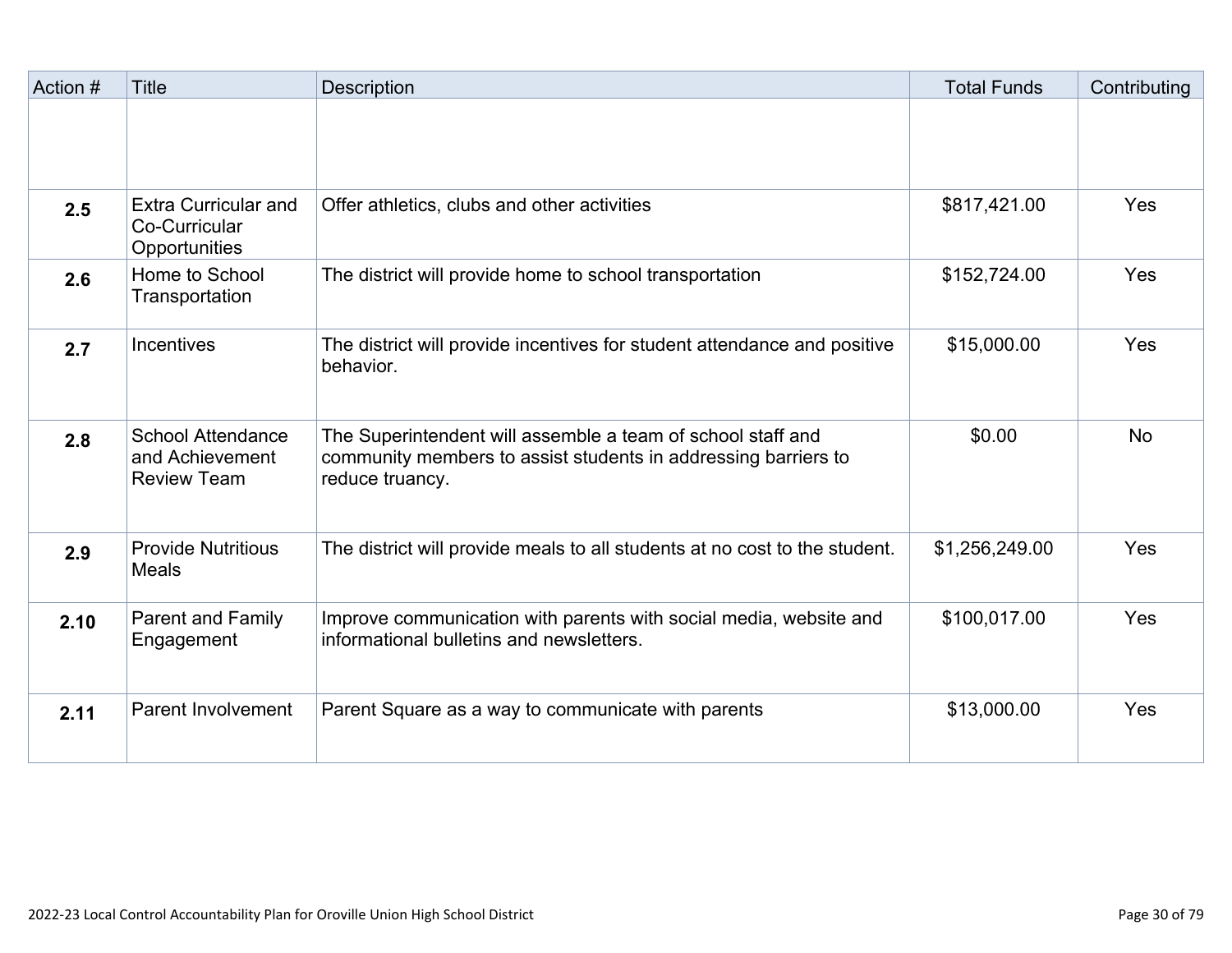| Action # | <b>Title</b>                                                      | <b>Description</b>                                                                                                                               | <b>Total Funds</b> | Contributing |
|----------|-------------------------------------------------------------------|--------------------------------------------------------------------------------------------------------------------------------------------------|--------------------|--------------|
|          |                                                                   |                                                                                                                                                  |                    |              |
| 2.5      | <b>Extra Curricular and</b><br>Co-Curricular<br>Opportunities     | Offer athletics, clubs and other activities                                                                                                      | \$817,421.00       | Yes          |
| 2.6      | Home to School<br>Transportation                                  | The district will provide home to school transportation                                                                                          | \$152,724.00       | Yes          |
| 2.7      | <b>Incentives</b>                                                 | The district will provide incentives for student attendance and positive<br>behavior.                                                            | \$15,000.00        | Yes          |
| 2.8      | <b>School Attendance</b><br>and Achievement<br><b>Review Team</b> | The Superintendent will assemble a team of school staff and<br>community members to assist students in addressing barriers to<br>reduce truancy. | \$0.00             | <b>No</b>    |
| 2.9      | <b>Provide Nutritious</b><br><b>Meals</b>                         | The district will provide meals to all students at no cost to the student.                                                                       | \$1,256,249.00     | Yes          |
| 2.10     | <b>Parent and Family</b><br>Engagement                            | Improve communication with parents with social media, website and<br>informational bulletins and newsletters.                                    | \$100,017.00       | Yes          |
| 2.11     | Parent Involvement                                                | Parent Square as a way to communicate with parents                                                                                               | \$13,000.00        | Yes          |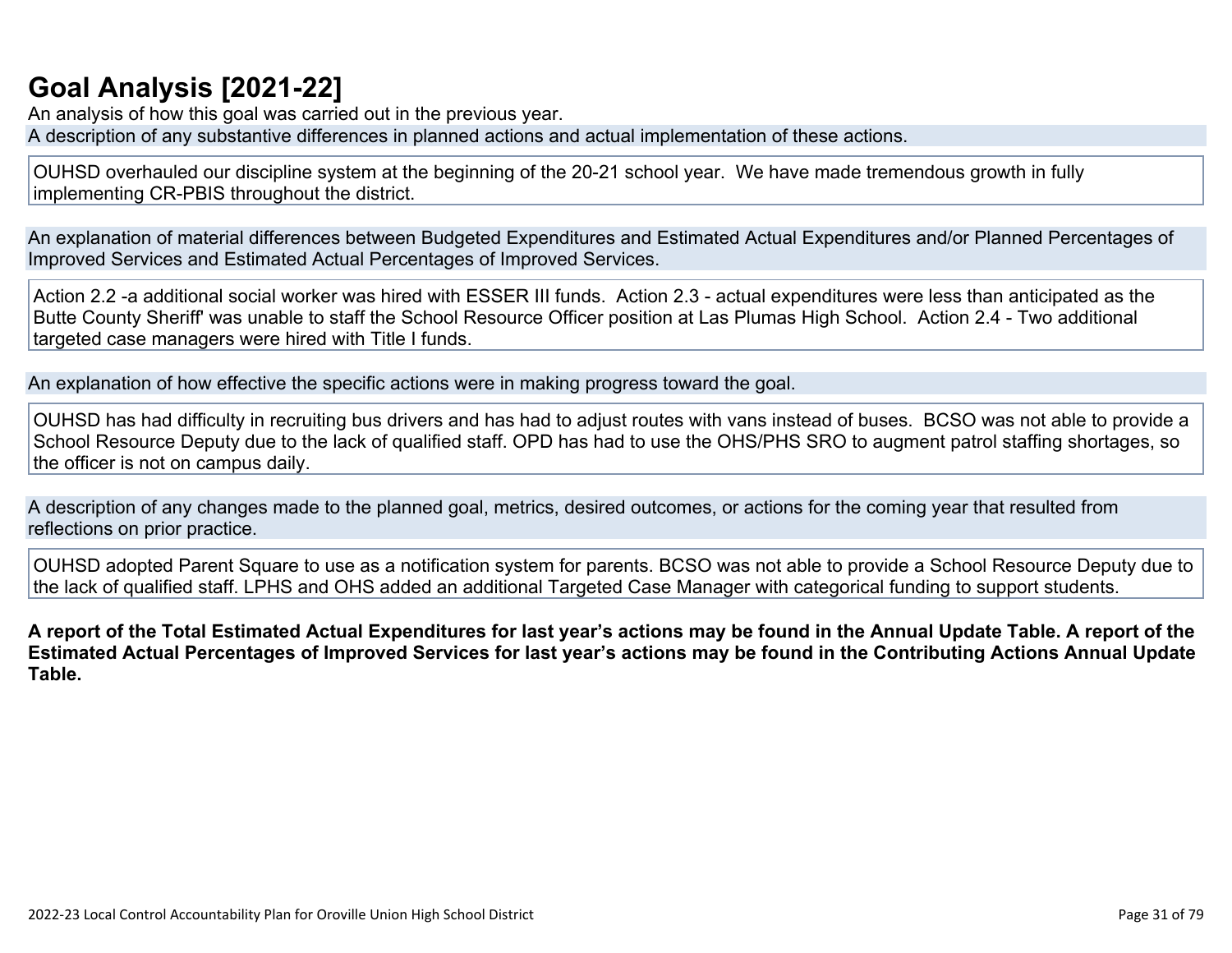## **[Goal Analysis \[2021-22\]](http://www.doc-tracking.com/screenshots/22LCAP/Instructions/22LCAPInstructions.htm#GoalAnalysis)**

An analysis of how this goal was carried out in the previous year.

A description of any substantive differences in planned actions and actual implementation of these actions.

OUHSD overhauled our discipline system at the beginning of the 20-21 school year. We have made tremendous growth in fully implementing CR-PBIS throughout the district.

An explanation of material differences between Budgeted Expenditures and Estimated Actual Expenditures and/or Planned Percentages of Improved Services and Estimated Actual Percentages of Improved Services.

Action 2.2 -a additional social worker was hired with ESSER III funds. Action 2.3 - actual expenditures were less than anticipated as the Butte County Sheriff' was unable to staff the School Resource Officer position at Las Plumas High School. Action 2.4 - Two additional targeted case managers were hired with Title I funds.

An explanation of how effective the specific actions were in making progress toward the goal.

OUHSD has had difficulty in recruiting bus drivers and has had to adjust routes with vans instead of buses. BCSO was not able to provide a School Resource Deputy due to the lack of qualified staff. OPD has had to use the OHS/PHS SRO to augment patrol staffing shortages, so the officer is not on campus daily.

A description of any changes made to the planned goal, metrics, desired outcomes, or actions for the coming year that resulted from reflections on prior practice.

OUHSD adopted Parent Square to use as a notification system for parents. BCSO was not able to provide a School Resource Deputy due to the lack of qualified staff. LPHS and OHS added an additional Targeted Case Manager with categorical funding to support students.

**A report of the Total Estimated Actual Expenditures for last year's actions may be found in the Annual Update Table. A report of the Estimated Actual Percentages of Improved Services for last year's actions may be found in the Contributing Actions Annual Update Table.**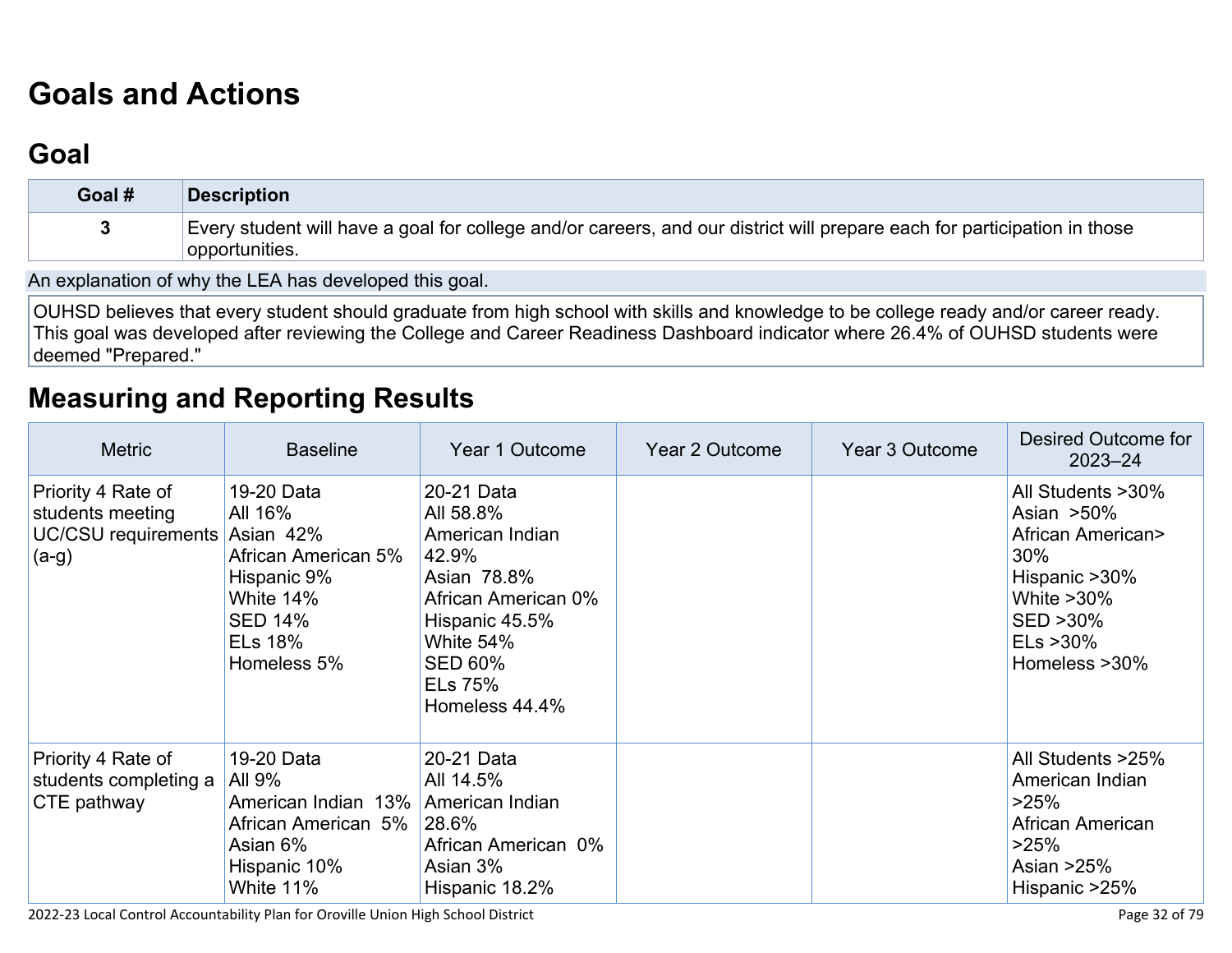## **[Goals and Actions](http://www.doc-tracking.com/screenshots/22LCAP/Instructions/22LCAPInstructions.htm#GoalsandActions)**

## **[Goal](http://www.doc-tracking.com/screenshots/22LCAP/Instructions/22LCAPInstructions.htm#goalDescription)**

| Goal # | <b>Description</b>                                                                                                                         |
|--------|--------------------------------------------------------------------------------------------------------------------------------------------|
|        | Every student will have a goal for college and/or careers, and our district will prepare each for participation in those<br>opportunities. |

An explanation of why the LEA has developed this goal.

OUHSD believes that every student should graduate from high school with skills and knowledge to be college ready and/or career ready. This goal was developed after reviewing the College and Career Readiness Dashboard indicator where 26.4% of OUHSD students were deemed "Prepared."

### **[Measuring and Reporting Results](http://www.doc-tracking.com/screenshots/22LCAP/Instructions/22LCAPInstructions.htm#MeasuringandReportingResults)**

| <b>Metric</b>                                                                   | <b>Baseline</b>                                                                                                                          | Year 1 Outcome                                                                                                                                                                 | <b>Year 2 Outcome</b> | Year 3 Outcome | Desired Outcome for<br>$2023 - 24$                                                                                                                              |
|---------------------------------------------------------------------------------|------------------------------------------------------------------------------------------------------------------------------------------|--------------------------------------------------------------------------------------------------------------------------------------------------------------------------------|-----------------------|----------------|-----------------------------------------------------------------------------------------------------------------------------------------------------------------|
| Priority 4 Rate of<br>students meeting<br><b>UC/CSU</b> requirements<br>$(a-g)$ | 19-20 Data<br>All 16%<br>Asian 42%<br>African American 5%<br>Hispanic 9%<br>White 14%<br><b>SED 14%</b><br><b>ELs 18%</b><br>Homeless 5% | 20-21 Data<br>All 58.8%<br>American Indian<br>42.9%<br>Asian 78.8%<br>African American 0%<br>Hispanic 45.5%<br>White 54%<br><b>SED 60%</b><br><b>ELs 75%</b><br>Homeless 44.4% |                       |                | All Students > 30%<br>Asian $>50\%$<br><b>African American&gt;</b><br>$30\%$<br>Hispanic > 30%<br>White $>30\%$<br>SED > 30%<br>$E$ Ls $>$ 30%<br>Homeless >30% |
| Priority 4 Rate of<br>students completing a<br>CTE pathway                      | 19-20 Data<br>All 9%<br>American Indian 13%   American Indian<br>African American 5%<br>Asian 6%<br>Hispanic 10%<br>White 11%            | 20-21 Data<br>All 14.5%<br>$ 28.6\%$<br>African American 0%<br>Asian 3%<br>Hispanic 18.2%                                                                                      |                       |                | All Students >25%<br>American Indian<br>$>25\%$<br>African American<br>>25%<br>Asian $>25\%$<br>Hispanic >25%                                                   |

2022-23 Local Control Accountability Plan for Oroville Union High School District Page 32 of 79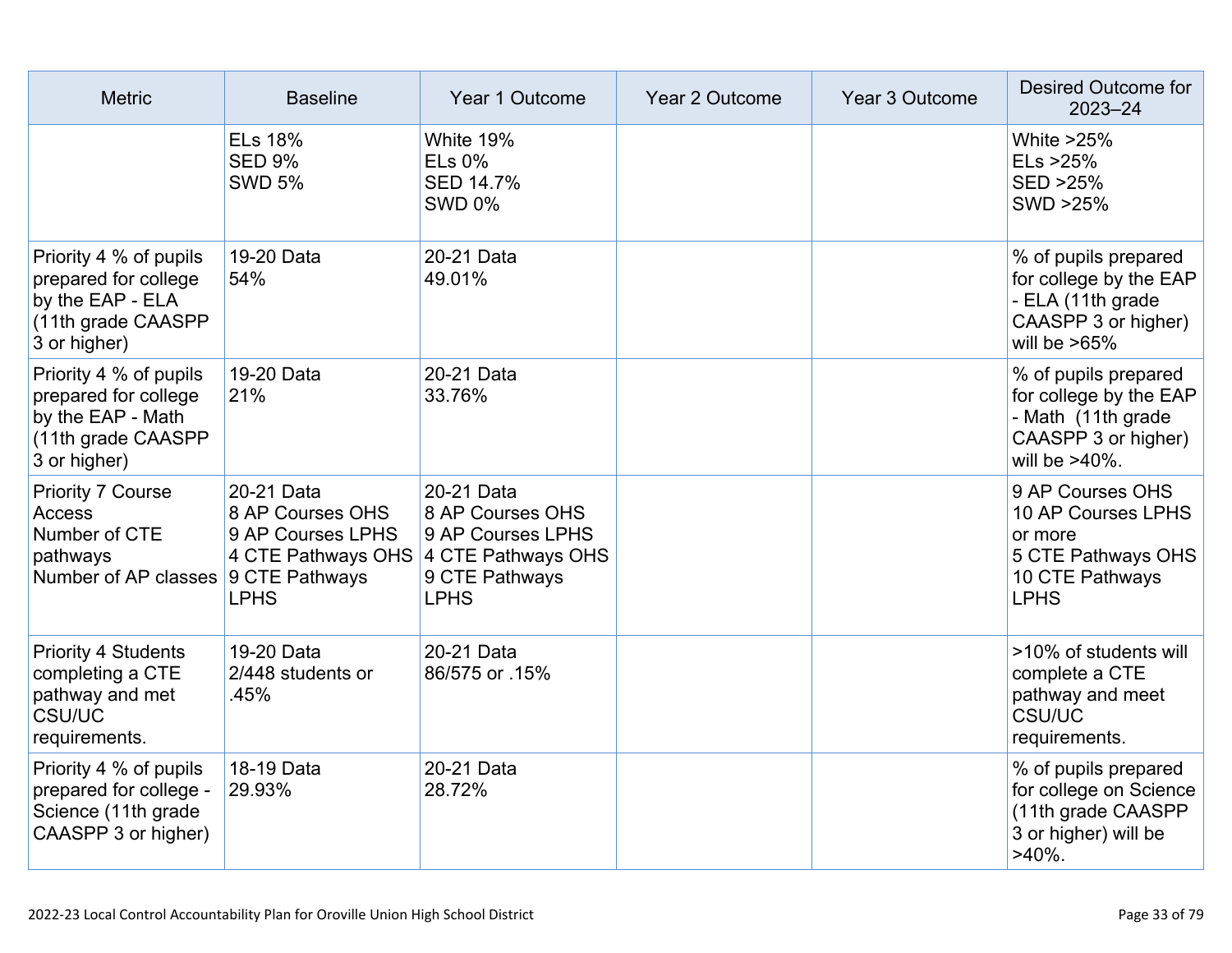| <b>Metric</b>                                                                                                 | <b>Baseline</b>                                                                                             | Year 1 Outcome                                                                       | Year 2 Outcome | Year 3 Outcome | Desired Outcome for<br>$2023 - 24$                                                                            |
|---------------------------------------------------------------------------------------------------------------|-------------------------------------------------------------------------------------------------------------|--------------------------------------------------------------------------------------|----------------|----------------|---------------------------------------------------------------------------------------------------------------|
|                                                                                                               | <b>ELs 18%</b><br><b>SED 9%</b><br><b>SWD 5%</b>                                                            | White 19%<br><b>ELs 0%</b><br><b>SED 14.7%</b><br><b>SWD 0%</b>                      |                |                | White $>25\%$<br>ELs >25%<br>SED > 25%<br>SWD >25%                                                            |
| Priority 4 % of pupils<br>prepared for college<br>by the EAP - ELA<br>(11th grade CAASPP<br>3 or higher)      | 19-20 Data<br>54%                                                                                           | 20-21 Data<br>49.01%                                                                 |                |                | % of pupils prepared<br>for college by the EAP<br>- ELA (11th grade<br>CAASPP 3 or higher)<br>will be $>65\%$ |
| Priority 4 % of pupils<br>prepared for college<br>by the EAP - Math<br>(11th grade CAASPP<br>3 or higher)     | 19-20 Data<br>21%                                                                                           | 20-21 Data<br>33.76%                                                                 |                |                | % of pupils prepared<br>for college by the EAP<br>- Math (11th grade<br>CAASPP 3 or higher)<br>will be >40%.  |
| <b>Priority 7 Course</b><br><b>Access</b><br>Number of CTE<br>pathways<br>Number of AP classes 9 CTE Pathways | 20-21 Data<br>8 AP Courses OHS<br>9 AP Courses LPHS<br>4 CTE Pathways OHS 4 CTE Pathways OHS<br><b>LPHS</b> | 20-21 Data<br>8 AP Courses OHS<br>9 AP Courses LPHS<br>9 CTE Pathways<br><b>LPHS</b> |                |                | 9 AP Courses OHS<br>10 AP Courses LPHS<br>or more<br>5 CTE Pathways OHS<br>10 CTE Pathways<br><b>LPHS</b>     |
| <b>Priority 4 Students</b><br>completing a CTE<br>pathway and met<br><b>CSU/UC</b><br>requirements.           | 19-20 Data<br>2/448 students or<br>.45%                                                                     | 20-21 Data<br>86/575 or .15%                                                         |                |                | >10% of students will<br>complete a CTE<br>pathway and meet<br><b>CSU/UC</b><br>requirements.                 |
| Priority 4 % of pupils<br>prepared for college -<br>Science (11th grade<br>CAASPP 3 or higher)                | 18-19 Data<br>29.93%                                                                                        | 20-21 Data<br>28.72%                                                                 |                |                | % of pupils prepared<br>for college on Science<br>(11th grade CAASPP<br>3 or higher) will be<br>$>40\%$ .     |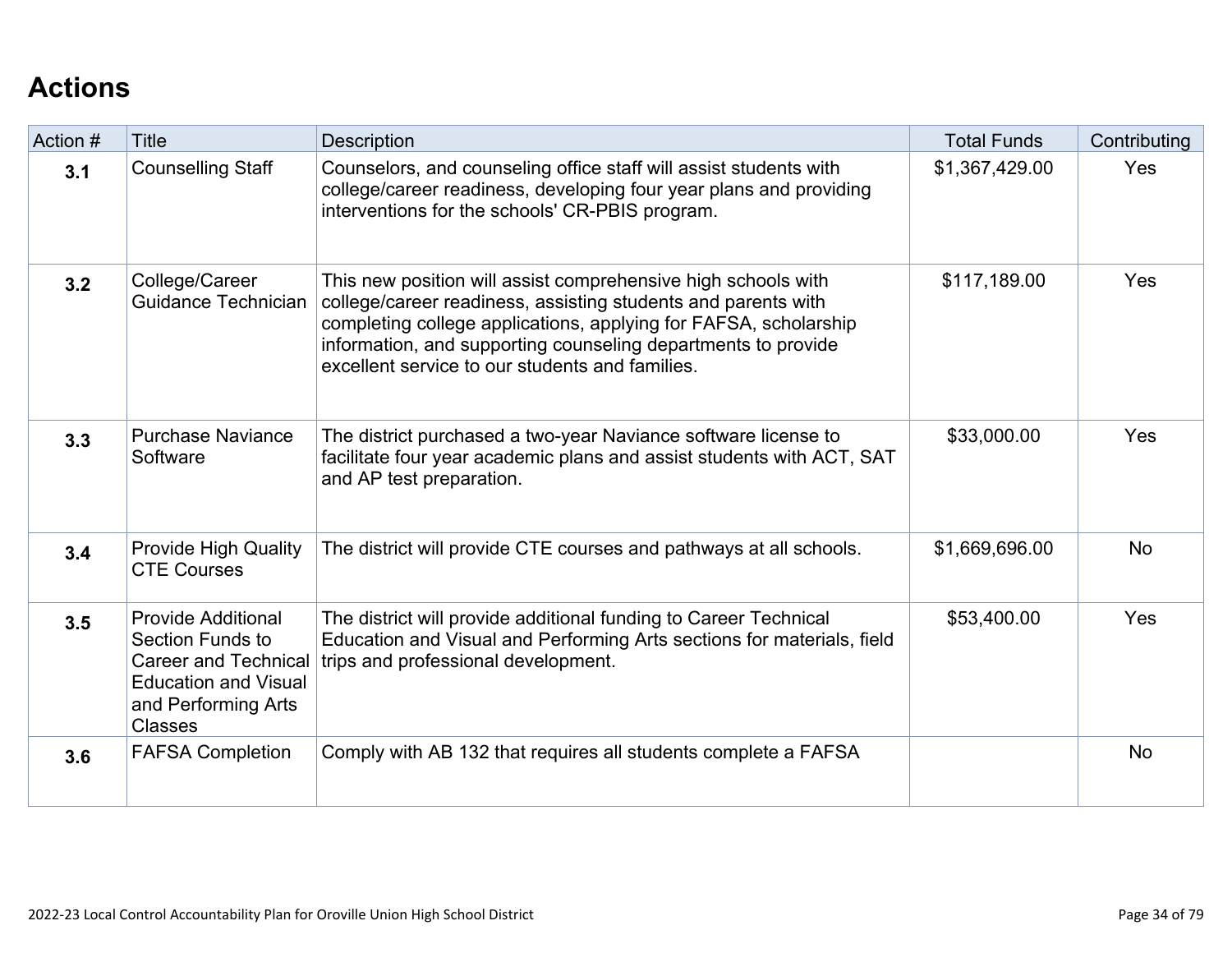## **[Actions](http://www.doc-tracking.com/screenshots/22LCAP/Instructions/22LCAPInstructions.htm#actions)**

| Action # | <b>Title</b>                                                                                                                                         | <b>Description</b>                                                                                                                                                                                                                                                                                                     | <b>Total Funds</b> | Contributing |
|----------|------------------------------------------------------------------------------------------------------------------------------------------------------|------------------------------------------------------------------------------------------------------------------------------------------------------------------------------------------------------------------------------------------------------------------------------------------------------------------------|--------------------|--------------|
| 3.1      | <b>Counselling Staff</b>                                                                                                                             | Counselors, and counseling office staff will assist students with<br>college/career readiness, developing four year plans and providing<br>interventions for the schools' CR-PBIS program.                                                                                                                             | \$1,367,429.00     | Yes          |
| 3.2      | College/Career<br>Guidance Technician                                                                                                                | This new position will assist comprehensive high schools with<br>college/career readiness, assisting students and parents with<br>completing college applications, applying for FAFSA, scholarship<br>information, and supporting counseling departments to provide<br>excellent service to our students and families. | \$117,189.00       | Yes          |
| 3.3      | <b>Purchase Naviance</b><br>Software                                                                                                                 | The district purchased a two-year Naviance software license to<br>facilitate four year academic plans and assist students with ACT, SAT<br>and AP test preparation.                                                                                                                                                    | \$33,000.00        | Yes          |
| 3.4      | <b>Provide High Quality</b><br><b>CTE Courses</b>                                                                                                    | The district will provide CTE courses and pathways at all schools.                                                                                                                                                                                                                                                     | \$1,669,696.00     | <b>No</b>    |
| 3.5      | <b>Provide Additional</b><br>Section Funds to<br><b>Career and Technical</b><br><b>Education and Visual</b><br>and Performing Arts<br><b>Classes</b> | The district will provide additional funding to Career Technical<br>Education and Visual and Performing Arts sections for materials, field<br>trips and professional development.                                                                                                                                      | \$53,400.00        | Yes          |
| 3.6      | <b>FAFSA Completion</b>                                                                                                                              | Comply with AB 132 that requires all students complete a FAFSA                                                                                                                                                                                                                                                         |                    | <b>No</b>    |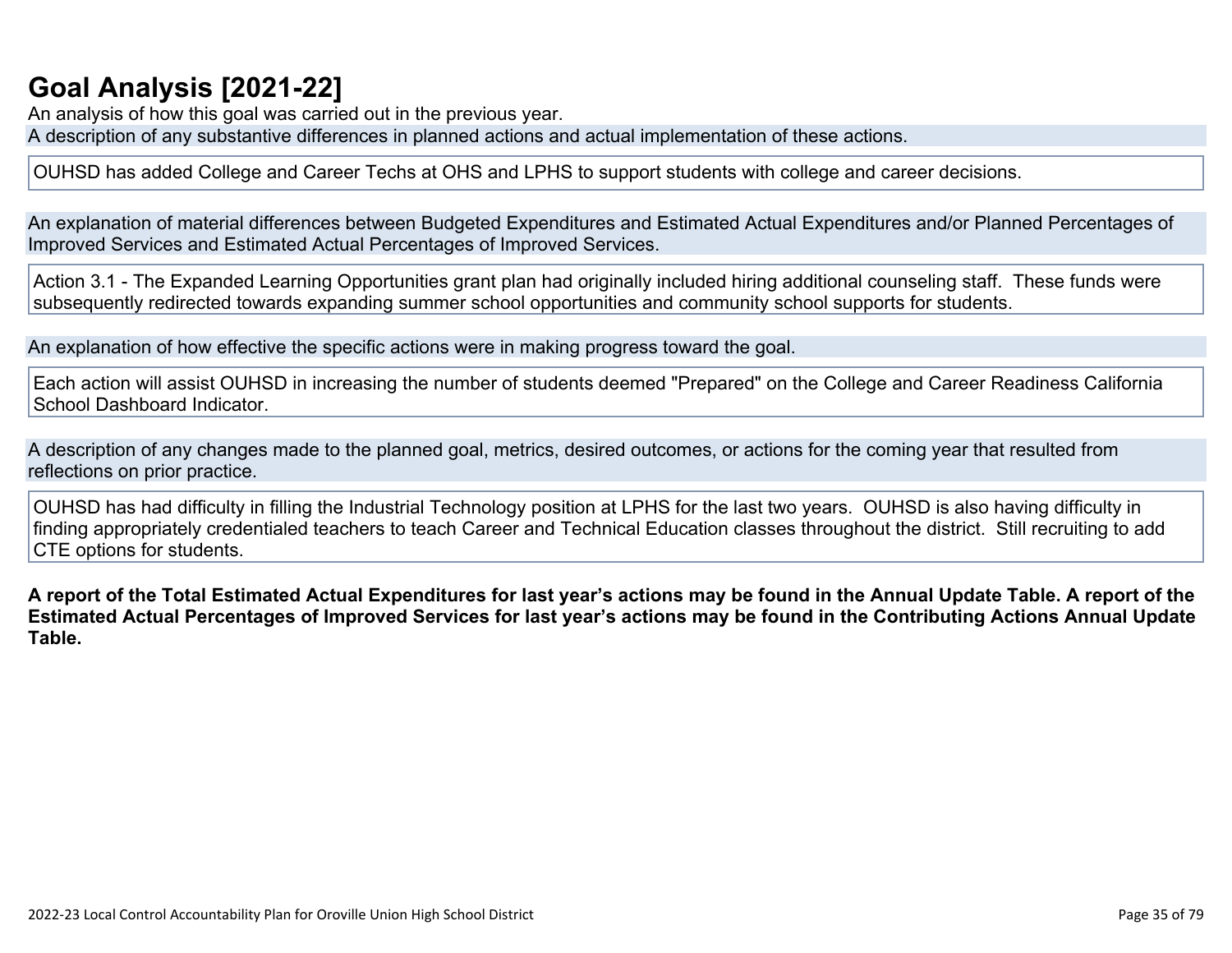## **[Goal Analysis \[2021-22\]](http://www.doc-tracking.com/screenshots/22LCAP/Instructions/22LCAPInstructions.htm#GoalAnalysis)**

An analysis of how this goal was carried out in the previous year.

A description of any substantive differences in planned actions and actual implementation of these actions.

OUHSD has added College and Career Techs at OHS and LPHS to support students with college and career decisions.

An explanation of material differences between Budgeted Expenditures and Estimated Actual Expenditures and/or Planned Percentages of Improved Services and Estimated Actual Percentages of Improved Services.

Action 3.1 - The Expanded Learning Opportunities grant plan had originally included hiring additional counseling staff. These funds were subsequently redirected towards expanding summer school opportunities and community school supports for students.

An explanation of how effective the specific actions were in making progress toward the goal.

Each action will assist OUHSD in increasing the number of students deemed "Prepared" on the College and Career Readiness California School Dashboard Indicator.

A description of any changes made to the planned goal, metrics, desired outcomes, or actions for the coming year that resulted from reflections on prior practice.

OUHSD has had difficulty in filling the Industrial Technology position at LPHS for the last two years. OUHSD is also having difficulty in finding appropriately credentialed teachers to teach Career and Technical Education classes throughout the district. Still recruiting to add CTE options for students.

**A report of the Total Estimated Actual Expenditures for last year's actions may be found in the Annual Update Table. A report of the Estimated Actual Percentages of Improved Services for last year's actions may be found in the Contributing Actions Annual Update Table.**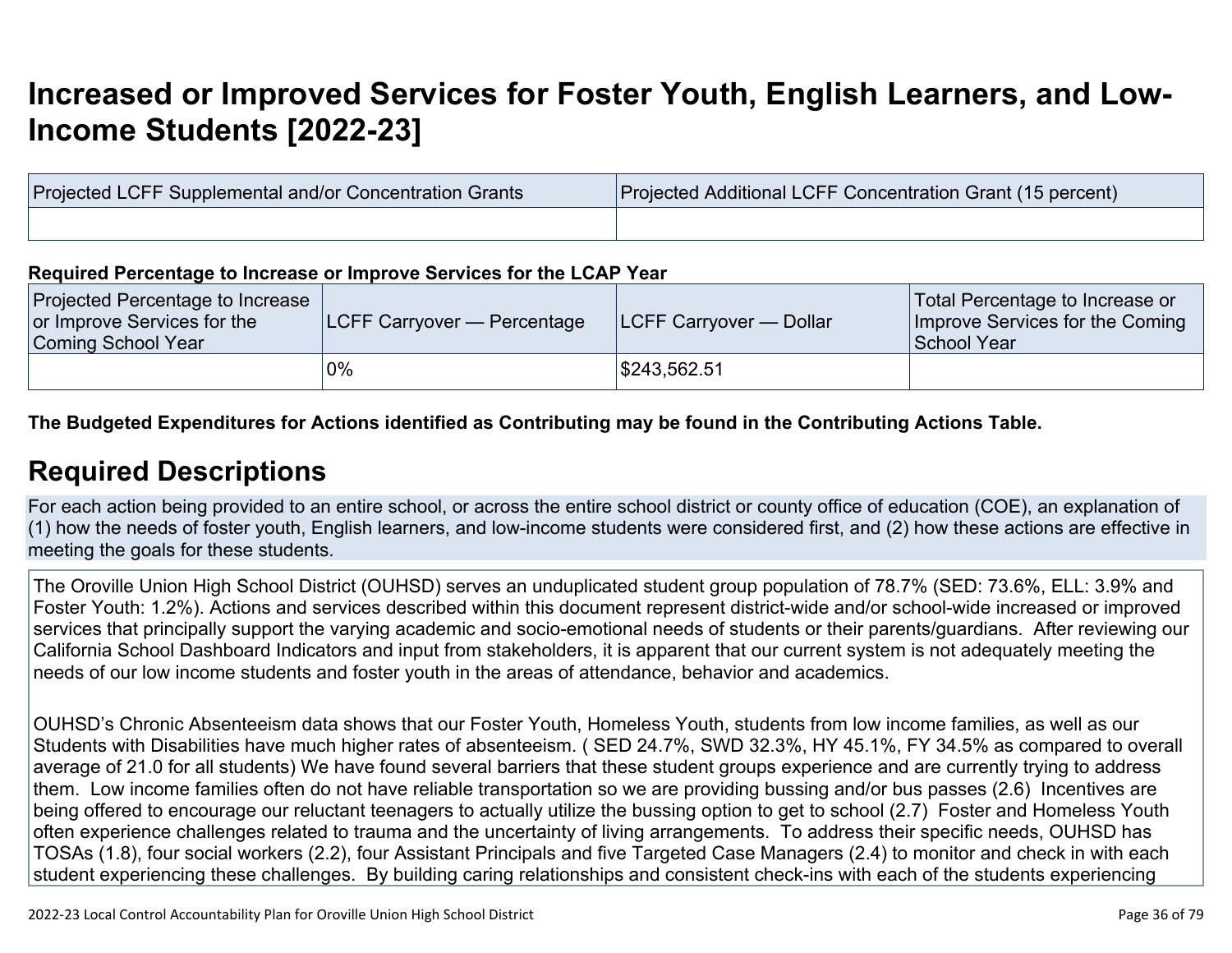## **[Increased or Improved Services for Foster Youth, English Learners, and Low-](http://www.doc-tracking.com/screenshots/22LCAP/Instructions/22LCAPInstructions.htm#IncreasedImprovedServices)[Income Students \[2022-23\]](http://www.doc-tracking.com/screenshots/22LCAP/Instructions/22LCAPInstructions.htm#IncreasedImprovedServices)**

| Projected LCFF Supplemental and/or Concentration Grants | Projected Additional LCFF Concentration Grant (15 percent) |  |
|---------------------------------------------------------|------------------------------------------------------------|--|
|                                                         |                                                            |  |

#### **Required Percentage to Increase or Improve Services for the LCAP Year**

| <b>Projected Percentage to Increase</b><br>or Improve Services for the<br>Coming School Year | <b>LCFF Carryover — Percentage</b> | <b>ILCFF Carryover — Dollar</b> | Total Percentage to Increase or<br>Improve Services for the Coming<br>School Year |
|----------------------------------------------------------------------------------------------|------------------------------------|---------------------------------|-----------------------------------------------------------------------------------|
|                                                                                              | $0\%$                              | \$243,562.51                    |                                                                                   |

#### **The Budgeted Expenditures for Actions identified as Contributing may be found in the Contributing Actions Table.**

### **[Required Descriptions](http://www.doc-tracking.com/screenshots/22LCAP/Instructions/22LCAPInstructions.htm#RequiredDescriptions)**

For each action being provided to an entire school, or across the entire school district or county office of education (COE), an explanation of (1) how the needs of foster youth, English learners, and low-income students were considered first, and (2) how these actions are effective in meeting the goals for these students.

The Oroville Union High School District (OUHSD) serves an unduplicated student group population of 78.7% (SED: 73.6%, ELL: 3.9% and Foster Youth: 1.2%). Actions and services described within this document represent district-wide and/or school-wide increased or improved services that principally support the varying academic and socio-emotional needs of students or their parents/guardians. After reviewing our California School Dashboard Indicators and input from stakeholders, it is apparent that our current system is not adequately meeting the needs of our low income students and foster youth in the areas of attendance, behavior and academics.

OUHSD's Chronic Absenteeism data shows that our Foster Youth, Homeless Youth, students from low income families, as well as our Students with Disabilities have much higher rates of absenteeism. ( SED 24.7%, SWD 32.3%, HY 45.1%, FY 34.5% as compared to overall average of 21.0 for all students) We have found several barriers that these student groups experience and are currently trying to address them. Low income families often do not have reliable transportation so we are providing bussing and/or bus passes (2.6) Incentives are being offered to encourage our reluctant teenagers to actually utilize the bussing option to get to school (2.7) Foster and Homeless Youth often experience challenges related to trauma and the uncertainty of living arrangements. To address their specific needs, OUHSD has TOSAs (1.8), four social workers (2.2), four Assistant Principals and five Targeted Case Managers (2.4) to monitor and check in with each student experiencing these challenges. By building caring relationships and consistent check-ins with each of the students experiencing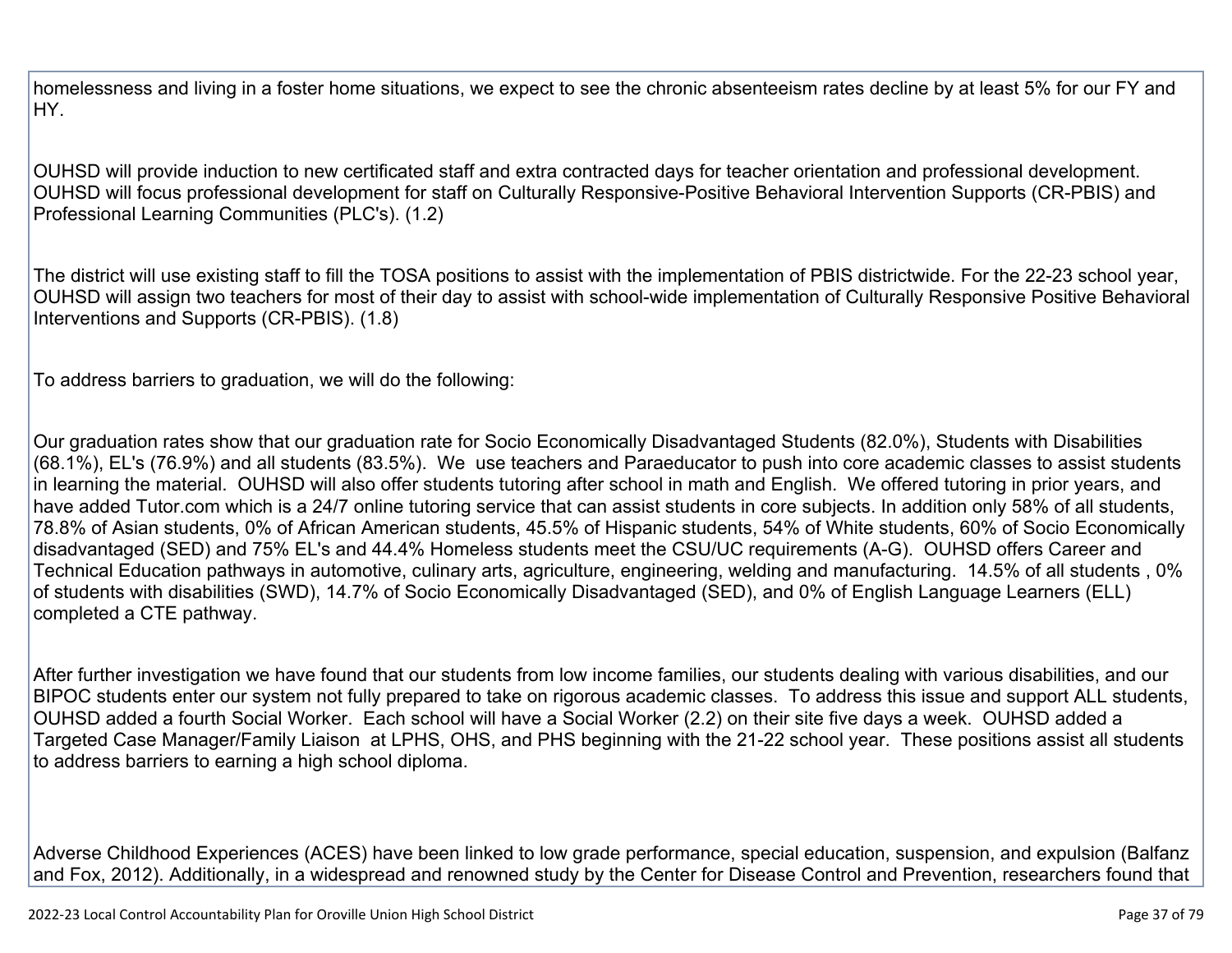homelessness and living in a foster home situations, we expect to see the chronic absenteeism rates decline by at least 5% for our FY and HY.

OUHSD will provide induction to new certificated staff and extra contracted days for teacher orientation and professional development. OUHSD will focus professional development for staff on Culturally Responsive-Positive Behavioral Intervention Supports (CR-PBIS) and Professional Learning Communities (PLC's). (1.2)

The district will use existing staff to fill the TOSA positions to assist with the implementation of PBIS districtwide. For the 22-23 school year, OUHSD will assign two teachers for most of their day to assist with school-wide implementation of Culturally Responsive Positive Behavioral Interventions and Supports (CR-PBIS). (1.8)

To address barriers to graduation, we will do the following:

Our graduation rates show that our graduation rate for Socio Economically Disadvantaged Students (82.0%), Students with Disabilities (68.1%), EL's (76.9%) and all students (83.5%). We use teachers and Paraeducator to push into core academic classes to assist students in learning the material. OUHSD will also offer students tutoring after school in math and English. We offered tutoring in prior years, and have added Tutor.com which is a 24/7 online tutoring service that can assist students in core subjects. In addition only 58% of all students, 78.8% of Asian students, 0% of African American students, 45.5% of Hispanic students, 54% of White students, 60% of Socio Economically disadvantaged (SED) and 75% EL's and 44.4% Homeless students meet the CSU/UC requirements (A-G). OUHSD offers Career and Technical Education pathways in automotive, culinary arts, agriculture, engineering, welding and manufacturing. 14.5% of all students , 0% of students with disabilities (SWD), 14.7% of Socio Economically Disadvantaged (SED), and 0% of English Language Learners (ELL) completed a CTE pathway.

After further investigation we have found that our students from low income families, our students dealing with various disabilities, and our BIPOC students enter our system not fully prepared to take on rigorous academic classes. To address this issue and support ALL students, OUHSD added a fourth Social Worker. Each school will have a Social Worker (2.2) on their site five days a week. OUHSD added a Targeted Case Manager/Family Liaison at LPHS, OHS, and PHS beginning with the 21-22 school year. These positions assist all students to address barriers to earning a high school diploma.

Adverse Childhood Experiences (ACES) have been linked to low grade performance, special education, suspension, and expulsion (Balfanz and Fox, 2012). Additionally, in a widespread and renowned study by the Center for Disease Control and Prevention, researchers found that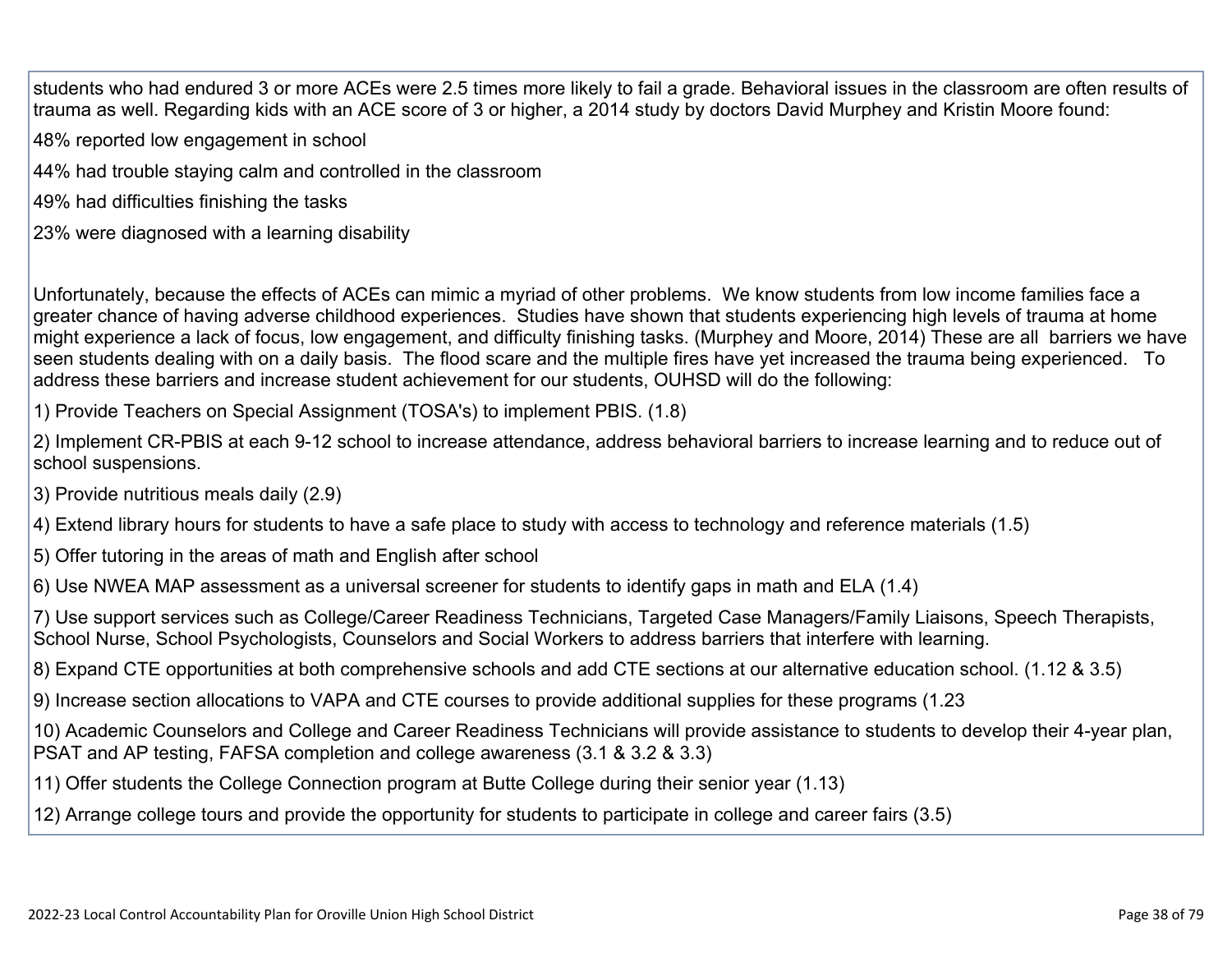students who had endured 3 or more ACEs were 2.5 times more likely to fail a grade. Behavioral issues in the classroom are often results of trauma as well. Regarding kids with an ACE score of 3 or higher, a 2014 study by doctors David Murphey and Kristin Moore found:

- 48% reported low engagement in school
- 44% had trouble staying calm and controlled in the classroom
- 49% had difficulties finishing the tasks
- 23% were diagnosed with a learning disability

Unfortunately, because the effects of ACEs can mimic a myriad of other problems. We know students from low income families face a greater chance of having adverse childhood experiences. Studies have shown that students experiencing high levels of trauma at home might experience a lack of focus, low engagement, and difficulty finishing tasks. (Murphey and Moore, 2014) These are all barriers we have seen students dealing with on a daily basis. The flood scare and the multiple fires have yet increased the trauma being experienced. To address these barriers and increase student achievement for our students, OUHSD will do the following:

1) Provide Teachers on Special Assignment (TOSA's) to implement PBIS. (1.8)

- 2) Implement CR-PBIS at each 9-12 school to increase attendance, address behavioral barriers to increase learning and to reduce out of school suspensions.
- 3) Provide nutritious meals daily (2.9)
- 4) Extend library hours for students to have a safe place to study with access to technology and reference materials (1.5)
- 5) Offer tutoring in the areas of math and English after school
- 6) Use NWEA MAP assessment as a universal screener for students to identify gaps in math and ELA (1.4)

7) Use support services such as College/Career Readiness Technicians, Targeted Case Managers/Family Liaisons, Speech Therapists, School Nurse, School Psychologists, Counselors and Social Workers to address barriers that interfere with learning.

8) Expand CTE opportunities at both comprehensive schools and add CTE sections at our alternative education school. (1.12 & 3.5)

9) Increase section allocations to VAPA and CTE courses to provide additional supplies for these programs (1.23

10) Academic Counselors and College and Career Readiness Technicians will provide assistance to students to develop their 4-year plan, PSAT and AP testing, FAFSA completion and college awareness (3.1 & 3.2 & 3.3)

- 11) Offer students the College Connection program at Butte College during their senior year (1.13)
- 12) Arrange college tours and provide the opportunity for students to participate in college and career fairs (3.5)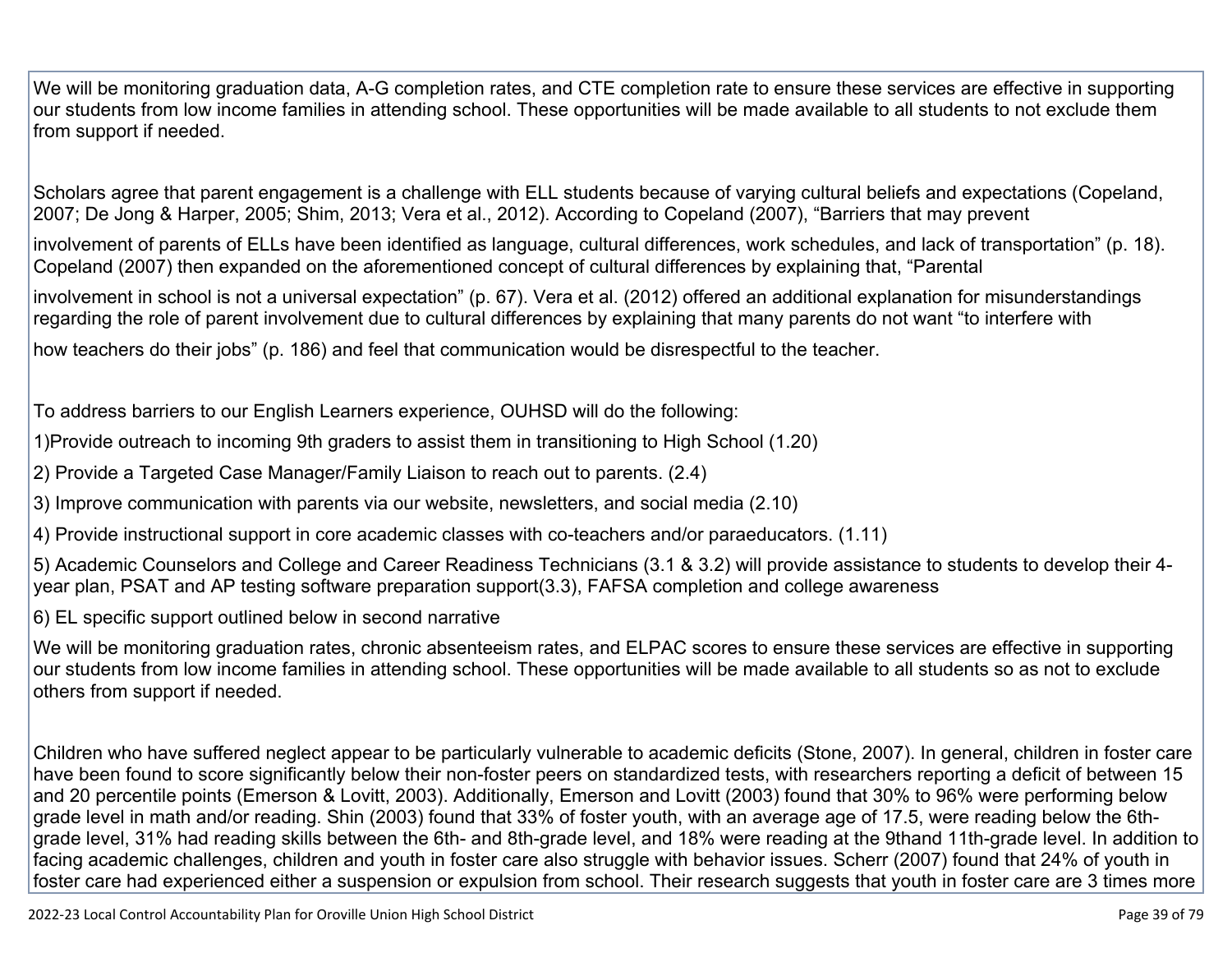We will be monitoring graduation data, A-G completion rates, and CTE completion rate to ensure these services are effective in supporting our students from low income families in attending school. These opportunities will be made available to all students to not exclude them from support if needed.

Scholars agree that parent engagement is a challenge with ELL students because of varying cultural beliefs and expectations (Copeland, 2007; De Jong & Harper, 2005; Shim, 2013; Vera et al., 2012). According to Copeland (2007), "Barriers that may prevent

involvement of parents of ELLs have been identified as language, cultural differences, work schedules, and lack of transportation" (p. 18). Copeland (2007) then expanded on the aforementioned concept of cultural differences by explaining that, "Parental

involvement in school is not a universal expectation" (p. 67). Vera et al. (2012) offered an additional explanation for misunderstandings regarding the role of parent involvement due to cultural differences by explaining that many parents do not want "to interfere with

how teachers do their jobs" (p. 186) and feel that communication would be disrespectful to the teacher.

To address barriers to our English Learners experience, OUHSD will do the following:

1)Provide outreach to incoming 9th graders to assist them in transitioning to High School (1.20)

2) Provide a Targeted Case Manager/Family Liaison to reach out to parents. (2.4)

3) Improve communication with parents via our website, newsletters, and social media (2.10)

4) Provide instructional support in core academic classes with co-teachers and/or paraeducators. (1.11)

5) Academic Counselors and College and Career Readiness Technicians (3.1 & 3.2) will provide assistance to students to develop their 4 year plan, PSAT and AP testing software preparation support(3.3), FAFSA completion and college awareness

6) EL specific support outlined below in second narrative

We will be monitoring graduation rates, chronic absenteeism rates, and ELPAC scores to ensure these services are effective in supporting our students from low income families in attending school. These opportunities will be made available to all students so as not to exclude others from support if needed.

Children who have suffered neglect appear to be particularly vulnerable to academic deficits (Stone, 2007). In general, children in foster care have been found to score significantly below their non-foster peers on standardized tests, with researchers reporting a deficit of between 15 and 20 percentile points (Emerson & Lovitt, 2003). Additionally, Emerson and Lovitt (2003) found that 30% to 96% were performing below grade level in math and/or reading. Shin (2003) found that 33% of foster youth, with an average age of 17.5, were reading below the 6thgrade level, 31% had reading skills between the 6th- and 8th-grade level, and 18% were reading at the 9thand 11th-grade level. In addition to facing academic challenges, children and youth in foster care also struggle with behavior issues. Scherr (2007) found that 24% of youth in foster care had experienced either a suspension or expulsion from school. Their research suggests that youth in foster care are 3 times more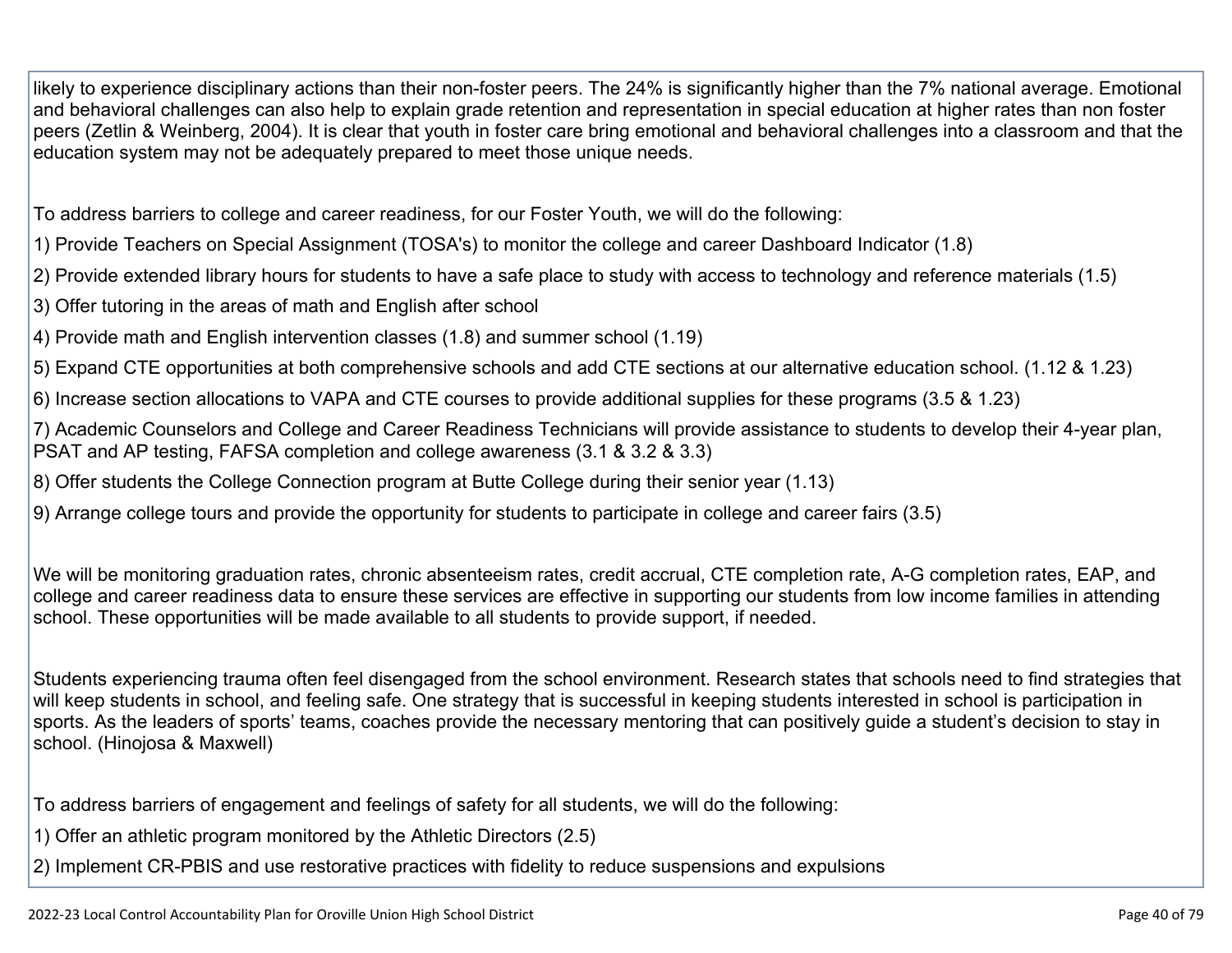likely to experience disciplinary actions than their non-foster peers. The 24% is significantly higher than the 7% national average. Emotional and behavioral challenges can also help to explain grade retention and representation in special education at higher rates than non foster peers (Zetlin & Weinberg, 2004). It is clear that youth in foster care bring emotional and behavioral challenges into a classroom and that the education system may not be adequately prepared to meet those unique needs.

To address barriers to college and career readiness, for our Foster Youth, we will do the following:

- 1) Provide Teachers on Special Assignment (TOSA's) to monitor the college and career Dashboard Indicator (1.8)
- 2) Provide extended library hours for students to have a safe place to study with access to technology and reference materials (1.5)
- 3) Offer tutoring in the areas of math and English after school
- 4) Provide math and English intervention classes (1.8) and summer school (1.19)
- 5) Expand CTE opportunities at both comprehensive schools and add CTE sections at our alternative education school. (1.12 & 1.23)
- 6) Increase section allocations to VAPA and CTE courses to provide additional supplies for these programs (3.5 & 1.23)
- 7) Academic Counselors and College and Career Readiness Technicians will provide assistance to students to develop their 4-year plan, PSAT and AP testing, FAFSA completion and college awareness (3.1 & 3.2 & 3.3)
- 8) Offer students the College Connection program at Butte College during their senior year (1.13)
- 9) Arrange college tours and provide the opportunity for students to participate in college and career fairs (3.5)

We will be monitoring graduation rates, chronic absenteeism rates, credit accrual, CTE completion rate, A-G completion rates, EAP, and college and career readiness data to ensure these services are effective in supporting our students from low income families in attending school. These opportunities will be made available to all students to provide support, if needed.

Students experiencing trauma often feel disengaged from the school environment. Research states that schools need to find strategies that will keep students in school, and feeling safe. One strategy that is successful in keeping students interested in school is participation in sports. As the leaders of sports' teams, coaches provide the necessary mentoring that can positively guide a student's decision to stay in school. (Hinojosa & Maxwell)

To address barriers of engagement and feelings of safety for all students, we will do the following:

- 1) Offer an athletic program monitored by the Athletic Directors (2.5)
- 2) Implement CR-PBIS and use restorative practices with fidelity to reduce suspensions and expulsions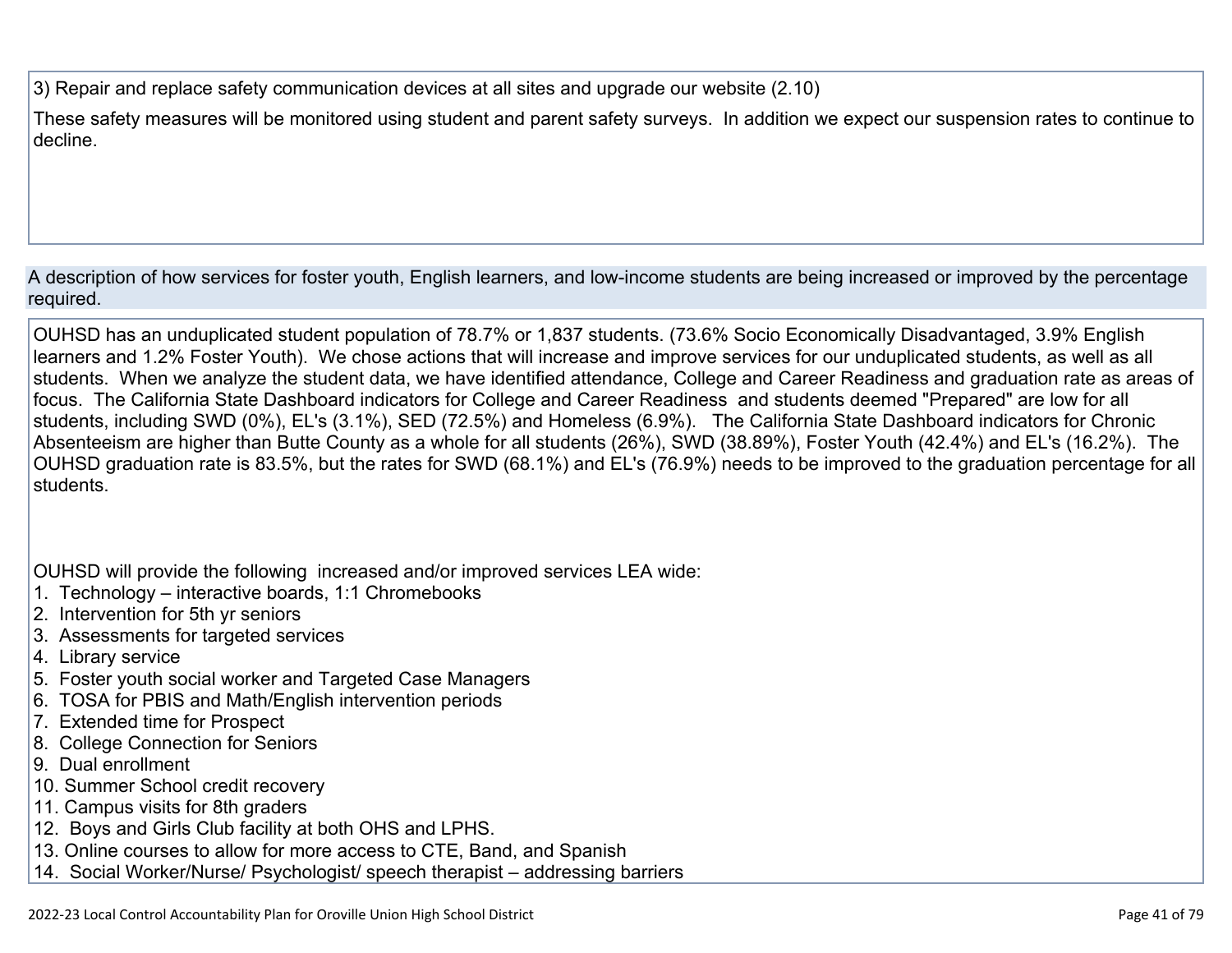3) Repair and replace safety communication devices at all sites and upgrade our website (2.10)

These safety measures will be monitored using student and parent safety surveys. In addition we expect our suspension rates to continue to decline.

A description of how services for foster youth, English learners, and low-income students are being increased or improved by the percentage required.

OUHSD has an unduplicated student population of 78.7% or 1,837 students. (73.6% Socio Economically Disadvantaged, 3.9% English learners and 1.2% Foster Youth). We chose actions that will increase and improve services for our unduplicated students, as well as all students. When we analyze the student data, we have identified attendance, College and Career Readiness and graduation rate as areas of focus. The California State Dashboard indicators for College and Career Readiness and students deemed "Prepared" are low for all students, including SWD (0%), EL's (3.1%), SED (72.5%) and Homeless (6.9%). The California State Dashboard indicators for Chronic Absenteeism are higher than Butte County as a whole for all students (26%), SWD (38.89%), Foster Youth (42.4%) and EL's (16.2%). The OUHSD graduation rate is 83.5%, but the rates for SWD (68.1%) and EL's (76.9%) needs to be improved to the graduation percentage for all students.

OUHSD will provide the following increased and/or improved services LEA wide:

- 1. Technology interactive boards, 1:1 Chromebooks
- 2. Intervention for 5th yr seniors
- 3. Assessments for targeted services
- 4. Library service
- 5. Foster youth social worker and Targeted Case Managers
- 6. TOSA for PBIS and Math/English intervention periods
- 7. Extended time for Prospect
- 8. College Connection for Seniors
- 9. Dual enrollment
- 10. Summer School credit recovery
- 11. Campus visits for 8th graders
- 12. Boys and Girls Club facility at both OHS and LPHS.
- 13. Online courses to allow for more access to CTE, Band, and Spanish
- 14. Social Worker/Nurse/ Psychologist/ speech therapist addressing barriers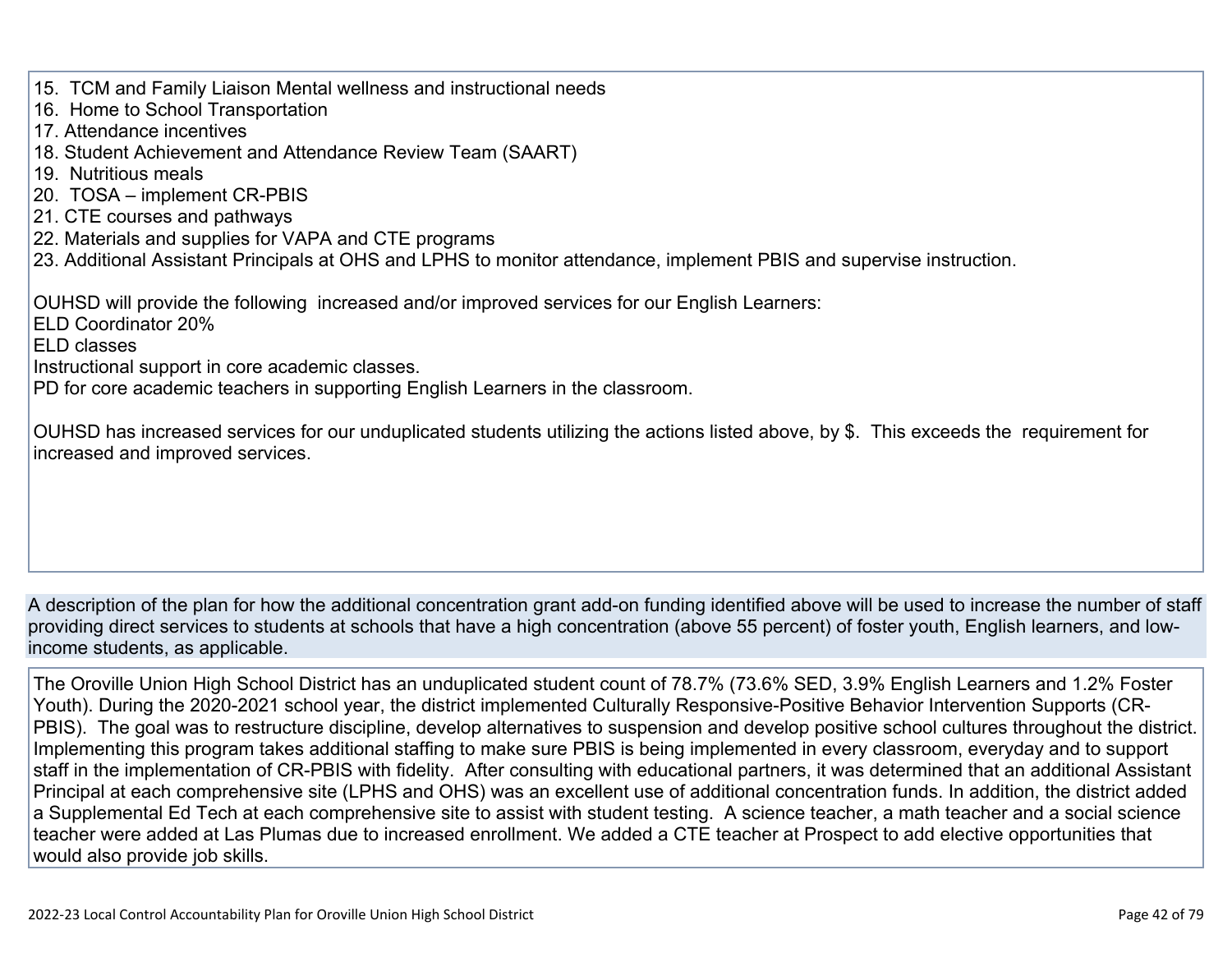- 15. TCM and Family Liaison Mental wellness and instructional needs
- 16. Home to School Transportation
- 17. Attendance incentives
- 18. Student Achievement and Attendance Review Team (SAART)
- 19. Nutritious meals
- 20. TOSA implement CR-PBIS
- 21. CTE courses and pathways
- 22. Materials and supplies for VAPA and CTE programs
- 23. Additional Assistant Principals at OHS and LPHS to monitor attendance, implement PBIS and supervise instruction.

OUHSD will provide the following increased and/or improved services for our English Learners:

ELD Coordinator 20%

ELD classes

Instructional support in core academic classes.

PD for core academic teachers in supporting English Learners in the classroom.

OUHSD has increased services for our unduplicated students utilizing the actions listed above, by \$. This exceeds the requirement for increased and improved services.

A description of the plan for how the additional concentration grant add-on funding identified above will be used to increase the number of staff providing direct services to students at schools that have a high concentration (above 55 percent) of foster youth, English learners, and lowincome students, as applicable.

The Oroville Union High School District has an unduplicated student count of 78.7% (73.6% SED, 3.9% English Learners and 1.2% Foster Youth). During the 2020-2021 school year, the district implemented Culturally Responsive-Positive Behavior Intervention Supports (CR-PBIS). The goal was to restructure discipline, develop alternatives to suspension and develop positive school cultures throughout the district. Implementing this program takes additional staffing to make sure PBIS is being implemented in every classroom, everyday and to support staff in the implementation of CR-PBIS with fidelity. After consulting with educational partners, it was determined that an additional Assistant Principal at each comprehensive site (LPHS and OHS) was an excellent use of additional concentration funds. In addition, the district added a Supplemental Ed Tech at each comprehensive site to assist with student testing. A science teacher, a math teacher and a social science teacher were added at Las Plumas due to increased enrollment. We added a CTE teacher at Prospect to add elective opportunities that would also provide job skills.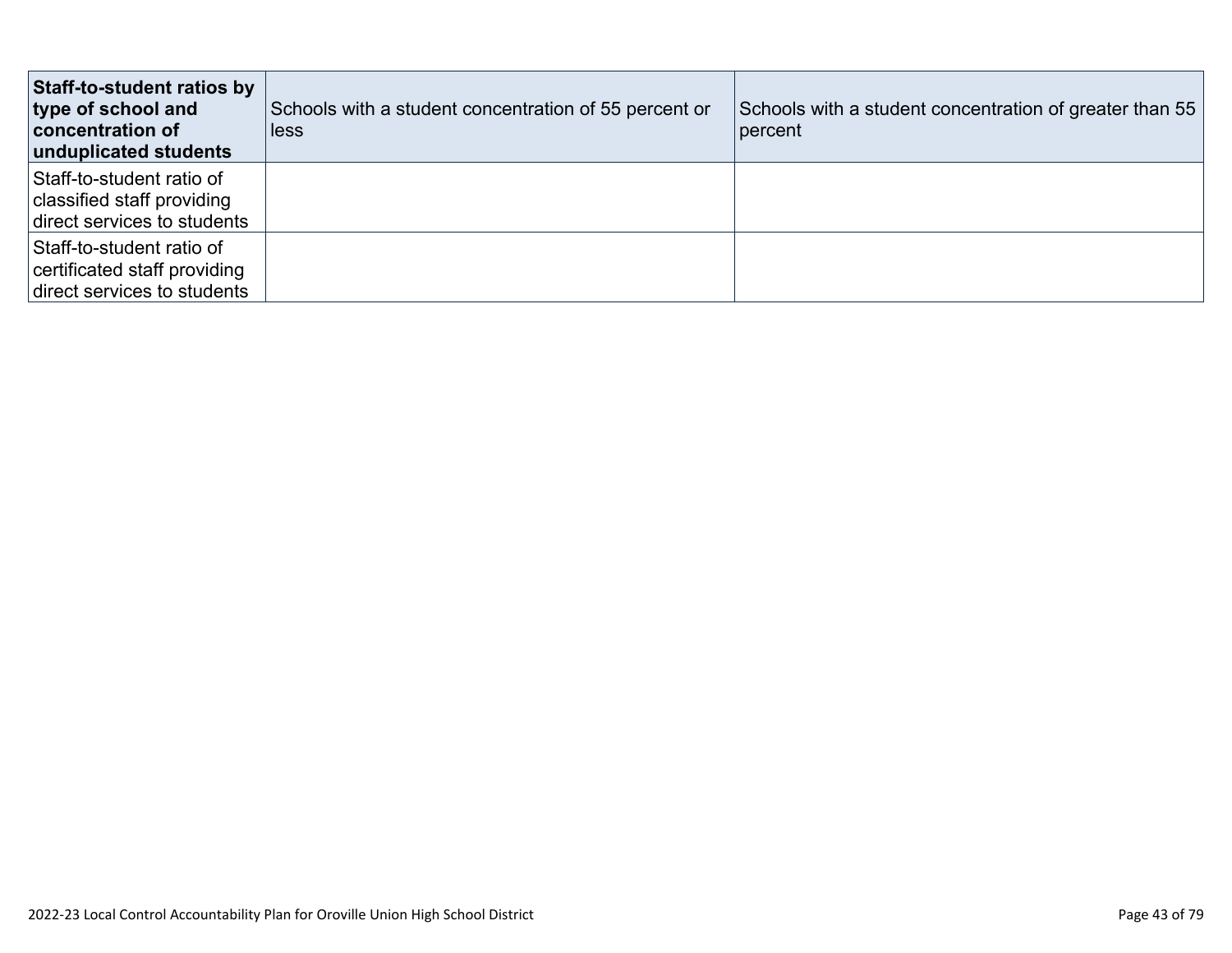| Staff-to-student ratios by<br>type of school and<br>concentration of<br>unduplicated students | Schools with a student concentration of 55 percent or<br>less | Schools with a student concentration of greater than 55<br>percent |
|-----------------------------------------------------------------------------------------------|---------------------------------------------------------------|--------------------------------------------------------------------|
| Staff-to-student ratio of<br>classified staff providing<br>direct services to students        |                                                               |                                                                    |
| Staff-to-student ratio of<br>certificated staff providing<br>direct services to students      |                                                               |                                                                    |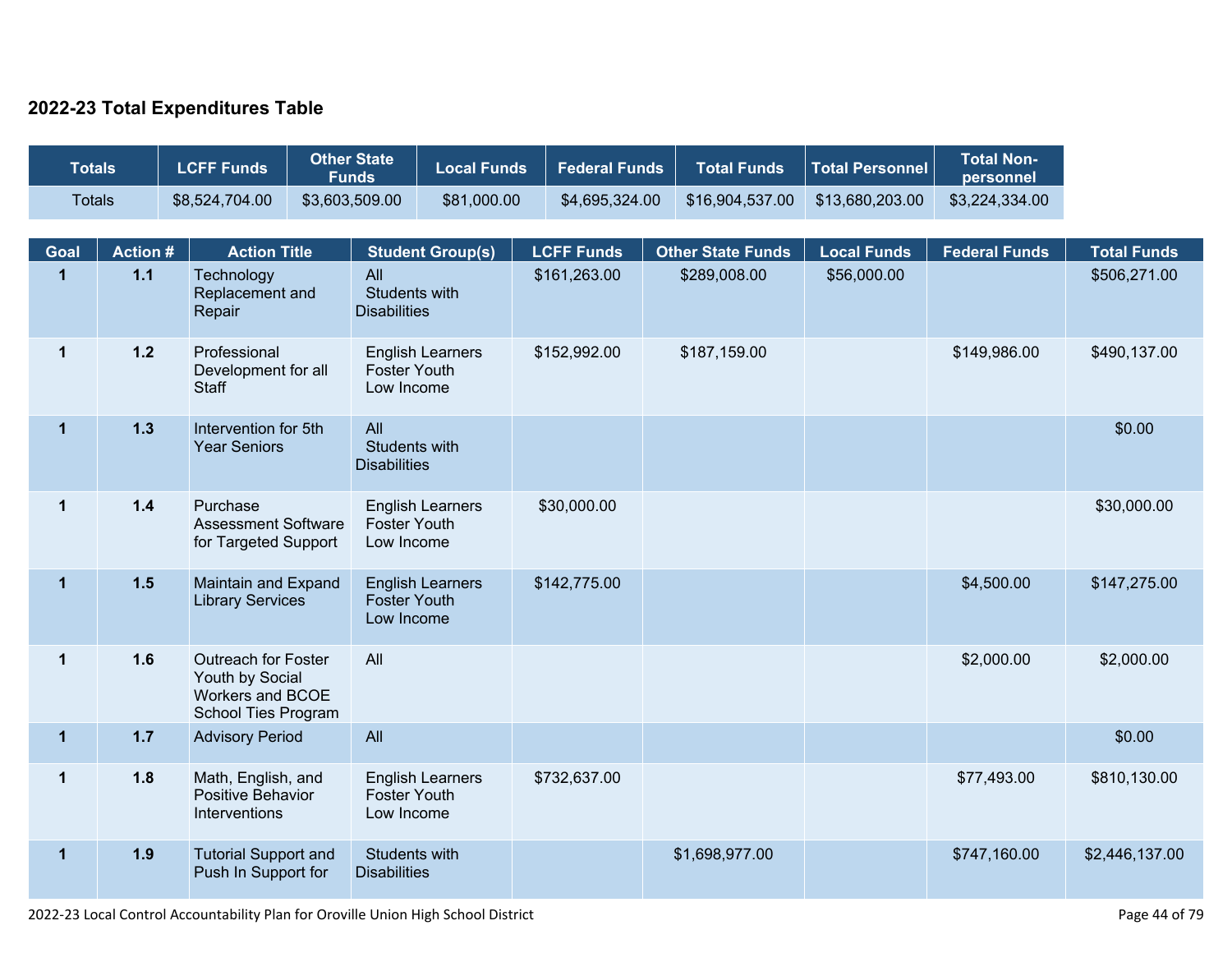### **2022-23 Total Expenditures Table**

| <b>Totals</b>               |                          | <b>LCFF Funds</b>                                                                        | <b>Other State</b><br><b>Funds</b>          | <b>Local Funds</b>      |                                   | <b>Federal Funds</b> | <b>Total Funds</b>                       | <b>Total Personnel</b>            | <b>Total Non-</b><br>personnel |                                    |
|-----------------------------|--------------------------|------------------------------------------------------------------------------------------|---------------------------------------------|-------------------------|-----------------------------------|----------------------|------------------------------------------|-----------------------------------|--------------------------------|------------------------------------|
| <b>Totals</b>               |                          | \$8,524,704.00                                                                           | \$3,603,509.00                              | \$81,000.00             |                                   | \$4,695,324.00       | \$16,904,537.00                          | \$13,680,203.00                   | \$3,224,334.00                 |                                    |
|                             |                          |                                                                                          |                                             |                         |                                   |                      |                                          |                                   |                                |                                    |
| <b>Goal</b><br>$\mathbf{1}$ | <b>Action #</b><br>$1.1$ | <b>Action Title</b><br>Technology                                                        | All                                         | <b>Student Group(s)</b> | <b>LCFF Funds</b><br>\$161,263.00 |                      | <b>Other State Funds</b><br>\$289,008.00 | <b>Local Funds</b><br>\$56,000.00 | <b>Federal Funds</b>           | <b>Total Funds</b><br>\$506,271.00 |
|                             |                          | Replacement and<br>Repair                                                                | Students with<br><b>Disabilities</b>        |                         |                                   |                      |                                          |                                   |                                |                                    |
| $\mathbf 1$                 | $1.2$                    | Professional<br>Development for all<br><b>Staff</b>                                      | <b>Foster Youth</b><br>Low Income           | <b>English Learners</b> | \$152,992.00                      |                      | \$187,159.00                             |                                   | \$149,986.00                   | \$490,137.00                       |
| $\mathbf 1$                 | $1.3$                    | Intervention for 5th<br><b>Year Seniors</b>                                              | All<br>Students with<br><b>Disabilities</b> |                         |                                   |                      |                                          |                                   |                                | \$0.00                             |
| $\mathbf 1$                 | $1.4$                    | Purchase<br><b>Assessment Software</b><br>for Targeted Support                           | <b>Foster Youth</b><br>Low Income           | <b>English Learners</b> | \$30,000.00                       |                      |                                          |                                   |                                | \$30,000.00                        |
| $\mathbf{1}$                | 1.5                      | Maintain and Expand<br><b>Library Services</b>                                           | <b>Foster Youth</b><br>Low Income           | <b>English Learners</b> | \$142,775.00                      |                      |                                          |                                   | \$4,500.00                     | \$147,275.00                       |
| 1                           | 1.6                      | <b>Outreach for Foster</b><br>Youth by Social<br>Workers and BCOE<br>School Ties Program | All                                         |                         |                                   |                      |                                          |                                   | \$2,000.00                     | \$2,000.00                         |
| $\overline{\mathbf{1}}$     | $1.7$                    | <b>Advisory Period</b>                                                                   | All                                         |                         |                                   |                      |                                          |                                   |                                | \$0.00                             |
| $\mathbf 1$                 | 1.8                      | Math, English, and<br>Positive Behavior<br>Interventions                                 | <b>Foster Youth</b><br>Low Income           | <b>English Learners</b> | \$732,637.00                      |                      |                                          |                                   | \$77,493.00                    | \$810,130.00                       |
| $\mathbf{1}$                | 1.9                      | <b>Tutorial Support and</b><br>Push In Support for                                       | Students with<br><b>Disabilities</b>        |                         |                                   |                      | \$1,698,977.00                           |                                   | \$747,160.00                   | \$2,446,137.00                     |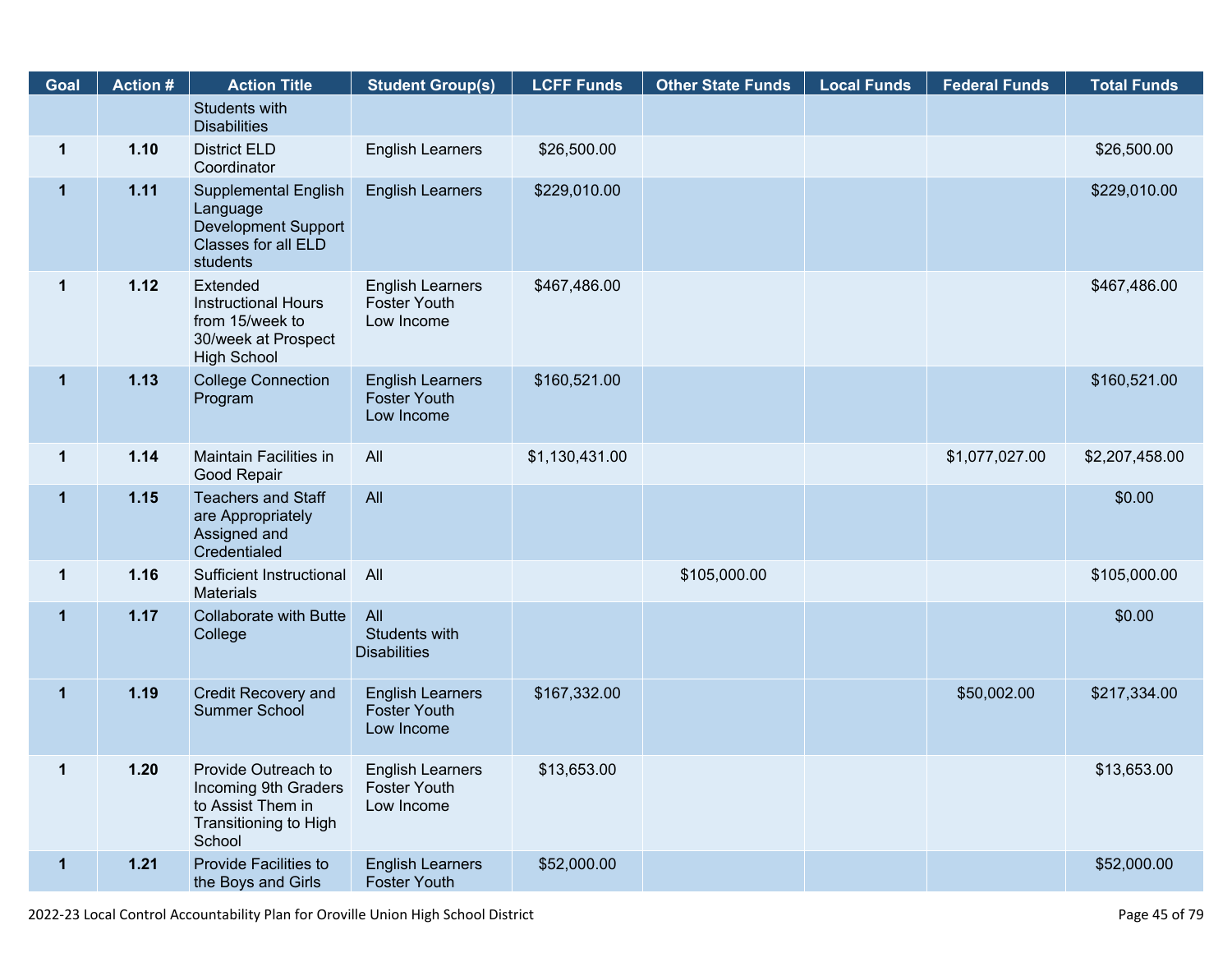| Goal                    | <b>Action #</b> | <b>Action Title</b>                                                                                        | <b>Student Group(s)</b>                                      | <b>LCFF Funds</b> | <b>Other State Funds</b> | <b>Local Funds</b> | <b>Federal Funds</b> | <b>Total Funds</b> |
|-------------------------|-----------------|------------------------------------------------------------------------------------------------------------|--------------------------------------------------------------|-------------------|--------------------------|--------------------|----------------------|--------------------|
|                         |                 | Students with<br><b>Disabilities</b>                                                                       |                                                              |                   |                          |                    |                      |                    |
| $\mathbf{1}$            | 1.10            | <b>District ELD</b><br>Coordinator                                                                         | <b>English Learners</b>                                      | \$26,500.00       |                          |                    |                      | \$26,500.00        |
| $\mathbf{1}$            | 1.11            | Supplemental English<br>Language<br>Development Support<br><b>Classes for all ELD</b><br>students          | <b>English Learners</b>                                      | \$229,010.00      |                          |                    |                      | \$229,010.00       |
| $\mathbf 1$             | 1.12            | Extended<br><b>Instructional Hours</b><br>from 15/week to<br>30/week at Prospect<br><b>High School</b>     | <b>English Learners</b><br>Foster Youth<br>Low Income        | \$467,486.00      |                          |                    |                      | \$467,486.00       |
| $\mathbf 1$             | 1.13            | <b>College Connection</b><br>Program                                                                       | <b>English Learners</b><br><b>Foster Youth</b><br>Low Income | \$160,521.00      |                          |                    |                      | \$160,521.00       |
| $\mathbf{1}$            | 1.14            | <b>Maintain Facilities in</b><br>Good Repair                                                               | All                                                          | \$1,130,431.00    |                          |                    | \$1,077,027.00       | \$2,207,458.00     |
| $\mathbf{1}$            | 1.15            | <b>Teachers and Staff</b><br>are Appropriately<br>Assigned and<br>Credentialed                             | All                                                          |                   |                          |                    |                      | \$0.00             |
| $\mathbf{1}$            | 1.16            | Sufficient Instructional<br><b>Materials</b>                                                               | All                                                          |                   | \$105,000.00             |                    |                      | \$105,000.00       |
| $\mathbf{1}$            | 1.17            | <b>Collaborate with Butte</b><br>College                                                                   | All<br>Students with<br><b>Disabilities</b>                  |                   |                          |                    |                      | \$0.00             |
| $\mathbf{1}$            | 1.19            | Credit Recovery and<br><b>Summer School</b>                                                                | <b>English Learners</b><br><b>Foster Youth</b><br>Low Income | \$167,332.00      |                          |                    | \$50,002.00          | \$217,334.00       |
| $\overline{\mathbf{1}}$ | 1.20            | Provide Outreach to<br>Incoming 9th Graders<br>to Assist Them in<br><b>Transitioning to High</b><br>School | <b>English Learners</b><br><b>Foster Youth</b><br>Low Income | \$13,653.00       |                          |                    |                      | \$13,653.00        |
| $\mathbf{1}$            | 1.21            | Provide Facilities to<br>the Boys and Girls                                                                | <b>English Learners</b><br><b>Foster Youth</b>               | \$52,000.00       |                          |                    |                      | \$52,000.00        |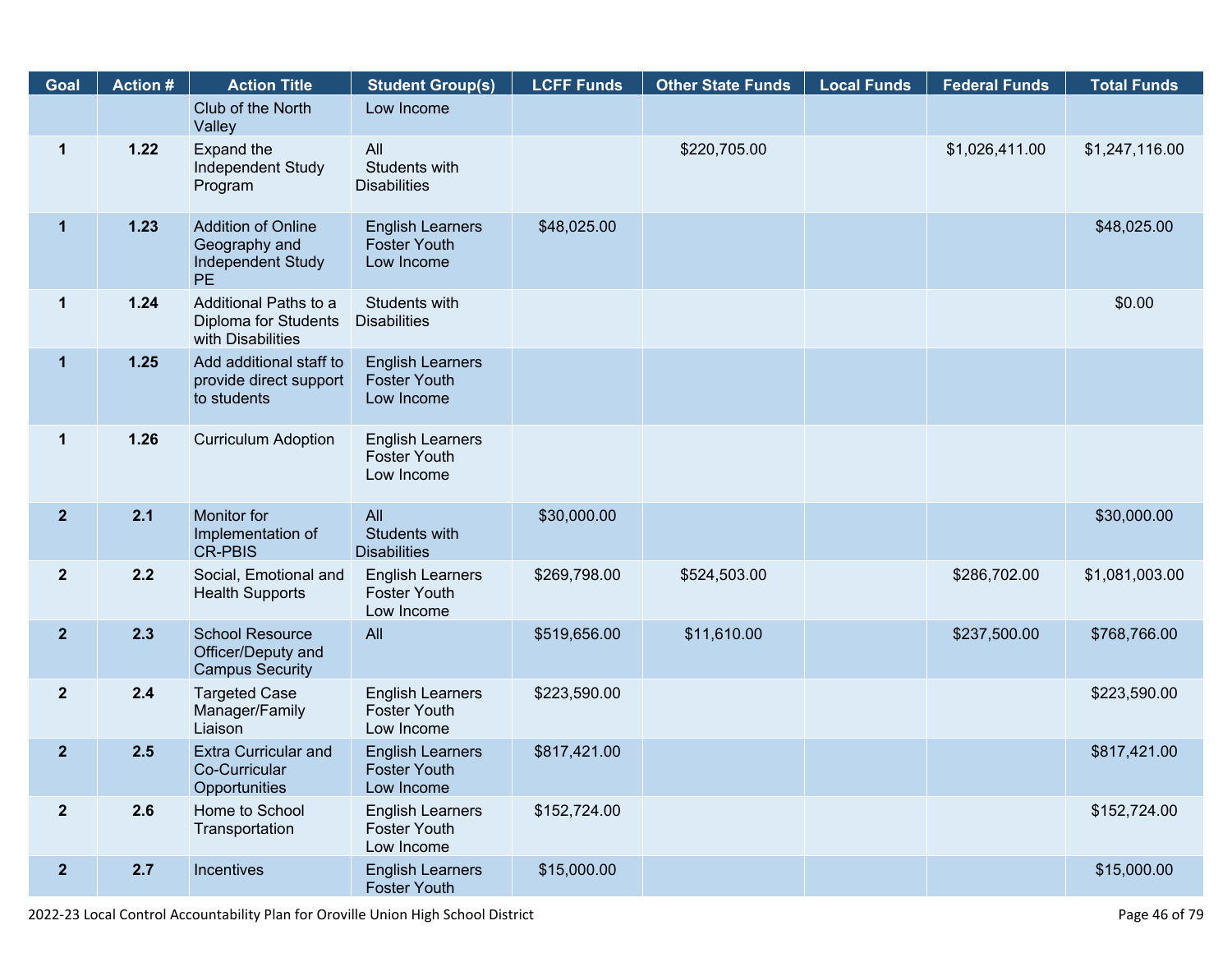| Goal           | <b>Action #</b> | <b>Action Title</b>                                                                 | <b>Student Group(s)</b>                                      | <b>LCFF Funds</b> | <b>Other State Funds</b> | <b>Local Funds</b> | <b>Federal Funds</b> | <b>Total Funds</b> |
|----------------|-----------------|-------------------------------------------------------------------------------------|--------------------------------------------------------------|-------------------|--------------------------|--------------------|----------------------|--------------------|
|                |                 | Club of the North<br>Valley                                                         | Low Income                                                   |                   |                          |                    |                      |                    |
| $\mathbf{1}$   | 1.22            | Expand the<br><b>Independent Study</b><br>Program                                   | All<br>Students with<br><b>Disabilities</b>                  |                   | \$220,705.00             |                    | \$1,026,411.00       | \$1,247,116.00     |
| $\mathbf 1$    | 1.23            | <b>Addition of Online</b><br>Geography and<br><b>Independent Study</b><br><b>PE</b> | <b>English Learners</b><br><b>Foster Youth</b><br>Low Income | \$48,025.00       |                          |                    |                      | \$48,025.00        |
| $\mathbf{1}$   | 1.24            | Additional Paths to a<br>Diploma for Students<br>with Disabilities                  | Students with<br><b>Disabilities</b>                         |                   |                          |                    |                      | \$0.00             |
| $\mathbf{1}$   | $1.25$          | Add additional staff to<br>provide direct support<br>to students                    | <b>English Learners</b><br><b>Foster Youth</b><br>Low Income |                   |                          |                    |                      |                    |
| $\mathbf{1}$   | 1.26            | <b>Curriculum Adoption</b>                                                          | <b>English Learners</b><br><b>Foster Youth</b><br>Low Income |                   |                          |                    |                      |                    |
| 2 <sup>2</sup> | 2.1             | <b>Monitor for</b><br>Implementation of<br><b>CR-PBIS</b>                           | All<br>Students with<br><b>Disabilities</b>                  | \$30,000.00       |                          |                    |                      | \$30,000.00        |
| $\mathbf{2}$   | 2.2             | Social, Emotional and<br><b>Health Supports</b>                                     | <b>English Learners</b><br><b>Foster Youth</b><br>Low Income | \$269,798.00      | \$524,503.00             |                    | \$286,702.00         | \$1,081,003.00     |
| 2 <sup>2</sup> | 2.3             | <b>School Resource</b><br>Officer/Deputy and<br><b>Campus Security</b>              | All                                                          | \$519,656.00      | \$11,610.00              |                    | \$237,500.00         | \$768,766.00       |
| 2 <sup>2</sup> | 2.4             | <b>Targeted Case</b><br>Manager/Family<br>Liaison                                   | <b>English Learners</b><br><b>Foster Youth</b><br>Low Income | \$223,590.00      |                          |                    |                      | \$223,590.00       |
| $\overline{2}$ | 2.5             | <b>Extra Curricular and</b><br>Co-Curricular<br>Opportunities                       | <b>English Learners</b><br><b>Foster Youth</b><br>Low Income | \$817,421.00      |                          |                    |                      | \$817,421.00       |
| $\overline{2}$ | 2.6             | Home to School<br>Transportation                                                    | <b>English Learners</b><br><b>Foster Youth</b><br>Low Income | \$152,724.00      |                          |                    |                      | \$152,724.00       |
| 2 <sup>2</sup> | 2.7             | Incentives                                                                          | <b>English Learners</b><br><b>Foster Youth</b>               | \$15,000.00       |                          |                    |                      | \$15,000.00        |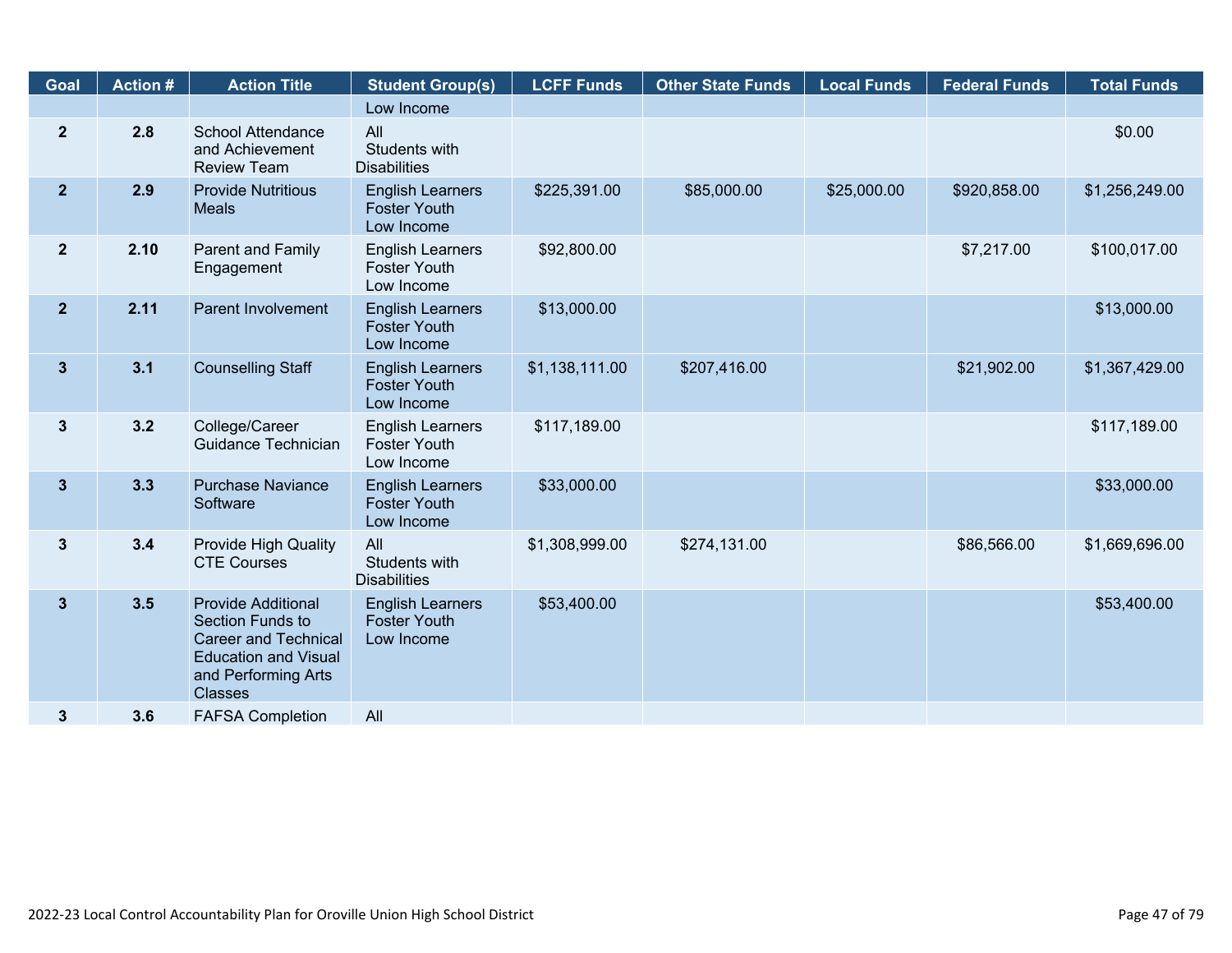| Goal           | <b>Action#</b> | <b>Action Title</b>                                                                                                                                  | <b>Student Group(s)</b>                                      | <b>LCFF Funds</b> | <b>Other State Funds</b> | <b>Local Funds</b> | <b>Federal Funds</b> | <b>Total Funds</b> |
|----------------|----------------|------------------------------------------------------------------------------------------------------------------------------------------------------|--------------------------------------------------------------|-------------------|--------------------------|--------------------|----------------------|--------------------|
|                |                |                                                                                                                                                      | Low Income                                                   |                   |                          |                    |                      |                    |
| $\overline{2}$ | 2.8            | <b>School Attendance</b><br>and Achievement<br><b>Review Team</b>                                                                                    | All<br>Students with<br><b>Disabilities</b>                  |                   |                          |                    |                      | \$0.00             |
| 2 <sup>2</sup> | 2.9            | <b>Provide Nutritious</b><br><b>Meals</b>                                                                                                            | <b>English Learners</b><br><b>Foster Youth</b><br>Low Income | \$225,391.00      | \$85,000.00              | \$25,000.00        | \$920,858.00         | \$1,256,249.00     |
| 2 <sup>2</sup> | 2.10           | Parent and Family<br>Engagement                                                                                                                      | <b>English Learners</b><br><b>Foster Youth</b><br>Low Income | \$92,800.00       |                          |                    | \$7,217.00           | \$100,017.00       |
| 2 <sup>1</sup> | 2.11           | <b>Parent Involvement</b>                                                                                                                            | <b>English Learners</b><br><b>Foster Youth</b><br>Low Income | \$13,000.00       |                          |                    |                      | \$13,000.00        |
| $3\phantom{a}$ | 3.1            | <b>Counselling Staff</b>                                                                                                                             | <b>English Learners</b><br><b>Foster Youth</b><br>Low Income | \$1,138,111.00    | \$207,416.00             |                    | \$21,902.00          | \$1,367,429.00     |
| $3\phantom{a}$ | 3.2            | College/Career<br>Guidance Technician                                                                                                                | <b>English Learners</b><br><b>Foster Youth</b><br>Low Income | \$117,189.00      |                          |                    |                      | \$117,189.00       |
| 3 <sup>2</sup> | 3.3            | <b>Purchase Naviance</b><br>Software                                                                                                                 | <b>English Learners</b><br><b>Foster Youth</b><br>Low Income | \$33,000.00       |                          |                    |                      | \$33,000.00        |
| $\mathbf{3}$   | 3.4            | Provide High Quality<br><b>CTE Courses</b>                                                                                                           | All<br>Students with<br><b>Disabilities</b>                  | \$1,308,999.00    | \$274,131.00             |                    | \$86,566.00          | \$1,669,696.00     |
| 3 <sup>5</sup> | 3.5            | <b>Provide Additional</b><br>Section Funds to<br><b>Career and Technical</b><br><b>Education and Visual</b><br>and Performing Arts<br><b>Classes</b> | <b>English Learners</b><br><b>Foster Youth</b><br>Low Income | \$53,400.00       |                          |                    |                      | \$53,400.00        |
| 3              | 3.6            | <b>FAFSA Completion</b>                                                                                                                              | All                                                          |                   |                          |                    |                      |                    |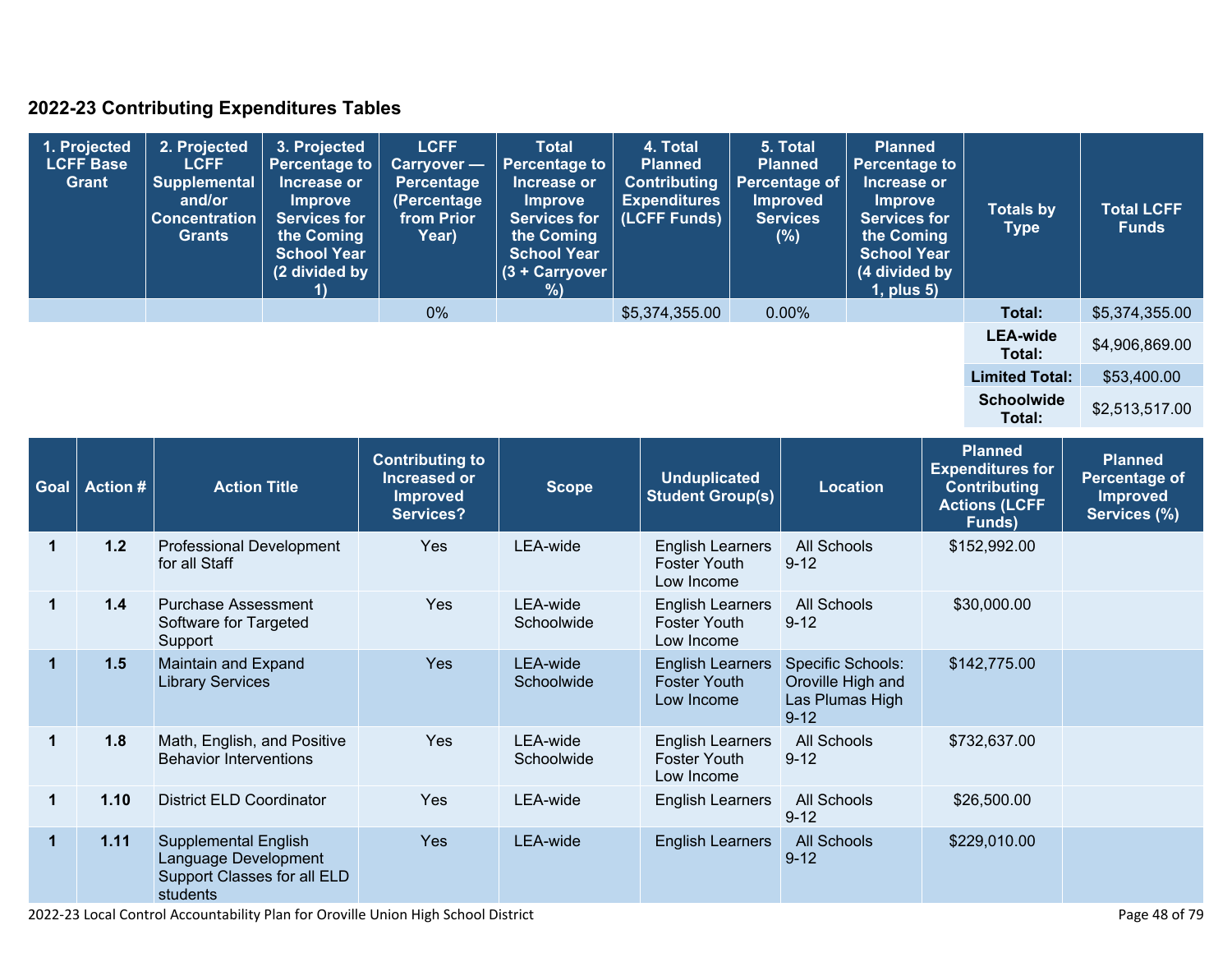### **2022-23 Contributing Expenditures Tables**

| 1. Projected<br><b>LCFF Base</b><br>Grant | 2. Projected<br><b>LCFF</b><br><b>Supplemental</b><br>and/or<br><b>Concentration</b><br><b>Grants</b> | 3. Projected<br><b>Percentage to</b><br>Increase or<br><b>Improve</b><br><b>Services for</b><br>the Coming<br><b>School Year</b><br>(2 divided by | <b>LCFF</b><br>Carryover -<br>Percentage<br>(Percentage<br>from Prior<br>Year) | <b>Total</b><br><b>Percentage to</b><br>Increase or<br><b>Improve</b><br><b>Services for</b><br>the Coming<br><b>School Year</b><br>(3 + Carryover<br>%) | 4. Total<br><b>Planned</b><br><b>Contributing</b><br><b>Expenditures</b><br>(LCFF Funds) | 5. Total<br><b>Planned</b><br><b>Percentage of</b><br><b>Improved</b><br><b>Services</b><br>(%) | <b>Planned</b><br><b>Percentage to</b><br>Increase or<br><b>Improve</b><br><b>Services for</b><br>the Coming<br><b>School Year</b><br>(4 divided by<br>$1$ , plus $5$ ) | <b>Totals by</b><br><b>Type</b> | <b>Total LCFF</b><br><b>Funds</b> |
|-------------------------------------------|-------------------------------------------------------------------------------------------------------|---------------------------------------------------------------------------------------------------------------------------------------------------|--------------------------------------------------------------------------------|----------------------------------------------------------------------------------------------------------------------------------------------------------|------------------------------------------------------------------------------------------|-------------------------------------------------------------------------------------------------|-------------------------------------------------------------------------------------------------------------------------------------------------------------------------|---------------------------------|-----------------------------------|
|                                           |                                                                                                       |                                                                                                                                                   | $0\%$                                                                          |                                                                                                                                                          | \$5,374,355.00                                                                           | $0.00\%$                                                                                        |                                                                                                                                                                         | Total:                          | \$5,374,355.00                    |
|                                           |                                                                                                       |                                                                                                                                                   |                                                                                |                                                                                                                                                          |                                                                                          |                                                                                                 |                                                                                                                                                                         | <b>LEA-wide</b><br>Total:       | \$4,906,869.00                    |
|                                           |                                                                                                       |                                                                                                                                                   |                                                                                |                                                                                                                                                          |                                                                                          |                                                                                                 |                                                                                                                                                                         | <b>Limited Total:</b>           | \$53,400.00                       |
|                                           |                                                                                                       |                                                                                                                                                   |                                                                                |                                                                                                                                                          |                                                                                          |                                                                                                 |                                                                                                                                                                         | <b>Schoolwide</b><br>Total:     | \$2,513,517.00                    |

| <b>Goal</b> | $\overline{\mathsf{Action}}$ # | <b>Action Title</b>                                                                            | <b>Contributing to</b><br><b>Increased or</b><br><b>Improved</b><br>Services? | <b>Scope</b>           | <b>Unduplicated</b><br><b>Student Group(s)</b>               | <b>Location</b>                                                              | <b>Planned</b><br><b>Expenditures for</b><br><b>Contributing</b><br><b>Actions (LCFF</b><br>Funds) | <b>Planned</b><br>Percentage of<br><b>Improved</b><br>Services (%) |
|-------------|--------------------------------|------------------------------------------------------------------------------------------------|-------------------------------------------------------------------------------|------------------------|--------------------------------------------------------------|------------------------------------------------------------------------------|----------------------------------------------------------------------------------------------------|--------------------------------------------------------------------|
| 1           | $1.2$                          | <b>Professional Development</b><br>for all Staff                                               | Yes                                                                           | LEA-wide               | <b>English Learners</b><br><b>Foster Youth</b><br>Low Income | All Schools<br>$9 - 12$                                                      | \$152,992.00                                                                                       |                                                                    |
| $\mathbf 1$ | 1.4                            | <b>Purchase Assessment</b><br>Software for Targeted<br>Support                                 | <b>Yes</b>                                                                    | LEA-wide<br>Schoolwide | <b>English Learners</b><br><b>Foster Youth</b><br>Low Income | All Schools<br>$9 - 12$                                                      | \$30,000.00                                                                                        |                                                                    |
| $\mathbf 1$ | 1.5                            | Maintain and Expand<br><b>Library Services</b>                                                 | <b>Yes</b>                                                                    | LEA-wide<br>Schoolwide | <b>English Learners</b><br><b>Foster Youth</b><br>Low Income | <b>Specific Schools:</b><br>Oroville High and<br>Las Plumas High<br>$9 - 12$ | \$142,775.00                                                                                       |                                                                    |
|             | 1.8                            | Math, English, and Positive<br><b>Behavior Interventions</b>                                   | <b>Yes</b>                                                                    | LEA-wide<br>Schoolwide | <b>English Learners</b><br><b>Foster Youth</b><br>Low Income | All Schools<br>$9 - 12$                                                      | \$732,637.00                                                                                       |                                                                    |
| 1           | 1.10                           | <b>District ELD Coordinator</b>                                                                | Yes                                                                           | LEA-wide               | <b>English Learners</b>                                      | All Schools<br>$9 - 12$                                                      | \$26,500.00                                                                                        |                                                                    |
| $\mathbf 1$ | 1.11                           | <b>Supplemental English</b><br>Language Development<br>Support Classes for all ELD<br>students | <b>Yes</b>                                                                    | LEA-wide               | <b>English Learners</b>                                      | <b>All Schools</b><br>$9 - 12$                                               | \$229,010.00                                                                                       |                                                                    |

2022-23 Local Control Accountability Plan for Oroville Union High School District Page 18 of 79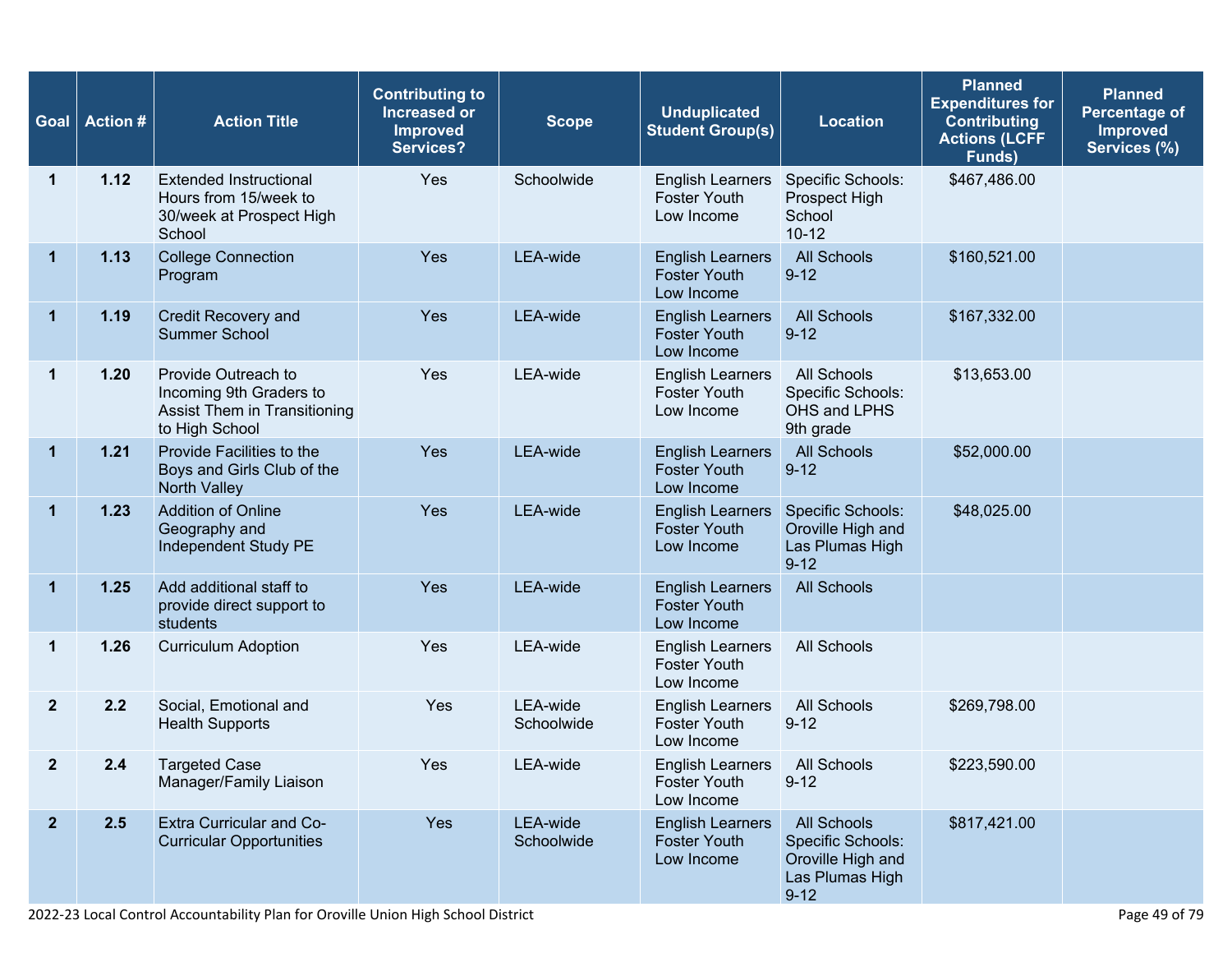| Goal           | <b>Action#</b> | <b>Action Title</b>                                                                              | <b>Contributing to</b><br>Increased or<br><b>Improved</b><br><b>Services?</b> | <b>Scope</b>           | <b>Unduplicated</b><br><b>Student Group(s)</b>               | <b>Location</b>                                                                                    | <b>Planned</b><br><b>Expenditures for</b><br><b>Contributing</b><br><b>Actions (LCFF</b><br>Funds) | <b>Planned</b><br><b>Percentage of</b><br><b>Improved</b><br>Services (%) |
|----------------|----------------|--------------------------------------------------------------------------------------------------|-------------------------------------------------------------------------------|------------------------|--------------------------------------------------------------|----------------------------------------------------------------------------------------------------|----------------------------------------------------------------------------------------------------|---------------------------------------------------------------------------|
| 1              | 1.12           | <b>Extended Instructional</b><br>Hours from 15/week to<br>30/week at Prospect High<br>School     | Yes                                                                           | Schoolwide             | <b>English Learners</b><br><b>Foster Youth</b><br>Low Income | <b>Specific Schools:</b><br>Prospect High<br>School<br>$10 - 12$                                   | \$467,486.00                                                                                       |                                                                           |
| $\mathbf{1}$   | 1.13           | <b>College Connection</b><br>Program                                                             | Yes                                                                           | LEA-wide               | <b>English Learners</b><br><b>Foster Youth</b><br>Low Income | <b>All Schools</b><br>$9 - 12$                                                                     | \$160,521.00                                                                                       |                                                                           |
| $\mathbf 1$    | 1.19           | Credit Recovery and<br><b>Summer School</b>                                                      | Yes                                                                           | LEA-wide               | <b>English Learners</b><br><b>Foster Youth</b><br>Low Income | <b>All Schools</b><br>$9 - 12$                                                                     | \$167,332.00                                                                                       |                                                                           |
| $\mathbf 1$    | 1.20           | Provide Outreach to<br>Incoming 9th Graders to<br>Assist Them in Transitioning<br>to High School | Yes                                                                           | LEA-wide               | <b>English Learners</b><br><b>Foster Youth</b><br>Low Income | All Schools<br>Specific Schools:<br>OHS and LPHS<br>9th grade                                      | \$13,653.00                                                                                        |                                                                           |
| $\mathbf{1}$   | 1.21           | Provide Facilities to the<br>Boys and Girls Club of the<br><b>North Valley</b>                   | Yes                                                                           | <b>LEA-wide</b>        | <b>English Learners</b><br><b>Foster Youth</b><br>Low Income | <b>All Schools</b><br>$9 - 12$                                                                     | \$52,000.00                                                                                        |                                                                           |
| $\mathbf 1$    | 1.23           | <b>Addition of Online</b><br>Geography and<br>Independent Study PE                               | Yes                                                                           | LEA-wide               | <b>English Learners</b><br><b>Foster Youth</b><br>Low Income | <b>Specific Schools:</b><br>Oroville High and<br>Las Plumas High<br>$9 - 12$                       | \$48,025.00                                                                                        |                                                                           |
| $\mathbf 1$    | 1.25           | Add additional staff to<br>provide direct support to<br>students                                 | Yes                                                                           | LEA-wide               | <b>English Learners</b><br><b>Foster Youth</b><br>Low Income | <b>All Schools</b>                                                                                 |                                                                                                    |                                                                           |
| $\mathbf 1$    | 1.26           | <b>Curriculum Adoption</b>                                                                       | Yes                                                                           | LEA-wide               | <b>English Learners</b><br><b>Foster Youth</b><br>Low Income | <b>All Schools</b>                                                                                 |                                                                                                    |                                                                           |
| $\overline{2}$ | 2.2            | Social, Emotional and<br><b>Health Supports</b>                                                  | Yes                                                                           | LEA-wide<br>Schoolwide | <b>English Learners</b><br><b>Foster Youth</b><br>Low Income | All Schools<br>$9 - 12$                                                                            | \$269,798.00                                                                                       |                                                                           |
| 2              | 2.4            | <b>Targeted Case</b><br>Manager/Family Liaison                                                   | Yes                                                                           | LEA-wide               | <b>English Learners</b><br><b>Foster Youth</b><br>Low Income | All Schools<br>$9 - 12$                                                                            | \$223,590.00                                                                                       |                                                                           |
| $\mathbf{2}$   | 2.5            | <b>Extra Curricular and Co-</b><br><b>Curricular Opportunities</b>                               | Yes                                                                           | LEA-wide<br>Schoolwide | <b>English Learners</b><br><b>Foster Youth</b><br>Low Income | <b>All Schools</b><br><b>Specific Schools:</b><br>Oroville High and<br>Las Plumas High<br>$9 - 12$ | \$817,421.00                                                                                       |                                                                           |

2022-23 Local Control Accountability Plan for Oroville Union High School District Page 49 of 79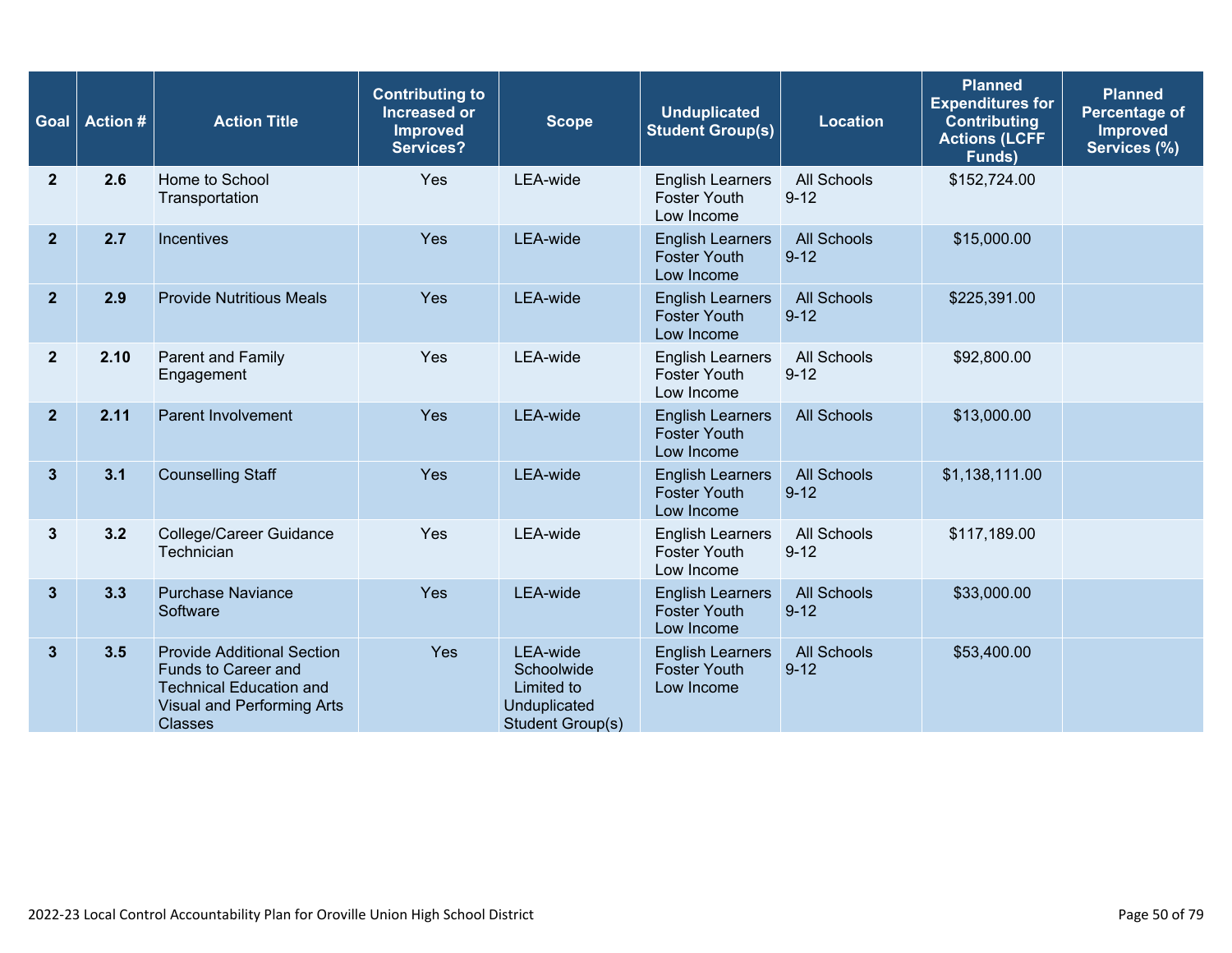| <b>Goal</b>    | Action # | <b>Action Title</b>                                                                                                                        | <b>Contributing to</b><br>Increased or<br><b>Improved</b><br><b>Services?</b> | <b>Scope</b>                                                                    | <b>Unduplicated</b><br><b>Student Group(s)</b>               | <b>Location</b>                | <b>Planned</b><br><b>Expenditures for</b><br><b>Contributing</b><br><b>Actions (LCFF</b><br>Funds) | <b>Planned</b><br>Percentage of<br><b>Improved</b><br>Services (%) |
|----------------|----------|--------------------------------------------------------------------------------------------------------------------------------------------|-------------------------------------------------------------------------------|---------------------------------------------------------------------------------|--------------------------------------------------------------|--------------------------------|----------------------------------------------------------------------------------------------------|--------------------------------------------------------------------|
| $\mathbf{2}$   | 2.6      | Home to School<br>Transportation                                                                                                           | Yes                                                                           | LEA-wide                                                                        | <b>English Learners</b><br><b>Foster Youth</b><br>Low Income | All Schools<br>$9 - 12$        | \$152,724.00                                                                                       |                                                                    |
| $\overline{2}$ | 2.7      | Incentives                                                                                                                                 | Yes                                                                           | LEA-wide                                                                        | <b>English Learners</b><br><b>Foster Youth</b><br>Low Income | <b>All Schools</b><br>$9 - 12$ | \$15,000.00                                                                                        |                                                                    |
| $\mathbf{2}$   | 2.9      | <b>Provide Nutritious Meals</b>                                                                                                            | Yes                                                                           | <b>LEA-wide</b>                                                                 | <b>English Learners</b><br><b>Foster Youth</b><br>Low Income | <b>All Schools</b><br>$9 - 12$ | \$225,391.00                                                                                       |                                                                    |
| $\overline{2}$ | 2.10     | Parent and Family<br>Engagement                                                                                                            | Yes                                                                           | LEA-wide                                                                        | <b>English Learners</b><br><b>Foster Youth</b><br>Low Income | All Schools<br>$9 - 12$        | \$92,800.00                                                                                        |                                                                    |
| $\mathbf{2}$   | 2.11     | <b>Parent Involvement</b>                                                                                                                  | Yes                                                                           | <b>LEA-wide</b>                                                                 | <b>English Learners</b><br><b>Foster Youth</b><br>Low Income | <b>All Schools</b>             | \$13,000.00                                                                                        |                                                                    |
| 3              | 3.1      | <b>Counselling Staff</b>                                                                                                                   | Yes                                                                           | LEA-wide                                                                        | <b>English Learners</b><br><b>Foster Youth</b><br>Low Income | <b>All Schools</b><br>$9 - 12$ | \$1,138,111.00                                                                                     |                                                                    |
| $\mathbf{3}$   | 3.2      | College/Career Guidance<br>Technician                                                                                                      | Yes                                                                           | LEA-wide                                                                        | <b>English Learners</b><br><b>Foster Youth</b><br>Low Income | All Schools<br>$9 - 12$        | \$117,189.00                                                                                       |                                                                    |
| $\mathbf{3}$   | 3.3      | <b>Purchase Naviance</b><br>Software                                                                                                       | Yes                                                                           | <b>LEA-wide</b>                                                                 | <b>English Learners</b><br><b>Foster Youth</b><br>Low Income | <b>All Schools</b><br>$9 - 12$ | \$33,000.00                                                                                        |                                                                    |
| $\mathbf{3}$   | 3.5      | <b>Provide Additional Section</b><br>Funds to Career and<br><b>Technical Education and</b><br>Visual and Performing Arts<br><b>Classes</b> | Yes                                                                           | <b>LEA-wide</b><br>Schoolwide<br>Limited to<br>Unduplicated<br>Student Group(s) | <b>English Learners</b><br><b>Foster Youth</b><br>Low Income | <b>All Schools</b><br>$9 - 12$ | \$53,400.00                                                                                        |                                                                    |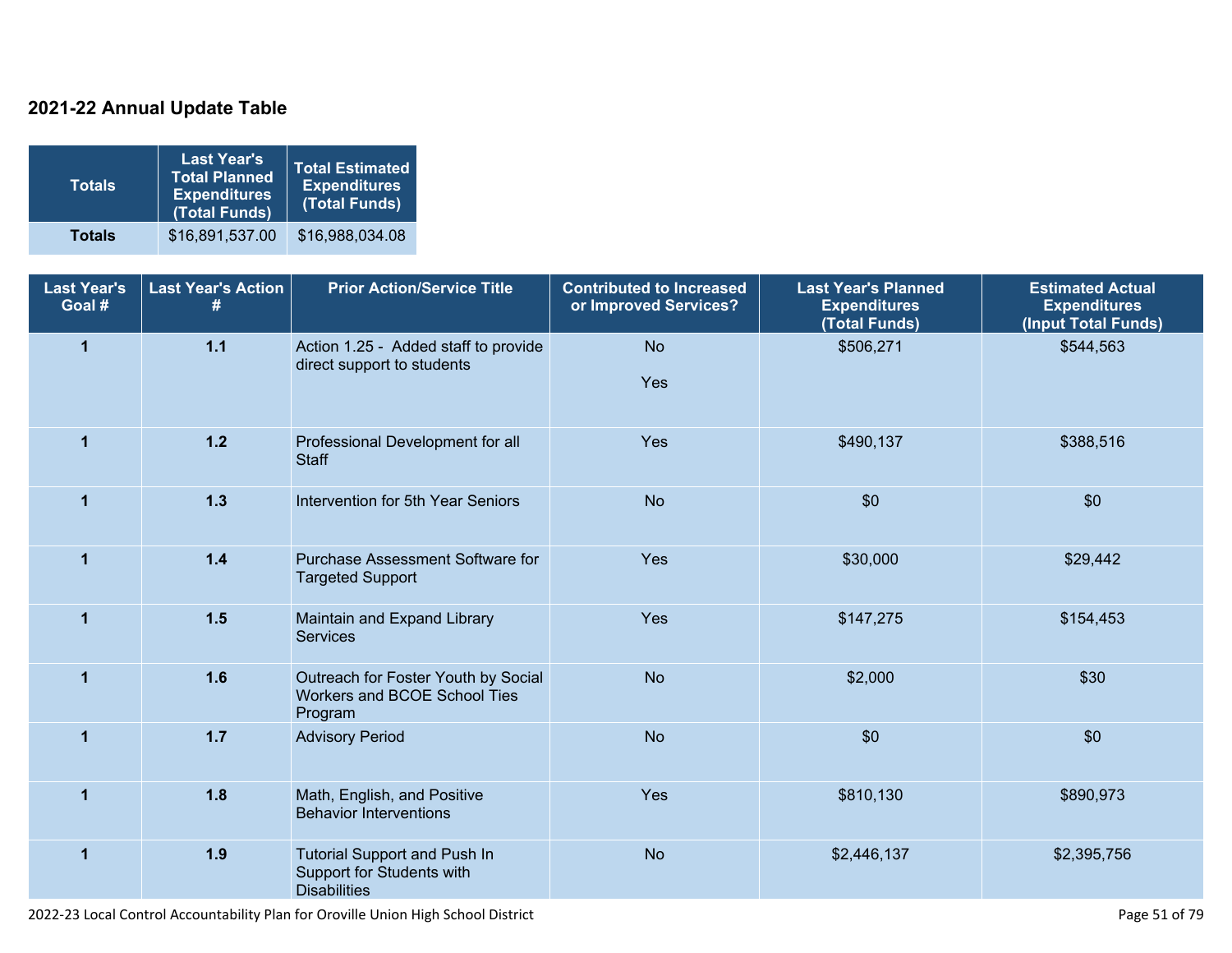### **2021-22 Annual Update Table**

| <b>Totals</b> | <b>Last Year's</b><br>Total Planned<br><b>Expenditures</b><br>(Total Funds) | Total Estimated<br><b>Expenditures</b><br>(Total Funds) |
|---------------|-----------------------------------------------------------------------------|---------------------------------------------------------|
| <b>Totals</b> | \$16,891,537.00                                                             | \$16,988,034.08                                         |

| <b>Last Year's</b><br>Goal # | Last Year's Action | <b>Prior Action/Service Title</b>                                                       | <b>Contributed to Increased</b><br>or Improved Services? | <b>Last Year's Planned</b><br><b>Expenditures</b><br>(Total Funds) | <b>Estimated Actual</b><br><b>Expenditures</b><br>(Input Total Funds) |
|------------------------------|--------------------|-----------------------------------------------------------------------------------------|----------------------------------------------------------|--------------------------------------------------------------------|-----------------------------------------------------------------------|
| $\overline{1}$               | $1.1$              | Action 1.25 - Added staff to provide                                                    | <b>No</b>                                                | \$506,271                                                          | \$544,563                                                             |
|                              |                    | direct support to students                                                              | Yes                                                      |                                                                    |                                                                       |
| $\mathbf{1}$                 | $1.2$              | Professional Development for all<br><b>Staff</b>                                        | Yes                                                      | \$490,137                                                          | \$388,516                                                             |
| $\blacktriangleleft$         | $1.3$              | Intervention for 5th Year Seniors                                                       | <b>No</b>                                                | \$0                                                                | \$0                                                                   |
| $\mathbf{1}$                 | $1.4$              | Purchase Assessment Software for<br><b>Targeted Support</b>                             | Yes                                                      | \$30,000                                                           | \$29,442                                                              |
| $\overline{\mathbf{1}}$      | $1.5$              | Maintain and Expand Library<br><b>Services</b>                                          | Yes                                                      | \$147,275                                                          | \$154,453                                                             |
| $\mathbf{1}$                 | 1.6                | Outreach for Foster Youth by Social<br>Workers and BCOE School Ties<br>Program          | <b>No</b>                                                | \$2,000                                                            | \$30                                                                  |
| $\blacktriangleleft$         | $1.7$              | <b>Advisory Period</b>                                                                  | <b>No</b>                                                | \$0                                                                | \$0                                                                   |
| $\blacktriangleleft$         | 1.8                | Math, English, and Positive<br><b>Behavior Interventions</b>                            | Yes                                                      | \$810,130                                                          | \$890,973                                                             |
| $\mathbf{1}$                 | $1.9$              | <b>Tutorial Support and Push In</b><br>Support for Students with<br><b>Disabilities</b> | <b>No</b>                                                | \$2,446,137                                                        | \$2,395,756                                                           |

2022-23 Local Control Accountability Plan for Oroville Union High School District Page 51 of 79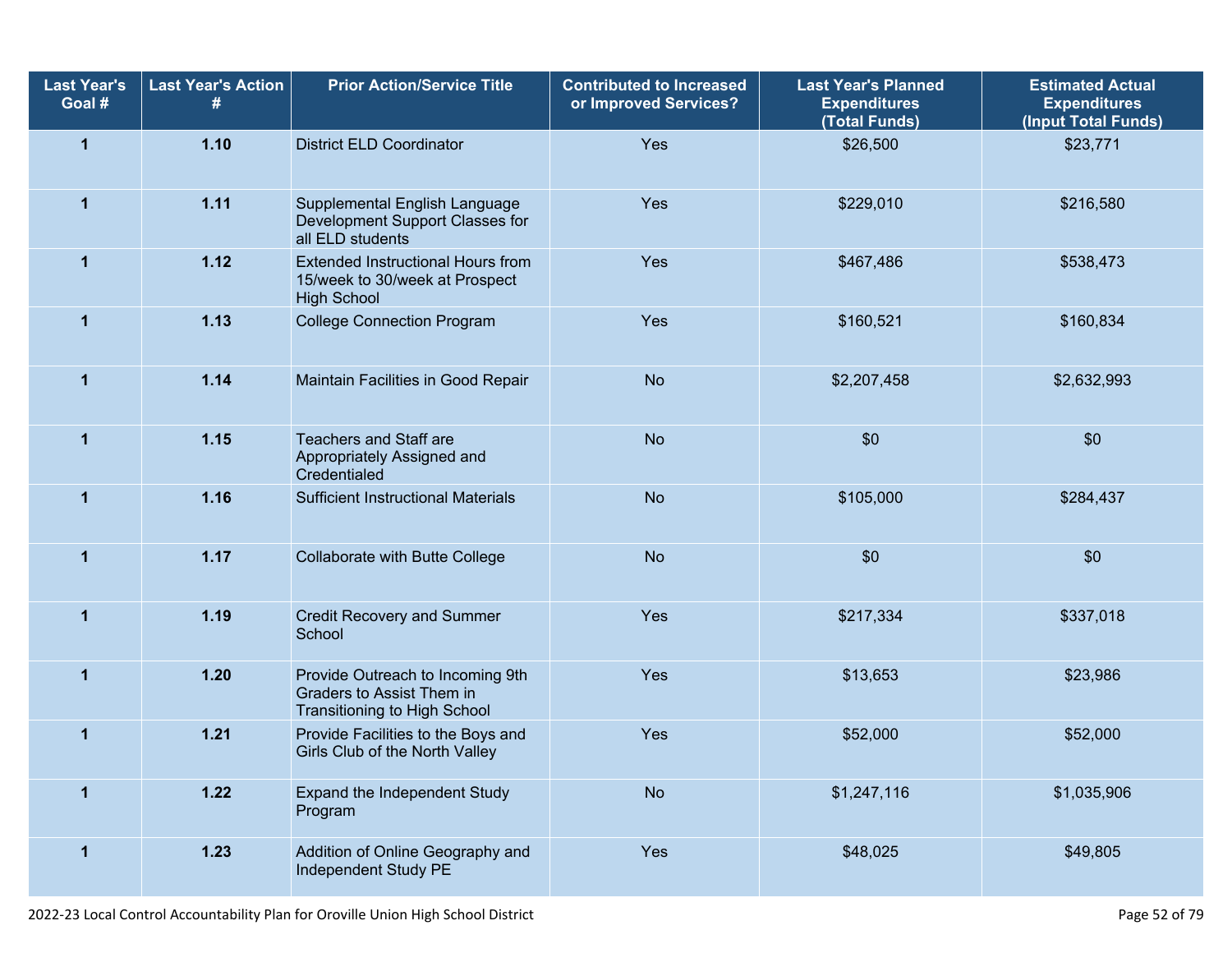| <b>Last Year's</b><br>Goal # | <b>Last Year's Action</b><br># | <b>Prior Action/Service Title</b>                                                                    | <b>Contributed to Increased</b><br>or Improved Services? | <b>Last Year's Planned</b><br><b>Expenditures</b><br>(Total Funds) | <b>Estimated Actual</b><br><b>Expenditures</b><br>(Input Total Funds) |
|------------------------------|--------------------------------|------------------------------------------------------------------------------------------------------|----------------------------------------------------------|--------------------------------------------------------------------|-----------------------------------------------------------------------|
| $\mathbf{1}$                 | 1.10                           | <b>District ELD Coordinator</b>                                                                      | Yes                                                      | \$26,500                                                           | \$23,771                                                              |
| 1                            | 1.11                           | Supplemental English Language<br>Development Support Classes for<br>all ELD students                 | Yes                                                      | \$229,010                                                          | \$216,580                                                             |
| $\mathbf{1}$                 | 1.12                           | <b>Extended Instructional Hours from</b><br>15/week to 30/week at Prospect<br><b>High School</b>     | Yes                                                      | \$467,486                                                          | \$538,473                                                             |
| $\mathbf{1}$                 | 1.13                           | <b>College Connection Program</b>                                                                    | Yes                                                      | \$160,521                                                          | \$160,834                                                             |
| $\mathbf{1}$                 | 1.14                           | Maintain Facilities in Good Repair                                                                   | <b>No</b>                                                | \$2,207,458                                                        | \$2,632,993                                                           |
| 1                            | 1.15                           | <b>Teachers and Staff are</b><br>Appropriately Assigned and<br>Credentialed                          | <b>No</b>                                                | \$0                                                                | \$0                                                                   |
| 1                            | 1.16                           | <b>Sufficient Instructional Materials</b>                                                            | <b>No</b>                                                | \$105,000                                                          | \$284,437                                                             |
| $\mathbf{1}$                 | 1.17                           | Collaborate with Butte College                                                                       | <b>No</b>                                                | \$0                                                                | \$0                                                                   |
| 1                            | 1.19                           | <b>Credit Recovery and Summer</b><br>School                                                          | Yes                                                      | \$217,334                                                          | \$337,018                                                             |
| 1                            | 1.20                           | Provide Outreach to Incoming 9th<br>Graders to Assist Them in<br><b>Transitioning to High School</b> | Yes                                                      | \$13,653                                                           | \$23,986                                                              |
| $\overline{\mathbf{1}}$      | 1.21                           | Provide Facilities to the Boys and<br>Girls Club of the North Valley                                 | Yes                                                      | \$52,000                                                           | \$52,000                                                              |
| 1                            | 1.22                           | Expand the Independent Study<br>Program                                                              | <b>No</b>                                                | \$1,247,116                                                        | \$1,035,906                                                           |
| $\mathbf{1}$                 | 1.23                           | Addition of Online Geography and<br>Independent Study PE                                             | Yes                                                      | \$48,025                                                           | \$49,805                                                              |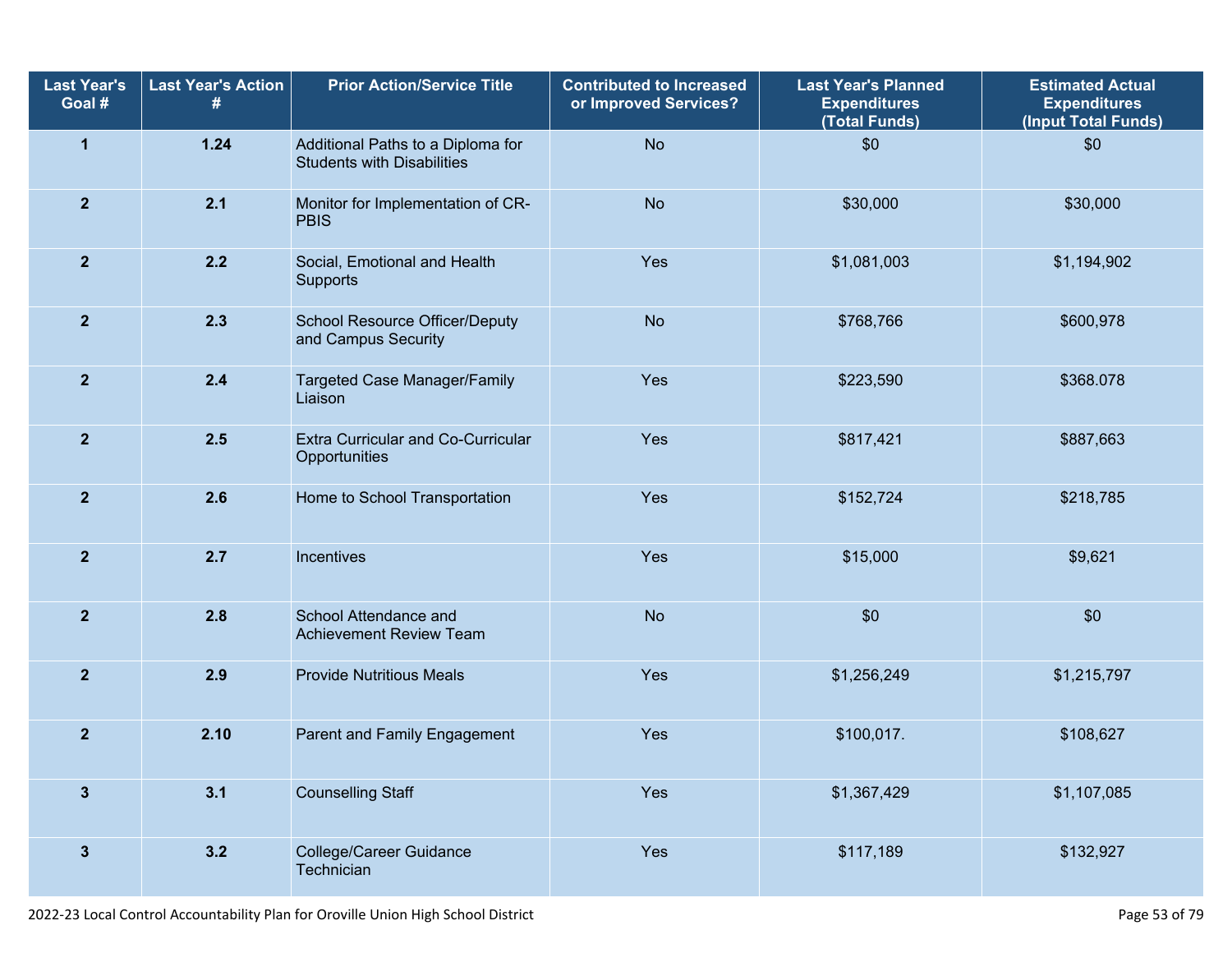| <b>Last Year's</b><br>Goal # | <b>Last Year's Action</b><br># | <b>Prior Action/Service Title</b>                                      | <b>Contributed to Increased</b><br>or Improved Services? | <b>Last Year's Planned</b><br><b>Expenditures</b><br>(Total Funds) | <b>Estimated Actual</b><br><b>Expenditures</b><br>(Input Total Funds) |
|------------------------------|--------------------------------|------------------------------------------------------------------------|----------------------------------------------------------|--------------------------------------------------------------------|-----------------------------------------------------------------------|
| $\mathbf{1}$                 | 1.24                           | Additional Paths to a Diploma for<br><b>Students with Disabilities</b> | <b>No</b>                                                | \$0                                                                | \$0                                                                   |
| $\overline{2}$               | 2.1                            | Monitor for Implementation of CR-<br><b>PBIS</b>                       | <b>No</b>                                                | \$30,000                                                           | \$30,000                                                              |
| $\overline{2}$               | 2.2                            | Social, Emotional and Health<br>Supports                               | Yes                                                      | \$1,081,003                                                        | \$1,194,902                                                           |
| $\overline{\mathbf{2}}$      | 2.3                            | <b>School Resource Officer/Deputy</b><br>and Campus Security           | <b>No</b>                                                | \$768,766                                                          | \$600,978                                                             |
| $\overline{2}$               | 2.4                            | <b>Targeted Case Manager/Family</b><br>Liaison                         | Yes                                                      | \$223,590                                                          | \$368.078                                                             |
| $\mathbf{2}$                 | 2.5                            | <b>Extra Curricular and Co-Curricular</b><br>Opportunities             | Yes                                                      | \$817,421                                                          | \$887,663                                                             |
| $\mathbf{2}$                 | 2.6                            | Home to School Transportation                                          | Yes                                                      | \$152,724                                                          | \$218,785                                                             |
| $\overline{\mathbf{2}}$      | 2.7                            | Incentives                                                             | Yes                                                      | \$15,000                                                           | \$9,621                                                               |
| $\overline{2}$               | 2.8                            | School Attendance and<br><b>Achievement Review Team</b>                | <b>No</b>                                                | \$0                                                                | \$0                                                                   |
| $\mathbf{2}$                 | 2.9                            | <b>Provide Nutritious Meals</b>                                        | Yes                                                      | \$1,256,249                                                        | \$1,215,797                                                           |
| $\overline{\mathbf{2}}$      | 2.10                           | Parent and Family Engagement                                           | Yes                                                      | \$100,017.                                                         | \$108,627                                                             |
| $\mathbf{3}$                 | 3.1                            | <b>Counselling Staff</b>                                               | Yes                                                      | \$1,367,429                                                        | \$1,107,085                                                           |
| $\mathbf 3$                  | 3.2                            | College/Career Guidance<br>Technician                                  | Yes                                                      | \$117,189                                                          | \$132,927                                                             |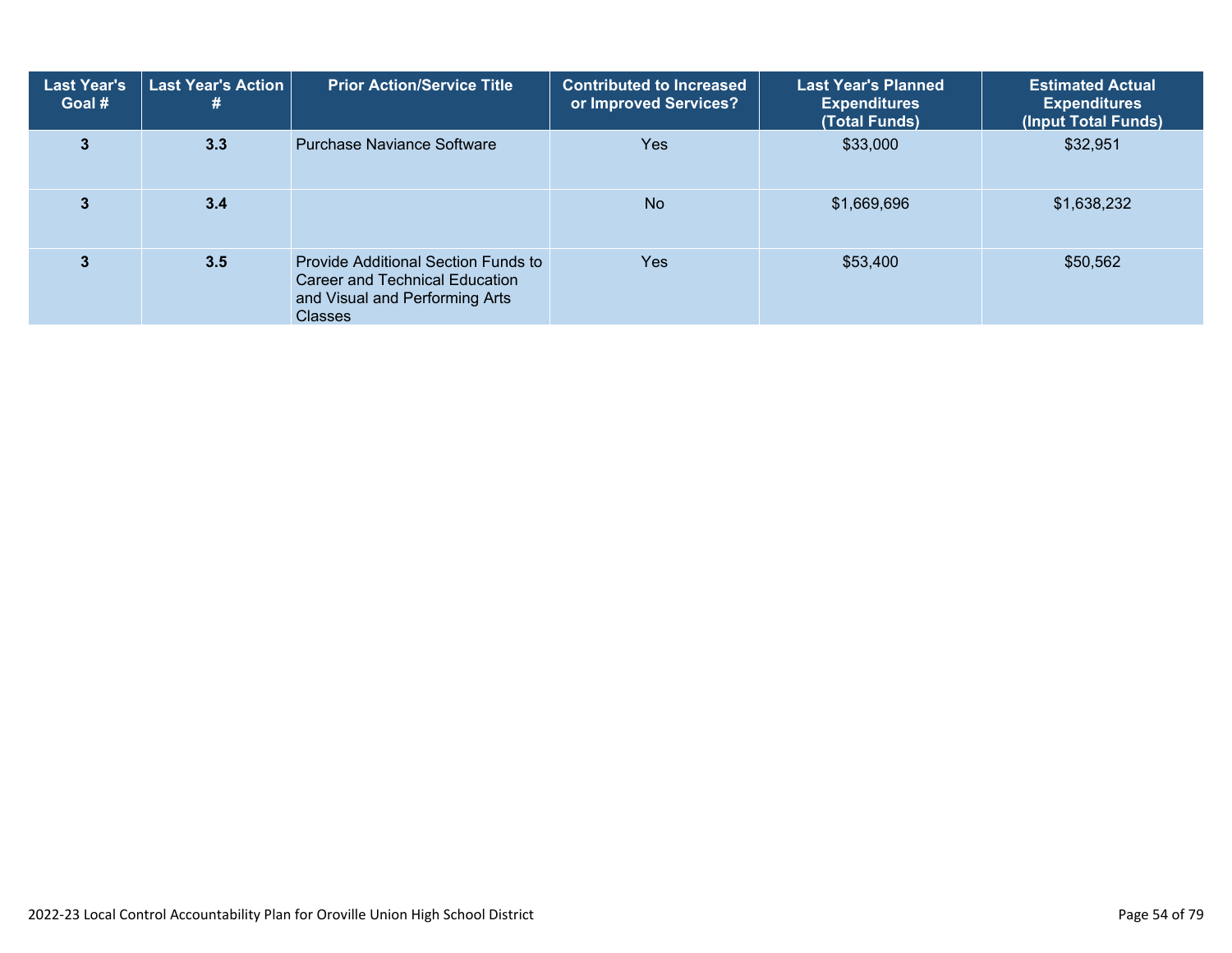| <b>Last Year's</b><br>Goal # | Last Year's Action<br># | <b>Prior Action/Service Title</b>                                                                                                | <b>Contributed to Increased</b><br>or Improved Services? | <b>Last Year's Planned</b><br><b>Expenditures</b><br>(Total Funds) | <b>Estimated Actual</b><br><b>Expenditures</b><br>(Input Total Funds) |
|------------------------------|-------------------------|----------------------------------------------------------------------------------------------------------------------------------|----------------------------------------------------------|--------------------------------------------------------------------|-----------------------------------------------------------------------|
| 3                            | 3.3                     | <b>Purchase Naviance Software</b>                                                                                                | <b>Yes</b>                                               | \$33,000                                                           | \$32,951                                                              |
| 3                            | 3.4                     |                                                                                                                                  | <b>No</b>                                                | \$1,669,696                                                        | \$1,638,232                                                           |
| 3                            | 3.5                     | <b>Provide Additional Section Funds to</b><br>Career and Technical Education<br>and Visual and Performing Arts<br><b>Classes</b> | <b>Yes</b>                                               | \$53,400                                                           | \$50,562                                                              |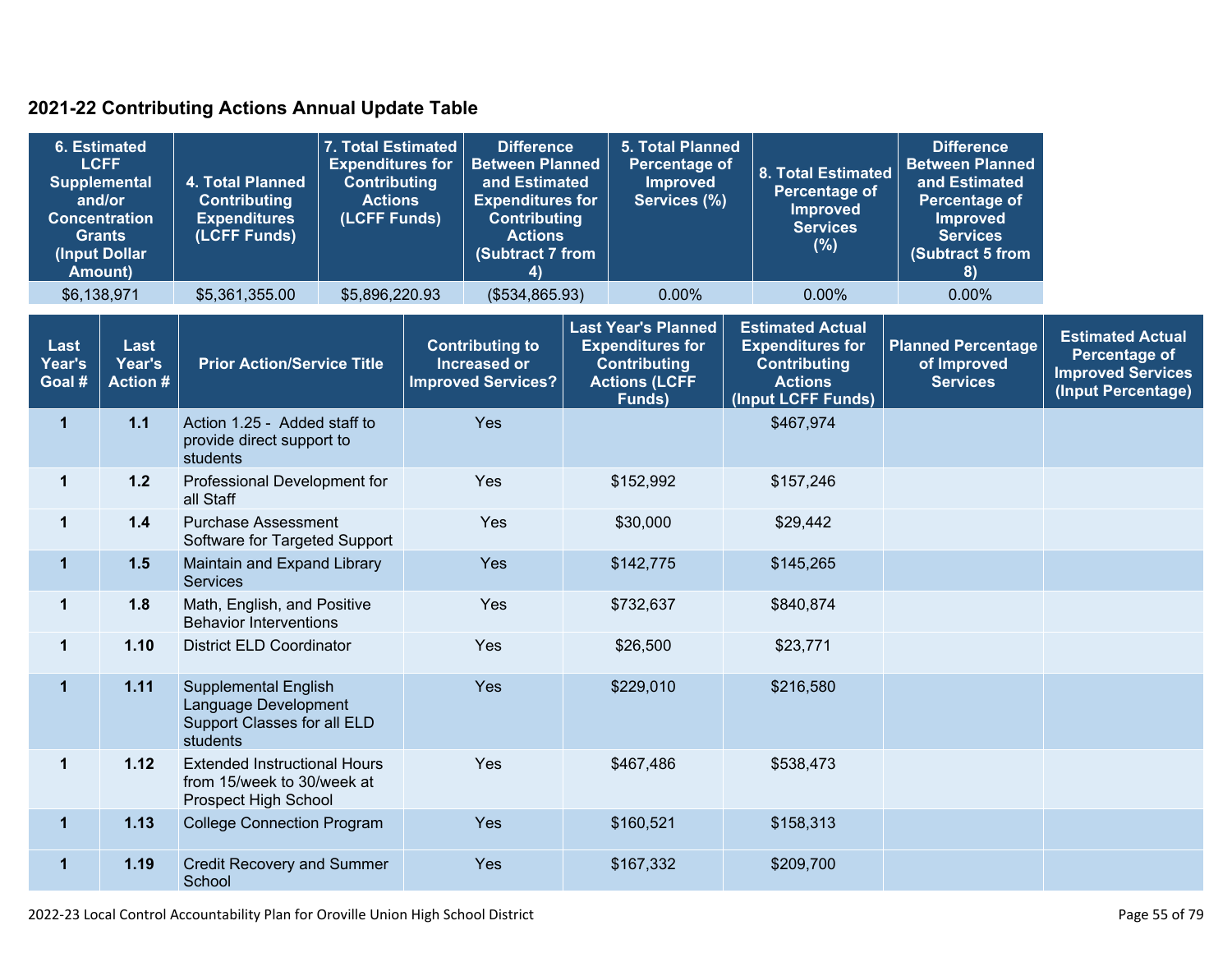### **2021-22 Contributing Actions Annual Update Table**

|                          | <b>6. Estimated</b><br><b>LCFF</b><br><b>Supplemental</b><br>and/or<br><b>Concentration</b><br><b>Grants</b><br>(Input Dollar<br>Amount) | 4. Total Planned<br><b>Contributing</b><br><b>Expenditures</b><br>(LCFF Funds)                   | 7. Total Estimated<br><b>Expenditures for</b><br><b>Contributing</b><br><b>Actions</b><br>(LCFF Funds) | <b>Difference</b><br><b>Between Planned</b><br>and Estimated<br><b>Expenditures for</b><br><b>Contributing</b><br><b>Actions</b><br>(Subtract 7 from<br>4) | <b>5. Total Planned</b><br>Percentage of<br><b>Improved</b><br>Services (%)                                    | <b>8. Total Estimated</b><br><b>Percentage of</b><br><b>Improved</b><br><b>Services</b><br>(%)                    | <b>Difference</b><br><b>Between Planned</b><br>and Estimated<br><b>Percentage of</b><br><b>Improved</b><br><b>Services</b><br>(Subtract 5 from<br>8) |                                                                                                   |
|--------------------------|------------------------------------------------------------------------------------------------------------------------------------------|--------------------------------------------------------------------------------------------------|--------------------------------------------------------------------------------------------------------|------------------------------------------------------------------------------------------------------------------------------------------------------------|----------------------------------------------------------------------------------------------------------------|-------------------------------------------------------------------------------------------------------------------|------------------------------------------------------------------------------------------------------------------------------------------------------|---------------------------------------------------------------------------------------------------|
|                          | \$6,138,971                                                                                                                              | \$5,361,355.00                                                                                   | \$5,896,220.93                                                                                         | (\$534,865.93)                                                                                                                                             | 0.00%                                                                                                          | 0.00%                                                                                                             | 0.00%                                                                                                                                                |                                                                                                   |
| Last<br>Year's<br>Goal # | Last<br>Year's<br><b>Action #</b>                                                                                                        | <b>Prior Action/Service Title</b>                                                                |                                                                                                        | <b>Contributing to</b><br><b>Increased or</b><br><b>Improved Services?</b>                                                                                 | <b>Last Year's Planned</b><br><b>Expenditures for</b><br><b>Contributing</b><br><b>Actions (LCFF</b><br>Funds) | <b>Estimated Actual</b><br><b>Expenditures for</b><br><b>Contributing</b><br><b>Actions</b><br>(Input LCFF Funds) | <b>Planned Percentage</b><br>of Improved<br><b>Services</b>                                                                                          | <b>Estimated Actual</b><br><b>Percentage of</b><br><b>Improved Services</b><br>(Input Percentage) |
| $\mathbf 1$              | $1.1$                                                                                                                                    | Action 1.25 - Added staff to<br>provide direct support to<br>students                            |                                                                                                        | Yes                                                                                                                                                        |                                                                                                                | \$467,974                                                                                                         |                                                                                                                                                      |                                                                                                   |
| $\mathbf 1$              | $1.2$                                                                                                                                    | Professional Development for<br>all Staff                                                        |                                                                                                        | Yes                                                                                                                                                        | \$152,992                                                                                                      | \$157,246                                                                                                         |                                                                                                                                                      |                                                                                                   |
| $\mathbf 1$              | 1.4                                                                                                                                      | <b>Purchase Assessment</b><br>Software for Targeted Support                                      |                                                                                                        | Yes                                                                                                                                                        | \$30,000                                                                                                       | \$29,442                                                                                                          |                                                                                                                                                      |                                                                                                   |
| $\mathbf{1}$             | 1.5                                                                                                                                      | Maintain and Expand Library<br><b>Services</b>                                                   |                                                                                                        | Yes                                                                                                                                                        | \$142,775                                                                                                      | \$145,265                                                                                                         |                                                                                                                                                      |                                                                                                   |
| $\mathbf{1}$             | 1.8                                                                                                                                      | Math, English, and Positive<br><b>Behavior Interventions</b>                                     |                                                                                                        | Yes                                                                                                                                                        | \$732,637                                                                                                      | \$840,874                                                                                                         |                                                                                                                                                      |                                                                                                   |
| $\mathbf 1$              | 1.10                                                                                                                                     | <b>District ELD Coordinator</b>                                                                  |                                                                                                        | Yes                                                                                                                                                        | \$26,500                                                                                                       | \$23,771                                                                                                          |                                                                                                                                                      |                                                                                                   |
| $\overline{1}$           | 1.11                                                                                                                                     | <b>Supplemental English</b><br>Language Development<br>Support Classes for all ELD<br>students   |                                                                                                        | Yes                                                                                                                                                        | \$229,010                                                                                                      | \$216,580                                                                                                         |                                                                                                                                                      |                                                                                                   |
| $\mathbf 1$              | 1.12                                                                                                                                     | <b>Extended Instructional Hours</b><br>from 15/week to 30/week at<br><b>Prospect High School</b> |                                                                                                        | Yes                                                                                                                                                        | \$467,486                                                                                                      | \$538,473                                                                                                         |                                                                                                                                                      |                                                                                                   |
| $\mathbf{1}$             | 1.13                                                                                                                                     | <b>College Connection Program</b>                                                                |                                                                                                        | Yes                                                                                                                                                        | \$160,521                                                                                                      | \$158,313                                                                                                         |                                                                                                                                                      |                                                                                                   |
| $\mathbf{1}$             | 1.19                                                                                                                                     | <b>Credit Recovery and Summer</b><br>School                                                      |                                                                                                        | Yes                                                                                                                                                        | \$167,332                                                                                                      | \$209,700                                                                                                         |                                                                                                                                                      |                                                                                                   |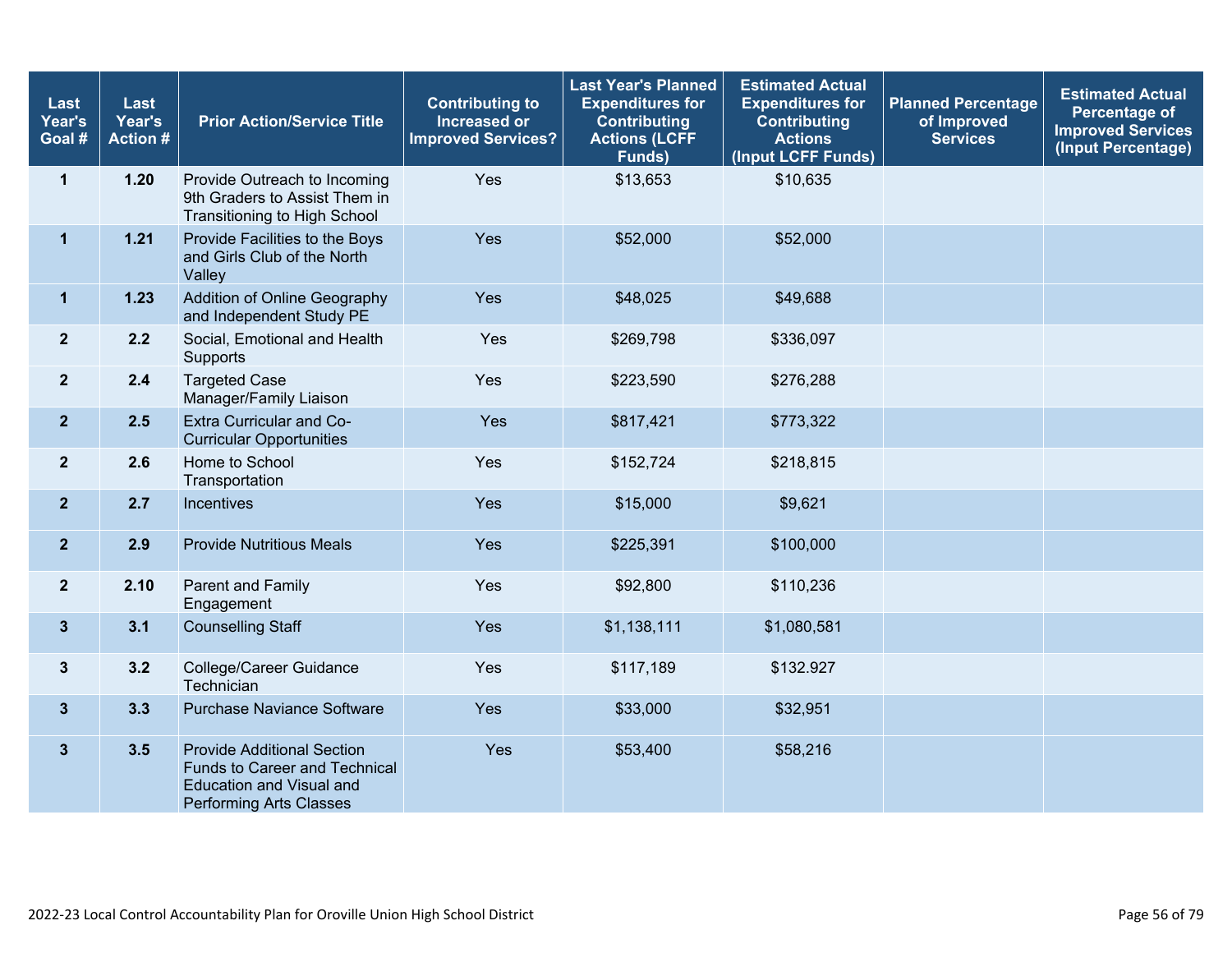| Last<br>Year's<br>Goal # | Last<br>Year's<br><b>Action #</b> | <b>Prior Action/Service Title</b>                                                                                                | <b>Contributing to</b><br>Increased or<br><b>Improved Services?</b> | <b>Last Year's Planned</b><br><b>Expenditures for</b><br><b>Contributing</b><br><b>Actions (LCFF</b><br>Funds) | <b>Estimated Actual</b><br><b>Expenditures for</b><br><b>Contributing</b><br><b>Actions</b><br>(Input LCFF Funds) | <b>Planned Percentage</b><br>of Improved<br><b>Services</b> | <b>Estimated Actual</b><br><b>Percentage of</b><br><b>Improved Services</b><br>(Input Percentage) |
|--------------------------|-----------------------------------|----------------------------------------------------------------------------------------------------------------------------------|---------------------------------------------------------------------|----------------------------------------------------------------------------------------------------------------|-------------------------------------------------------------------------------------------------------------------|-------------------------------------------------------------|---------------------------------------------------------------------------------------------------|
| $\mathbf{1}$             | 1.20                              | Provide Outreach to Incoming<br>9th Graders to Assist Them in<br><b>Transitioning to High School</b>                             | Yes                                                                 | \$13,653                                                                                                       | \$10,635                                                                                                          |                                                             |                                                                                                   |
| $\mathbf 1$              | 1.21                              | Provide Facilities to the Boys<br>and Girls Club of the North<br>Valley                                                          | Yes                                                                 | \$52,000                                                                                                       | \$52,000                                                                                                          |                                                             |                                                                                                   |
| $\mathbf 1$              | 1.23                              | Addition of Online Geography<br>and Independent Study PE                                                                         | Yes                                                                 | \$48,025                                                                                                       | \$49,688                                                                                                          |                                                             |                                                                                                   |
| $\overline{2}$           | 2.2                               | Social, Emotional and Health<br>Supports                                                                                         | Yes                                                                 | \$269,798                                                                                                      | \$336,097                                                                                                         |                                                             |                                                                                                   |
| $\overline{2}$           | 2.4                               | <b>Targeted Case</b><br>Manager/Family Liaison                                                                                   | Yes                                                                 | \$223,590                                                                                                      | \$276,288                                                                                                         |                                                             |                                                                                                   |
| $\overline{2}$           | 2.5                               | Extra Curricular and Co-<br><b>Curricular Opportunities</b>                                                                      | Yes                                                                 | \$817,421                                                                                                      | \$773,322                                                                                                         |                                                             |                                                                                                   |
| $\overline{2}$           | 2.6                               | Home to School<br>Transportation                                                                                                 | Yes                                                                 | \$152,724                                                                                                      | \$218,815                                                                                                         |                                                             |                                                                                                   |
| $\overline{2}$           | 2.7                               | Incentives                                                                                                                       | Yes                                                                 | \$15,000                                                                                                       | \$9,621                                                                                                           |                                                             |                                                                                                   |
| $\overline{2}$           | 2.9                               | <b>Provide Nutritious Meals</b>                                                                                                  | Yes                                                                 | \$225,391                                                                                                      | \$100,000                                                                                                         |                                                             |                                                                                                   |
| $\overline{2}$           | 2.10                              | Parent and Family<br>Engagement                                                                                                  | Yes                                                                 | \$92,800                                                                                                       | \$110,236                                                                                                         |                                                             |                                                                                                   |
| $\mathbf{3}$             | 3.1                               | <b>Counselling Staff</b>                                                                                                         | Yes                                                                 | \$1,138,111                                                                                                    | \$1,080,581                                                                                                       |                                                             |                                                                                                   |
| 3                        | 3.2                               | College/Career Guidance<br>Technician                                                                                            | Yes                                                                 | \$117,189                                                                                                      | \$132.927                                                                                                         |                                                             |                                                                                                   |
| $\overline{\mathbf{3}}$  | 3.3                               | <b>Purchase Naviance Software</b>                                                                                                | Yes                                                                 | \$33,000                                                                                                       | \$32,951                                                                                                          |                                                             |                                                                                                   |
| $3\phantom{a}$           | 3.5                               | <b>Provide Additional Section</b><br><b>Funds to Career and Technical</b><br>Education and Visual and<br>Performing Arts Classes | Yes                                                                 | \$53,400                                                                                                       | \$58,216                                                                                                          |                                                             |                                                                                                   |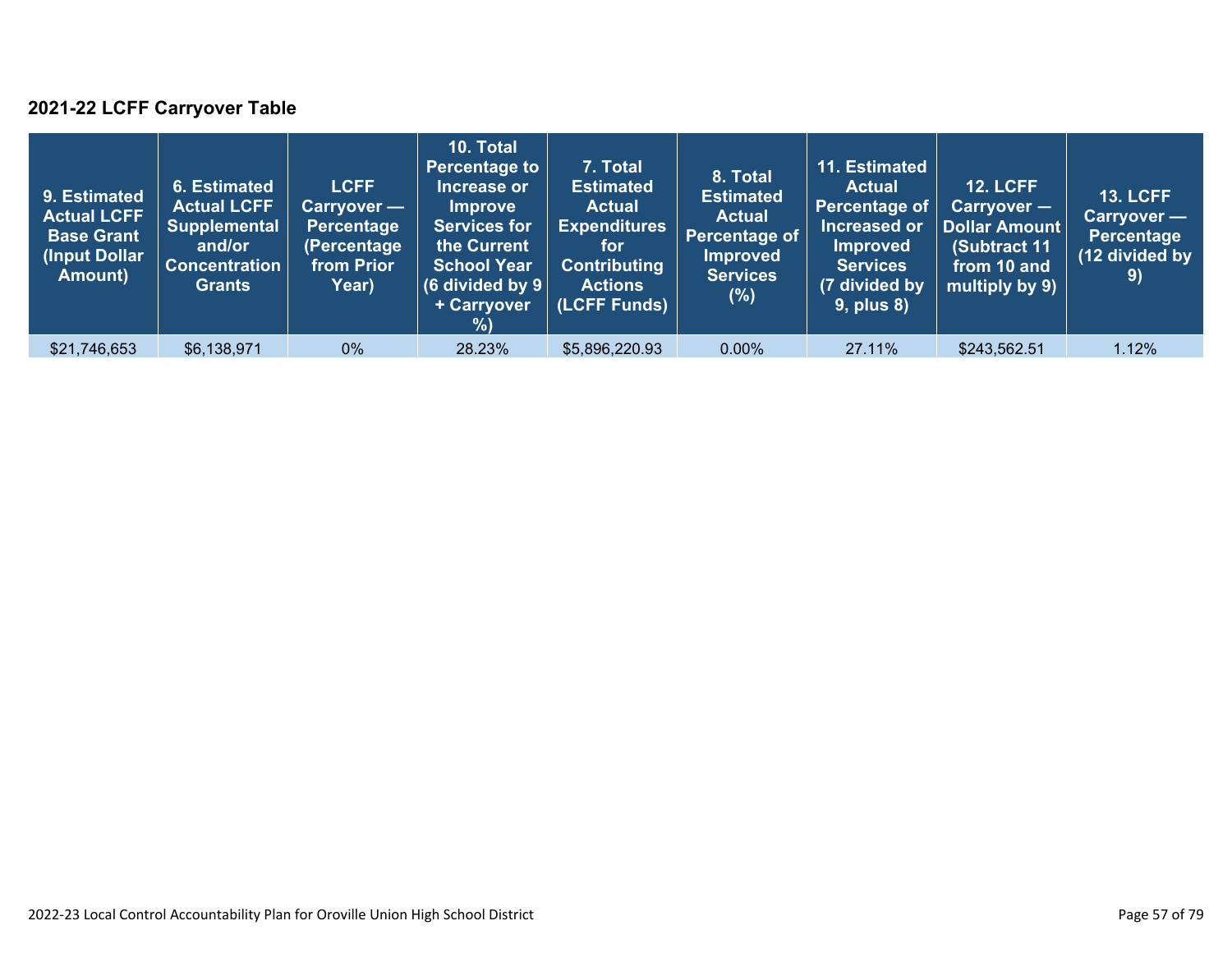### **2021-22 LCFF Carryover Table**

| 9. Estimated<br><b>Actual LCFF</b><br><b>Base Grant</b><br>(Input Dollar)<br>Amount) | 6. Estimated<br><b>Actual LCFF</b><br><b>Supplemental</b><br>and/or<br><b>Concentration</b><br><b>Grants</b> | <b>LCFF</b><br>Carryover —<br>Percentage<br>(Percentage<br>from Prior<br>Year) | 10. Total<br><b>Percentage to</b><br>Increase or<br><b>Improve</b><br><b>Services for</b><br>the Current<br><b>School Year</b><br>(6 divided by $9$ $ $<br>+ Carryover<br>% | 7. Total<br><b>Estimated</b><br><b>Actual</b><br><b>Expenditures</b><br>for<br><b>Contributing</b><br><b>Actions</b><br>(LCFF Funds) | 8. Total<br><b>Estimated</b><br><b>Actual</b><br>Percentage of<br><b>Improved</b><br><b>Services</b><br>$(\%)$ | 11. Estimated<br><b>Actual</b><br><b>Percentage of</b><br>Increased or<br><b>Improved</b><br><b>Services</b><br>(7 divided by<br><b>9, plus 8)</b> | <b>12. LCFF</b><br>Carryover -<br>Dollar Amount<br>(Subtract 11<br>from 10 and<br>multiply by 9) | <b>13. LCFF</b><br>Carryover —<br><b>Percentage</b><br>(12 divided by<br>$\left( 9\right)$ |
|--------------------------------------------------------------------------------------|--------------------------------------------------------------------------------------------------------------|--------------------------------------------------------------------------------|-----------------------------------------------------------------------------------------------------------------------------------------------------------------------------|--------------------------------------------------------------------------------------------------------------------------------------|----------------------------------------------------------------------------------------------------------------|----------------------------------------------------------------------------------------------------------------------------------------------------|--------------------------------------------------------------------------------------------------|--------------------------------------------------------------------------------------------|
| \$21,746,653                                                                         | \$6,138,971                                                                                                  | 0%                                                                             | 28.23%                                                                                                                                                                      | \$5,896,220.93                                                                                                                       | 0.00%                                                                                                          | 27.11%                                                                                                                                             | \$243,562.51                                                                                     | 1.12%                                                                                      |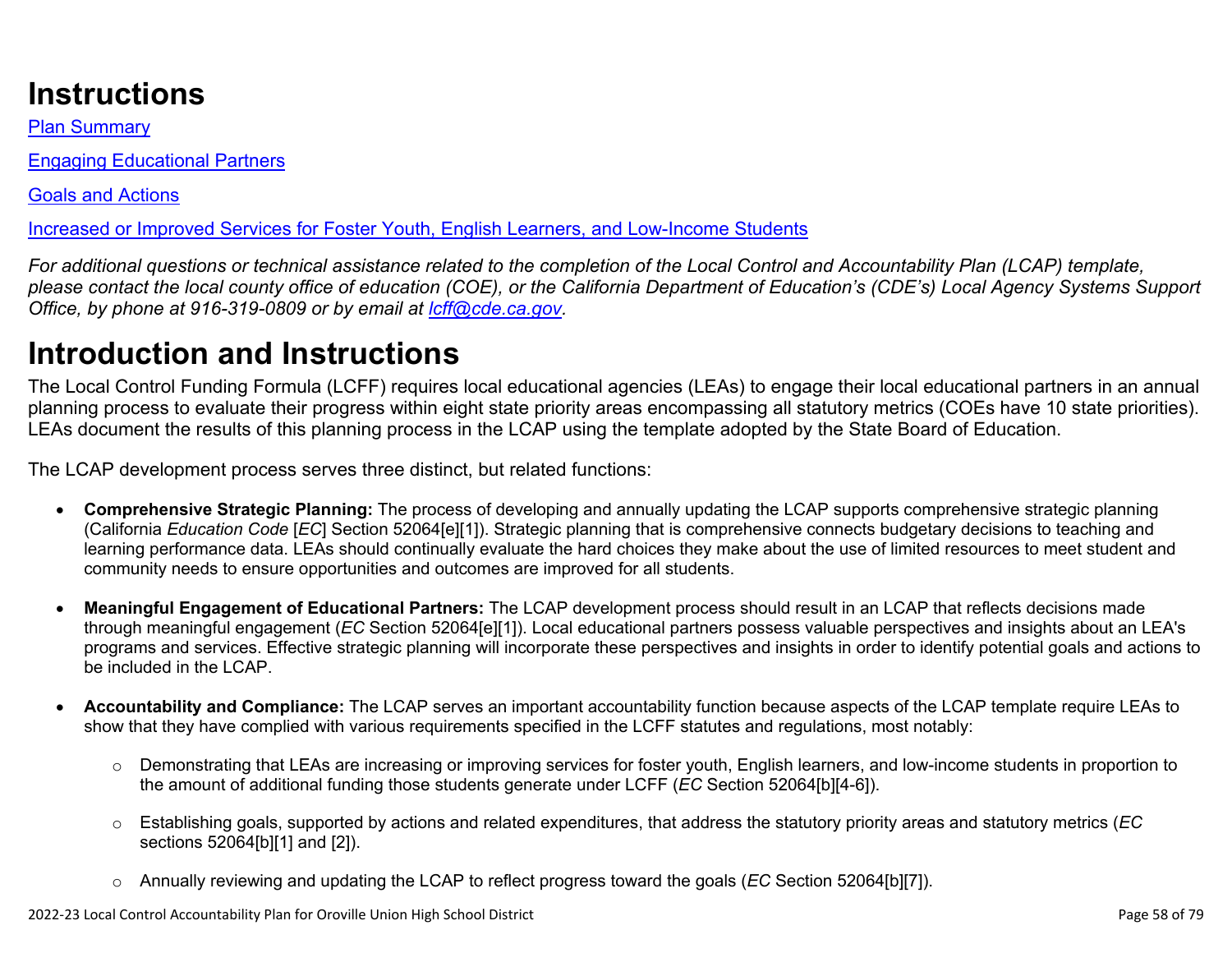# **Instructions**

Plan Summary

Engaging Educational Partners

Goals and Actions

Increased or Improved Services for Foster Youth, English Learners, and Low-Income Students

*For additional questions or technical assistance related to the completion of the Local Control and Accountability Plan (LCAP) template, please contact the local county office of education (COE), or the California Department of Education's (CDE's) Local Agency Systems Support Office, by phone at 916-319-0809 or by email at [lcff@cde.ca.gov](mailto:lcff@cde.ca.gov).*

# **Introduction and Instructions**

The Local Control Funding Formula (LCFF) requires local educational agencies (LEAs) to engage their local educational partners in an annual planning process to evaluate their progress within eight state priority areas encompassing all statutory metrics (COEs have 10 state priorities). LEAs document the results of this planning process in the LCAP using the template adopted by the State Board of Education.

The LCAP development process serves three distinct, but related functions:

- **Comprehensive Strategic Planning:** The process of developing and annually updating the LCAP supports comprehensive strategic planning (California *Education Code* [*EC*] Section 52064[e][1]). Strategic planning that is comprehensive connects budgetary decisions to teaching and learning performance data. LEAs should continually evaluate the hard choices they make about the use of limited resources to meet student and community needs to ensure opportunities and outcomes are improved for all students.
- **Meaningful Engagement of Educational Partners:** The LCAP development process should result in an LCAP that reflects decisions made through meaningful engagement (*EC* Section 52064[e][1]). Local educational partners possess valuable perspectives and insights about an LEA's programs and services. Effective strategic planning will incorporate these perspectives and insights in order to identify potential goals and actions to be included in the LCAP.
- **Accountability and Compliance:** The LCAP serves an important accountability function because aspects of the LCAP template require LEAs to show that they have complied with various requirements specified in the LCFF statutes and regulations, most notably:
	- o Demonstrating that LEAs are increasing or improving services for foster youth, English learners, and low-income students in proportion to the amount of additional funding those students generate under LCFF (*EC* Section 52064[b][4-6]).
	- o Establishing goals, supported by actions and related expenditures, that address the statutory priority areas and statutory metrics (*EC* sections 52064[b][1] and [2]).
	- o Annually reviewing and updating the LCAP to reflect progress toward the goals (*EC* Section 52064[b][7]).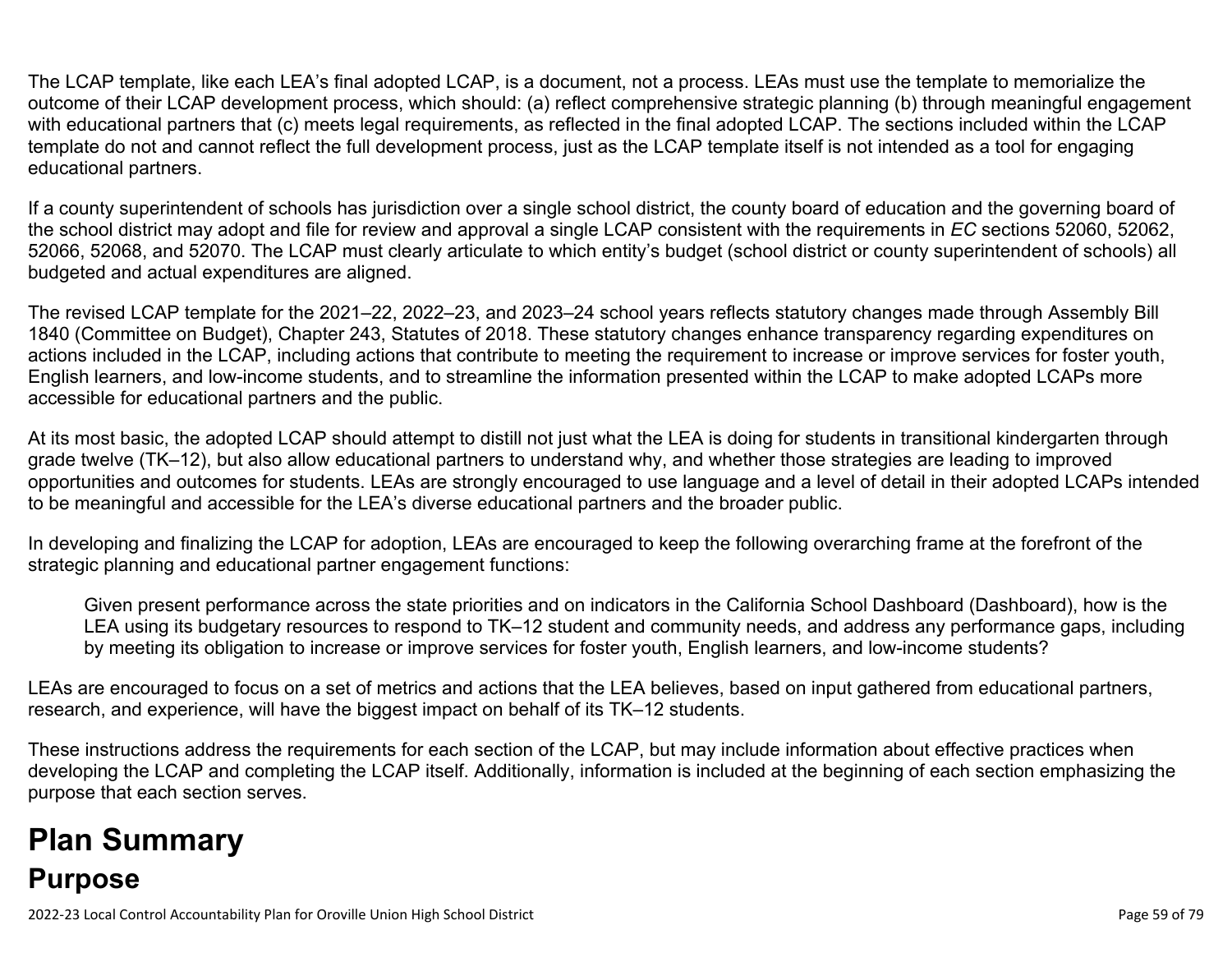The LCAP template, like each LEA's final adopted LCAP, is a document, not a process. LEAs must use the template to memorialize the outcome of their LCAP development process, which should: (a) reflect comprehensive strategic planning (b) through meaningful engagement with educational partners that (c) meets legal requirements, as reflected in the final adopted LCAP. The sections included within the LCAP template do not and cannot reflect the full development process, just as the LCAP template itself is not intended as a tool for engaging educational partners.

If a county superintendent of schools has jurisdiction over a single school district, the county board of education and the governing board of the school district may adopt and file for review and approval a single LCAP consistent with the requirements in *EC* sections 52060, 52062, 52066, 52068, and 52070. The LCAP must clearly articulate to which entity's budget (school district or county superintendent of schools) all budgeted and actual expenditures are aligned.

The revised LCAP template for the 2021–22, 2022–23, and 2023–24 school years reflects statutory changes made through Assembly Bill 1840 (Committee on Budget), Chapter 243, Statutes of 2018. These statutory changes enhance transparency regarding expenditures on actions included in the LCAP, including actions that contribute to meeting the requirement to increase or improve services for foster youth, English learners, and low-income students, and to streamline the information presented within the LCAP to make adopted LCAPs more accessible for educational partners and the public.

At its most basic, the adopted LCAP should attempt to distill not just what the LEA is doing for students in transitional kindergarten through grade twelve (TK–12), but also allow educational partners to understand why, and whether those strategies are leading to improved opportunities and outcomes for students. LEAs are strongly encouraged to use language and a level of detail in their adopted LCAPs intended to be meaningful and accessible for the LEA's diverse educational partners and the broader public.

In developing and finalizing the LCAP for adoption, LEAs are encouraged to keep the following overarching frame at the forefront of the strategic planning and educational partner engagement functions:

Given present performance across the state priorities and on indicators in the California School Dashboard (Dashboard), how is the LEA using its budgetary resources to respond to TK–12 student and community needs, and address any performance gaps, including by meeting its obligation to increase or improve services for foster youth, English learners, and low-income students?

LEAs are encouraged to focus on a set of metrics and actions that the LEA believes, based on input gathered from educational partners, research, and experience, will have the biggest impact on behalf of its TK–12 students.

These instructions address the requirements for each section of the LCAP, but may include information about effective practices when developing the LCAP and completing the LCAP itself. Additionally, information is included at the beginning of each section emphasizing the purpose that each section serves.

# **Plan Summary Purpose**

2022-23 Local Control Accountability Plan for Oroville Union High School District Page 59 of 79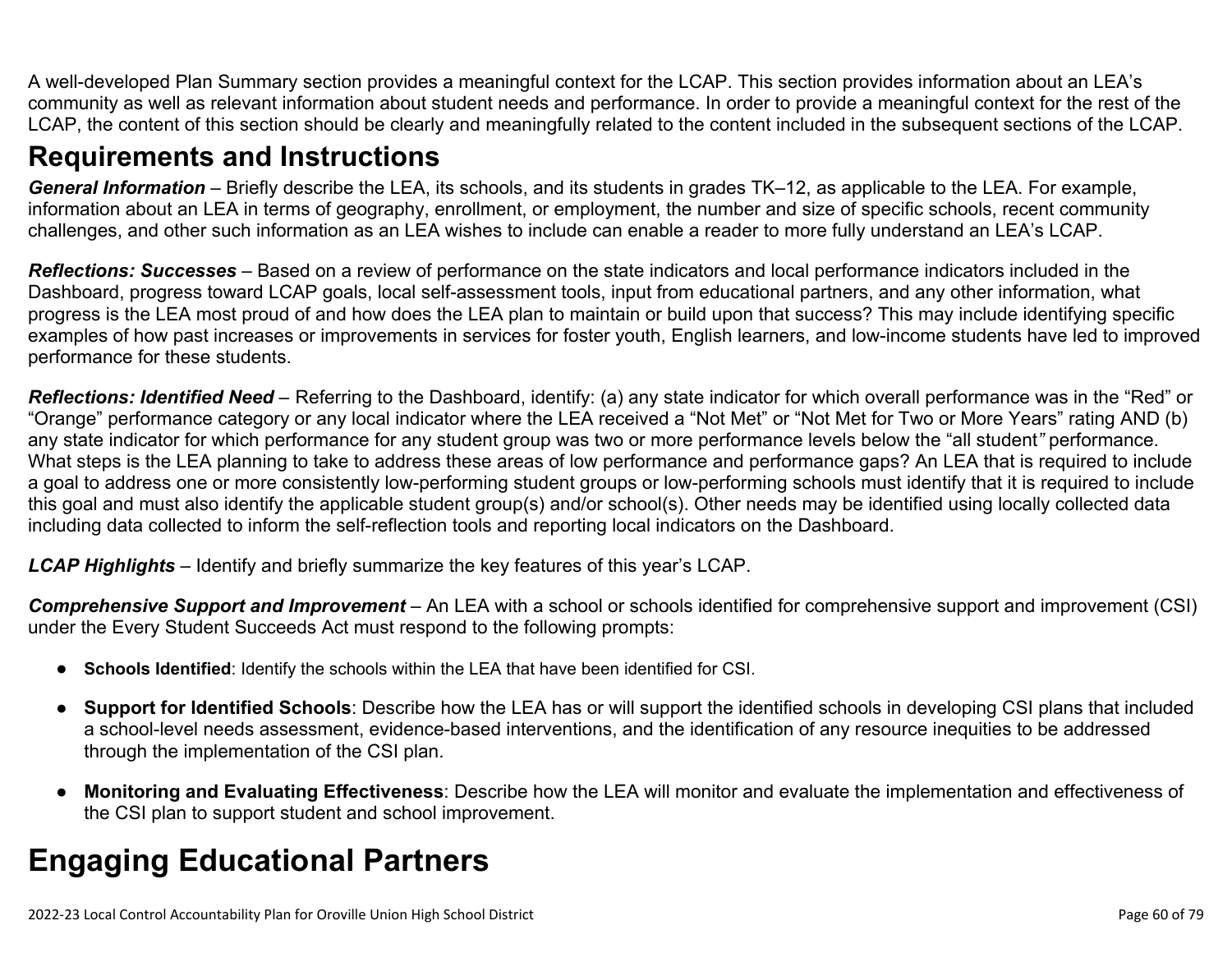A well-developed Plan Summary section provides a meaningful context for the LCAP. This section provides information about an LEA's community as well as relevant information about student needs and performance. In order to provide a meaningful context for the rest of the LCAP, the content of this section should be clearly and meaningfully related to the content included in the subsequent sections of the LCAP.

## **Requirements and Instructions**

*General Information* – Briefly describe the LEA, its schools, and its students in grades TK–12, as applicable to the LEA. For example, information about an LEA in terms of geography, enrollment, or employment, the number and size of specific schools, recent community challenges, and other such information as an LEA wishes to include can enable a reader to more fully understand an LEA's LCAP.

*Reflections: Successes* – Based on a review of performance on the state indicators and local performance indicators included in the Dashboard, progress toward LCAP goals, local self-assessment tools, input from educational partners, and any other information, what progress is the LEA most proud of and how does the LEA plan to maintain or build upon that success? This may include identifying specific examples of how past increases or improvements in services for foster youth, English learners, and low-income students have led to improved performance for these students.

*Reflections: Identified Need* – Referring to the Dashboard, identify: (a) any state indicator for which overall performance was in the "Red" or "Orange" performance category or any local indicator where the LEA received a "Not Met" or "Not Met for Two or More Years" rating AND (b) any state indicator for which performance for any student group was two or more performance levels below the "all student*"* performance. What steps is the LEA planning to take to address these areas of low performance and performance gaps? An LEA that is required to include a goal to address one or more consistently low-performing student groups or low-performing schools must identify that it is required to include this goal and must also identify the applicable student group(s) and/or school(s). Other needs may be identified using locally collected data including data collected to inform the self-reflection tools and reporting local indicators on the Dashboard.

*LCAP Highlights* – Identify and briefly summarize the key features of this year's LCAP.

*Comprehensive Support and Improvement* – An LEA with a school or schools identified for comprehensive support and improvement (CSI) under the Every Student Succeeds Act must respond to the following prompts:

- **Schools Identified**: Identify the schools within the LEA that have been identified for CSI.
- **Support for Identified Schools**: Describe how the LEA has or will support the identified schools in developing CSI plans that included a school-level needs assessment, evidence-based interventions, and the identification of any resource inequities to be addressed through the implementation of the CSI plan.
- **Monitoring and Evaluating Effectiveness**: Describe how the LEA will monitor and evaluate the implementation and effectiveness of the CSI plan to support student and school improvement.

# **Engaging Educational Partners**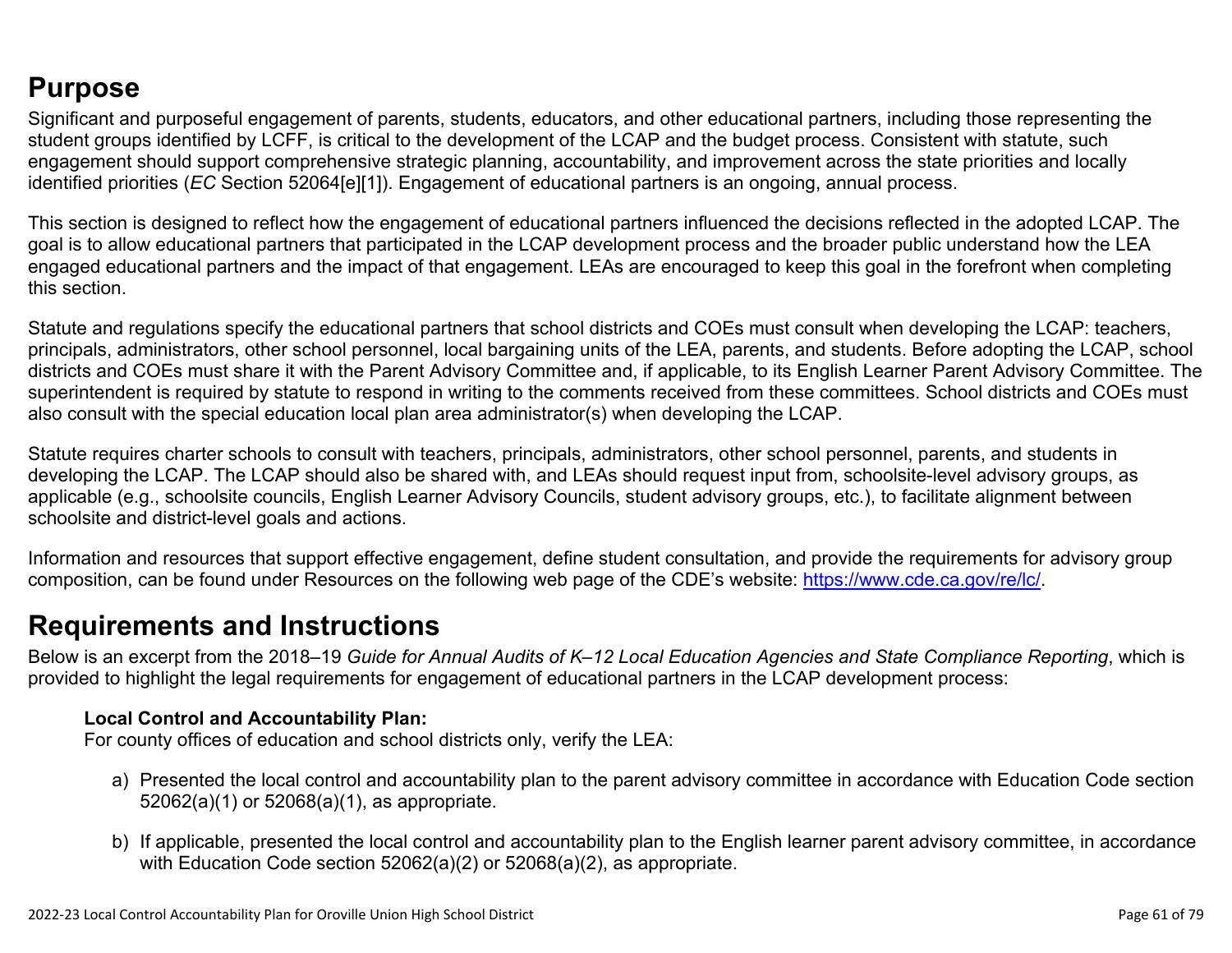## **Purpose**

Significant and purposeful engagement of parents, students, educators, and other educational partners, including those representing the student groups identified by LCFF, is critical to the development of the LCAP and the budget process. Consistent with statute, such engagement should support comprehensive strategic planning, accountability, and improvement across the state priorities and locally identified priorities (*EC* Section 52064[e][1]). Engagement of educational partners is an ongoing, annual process.

This section is designed to reflect how the engagement of educational partners influenced the decisions reflected in the adopted LCAP. The goal is to allow educational partners that participated in the LCAP development process and the broader public understand how the LEA engaged educational partners and the impact of that engagement. LEAs are encouraged to keep this goal in the forefront when completing this section.

Statute and regulations specify the educational partners that school districts and COEs must consult when developing the LCAP: teachers, principals, administrators, other school personnel, local bargaining units of the LEA, parents, and students. Before adopting the LCAP, school districts and COEs must share it with the Parent Advisory Committee and, if applicable, to its English Learner Parent Advisory Committee. The superintendent is required by statute to respond in writing to the comments received from these committees. School districts and COEs must also consult with the special education local plan area administrator(s) when developing the LCAP.

Statute requires charter schools to consult with teachers, principals, administrators, other school personnel, parents, and students in developing the LCAP. The LCAP should also be shared with, and LEAs should request input from, schoolsite-level advisory groups, as applicable (e.g., schoolsite councils, English Learner Advisory Councils, student advisory groups, etc.), to facilitate alignment between schoolsite and district-level goals and actions.

Information and resources that support effective engagement, define student consultation, and provide the requirements for advisory group composition, can be found under Resources on the following web page of the CDE's website: <https://www.cde.ca.gov/re/lc/>.

### **Requirements and Instructions**

Below is an excerpt from the 2018–19 *Guide for Annual Audits of K–12 Local Education Agencies and State Compliance Reporting*, which is provided to highlight the legal requirements for engagement of educational partners in the LCAP development process:

#### **Local Control and Accountability Plan:**

For county offices of education and school districts only, verify the LEA:

- a) Presented the local control and accountability plan to the parent advisory committee in accordance with Education Code section 52062(a)(1) or 52068(a)(1), as appropriate.
- b) If applicable, presented the local control and accountability plan to the English learner parent advisory committee, in accordance with Education Code section 52062(a)(2) or 52068(a)(2), as appropriate.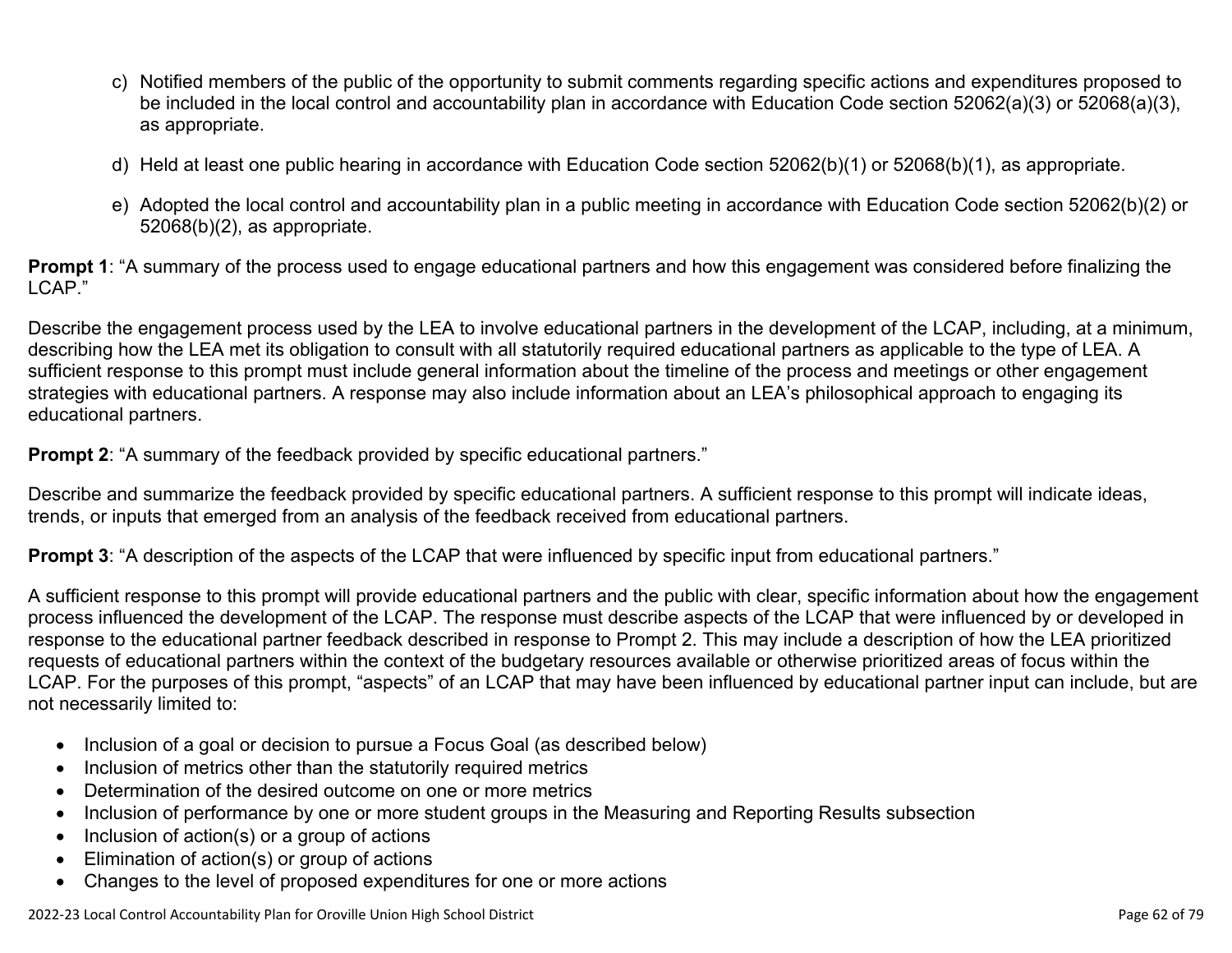- c) Notified members of the public of the opportunity to submit comments regarding specific actions and expenditures proposed to be included in the local control and accountability plan in accordance with Education Code section 52062(a)(3) or 52068(a)(3), as appropriate.
- d) Held at least one public hearing in accordance with Education Code section 52062(b)(1) or 52068(b)(1), as appropriate.
- e) Adopted the local control and accountability plan in a public meeting in accordance with Education Code section 52062(b)(2) or 52068(b)(2), as appropriate.

**Prompt 1**: "A summary of the process used to engage educational partners and how this engagement was considered before finalizing the LCAP."

Describe the engagement process used by the LEA to involve educational partners in the development of the LCAP, including, at a minimum, describing how the LEA met its obligation to consult with all statutorily required educational partners as applicable to the type of LEA. A sufficient response to this prompt must include general information about the timeline of the process and meetings or other engagement strategies with educational partners. A response may also include information about an LEA's philosophical approach to engaging its educational partners.

**Prompt 2:** "A summary of the feedback provided by specific educational partners."

Describe and summarize the feedback provided by specific educational partners. A sufficient response to this prompt will indicate ideas, trends, or inputs that emerged from an analysis of the feedback received from educational partners.

**Prompt 3**: "A description of the aspects of the LCAP that were influenced by specific input from educational partners."

A sufficient response to this prompt will provide educational partners and the public with clear, specific information about how the engagement process influenced the development of the LCAP. The response must describe aspects of the LCAP that were influenced by or developed in response to the educational partner feedback described in response to Prompt 2. This may include a description of how the LEA prioritized requests of educational partners within the context of the budgetary resources available or otherwise prioritized areas of focus within the LCAP. For the purposes of this prompt, "aspects" of an LCAP that may have been influenced by educational partner input can include, but are not necessarily limited to:

- Inclusion of a goal or decision to pursue a Focus Goal (as described below)
- Inclusion of metrics other than the statutorily required metrics
- Determination of the desired outcome on one or more metrics
- Inclusion of performance by one or more student groups in the Measuring and Reporting Results subsection
- Inclusion of action(s) or a group of actions
- Elimination of action(s) or group of actions
- Changes to the level of proposed expenditures for one or more actions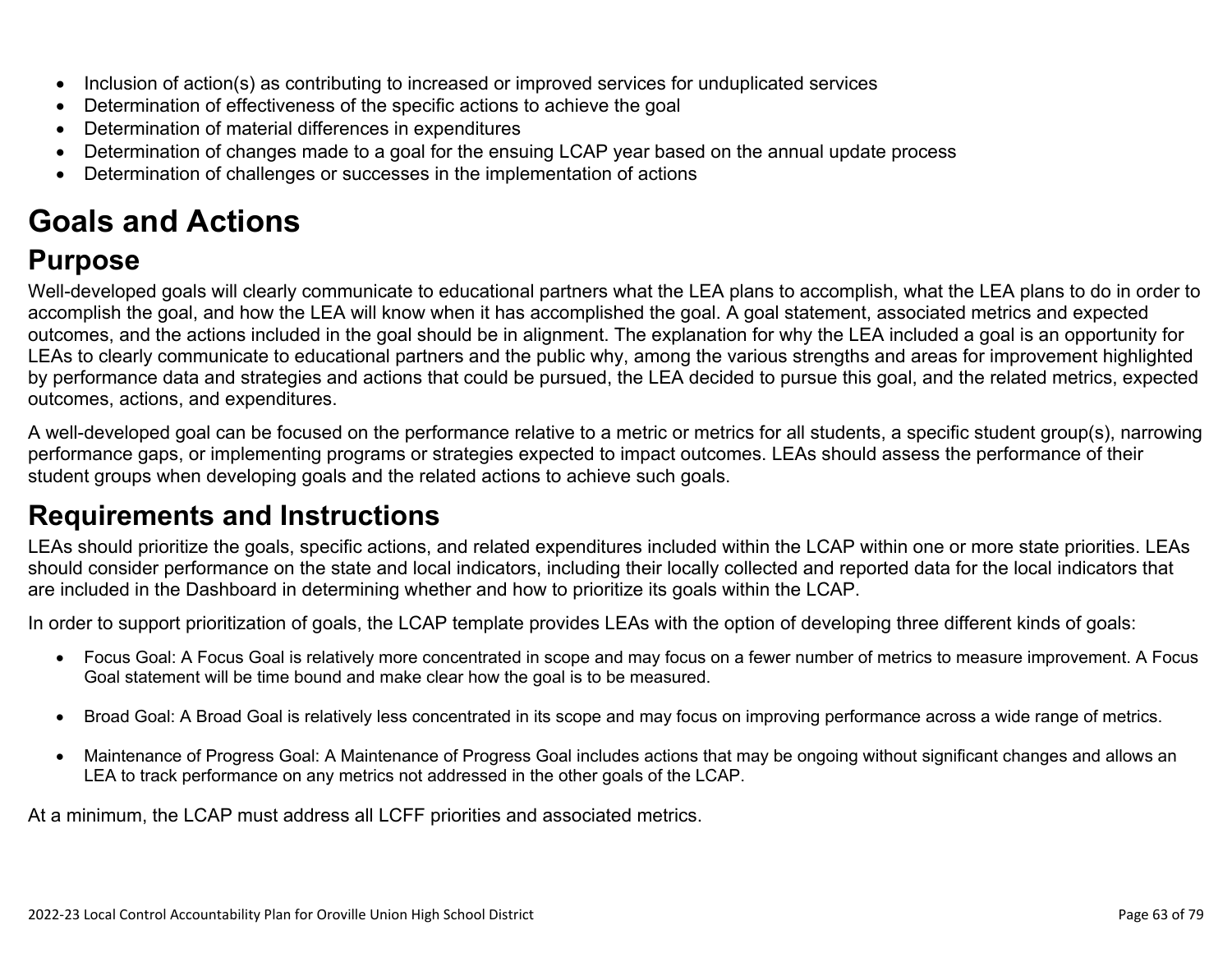- Inclusion of action(s) as contributing to increased or improved services for unduplicated services
- Determination of effectiveness of the specific actions to achieve the goal
- Determination of material differences in expenditures
- Determination of changes made to a goal for the ensuing LCAP year based on the annual update process
- Determination of challenges or successes in the implementation of actions

# **Goals and Actions**

## **Purpose**

Well-developed goals will clearly communicate to educational partners what the LEA plans to accomplish, what the LEA plans to do in order to accomplish the goal, and how the LEA will know when it has accomplished the goal. A goal statement, associated metrics and expected outcomes, and the actions included in the goal should be in alignment. The explanation for why the LEA included a goal is an opportunity for LEAs to clearly communicate to educational partners and the public why, among the various strengths and areas for improvement highlighted by performance data and strategies and actions that could be pursued, the LEA decided to pursue this goal, and the related metrics, expected outcomes, actions, and expenditures.

A well-developed goal can be focused on the performance relative to a metric or metrics for all students, a specific student group(s), narrowing performance gaps, or implementing programs or strategies expected to impact outcomes. LEAs should assess the performance of their student groups when developing goals and the related actions to achieve such goals.

## **Requirements and Instructions**

LEAs should prioritize the goals, specific actions, and related expenditures included within the LCAP within one or more state priorities. LEAs should consider performance on the state and local indicators, including their locally collected and reported data for the local indicators that are included in the Dashboard in determining whether and how to prioritize its goals within the LCAP.

In order to support prioritization of goals, the LCAP template provides LEAs with the option of developing three different kinds of goals:

- Focus Goal: A Focus Goal is relatively more concentrated in scope and may focus on a fewer number of metrics to measure improvement. A Focus Goal statement will be time bound and make clear how the goal is to be measured.
- Broad Goal: A Broad Goal is relatively less concentrated in its scope and may focus on improving performance across a wide range of metrics.
- Maintenance of Progress Goal: A Maintenance of Progress Goal includes actions that may be ongoing without significant changes and allows an LEA to track performance on any metrics not addressed in the other goals of the LCAP.

At a minimum, the LCAP must address all LCFF priorities and associated metrics.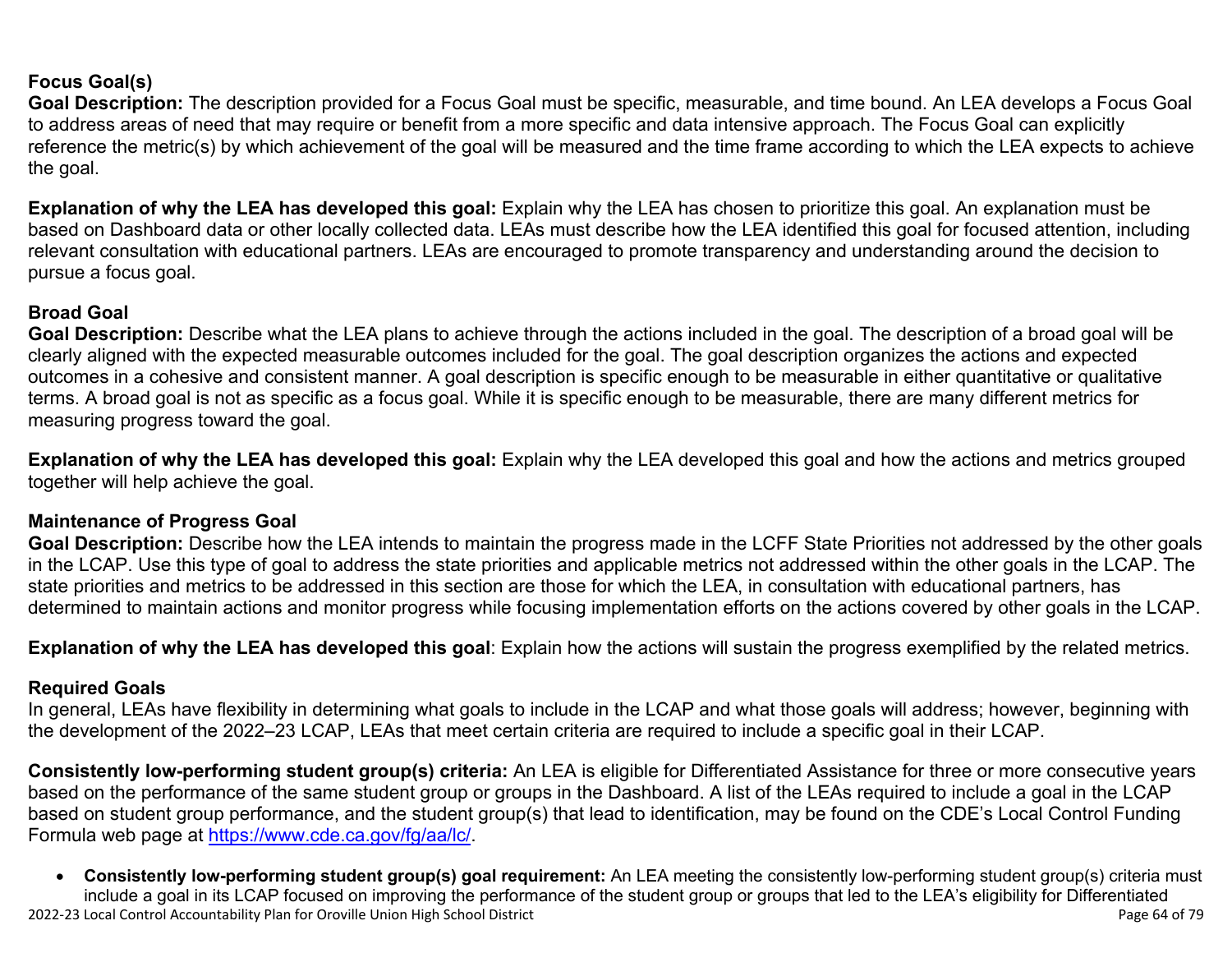#### **Focus Goal(s)**

**Goal Description:** The description provided for a Focus Goal must be specific, measurable, and time bound. An LEA develops a Focus Goal to address areas of need that may require or benefit from a more specific and data intensive approach. The Focus Goal can explicitly reference the metric(s) by which achievement of the goal will be measured and the time frame according to which the LEA expects to achieve the goal.

**Explanation of why the LEA has developed this goal:** Explain why the LEA has chosen to prioritize this goal. An explanation must be based on Dashboard data or other locally collected data. LEAs must describe how the LEA identified this goal for focused attention, including relevant consultation with educational partners. LEAs are encouraged to promote transparency and understanding around the decision to pursue a focus goal.

#### **Broad Goal**

Goal Description: Describe what the LEA plans to achieve through the actions included in the goal. The description of a broad goal will be clearly aligned with the expected measurable outcomes included for the goal. The goal description organizes the actions and expected outcomes in a cohesive and consistent manner. A goal description is specific enough to be measurable in either quantitative or qualitative terms. A broad goal is not as specific as a focus goal. While it is specific enough to be measurable, there are many different metrics for measuring progress toward the goal.

**Explanation of why the LEA has developed this goal:** Explain why the LEA developed this goal and how the actions and metrics grouped together will help achieve the goal.

#### **Maintenance of Progress Goal**

**Goal Description:** Describe how the LEA intends to maintain the progress made in the LCFF State Priorities not addressed by the other goals in the LCAP. Use this type of goal to address the state priorities and applicable metrics not addressed within the other goals in the LCAP. The state priorities and metrics to be addressed in this section are those for which the LEA, in consultation with educational partners, has determined to maintain actions and monitor progress while focusing implementation efforts on the actions covered by other goals in the LCAP.

**Explanation of why the LEA has developed this goal**: Explain how the actions will sustain the progress exemplified by the related metrics.

#### **Required Goals**

In general, LEAs have flexibility in determining what goals to include in the LCAP and what those goals will address; however, beginning with the development of the 2022–23 LCAP, LEAs that meet certain criteria are required to include a specific goal in their LCAP.

**Consistently low-performing student group(s) criteria:** An LEA is eligible for Differentiated Assistance for three or more consecutive years based on the performance of the same student group or groups in the Dashboard. A list of the LEAs required to include a goal in the LCAP based on student group performance, and the student group(s) that lead to identification, may be found on the CDE's Local Control Funding Formula web page at [https://www.cde.ca.gov/fg/aa/lc/.](https://www.cde.ca.gov/fg/aa/lc/)

2022-23 Local Control Accountability Plan for Oroville Union High School District Page 64 of 79 • **Consistently low-performing student group(s) goal requirement:** An LEA meeting the consistently low-performing student group(s) criteria must include a goal in its LCAP focused on improving the performance of the student group or groups that led to the LEA's eligibility for Differentiated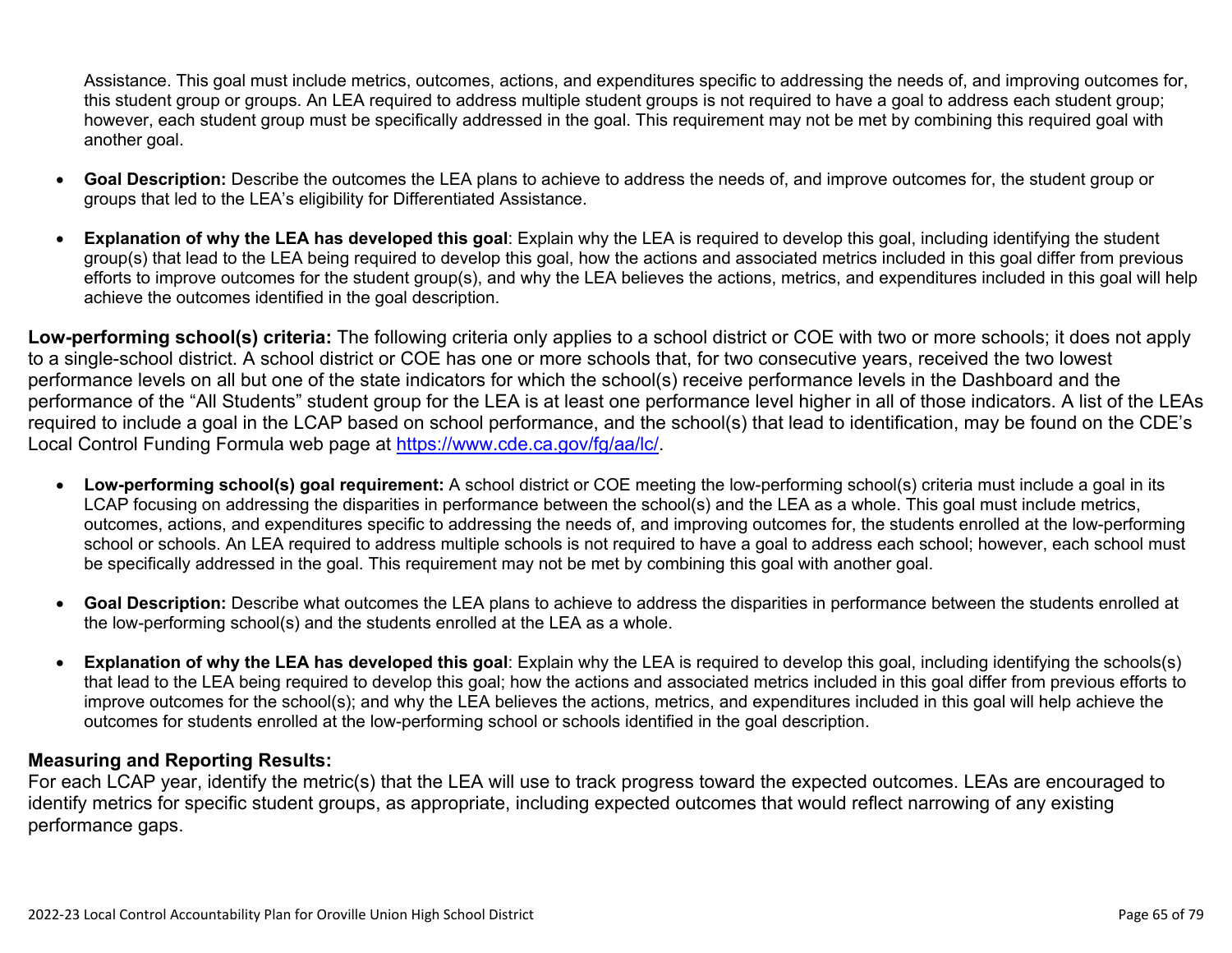Assistance. This goal must include metrics, outcomes, actions, and expenditures specific to addressing the needs of, and improving outcomes for, this student group or groups. An LEA required to address multiple student groups is not required to have a goal to address each student group; however, each student group must be specifically addressed in the goal. This requirement may not be met by combining this required goal with another goal.

- **Goal Description:** Describe the outcomes the LEA plans to achieve to address the needs of, and improve outcomes for, the student group or groups that led to the LEA's eligibility for Differentiated Assistance.
- **Explanation of why the LEA has developed this goal**: Explain why the LEA is required to develop this goal, including identifying the student group(s) that lead to the LEA being required to develop this goal, how the actions and associated metrics included in this goal differ from previous efforts to improve outcomes for the student group(s), and why the LEA believes the actions, metrics, and expenditures included in this goal will help achieve the outcomes identified in the goal description.

**Low-performing school(s) criteria:** The following criteria only applies to a school district or COE with two or more schools; it does not apply to a single-school district. A school district or COE has one or more schools that, for two consecutive years, received the two lowest performance levels on all but one of the state indicators for which the school(s) receive performance levels in the Dashboard and the performance of the "All Students" student group for the LEA is at least one performance level higher in all of those indicators. A list of the LEAs required to include a goal in the LCAP based on school performance, and the school(s) that lead to identification, may be found on the CDE's Local Control Funding Formula web page at [https://www.cde.ca.gov/fg/aa/lc/.](https://www.cde.ca.gov/fg/aa/lc/)

- **Low-performing school(s) goal requirement:** A school district or COE meeting the low-performing school(s) criteria must include a goal in its LCAP focusing on addressing the disparities in performance between the school(s) and the LEA as a whole. This goal must include metrics, outcomes, actions, and expenditures specific to addressing the needs of, and improving outcomes for, the students enrolled at the low-performing school or schools. An LEA required to address multiple schools is not required to have a goal to address each school; however, each school must be specifically addressed in the goal. This requirement may not be met by combining this goal with another goal.
- **Goal Description:** Describe what outcomes the LEA plans to achieve to address the disparities in performance between the students enrolled at the low-performing school(s) and the students enrolled at the LEA as a whole.
- **Explanation of why the LEA has developed this goal**: Explain why the LEA is required to develop this goal, including identifying the schools(s) that lead to the LEA being required to develop this goal; how the actions and associated metrics included in this goal differ from previous efforts to improve outcomes for the school(s); and why the LEA believes the actions, metrics, and expenditures included in this goal will help achieve the outcomes for students enrolled at the low-performing school or schools identified in the goal description.

#### **Measuring and Reporting Results:**

For each LCAP year, identify the metric(s) that the LEA will use to track progress toward the expected outcomes. LEAs are encouraged to identify metrics for specific student groups, as appropriate, including expected outcomes that would reflect narrowing of any existing performance gaps.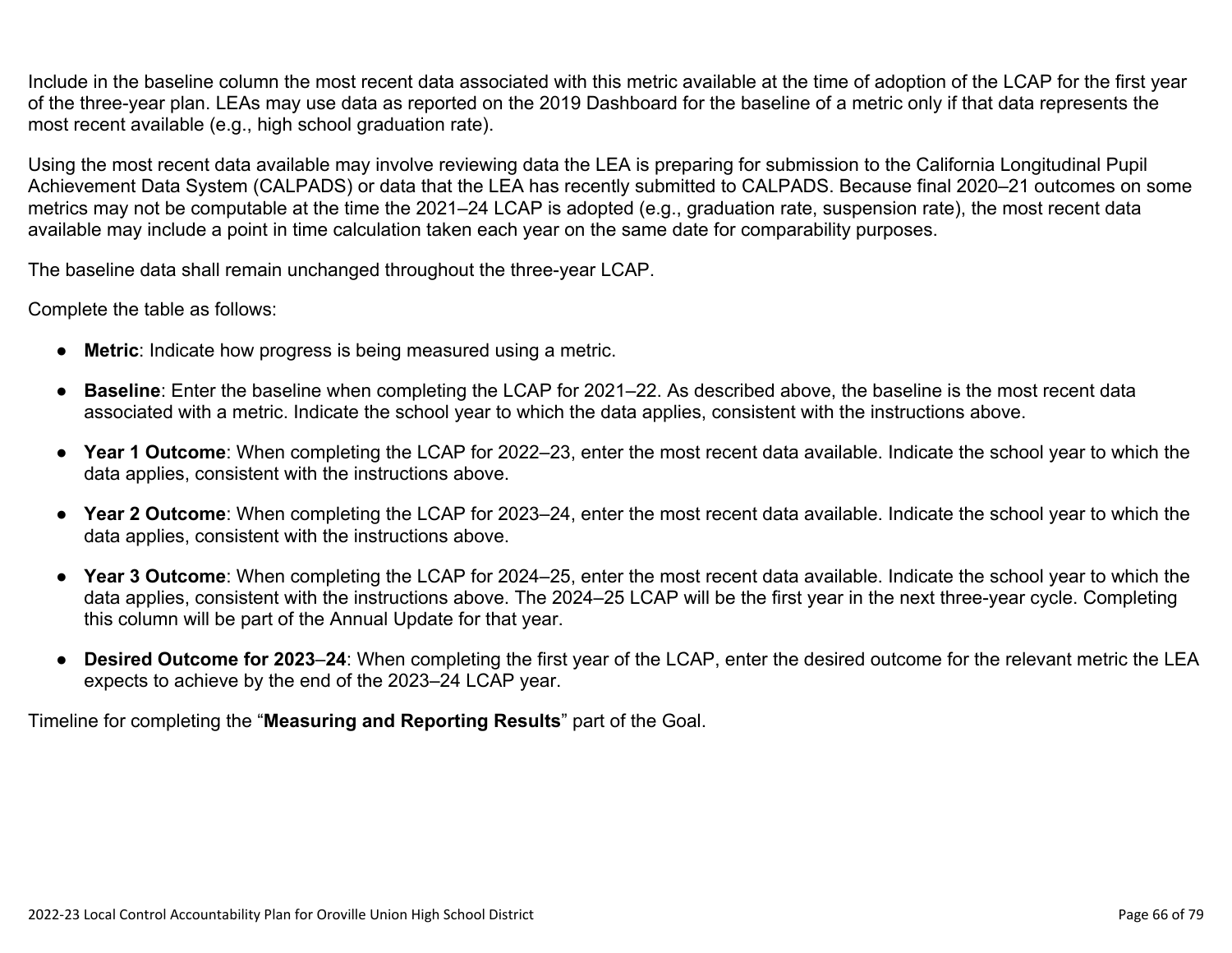Include in the baseline column the most recent data associated with this metric available at the time of adoption of the LCAP for the first year of the three-year plan. LEAs may use data as reported on the 2019 Dashboard for the baseline of a metric only if that data represents the most recent available (e.g., high school graduation rate).

Using the most recent data available may involve reviewing data the LEA is preparing for submission to the California Longitudinal Pupil Achievement Data System (CALPADS) or data that the LEA has recently submitted to CALPADS. Because final 2020–21 outcomes on some metrics may not be computable at the time the 2021–24 LCAP is adopted (e.g., graduation rate, suspension rate), the most recent data available may include a point in time calculation taken each year on the same date for comparability purposes.

The baseline data shall remain unchanged throughout the three-year LCAP.

Complete the table as follows:

- **Metric**: Indicate how progress is being measured using a metric.
- **Baseline**: Enter the baseline when completing the LCAP for 2021–22. As described above, the baseline is the most recent data associated with a metric. Indicate the school year to which the data applies, consistent with the instructions above.
- **Year 1 Outcome**: When completing the LCAP for 2022–23, enter the most recent data available. Indicate the school year to which the data applies, consistent with the instructions above.
- **Year 2 Outcome**: When completing the LCAP for 2023–24, enter the most recent data available. Indicate the school year to which the data applies, consistent with the instructions above.
- **Year 3 Outcome**: When completing the LCAP for 2024–25, enter the most recent data available. Indicate the school year to which the data applies, consistent with the instructions above. The 2024–25 LCAP will be the first year in the next three-year cycle. Completing this column will be part of the Annual Update for that year.
- **Desired Outcome for 2023**–**24**: When completing the first year of the LCAP, enter the desired outcome for the relevant metric the LEA expects to achieve by the end of the 2023–24 LCAP year.

Timeline for completing the "**Measuring and Reporting Results**" part of the Goal.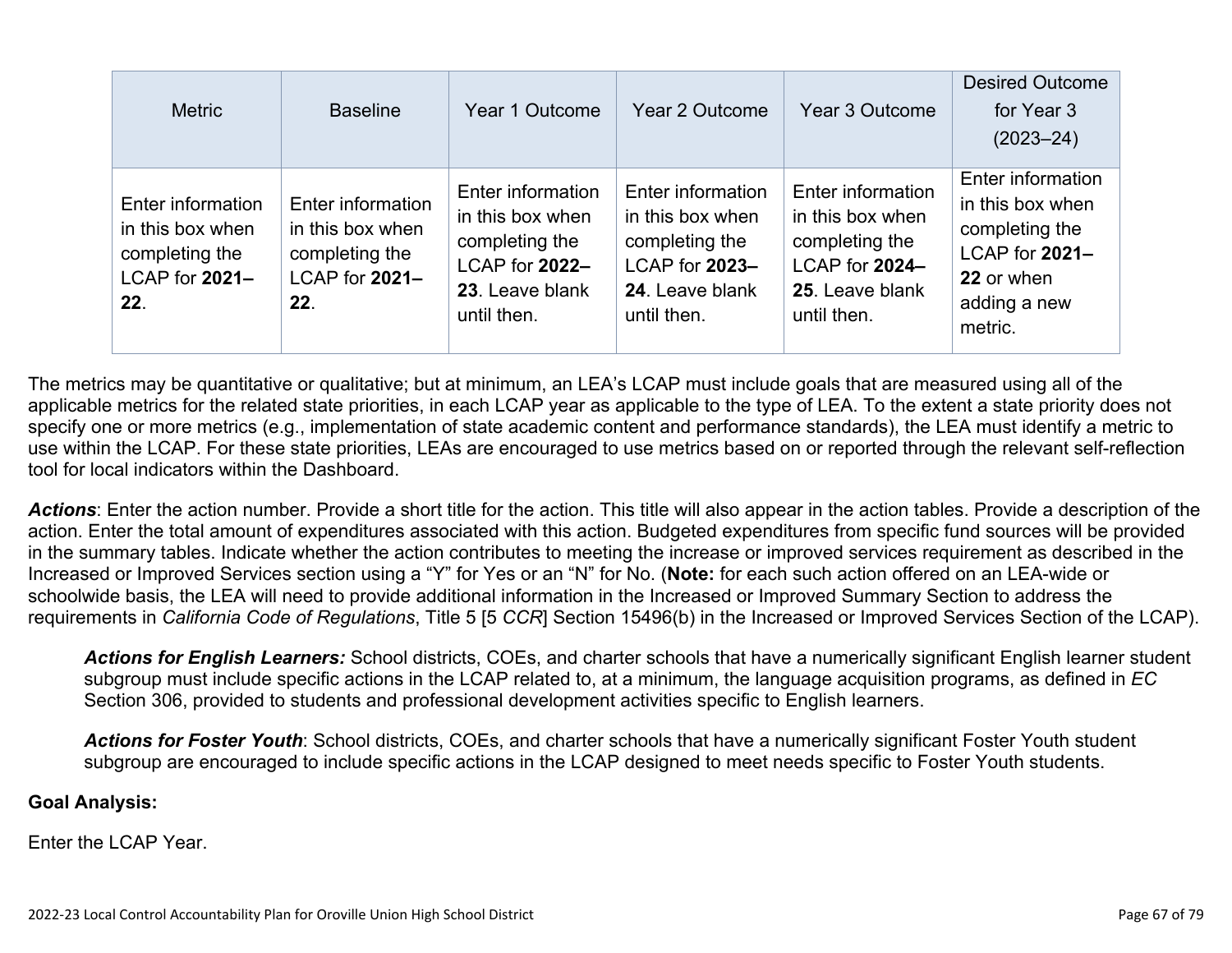| <b>Metric</b>                                                                    | <b>Baseline</b>                                                                  | Year 1 Outcome                                                                                              | Year 2 Outcome                                                                                              | Year 3 Outcome                                                                                              | <b>Desired Outcome</b><br>for Year 3<br>$(2023 - 24)$                                                              |
|----------------------------------------------------------------------------------|----------------------------------------------------------------------------------|-------------------------------------------------------------------------------------------------------------|-------------------------------------------------------------------------------------------------------------|-------------------------------------------------------------------------------------------------------------|--------------------------------------------------------------------------------------------------------------------|
| Enter information<br>in this box when<br>completing the<br>LCAP for 2021-<br>22. | Enter information<br>in this box when<br>completing the<br>LCAP for 2021-<br>22. | Enter information<br>in this box when<br>completing the<br>LCAP for 2022-<br>23. Leave blank<br>until then. | Enter information<br>in this box when<br>completing the<br>LCAP for 2023-<br>24. Leave blank<br>until then. | Enter information<br>in this box when<br>completing the<br>LCAP for 2024-<br>25. Leave blank<br>until then. | Enter information<br>in this box when<br>completing the<br>LCAP for 2021-<br>22 or when<br>adding a new<br>metric. |

The metrics may be quantitative or qualitative; but at minimum, an LEA's LCAP must include goals that are measured using all of the applicable metrics for the related state priorities, in each LCAP year as applicable to the type of LEA. To the extent a state priority does not specify one or more metrics (e.g., implementation of state academic content and performance standards), the LEA must identify a metric to use within the LCAP. For these state priorities, LEAs are encouraged to use metrics based on or reported through the relevant self-reflection tool for local indicators within the Dashboard.

*Actions*: Enter the action number. Provide a short title for the action. This title will also appear in the action tables. Provide a description of the action. Enter the total amount of expenditures associated with this action. Budgeted expenditures from specific fund sources will be provided in the summary tables. Indicate whether the action contributes to meeting the increase or improved services requirement as described in the Increased or Improved Services section using a "Y" for Yes or an "N" for No. (**Note:** for each such action offered on an LEA-wide or schoolwide basis, the LEA will need to provide additional information in the Increased or Improved Summary Section to address the requirements in *California Code of Regulations*, Title 5 [5 *CCR*] Section 15496(b) in the Increased or Improved Services Section of the LCAP).

*Actions for English Learners:* School districts, COEs, and charter schools that have a numerically significant English learner student subgroup must include specific actions in the LCAP related to, at a minimum, the language acquisition programs, as defined in *EC* Section 306, provided to students and professional development activities specific to English learners.

*Actions for Foster Youth*: School districts, COEs, and charter schools that have a numerically significant Foster Youth student subgroup are encouraged to include specific actions in the LCAP designed to meet needs specific to Foster Youth students.

#### **Goal Analysis:**

Enter the LCAP Year.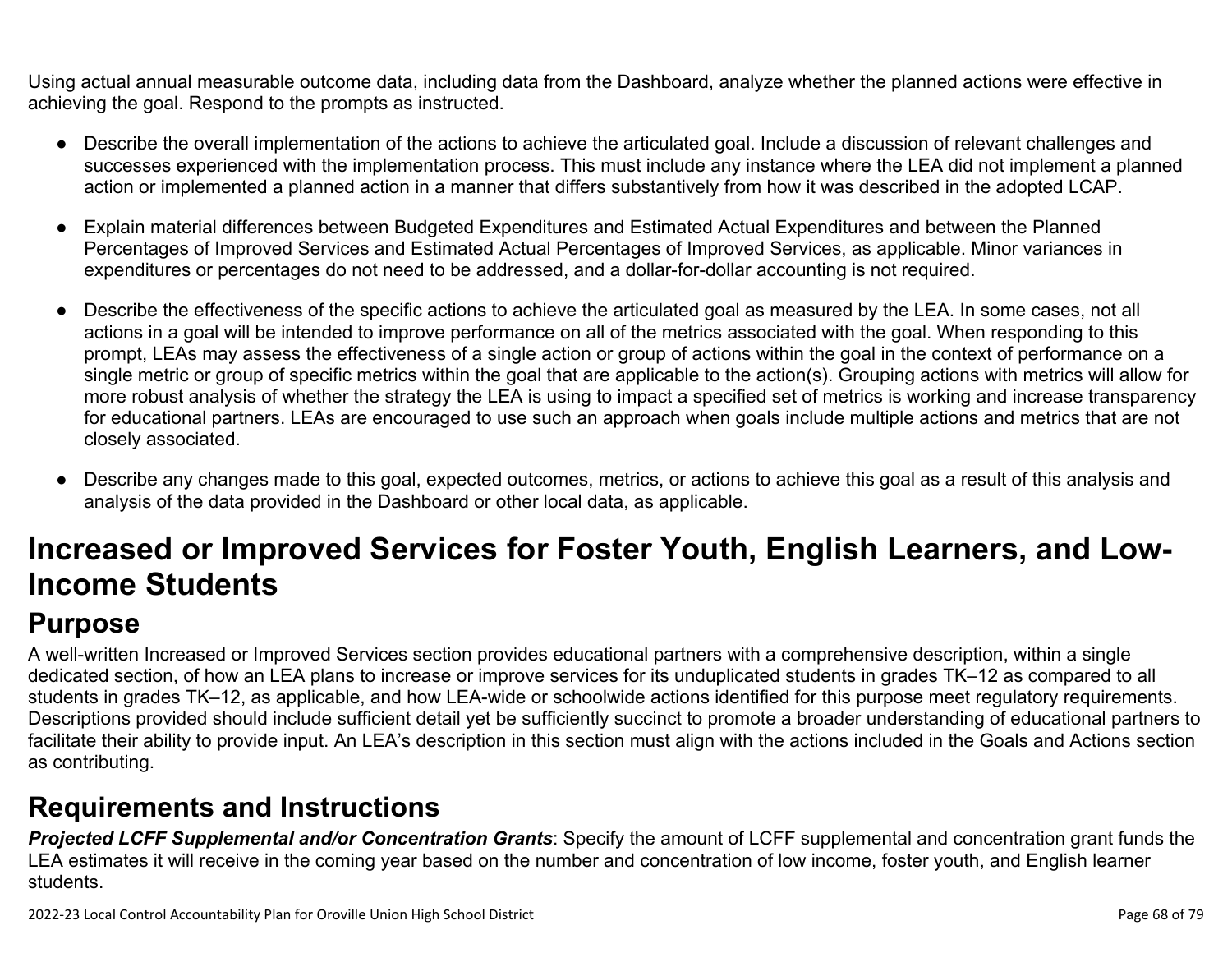Using actual annual measurable outcome data, including data from the Dashboard, analyze whether the planned actions were effective in achieving the goal. Respond to the prompts as instructed.

- Describe the overall implementation of the actions to achieve the articulated goal. Include a discussion of relevant challenges and successes experienced with the implementation process. This must include any instance where the LEA did not implement a planned action or implemented a planned action in a manner that differs substantively from how it was described in the adopted LCAP.
- Explain material differences between Budgeted Expenditures and Estimated Actual Expenditures and between the Planned Percentages of Improved Services and Estimated Actual Percentages of Improved Services, as applicable. Minor variances in expenditures or percentages do not need to be addressed, and a dollar-for-dollar accounting is not required.
- Describe the effectiveness of the specific actions to achieve the articulated goal as measured by the LEA. In some cases, not all actions in a goal will be intended to improve performance on all of the metrics associated with the goal. When responding to this prompt, LEAs may assess the effectiveness of a single action or group of actions within the goal in the context of performance on a single metric or group of specific metrics within the goal that are applicable to the action(s). Grouping actions with metrics will allow for more robust analysis of whether the strategy the LEA is using to impact a specified set of metrics is working and increase transparency for educational partners. LEAs are encouraged to use such an approach when goals include multiple actions and metrics that are not closely associated.
- Describe any changes made to this goal, expected outcomes, metrics, or actions to achieve this goal as a result of this analysis and analysis of the data provided in the Dashboard or other local data, as applicable.

# **Increased or Improved Services for Foster Youth, English Learners, and Low-Income Students**

## **Purpose**

A well-written Increased or Improved Services section provides educational partners with a comprehensive description, within a single dedicated section, of how an LEA plans to increase or improve services for its unduplicated students in grades TK–12 as compared to all students in grades TK–12, as applicable, and how LEA-wide or schoolwide actions identified for this purpose meet regulatory requirements. Descriptions provided should include sufficient detail yet be sufficiently succinct to promote a broader understanding of educational partners to facilitate their ability to provide input. An LEA's description in this section must align with the actions included in the Goals and Actions section as contributing.

## **Requirements and Instructions**

*Projected LCFF Supplemental and/or Concentration Grants*: Specify the amount of LCFF supplemental and concentration grant funds the LEA estimates it will receive in the coming year based on the number and concentration of low income, foster youth, and English learner students.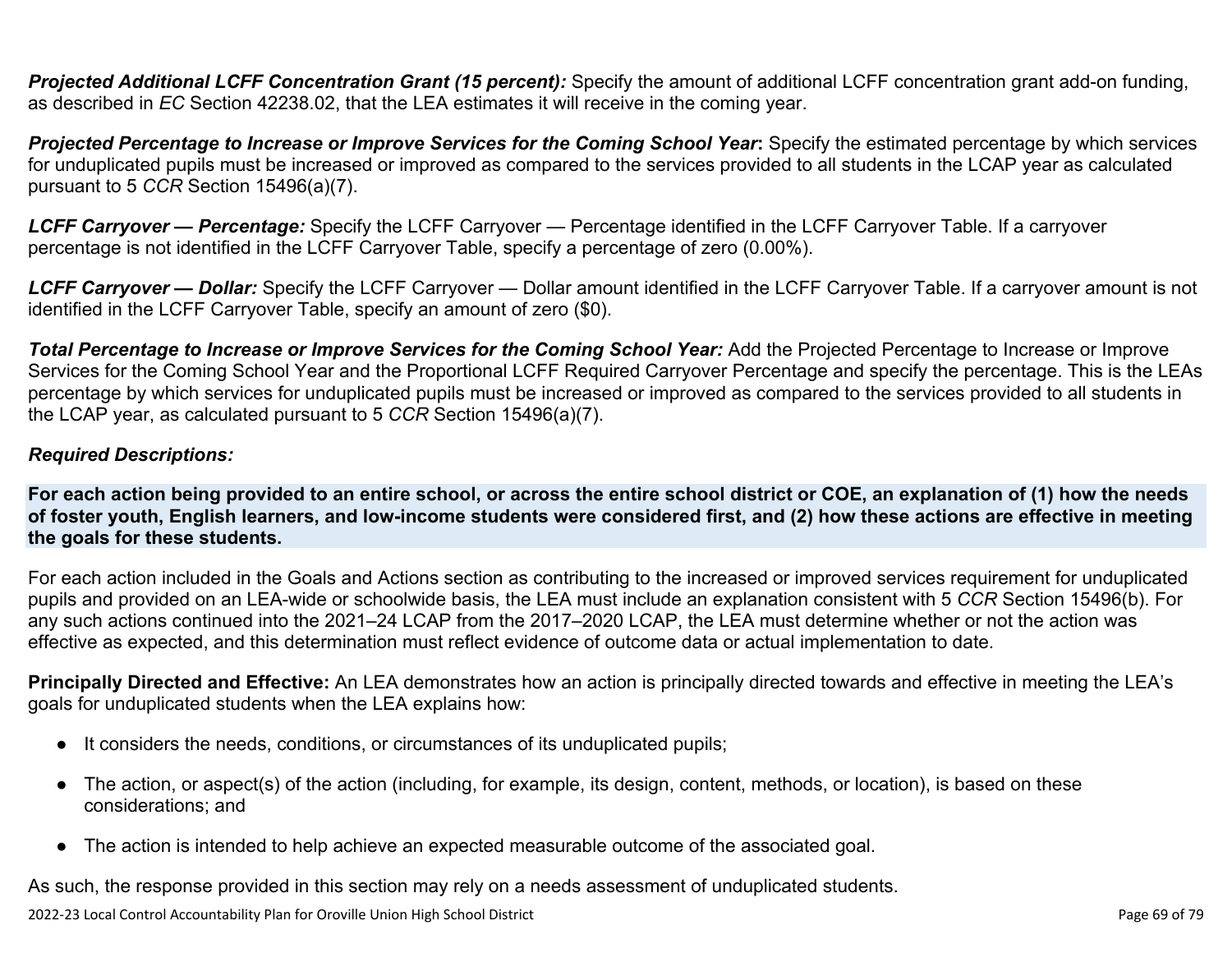**Projected Additional LCFF Concentration Grant (15 percent):** Specify the amount of additional LCFF concentration grant add-on funding, as described in *EC* Section 42238.02, that the LEA estimates it will receive in the coming year.

*Projected Percentage to Increase or Improve Services for the Coming School Year***:** Specify the estimated percentage by which services for unduplicated pupils must be increased or improved as compared to the services provided to all students in the LCAP year as calculated pursuant to 5 *CCR* Section 15496(a)(7).

*LCFF Carryover — Percentage:* Specify the LCFF Carryover — Percentage identified in the LCFF Carryover Table. If a carryover percentage is not identified in the LCFF Carryover Table, specify a percentage of zero (0.00%).

*LCFF Carryover — Dollar:* Specify the LCFF Carryover — Dollar amount identified in the LCFF Carryover Table. If a carryover amount is not identified in the LCFF Carryover Table, specify an amount of zero (\$0).

**Total Percentage to Increase or Improve Services for the Coming School Year:** Add the Projected Percentage to Increase or Improve Services for the Coming School Year and the Proportional LCFF Required Carryover Percentage and specify the percentage. This is the LEAs percentage by which services for unduplicated pupils must be increased or improved as compared to the services provided to all students in the LCAP year, as calculated pursuant to 5 *CCR* Section 15496(a)(7).

#### *Required Descriptions:*

**For each action being provided to an entire school, or across the entire school district or COE, an explanation of (1) how the needs of foster youth, English learners, and low-income students were considered first, and (2) how these actions are effective in meeting the goals for these students.**

For each action included in the Goals and Actions section as contributing to the increased or improved services requirement for unduplicated pupils and provided on an LEA-wide or schoolwide basis, the LEA must include an explanation consistent with 5 *CCR* Section 15496(b). For any such actions continued into the 2021–24 LCAP from the 2017–2020 LCAP, the LEA must determine whether or not the action was effective as expected, and this determination must reflect evidence of outcome data or actual implementation to date.

**Principally Directed and Effective:** An LEA demonstrates how an action is principally directed towards and effective in meeting the LEA's goals for unduplicated students when the LEA explains how:

- It considers the needs, conditions, or circumstances of its unduplicated pupils;
- The action, or aspect(s) of the action (including, for example, its design, content, methods, or location), is based on these considerations; and
- The action is intended to help achieve an expected measurable outcome of the associated goal.

As such, the response provided in this section may rely on a needs assessment of unduplicated students.

2022-23 Local Control Accountability Plan for Oroville Union High School District Page 69 of 79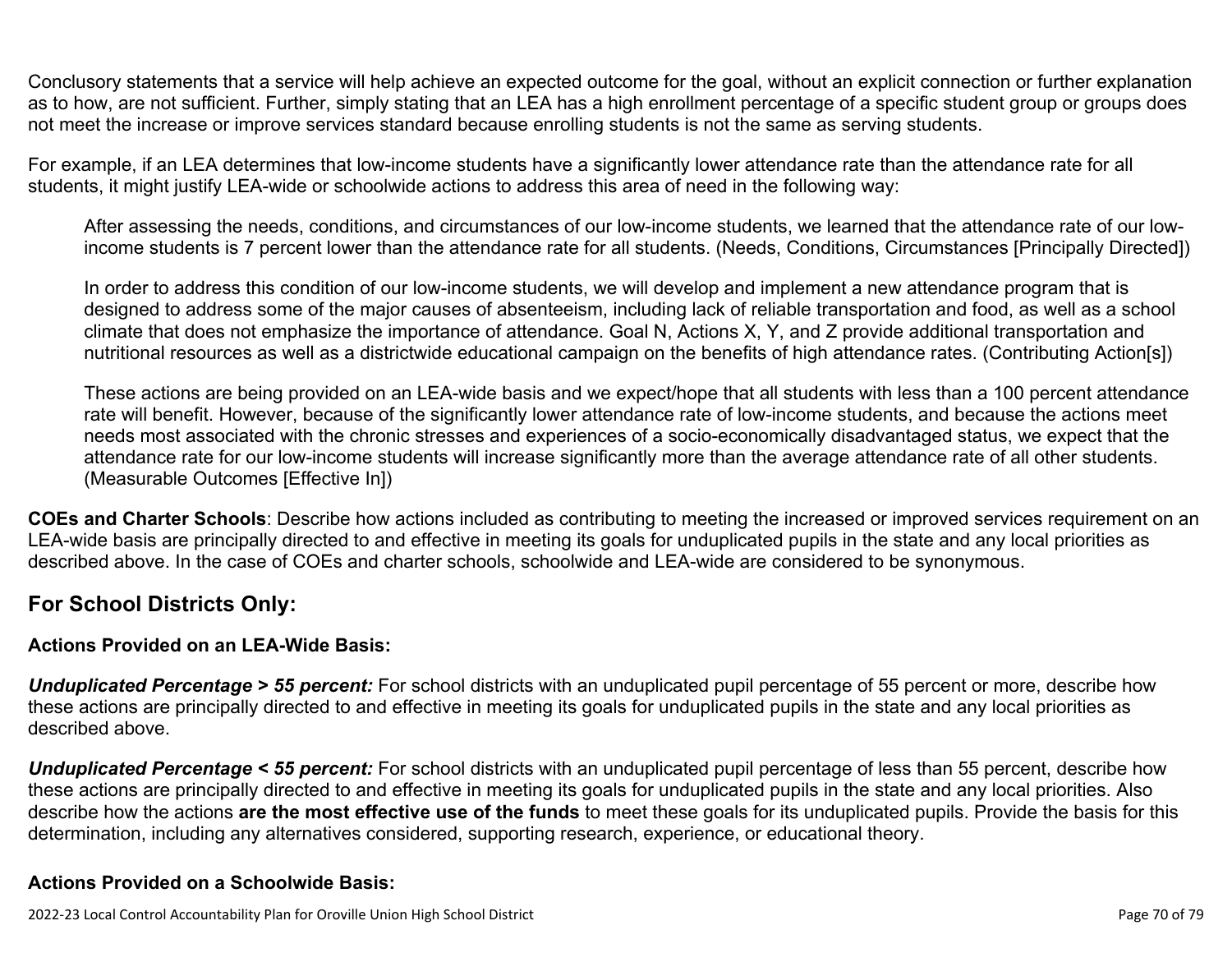Conclusory statements that a service will help achieve an expected outcome for the goal, without an explicit connection or further explanation as to how, are not sufficient. Further, simply stating that an LEA has a high enrollment percentage of a specific student group or groups does not meet the increase or improve services standard because enrolling students is not the same as serving students.

For example, if an LEA determines that low-income students have a significantly lower attendance rate than the attendance rate for all students, it might justify LEA-wide or schoolwide actions to address this area of need in the following way:

After assessing the needs, conditions, and circumstances of our low-income students, we learned that the attendance rate of our lowincome students is 7 percent lower than the attendance rate for all students. (Needs, Conditions, Circumstances [Principally Directed])

In order to address this condition of our low-income students, we will develop and implement a new attendance program that is designed to address some of the major causes of absenteeism, including lack of reliable transportation and food, as well as a school climate that does not emphasize the importance of attendance. Goal N, Actions X, Y, and Z provide additional transportation and nutritional resources as well as a districtwide educational campaign on the benefits of high attendance rates. (Contributing Action[s])

These actions are being provided on an LEA-wide basis and we expect/hope that all students with less than a 100 percent attendance rate will benefit. However, because of the significantly lower attendance rate of low-income students, and because the actions meet needs most associated with the chronic stresses and experiences of a socio-economically disadvantaged status, we expect that the attendance rate for our low-income students will increase significantly more than the average attendance rate of all other students. (Measurable Outcomes [Effective In])

**COEs and Charter Schools**: Describe how actions included as contributing to meeting the increased or improved services requirement on an LEA-wide basis are principally directed to and effective in meeting its goals for unduplicated pupils in the state and any local priorities as described above. In the case of COEs and charter schools, schoolwide and LEA-wide are considered to be synonymous.

### **For School Districts Only:**

#### **Actions Provided on an LEA-Wide Basis:**

*Unduplicated Percentage > 55 percent:* For school districts with an unduplicated pupil percentage of 55 percent or more, describe how these actions are principally directed to and effective in meeting its goals for unduplicated pupils in the state and any local priorities as described above.

*Unduplicated Percentage < 55 percent:* For school districts with an unduplicated pupil percentage of less than 55 percent, describe how these actions are principally directed to and effective in meeting its goals for unduplicated pupils in the state and any local priorities. Also describe how the actions **are the most effective use of the funds** to meet these goals for its unduplicated pupils. Provide the basis for this determination, including any alternatives considered, supporting research, experience, or educational theory.

#### **Actions Provided on a Schoolwide Basis:**

2022-23 Local Control Accountability Plan for Oroville Union High School District Page 70 of 79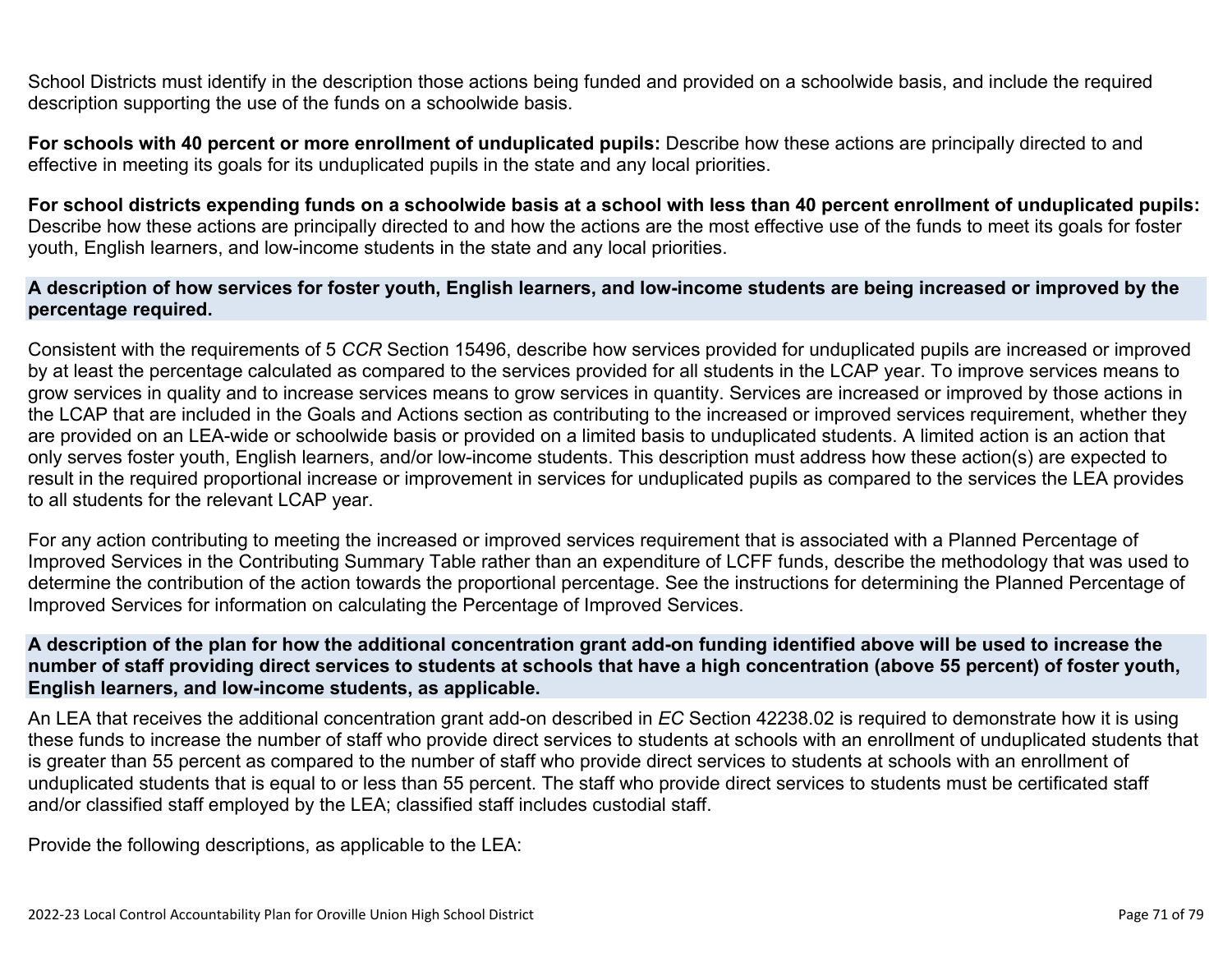School Districts must identify in the description those actions being funded and provided on a schoolwide basis, and include the required description supporting the use of the funds on a schoolwide basis.

**For schools with 40 percent or more enrollment of unduplicated pupils:** Describe how these actions are principally directed to and effective in meeting its goals for its unduplicated pupils in the state and any local priorities.

**For school districts expending funds on a schoolwide basis at a school with less than 40 percent enrollment of unduplicated pupils:** Describe how these actions are principally directed to and how the actions are the most effective use of the funds to meet its goals for foster youth, English learners, and low-income students in the state and any local priorities.

#### **A description of how services for foster youth, English learners, and low-income students are being increased or improved by the percentage required.**

Consistent with the requirements of 5 *CCR* Section 15496, describe how services provided for unduplicated pupils are increased or improved by at least the percentage calculated as compared to the services provided for all students in the LCAP year. To improve services means to grow services in quality and to increase services means to grow services in quantity. Services are increased or improved by those actions in the LCAP that are included in the Goals and Actions section as contributing to the increased or improved services requirement, whether they are provided on an LEA-wide or schoolwide basis or provided on a limited basis to unduplicated students. A limited action is an action that only serves foster youth, English learners, and/or low-income students. This description must address how these action(s) are expected to result in the required proportional increase or improvement in services for unduplicated pupils as compared to the services the LEA provides to all students for the relevant LCAP year.

For any action contributing to meeting the increased or improved services requirement that is associated with a Planned Percentage of Improved Services in the Contributing Summary Table rather than an expenditure of LCFF funds, describe the methodology that was used to determine the contribution of the action towards the proportional percentage. See the instructions for determining the Planned Percentage of Improved Services for information on calculating the Percentage of Improved Services.

#### **A description of the plan for how the additional concentration grant add-on funding identified above will be used to increase the number of staff providing direct services to students at schools that have a high concentration (above 55 percent) of foster youth, English learners, and low-income students, as applicable.**

An LEA that receives the additional concentration grant add-on described in *EC* Section 42238.02 is required to demonstrate how it is using these funds to increase the number of staff who provide direct services to students at schools with an enrollment of unduplicated students that is greater than 55 percent as compared to the number of staff who provide direct services to students at schools with an enrollment of unduplicated students that is equal to or less than 55 percent. The staff who provide direct services to students must be certificated staff and/or classified staff employed by the LEA; classified staff includes custodial staff.

Provide the following descriptions, as applicable to the LEA: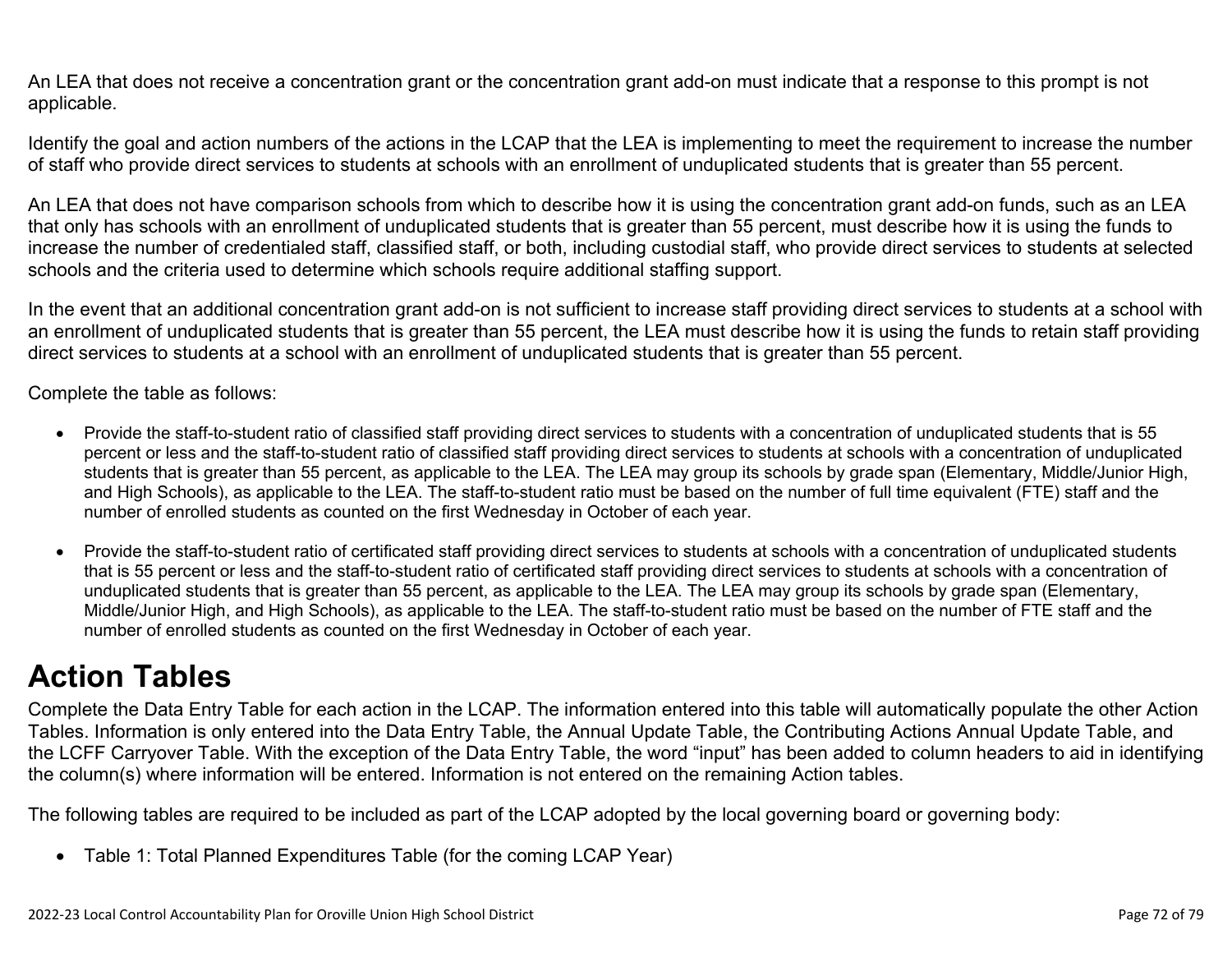An LEA that does not receive a concentration grant or the concentration grant add-on must indicate that a response to this prompt is not applicable.

Identify the goal and action numbers of the actions in the LCAP that the LEA is implementing to meet the requirement to increase the number of staff who provide direct services to students at schools with an enrollment of unduplicated students that is greater than 55 percent.

An LEA that does not have comparison schools from which to describe how it is using the concentration grant add-on funds, such as an LEA that only has schools with an enrollment of unduplicated students that is greater than 55 percent, must describe how it is using the funds to increase the number of credentialed staff, classified staff, or both, including custodial staff, who provide direct services to students at selected schools and the criteria used to determine which schools require additional staffing support.

In the event that an additional concentration grant add-on is not sufficient to increase staff providing direct services to students at a school with an enrollment of unduplicated students that is greater than 55 percent, the LEA must describe how it is using the funds to retain staff providing direct services to students at a school with an enrollment of unduplicated students that is greater than 55 percent.

Complete the table as follows:

- Provide the staff-to-student ratio of classified staff providing direct services to students with a concentration of unduplicated students that is 55 percent or less and the staff-to-student ratio of classified staff providing direct services to students at schools with a concentration of unduplicated students that is greater than 55 percent, as applicable to the LEA. The LEA may group its schools by grade span (Elementary, Middle/Junior High, and High Schools), as applicable to the LEA. The staff-to-student ratio must be based on the number of full time equivalent (FTE) staff and the number of enrolled students as counted on the first Wednesday in October of each year.
- Provide the staff-to-student ratio of certificated staff providing direct services to students at schools with a concentration of unduplicated students that is 55 percent or less and the staff-to-student ratio of certificated staff providing direct services to students at schools with a concentration of unduplicated students that is greater than 55 percent, as applicable to the LEA. The LEA may group its schools by grade span (Elementary, Middle/Junior High, and High Schools), as applicable to the LEA. The staff-to-student ratio must be based on the number of FTE staff and the number of enrolled students as counted on the first Wednesday in October of each year.

## **Action Tables**

Complete the Data Entry Table for each action in the LCAP. The information entered into this table will automatically populate the other Action Tables. Information is only entered into the Data Entry Table, the Annual Update Table, the Contributing Actions Annual Update Table, and the LCFF Carryover Table. With the exception of the Data Entry Table, the word "input" has been added to column headers to aid in identifying the column(s) where information will be entered. Information is not entered on the remaining Action tables.

The following tables are required to be included as part of the LCAP adopted by the local governing board or governing body:

• Table 1: Total Planned Expenditures Table (for the coming LCAP Year)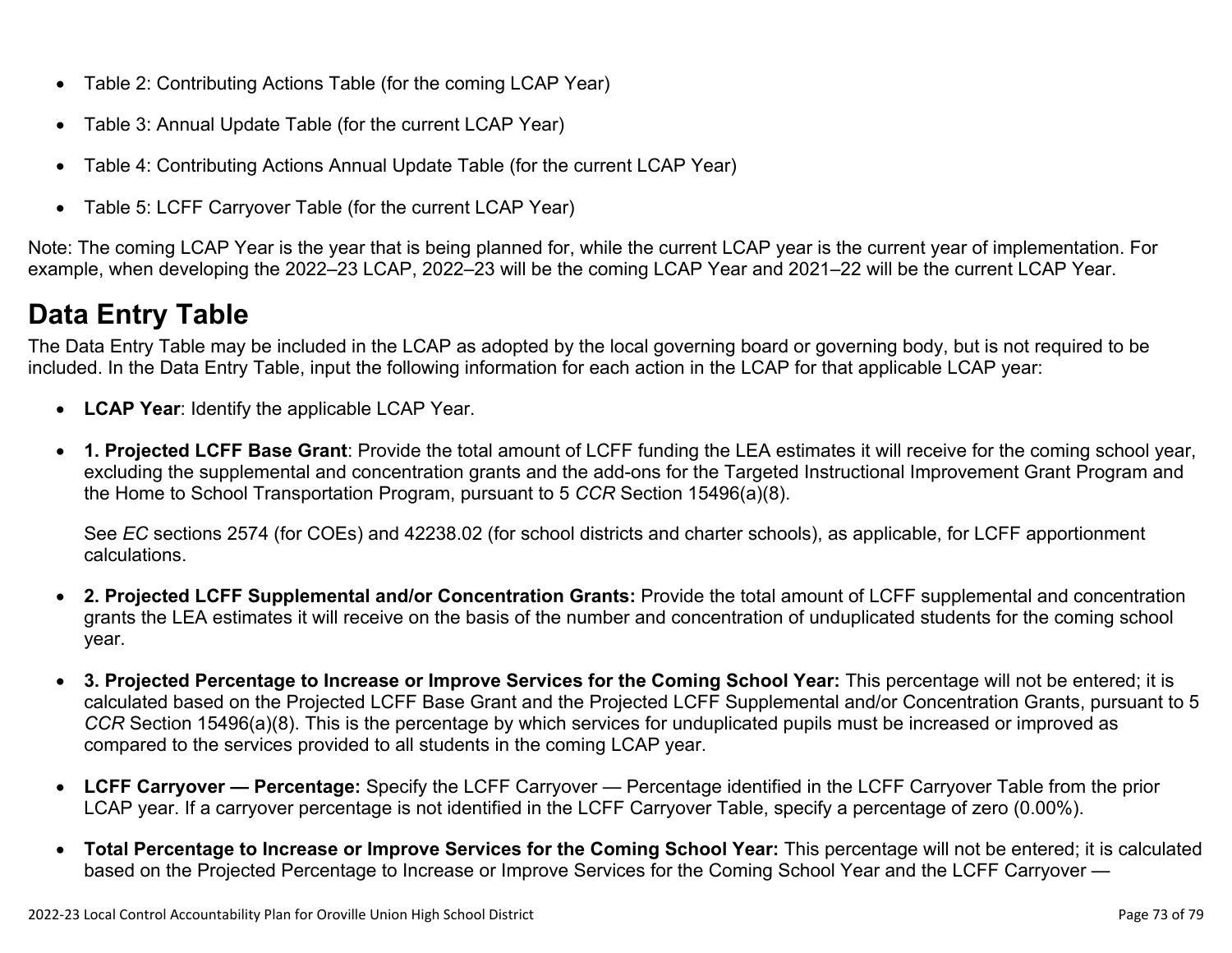- Table 2: Contributing Actions Table (for the coming LCAP Year)
- Table 3: Annual Update Table (for the current LCAP Year)
- Table 4: Contributing Actions Annual Update Table (for the current LCAP Year)
- Table 5: LCFF Carryover Table (for the current LCAP Year)

Note: The coming LCAP Year is the year that is being planned for, while the current LCAP year is the current year of implementation. For example, when developing the 2022–23 LCAP, 2022–23 will be the coming LCAP Year and 2021–22 will be the current LCAP Year.

# **Data Entry Table**

The Data Entry Table may be included in the LCAP as adopted by the local governing board or governing body, but is not required to be included. In the Data Entry Table, input the following information for each action in the LCAP for that applicable LCAP year:

- **LCAP Year**: Identify the applicable LCAP Year.
- **1. Projected LCFF Base Grant**: Provide the total amount of LCFF funding the LEA estimates it will receive for the coming school year, excluding the supplemental and concentration grants and the add-ons for the Targeted Instructional Improvement Grant Program and the Home to School Transportation Program, pursuant to 5 *CCR* Section 15496(a)(8).

See *EC* sections 2574 (for COEs) and 42238.02 (for school districts and charter schools), as applicable, for LCFF apportionment calculations.

- **2. Projected LCFF Supplemental and/or Concentration Grants:** Provide the total amount of LCFF supplemental and concentration grants the LEA estimates it will receive on the basis of the number and concentration of unduplicated students for the coming school year.
- **3. Projected Percentage to Increase or Improve Services for the Coming School Year:** This percentage will not be entered; it is calculated based on the Projected LCFF Base Grant and the Projected LCFF Supplemental and/or Concentration Grants, pursuant to 5 *CCR* Section 15496(a)(8). This is the percentage by which services for unduplicated pupils must be increased or improved as compared to the services provided to all students in the coming LCAP year.
- **LCFF Carryover Percentage:** Specify the LCFF Carryover Percentage identified in the LCFF Carryover Table from the prior LCAP year. If a carryover percentage is not identified in the LCFF Carryover Table, specify a percentage of zero (0.00%).
- **Total Percentage to Increase or Improve Services for the Coming School Year:** This percentage will not be entered; it is calculated based on the Projected Percentage to Increase or Improve Services for the Coming School Year and the LCFF Carryover —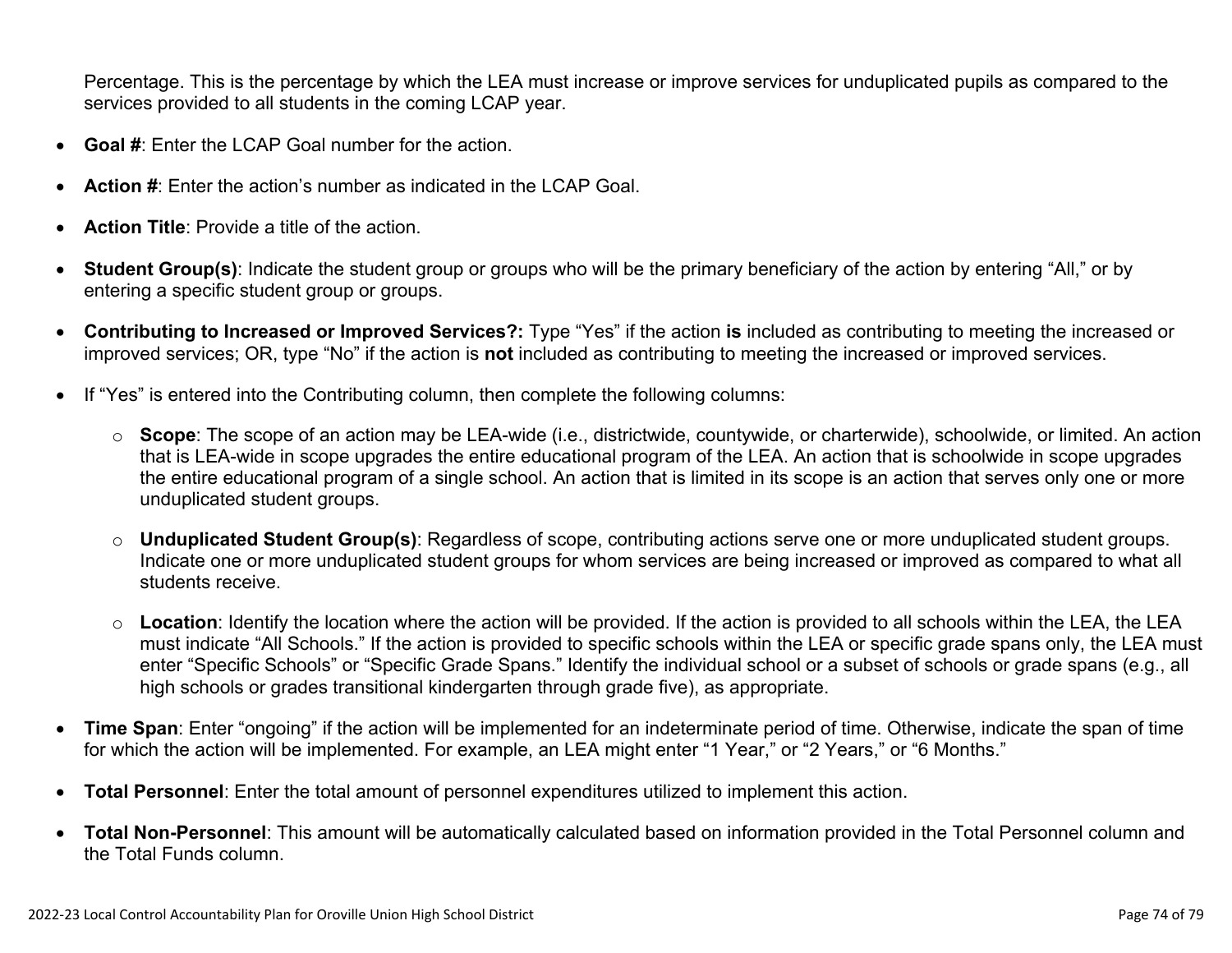Percentage. This is the percentage by which the LEA must increase or improve services for unduplicated pupils as compared to the services provided to all students in the coming LCAP year.

- **Goal #**: Enter the LCAP Goal number for the action.
- **Action #**: Enter the action's number as indicated in the LCAP Goal.
- **Action Title**: Provide a title of the action.
- **Student Group(s)**: Indicate the student group or groups who will be the primary beneficiary of the action by entering "All," or by entering a specific student group or groups.
- **Contributing to Increased or Improved Services?:** Type "Yes" if the action **is** included as contributing to meeting the increased or improved services; OR, type "No" if the action is **not** included as contributing to meeting the increased or improved services.
- If "Yes" is entered into the Contributing column, then complete the following columns:
	- o **Scope**: The scope of an action may be LEA-wide (i.e., districtwide, countywide, or charterwide), schoolwide, or limited. An action that is LEA-wide in scope upgrades the entire educational program of the LEA. An action that is schoolwide in scope upgrades the entire educational program of a single school. An action that is limited in its scope is an action that serves only one or more unduplicated student groups.
	- o **Unduplicated Student Group(s)**: Regardless of scope, contributing actions serve one or more unduplicated student groups. Indicate one or more unduplicated student groups for whom services are being increased or improved as compared to what all students receive.
	- o **Location**: Identify the location where the action will be provided. If the action is provided to all schools within the LEA, the LEA must indicate "All Schools." If the action is provided to specific schools within the LEA or specific grade spans only, the LEA must enter "Specific Schools" or "Specific Grade Spans." Identify the individual school or a subset of schools or grade spans (e.g., all high schools or grades transitional kindergarten through grade five), as appropriate.
- **Time Span**: Enter "ongoing" if the action will be implemented for an indeterminate period of time. Otherwise, indicate the span of time for which the action will be implemented. For example, an LEA might enter "1 Year," or "2 Years," or "6 Months."
- **Total Personnel**: Enter the total amount of personnel expenditures utilized to implement this action.
- **Total Non-Personnel**: This amount will be automatically calculated based on information provided in the Total Personnel column and the Total Funds column.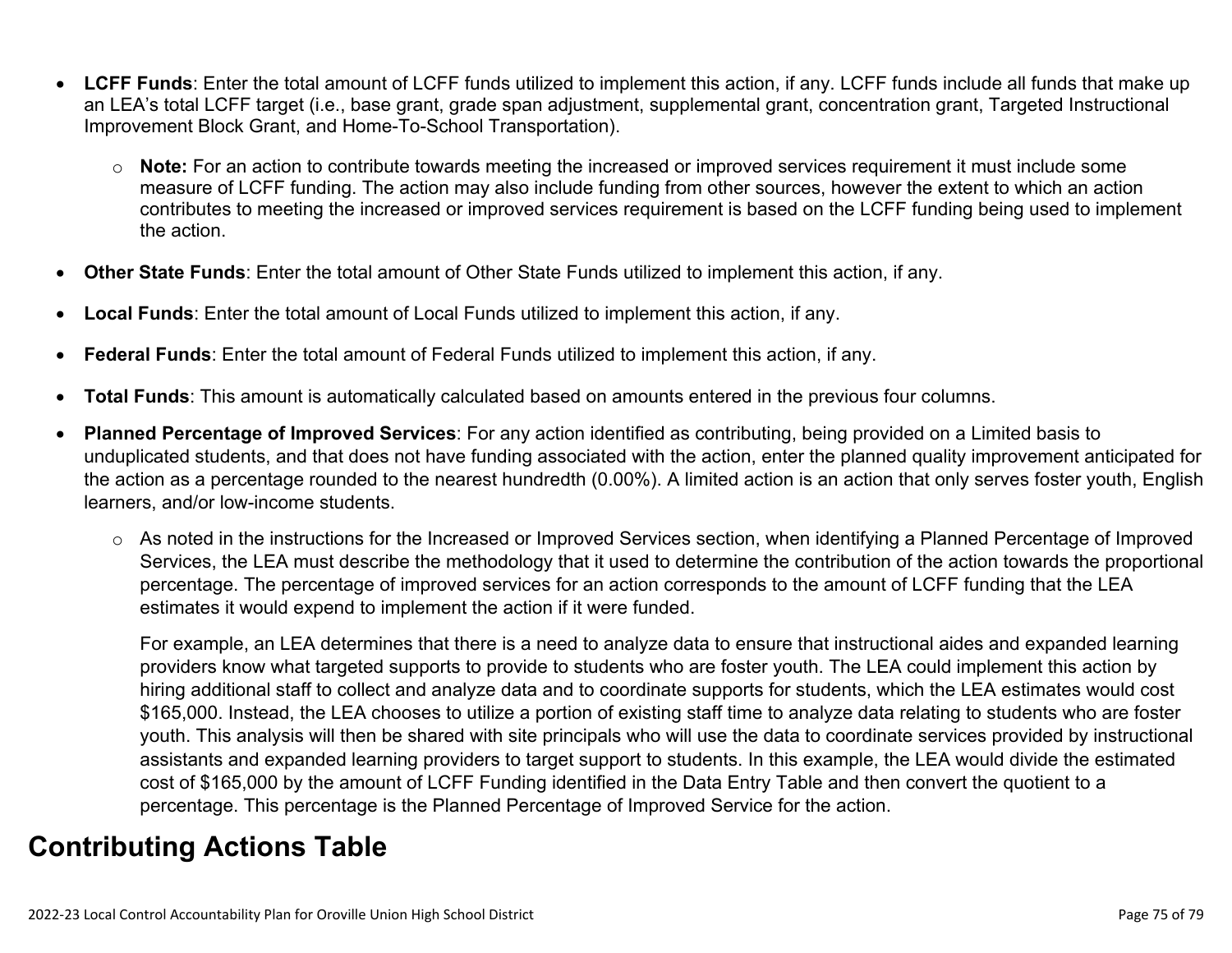- **LCFF Funds**: Enter the total amount of LCFF funds utilized to implement this action, if any. LCFF funds include all funds that make up an LEA's total LCFF target (i.e., base grant, grade span adjustment, supplemental grant, concentration grant, Targeted Instructional Improvement Block Grant, and Home-To-School Transportation).
	- o **Note:** For an action to contribute towards meeting the increased or improved services requirement it must include some measure of LCFF funding. The action may also include funding from other sources, however the extent to which an action contributes to meeting the increased or improved services requirement is based on the LCFF funding being used to implement the action.
- **Other State Funds**: Enter the total amount of Other State Funds utilized to implement this action, if any.
- **Local Funds**: Enter the total amount of Local Funds utilized to implement this action, if any.
- **Federal Funds**: Enter the total amount of Federal Funds utilized to implement this action, if any.
- **Total Funds**: This amount is automatically calculated based on amounts entered in the previous four columns.
- **Planned Percentage of Improved Services**: For any action identified as contributing, being provided on a Limited basis to unduplicated students, and that does not have funding associated with the action, enter the planned quality improvement anticipated for the action as a percentage rounded to the nearest hundredth (0.00%). A limited action is an action that only serves foster youth, English learners, and/or low-income students.
	- o As noted in the instructions for the Increased or Improved Services section, when identifying a Planned Percentage of Improved Services, the LEA must describe the methodology that it used to determine the contribution of the action towards the proportional percentage. The percentage of improved services for an action corresponds to the amount of LCFF funding that the LEA estimates it would expend to implement the action if it were funded.

For example, an LEA determines that there is a need to analyze data to ensure that instructional aides and expanded learning providers know what targeted supports to provide to students who are foster youth. The LEA could implement this action by hiring additional staff to collect and analyze data and to coordinate supports for students, which the LEA estimates would cost \$165,000. Instead, the LEA chooses to utilize a portion of existing staff time to analyze data relating to students who are foster youth. This analysis will then be shared with site principals who will use the data to coordinate services provided by instructional assistants and expanded learning providers to target support to students. In this example, the LEA would divide the estimated cost of \$165,000 by the amount of LCFF Funding identified in the Data Entry Table and then convert the quotient to a percentage. This percentage is the Planned Percentage of Improved Service for the action.

### **Contributing Actions Table**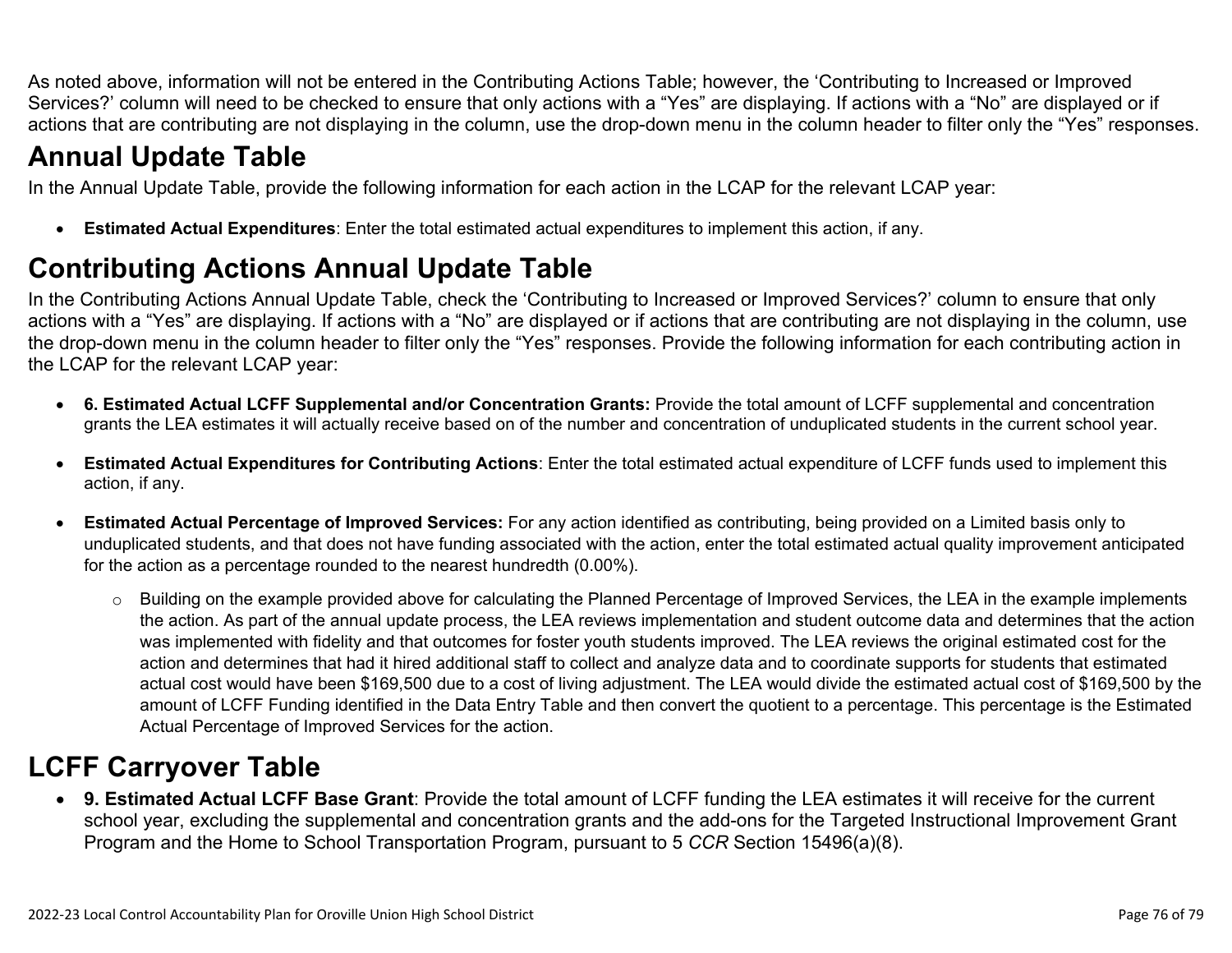As noted above, information will not be entered in the Contributing Actions Table; however, the 'Contributing to Increased or Improved Services?' column will need to be checked to ensure that only actions with a "Yes" are displaying. If actions with a "No" are displayed or if actions that are contributing are not displaying in the column, use the drop-down menu in the column header to filter only the "Yes" responses.

# **Annual Update Table**

In the Annual Update Table, provide the following information for each action in the LCAP for the relevant LCAP year:

• **Estimated Actual Expenditures**: Enter the total estimated actual expenditures to implement this action, if any.

# **Contributing Actions Annual Update Table**

In the Contributing Actions Annual Update Table, check the 'Contributing to Increased or Improved Services?' column to ensure that only actions with a "Yes" are displaying. If actions with a "No" are displayed or if actions that are contributing are not displaying in the column, use the drop-down menu in the column header to filter only the "Yes" responses. Provide the following information for each contributing action in the LCAP for the relevant LCAP year:

- **6. Estimated Actual LCFF Supplemental and/or Concentration Grants:** Provide the total amount of LCFF supplemental and concentration grants the LEA estimates it will actually receive based on of the number and concentration of unduplicated students in the current school year.
- **Estimated Actual Expenditures for Contributing Actions**: Enter the total estimated actual expenditure of LCFF funds used to implement this action, if any.
- **Estimated Actual Percentage of Improved Services:** For any action identified as contributing, being provided on a Limited basis only to unduplicated students, and that does not have funding associated with the action, enter the total estimated actual quality improvement anticipated for the action as a percentage rounded to the nearest hundredth (0.00%).
	- o Building on the example provided above for calculating the Planned Percentage of Improved Services, the LEA in the example implements the action. As part of the annual update process, the LEA reviews implementation and student outcome data and determines that the action was implemented with fidelity and that outcomes for foster youth students improved. The LEA reviews the original estimated cost for the action and determines that had it hired additional staff to collect and analyze data and to coordinate supports for students that estimated actual cost would have been \$169,500 due to a cost of living adjustment. The LEA would divide the estimated actual cost of \$169,500 by the amount of LCFF Funding identified in the Data Entry Table and then convert the quotient to a percentage. This percentage is the Estimated Actual Percentage of Improved Services for the action.

## **LCFF Carryover Table**

• **9. Estimated Actual LCFF Base Grant**: Provide the total amount of LCFF funding the LEA estimates it will receive for the current school year, excluding the supplemental and concentration grants and the add-ons for the Targeted Instructional Improvement Grant Program and the Home to School Transportation Program, pursuant to 5 *CCR* Section 15496(a)(8).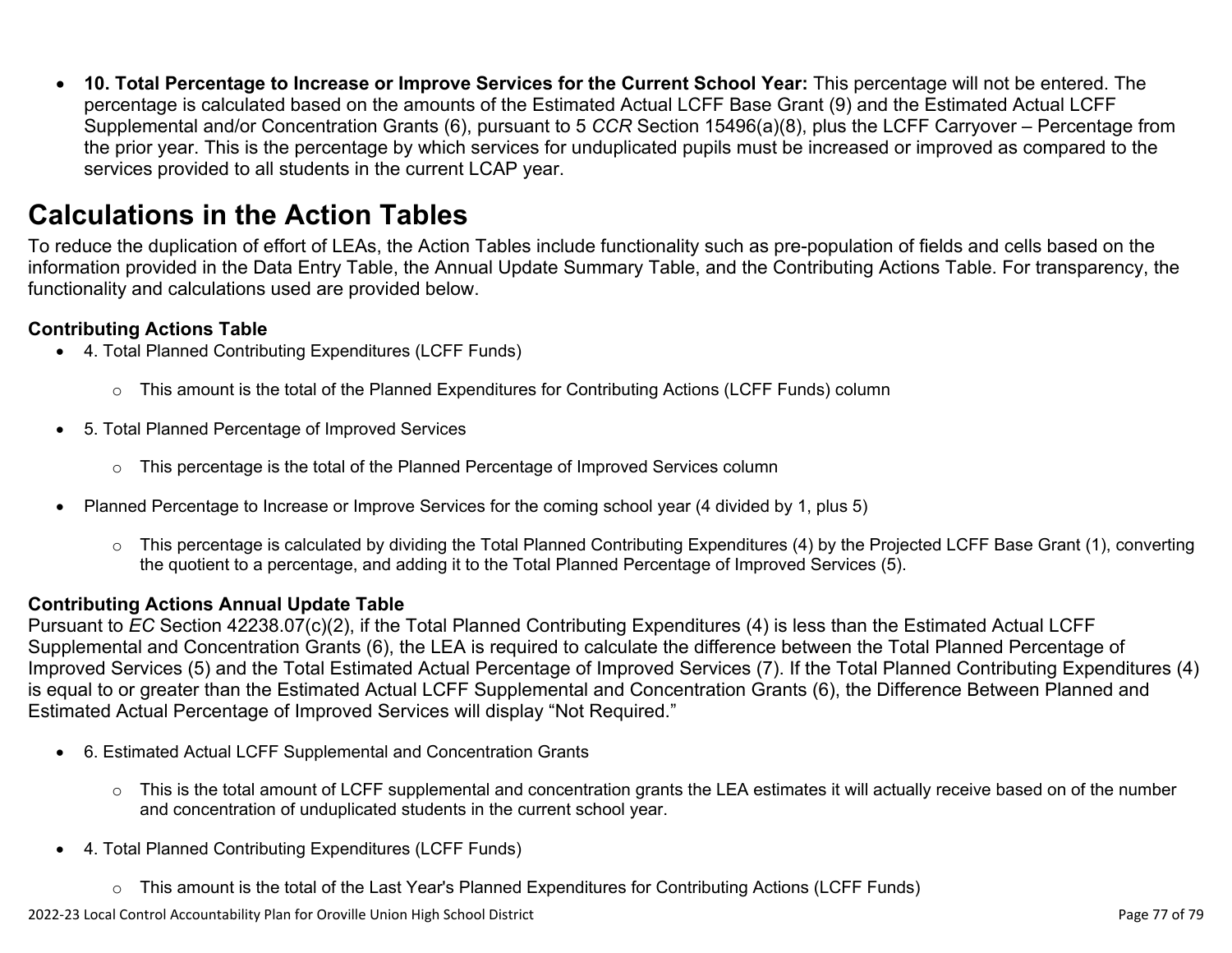• **10. Total Percentage to Increase or Improve Services for the Current School Year:** This percentage will not be entered. The percentage is calculated based on the amounts of the Estimated Actual LCFF Base Grant (9) and the Estimated Actual LCFF Supplemental and/or Concentration Grants (6), pursuant to 5 *CCR* Section 15496(a)(8), plus the LCFF Carryover – Percentage from the prior year. This is the percentage by which services for unduplicated pupils must be increased or improved as compared to the services provided to all students in the current LCAP year.

### **Calculations in the Action Tables**

To reduce the duplication of effort of LEAs, the Action Tables include functionality such as pre-population of fields and cells based on the information provided in the Data Entry Table, the Annual Update Summary Table, and the Contributing Actions Table. For transparency, the functionality and calculations used are provided below.

#### **Contributing Actions Table**

- 4. Total Planned Contributing Expenditures (LCFF Funds)
	- $\circ$  This amount is the total of the Planned Expenditures for Contributing Actions (LCFF Funds) column
- 5. Total Planned Percentage of Improved Services
	- $\circ$  This percentage is the total of the Planned Percentage of Improved Services column
- Planned Percentage to Increase or Improve Services for the coming school year (4 divided by 1, plus 5)
	- o This percentage is calculated by dividing the Total Planned Contributing Expenditures (4) by the Projected LCFF Base Grant (1), converting the quotient to a percentage, and adding it to the Total Planned Percentage of Improved Services (5).

### **Contributing Actions Annual Update Table**

Pursuant to *EC* Section 42238.07(c)(2), if the Total Planned Contributing Expenditures (4) is less than the Estimated Actual LCFF Supplemental and Concentration Grants (6), the LEA is required to calculate the difference between the Total Planned Percentage of Improved Services (5) and the Total Estimated Actual Percentage of Improved Services (7). If the Total Planned Contributing Expenditures (4) is equal to or greater than the Estimated Actual LCFF Supplemental and Concentration Grants (6), the Difference Between Planned and Estimated Actual Percentage of Improved Services will display "Not Required."

- 6. Estimated Actual LCFF Supplemental and Concentration Grants
	- $\circ$  This is the total amount of LCFF supplemental and concentration grants the LEA estimates it will actually receive based on of the number and concentration of unduplicated students in the current school year.
- 4. Total Planned Contributing Expenditures (LCFF Funds)
	- $\circ$  This amount is the total of the Last Year's Planned Expenditures for Contributing Actions (LCFF Funds)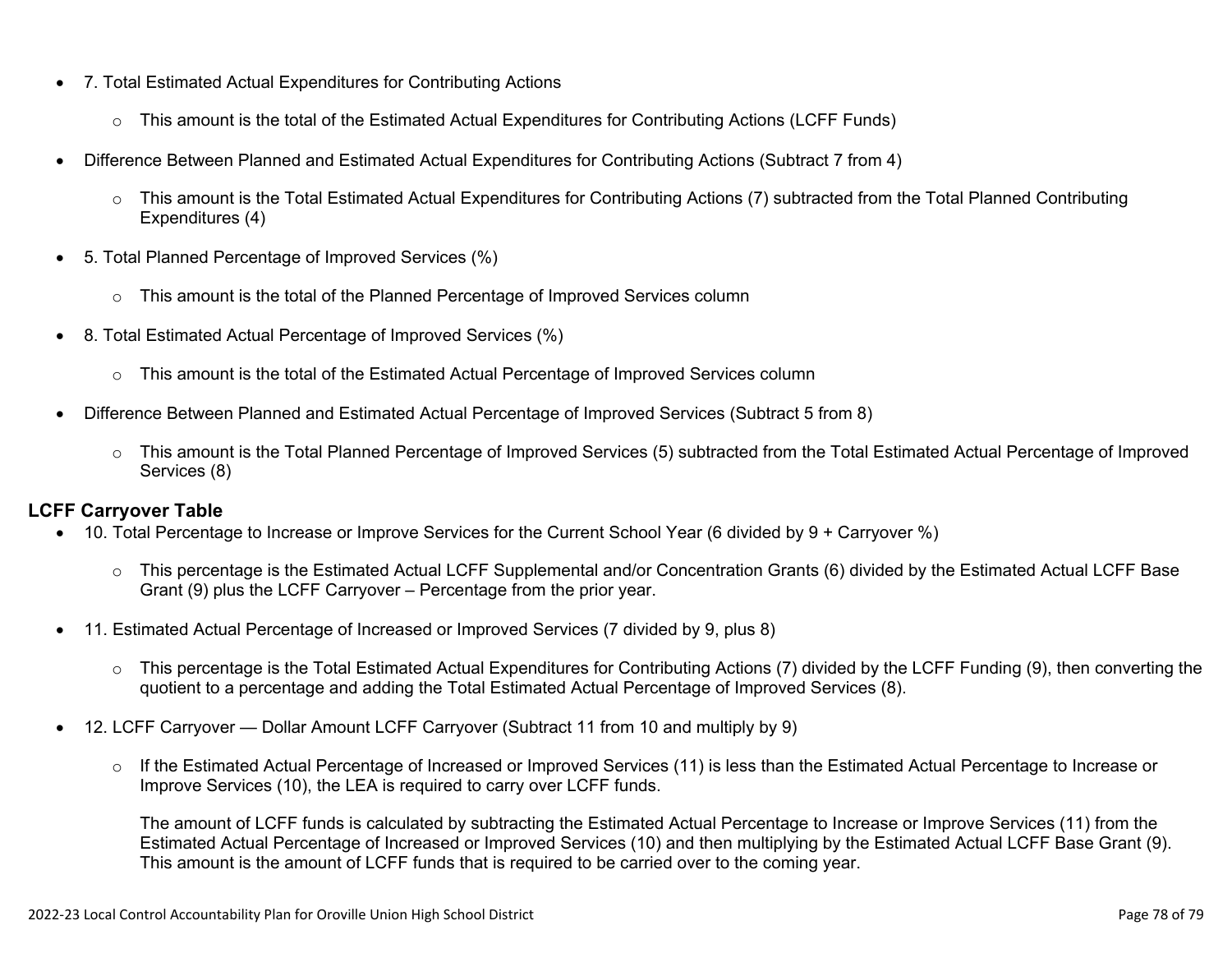- 7. Total Estimated Actual Expenditures for Contributing Actions
	- o This amount is the total of the Estimated Actual Expenditures for Contributing Actions (LCFF Funds)
- Difference Between Planned and Estimated Actual Expenditures for Contributing Actions (Subtract 7 from 4)
	- $\circ$  This amount is the Total Estimated Actual Expenditures for Contributing Actions (7) subtracted from the Total Planned Contributing Expenditures (4)
- 5. Total Planned Percentage of Improved Services (%)
	- o This amount is the total of the Planned Percentage of Improved Services column
- 8. Total Estimated Actual Percentage of Improved Services (%)
	- o This amount is the total of the Estimated Actual Percentage of Improved Services column
- Difference Between Planned and Estimated Actual Percentage of Improved Services (Subtract 5 from 8)
	- o This amount is the Total Planned Percentage of Improved Services (5) subtracted from the Total Estimated Actual Percentage of Improved Services (8)

### **LCFF Carryover Table**

- 10. Total Percentage to Increase or Improve Services for the Current School Year (6 divided by 9 + Carryover %)
	- $\circ$  This percentage is the Estimated Actual LCFF Supplemental and/or Concentration Grants (6) divided by the Estimated Actual LCFF Base Grant (9) plus the LCFF Carryover – Percentage from the prior year.
- 11. Estimated Actual Percentage of Increased or Improved Services (7 divided by 9, plus 8)
	- o This percentage is the Total Estimated Actual Expenditures for Contributing Actions (7) divided by the LCFF Funding (9), then converting the quotient to a percentage and adding the Total Estimated Actual Percentage of Improved Services (8).
- 12. LCFF Carryover Dollar Amount LCFF Carryover (Subtract 11 from 10 and multiply by 9)
	- $\circ$  If the Estimated Actual Percentage of Increased or Improved Services (11) is less than the Estimated Actual Percentage to Increase or Improve Services (10), the LEA is required to carry over LCFF funds.

The amount of LCFF funds is calculated by subtracting the Estimated Actual Percentage to Increase or Improve Services (11) from the Estimated Actual Percentage of Increased or Improved Services (10) and then multiplying by the Estimated Actual LCFF Base Grant (9). This amount is the amount of LCFF funds that is required to be carried over to the coming year.